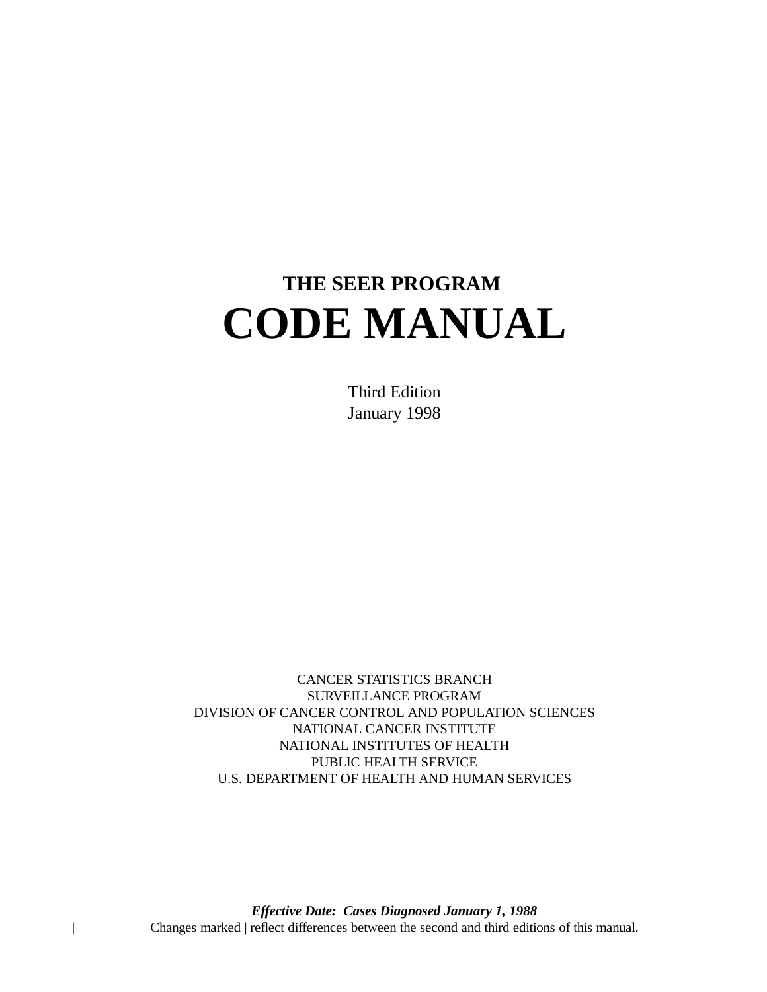# **THE SEER PROGRAM CODE MANUAL**

Third Edition January 1998

CANCER STATISTICS BRANCH SURVEILLANCE PROGRAM DIVISION OF CANCER CONTROL AND POPULATION SCIENCES NATIONAL CANCER INSTITUTE NATIONAL INSTITUTES OF HEALTH PUBLIC HEALTH SERVICE U.S. DEPARTMENT OF HEALTH AND HUMAN SERVICES

*Effective Date: Cases Diagnosed January 1, 1988* | Changes marked | reflect differences between the second and third editions of this manual.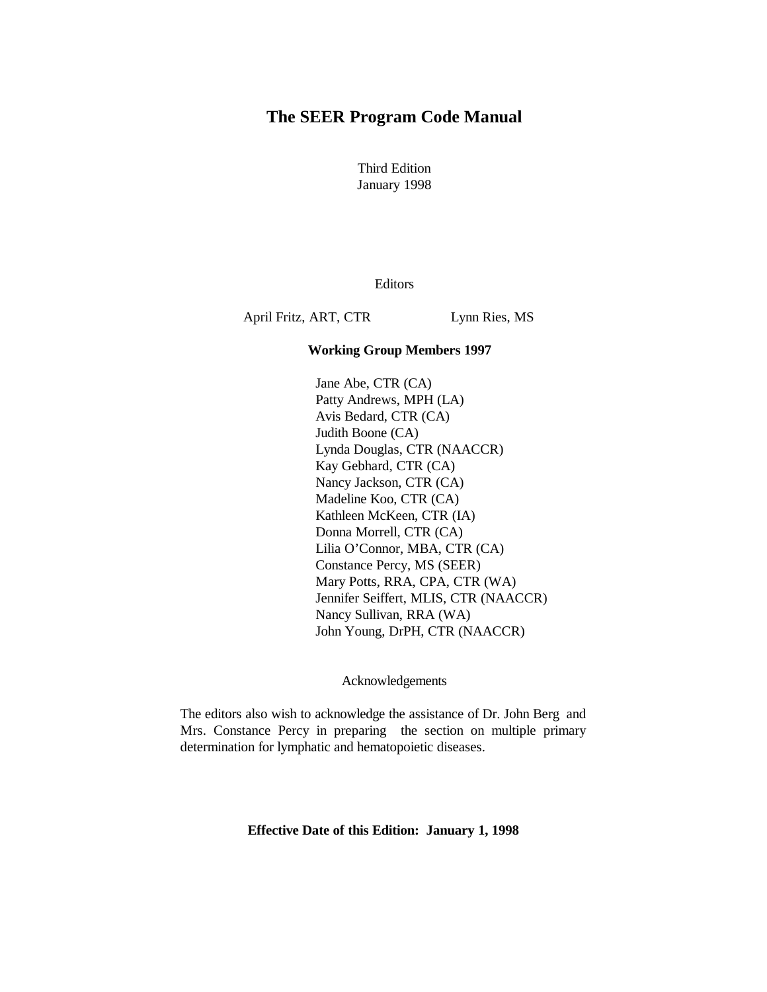# **The SEER Program Code Manual**

Third Edition January 1998

Editors

April Fritz, ART, CTR Lynn Ries, MS

#### **Working Group Members 1997**

Jane Abe, CTR (CA) Patty Andrews, MPH (LA) Avis Bedard, CTR (CA) Judith Boone (CA) Lynda Douglas, CTR (NAACCR) Kay Gebhard, CTR (CA) Nancy Jackson, CTR (CA) Madeline Koo, CTR (CA) Kathleen McKeen, CTR (IA) Donna Morrell, CTR (CA) Lilia O'Connor, MBA, CTR (CA) Constance Percy, MS (SEER) Mary Potts, RRA, CPA, CTR (WA) Jennifer Seiffert, MLIS, CTR (NAACCR) Nancy Sullivan, RRA (WA) John Young, DrPH, CTR (NAACCR)

#### Acknowledgements

The editors also wish to acknowledge the assistance of Dr. John Berg and Mrs. Constance Percy in preparing the section on multiple primary determination for lymphatic and hematopoietic diseases.

#### **Effective Date of this Edition: January 1, 1998**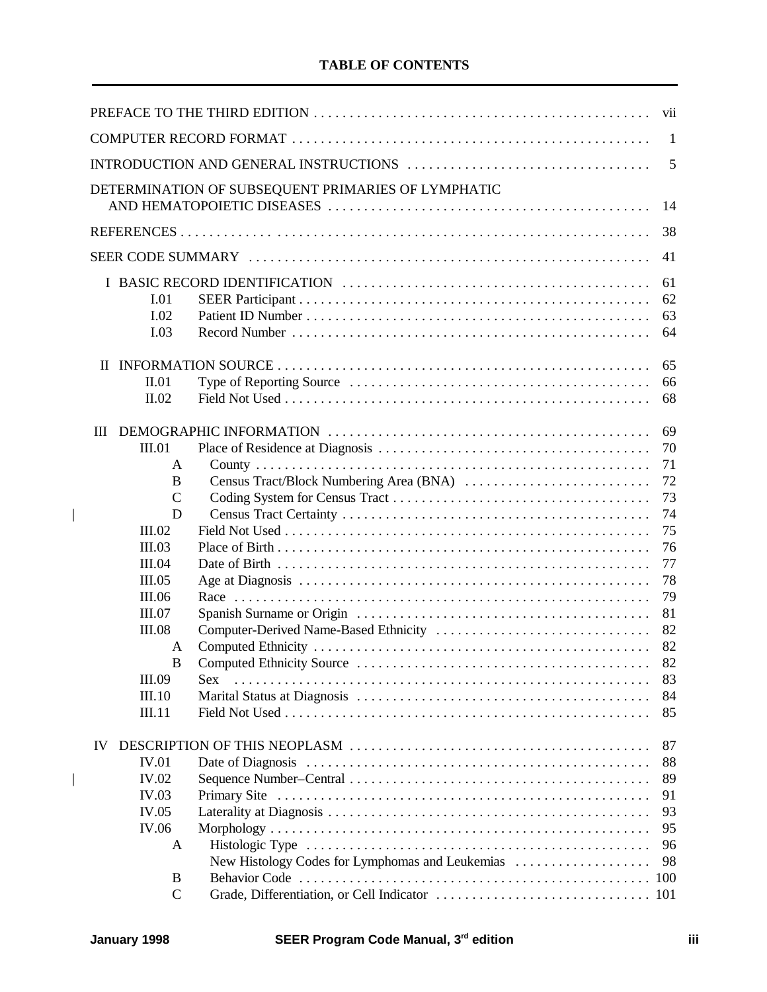# **TABLE OF CONTENTS**

|    |                                |                                                    | vii      |
|----|--------------------------------|----------------------------------------------------|----------|
|    |                                |                                                    |          |
|    |                                |                                                    | 5        |
|    |                                | DETERMINATION OF SUBSEQUENT PRIMARIES OF LYMPHATIC |          |
|    |                                |                                                    | 14       |
|    |                                |                                                    | 38       |
|    |                                |                                                    | 41       |
|    |                                |                                                    | 61       |
|    | I.01                           |                                                    | 62       |
|    | I.02                           |                                                    | 63       |
|    | I.03                           |                                                    | 64       |
|    |                                |                                                    | 65       |
|    | II.01                          |                                                    | 66       |
|    | II.02                          |                                                    | 68       |
|    |                                |                                                    |          |
| Ш  |                                |                                                    | 69       |
|    | III.01                         |                                                    | 70       |
|    | A                              |                                                    | 71       |
|    | B                              | Census Tract/Block Numbering Area (BNA)            | 72       |
|    | $\mathcal{C}$                  |                                                    | 73       |
|    | D                              |                                                    | 74       |
|    | <b>III.02</b>                  |                                                    | 75       |
|    | <b>III.03</b>                  |                                                    | 76       |
|    | <b>III.04</b>                  |                                                    | 77<br>78 |
|    | <b>III.05</b><br><b>III.06</b> |                                                    | 79       |
|    | <b>III.07</b>                  |                                                    | 81       |
|    | <b>III.08</b>                  |                                                    | 82       |
|    | A                              |                                                    | 82       |
|    | $\mathbf B$                    |                                                    | 82       |
|    | <b>III.09</b>                  | <b>Sex</b>                                         | 83       |
|    | III.10                         |                                                    | 84       |
|    | III.11                         |                                                    | 85       |
|    |                                |                                                    |          |
| IV |                                |                                                    | 87       |
|    | <b>IV.01</b>                   |                                                    | 88       |
|    | <b>IV.02</b>                   |                                                    | 89       |
|    | <b>IV.03</b>                   |                                                    | 91       |
|    | <b>IV.05</b>                   |                                                    | 93       |
|    | <b>IV.06</b>                   |                                                    | 95       |
|    | A                              |                                                    | 96       |
|    |                                | New Histology Codes for Lymphomas and Leukemias    | 98       |
|    | B                              |                                                    | 100      |
|    | $\mathcal{C}$                  |                                                    |          |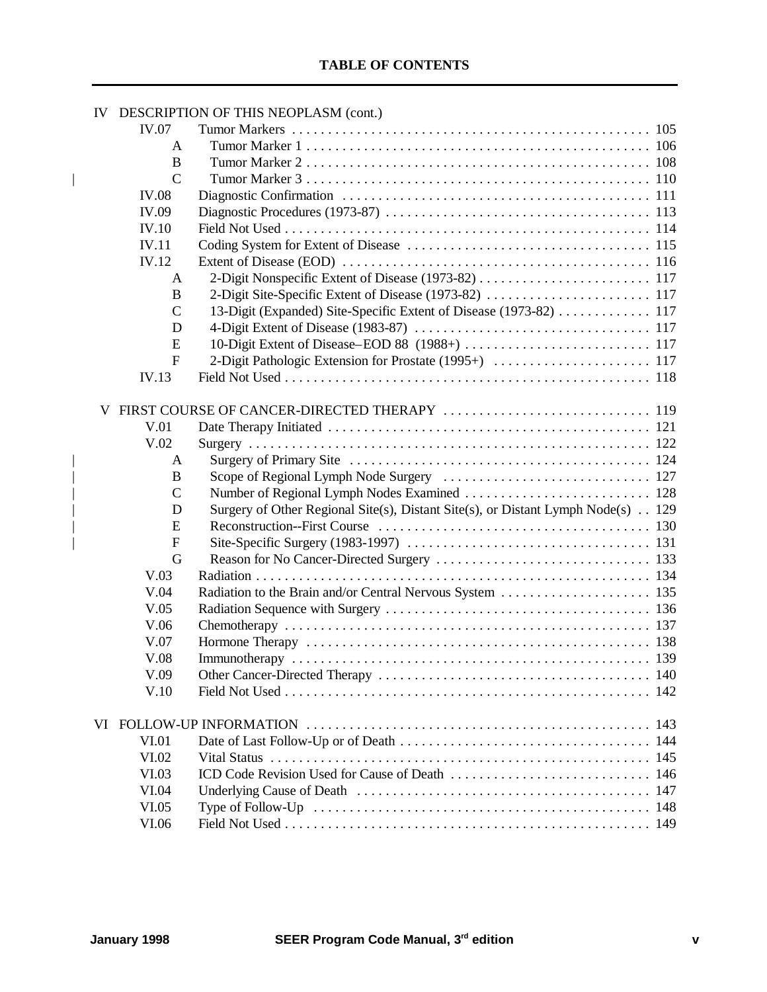| IV. |               | DESCRIPTION OF THIS NEOPLASM (cont.)                                             |
|-----|---------------|----------------------------------------------------------------------------------|
|     | <b>IV.07</b>  |                                                                                  |
|     | A             |                                                                                  |
|     | B             |                                                                                  |
|     | $\mathcal{C}$ |                                                                                  |
|     | <b>IV.08</b>  |                                                                                  |
|     | IV.09         |                                                                                  |
|     | <b>IV.10</b>  |                                                                                  |
|     | <b>IV.11</b>  |                                                                                  |
|     | IV.12         |                                                                                  |
|     | A             |                                                                                  |
|     | B             |                                                                                  |
|     | $\mathcal{C}$ |                                                                                  |
|     | D             |                                                                                  |
|     | E             |                                                                                  |
|     | $\mathbf{F}$  |                                                                                  |
|     | IV.13         |                                                                                  |
|     |               |                                                                                  |
| V   |               |                                                                                  |
|     | V.01          |                                                                                  |
|     | V.02          |                                                                                  |
|     | A             |                                                                                  |
|     | B             |                                                                                  |
|     | $\mathcal{C}$ |                                                                                  |
|     | D             | Surgery of Other Regional Site(s), Distant Site(s), or Distant Lymph Node(s) 129 |
|     | E             |                                                                                  |
|     | $\mathbf{F}$  |                                                                                  |
|     | G             |                                                                                  |
|     | V.03          |                                                                                  |
|     | V.04          |                                                                                  |
|     | V.05          |                                                                                  |
|     | V.06          |                                                                                  |
|     | V.07          |                                                                                  |
|     | V.08          |                                                                                  |
|     | V.09          |                                                                                  |
|     | V.10          |                                                                                  |
|     |               |                                                                                  |
|     |               |                                                                                  |
|     | VI.01         |                                                                                  |
|     | VI.02         |                                                                                  |
|     | VI.03         |                                                                                  |
|     | VI.04         |                                                                                  |
|     | VI.05         |                                                                                  |
|     | VI.06         |                                                                                  |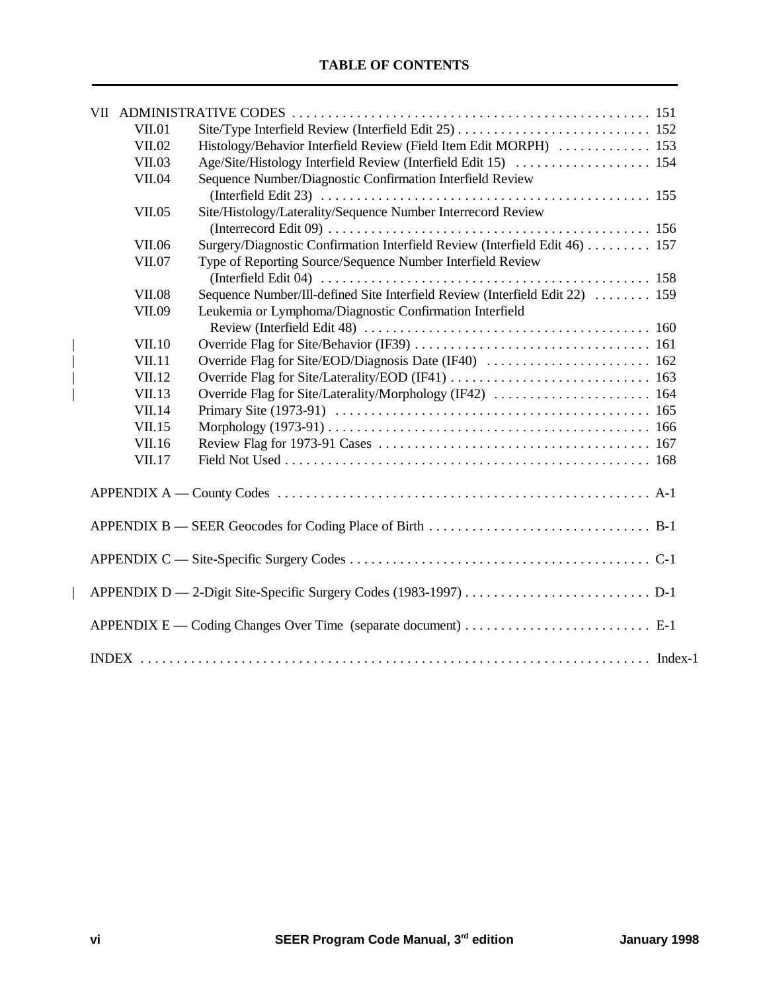| <b>VII.01</b> |                                                                              |
|---------------|------------------------------------------------------------------------------|
| <b>VII.02</b> | Histology/Behavior Interfield Review (Field Item Edit MORPH)  153            |
| <b>VII.03</b> |                                                                              |
| <b>VII.04</b> | Sequence Number/Diagnostic Confirmation Interfield Review                    |
|               |                                                                              |
| <b>VII.05</b> | Site/Histology/Laterality/Sequence Number Interrecord Review                 |
|               |                                                                              |
| <b>VII.06</b> | Surgery/Diagnostic Confirmation Interfield Review (Interfield Edit 46)  157  |
| <b>VII.07</b> | Type of Reporting Source/Sequence Number Interfield Review                   |
|               |                                                                              |
| <b>VII.08</b> | Sequence Number/Ill-defined Site Interfield Review (Interfield Edit 22)  159 |
| VII.09        | Leukemia or Lymphoma/Diagnostic Confirmation Interfield                      |
|               |                                                                              |
| <b>VII.10</b> |                                                                              |
| <b>VII.11</b> | Override Flag for Site/EOD/Diagnosis Date (IF40)  162                        |
| <b>VII.12</b> |                                                                              |
| <b>VII.13</b> | Override Flag for Site/Laterality/Morphology (IF42)  164                     |
| <b>VII.14</b> |                                                                              |
| <b>VII.15</b> |                                                                              |
| VII.16        |                                                                              |
| <b>VII.17</b> |                                                                              |
|               |                                                                              |
|               |                                                                              |
|               |                                                                              |
|               |                                                                              |
|               |                                                                              |
|               |                                                                              |
|               |                                                                              |
|               |                                                                              |
|               |                                                                              |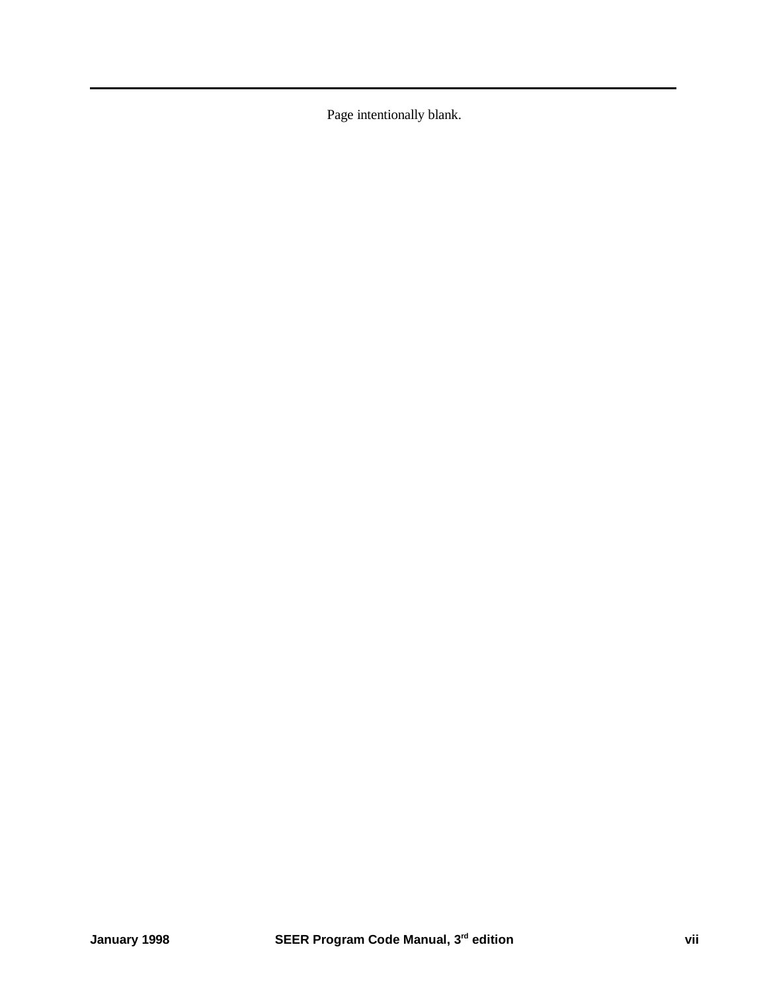Page intentionally blank.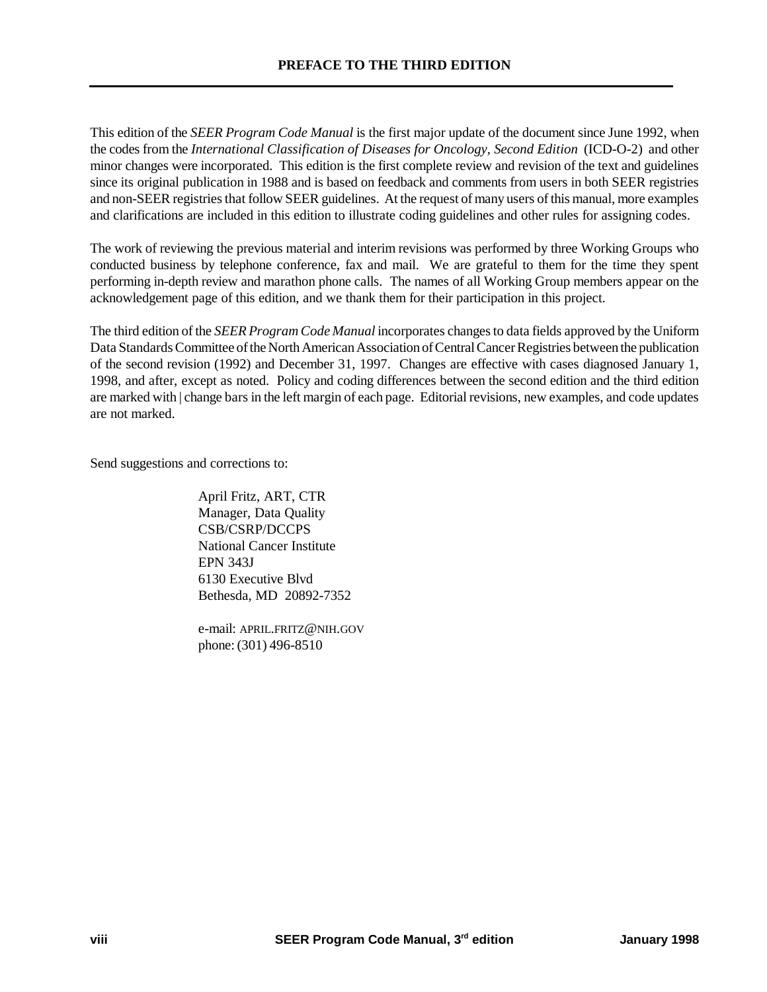This edition of the *SEER Program Code Manual* is the first major update of the document since June 1992, when the codes from the *International Classification of Diseases for Oncology, Second Edition* (ICD-O-2) and other minor changes were incorporated. This edition is the first complete review and revision of the text and guidelines since its original publication in 1988 and is based on feedback and comments from users in both SEER registries and non-SEER registries that follow SEER guidelines. At the request of many users of this manual, more examples and clarifications are included in this edition to illustrate coding guidelines and other rules for assigning codes.

The work of reviewing the previous material and interim revisions was performed by three Working Groups who conducted business by telephone conference, fax and mail. We are grateful to them for the time they spent performing in-depth review and marathon phone calls. The names of all Working Group members appear on the acknowledgement page of this edition, and we thank them for their participation in this project.

The third edition of the *SEER Program Code Manual* incorporates changesto data fields approved by the Uniform Data StandardsCommittee of the North American Association of Central Cancer Registries between the publication of the second revision (1992) and December 31, 1997. Changes are effective with cases diagnosed January 1, 1998, and after, except as noted. Policy and coding differences between the second edition and the third edition are marked with | change bars in the left margin of each page. Editorial revisions, new examples, and code updates are not marked.

Send suggestions and corrections to:

April Fritz, ART, CTR Manager, Data Quality CSB/CSRP/DCCPS National Cancer Institute EPN 343J 6130 Executive Blvd Bethesda, MD 20892-7352

e-mail: APRIL.FRITZ@NIH.GOV phone: (301) 496-8510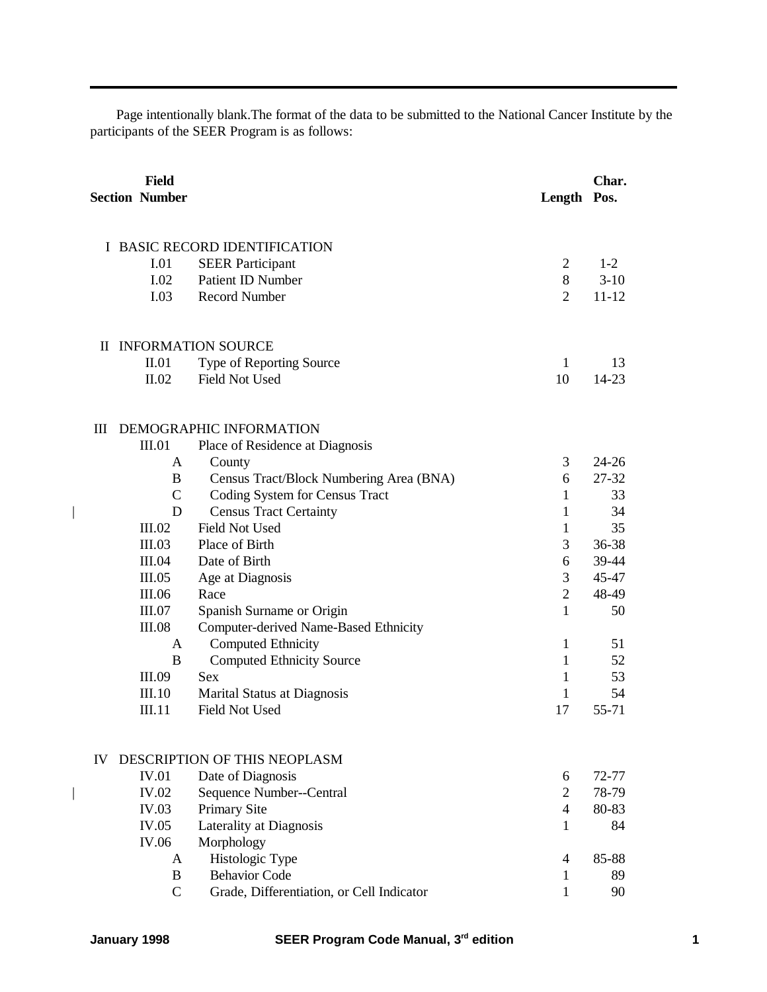Page intentionally blank.The format of the data to be submitted to the National Cancer Institute by the participants of the SEER Program is as follows:

|    | <b>Field</b><br><b>Section Number</b> |                                                          | Length Pos.    | Char.     |
|----|---------------------------------------|----------------------------------------------------------|----------------|-----------|
|    |                                       |                                                          |                |           |
|    | I.01                                  | I BASIC RECORD IDENTIFICATION<br><b>SEER Participant</b> | $\overline{2}$ | $1 - 2$   |
|    | I.02                                  | <b>Patient ID Number</b>                                 | 8              | $3-10$    |
|    | I.03                                  | <b>Record Number</b>                                     | $\overline{2}$ | $11 - 12$ |
|    |                                       |                                                          |                |           |
|    |                                       | <b>II INFORMATION SOURCE</b>                             |                |           |
|    | II.01                                 | Type of Reporting Source                                 | $\mathbf{1}$   | 13        |
|    | II.02                                 | <b>Field Not Used</b>                                    | 10             | $14 - 23$ |
|    |                                       |                                                          |                |           |
| Ш  |                                       | DEMOGRAPHIC INFORMATION                                  |                |           |
|    | <b>III.01</b>                         | Place of Residence at Diagnosis                          |                |           |
|    | A                                     | County                                                   | 3              | $24 - 26$ |
|    | B                                     | Census Tract/Block Numbering Area (BNA)                  | 6              | 27-32     |
|    | $\mathcal{C}$                         | Coding System for Census Tract                           | 1              | 33        |
|    | D                                     | <b>Census Tract Certainty</b>                            | 1              | 34        |
|    | III.02                                | <b>Field Not Used</b>                                    | 1              | 35        |
|    | III.03                                | Place of Birth                                           | 3              | 36-38     |
|    | <b>III.04</b>                         | Date of Birth                                            | 6              | 39-44     |
|    | III.05                                | Age at Diagnosis                                         | 3              | 45-47     |
|    | III.06                                | Race                                                     | $\overline{2}$ | 48-49     |
|    | <b>III.07</b>                         | Spanish Surname or Origin                                | $\mathbf{1}$   | 50        |
|    | <b>III.08</b>                         | Computer-derived Name-Based Ethnicity                    |                |           |
|    | A                                     | <b>Computed Ethnicity</b>                                | 1              | 51        |
|    | B                                     | <b>Computed Ethnicity Source</b>                         | 1              | 52        |
|    | <b>III.09</b>                         | <b>Sex</b>                                               | 1              | 53        |
|    | III.10                                | Marital Status at Diagnosis                              | 1              | 54        |
|    | III.11                                | <b>Field Not Used</b>                                    | 17             | 55-71     |
| IV |                                       | DESCRIPTION OF THIS NEOPLASM                             |                |           |
|    | <b>IV.01</b>                          | Date of Diagnosis                                        | 6              | $72 - 77$ |
|    | IV.02                                 | Sequence Number--Central                                 | $\overline{2}$ | 78-79     |
|    | <b>IV.03</b>                          | <b>Primary Site</b>                                      | 4              | 80-83     |
|    | <b>IV.05</b>                          | Laterality at Diagnosis                                  | 1              | 84        |
|    | IV.06                                 | Morphology                                               |                |           |
|    | A                                     | Histologic Type                                          | $\overline{4}$ | 85-88     |
|    | $\bf{B}$                              | <b>Behavior Code</b>                                     | 1              | 89        |
|    | $\mathsf{C}$                          | Grade, Differentiation, or Cell Indicator                | 1              | 90        |
|    |                                       |                                                          |                |           |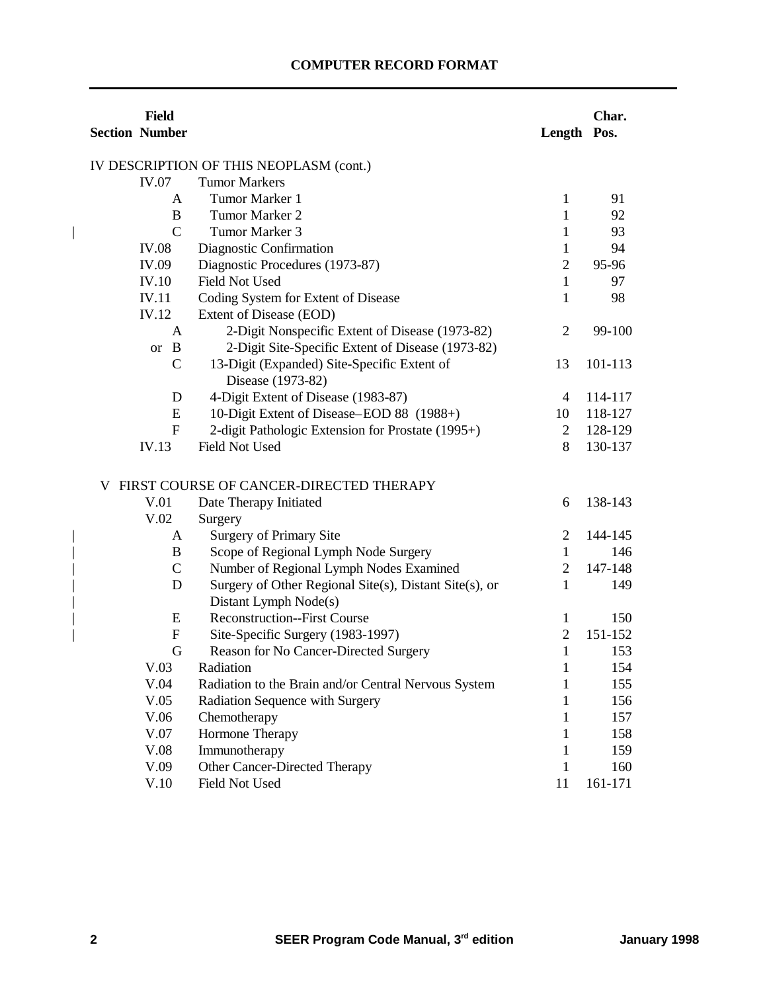# **COMPUTER RECORD FORMAT**

|  | <b>Field</b><br><b>Section Number</b> |                                                                                 | Length Pos.    | Char.   |
|--|---------------------------------------|---------------------------------------------------------------------------------|----------------|---------|
|  |                                       | IV DESCRIPTION OF THIS NEOPLASM (cont.)                                         |                |         |
|  | <b>IV.07</b>                          | <b>Tumor Markers</b>                                                            |                |         |
|  | A                                     | Tumor Marker 1                                                                  | $\mathbf{1}$   | 91      |
|  | B                                     | Tumor Marker 2                                                                  | $\mathbf 1$    | 92      |
|  | $\mathsf{C}$                          | Tumor Marker 3                                                                  | $\mathbf 1$    | 93      |
|  | <b>IV.08</b>                          | Diagnostic Confirmation                                                         | $\mathbf 1$    | 94      |
|  | IV.09                                 | Diagnostic Procedures (1973-87)                                                 | $\mathfrak{2}$ | 95-96   |
|  | <b>IV.10</b>                          | <b>Field Not Used</b>                                                           | $\mathbf{1}$   | 97      |
|  | <b>IV.11</b>                          | Coding System for Extent of Disease                                             | 1              | 98      |
|  | IV.12                                 | Extent of Disease (EOD)                                                         |                |         |
|  | A                                     | 2-Digit Nonspecific Extent of Disease (1973-82)                                 | $\overline{2}$ | 99-100  |
|  | B<br><b>or</b>                        | 2-Digit Site-Specific Extent of Disease (1973-82)                               |                |         |
|  | $\mathsf{C}$                          | 13-Digit (Expanded) Site-Specific Extent of                                     | 13             | 101-113 |
|  |                                       | Disease (1973-82)                                                               |                |         |
|  | D                                     | 4-Digit Extent of Disease (1983-87)                                             | 4              | 114-117 |
|  | E                                     | 10-Digit Extent of Disease–EOD 88 (1988+)                                       | 10             | 118-127 |
|  | ${\bf F}$                             | 2-digit Pathologic Extension for Prostate (1995+)                               | $\overline{2}$ | 128-129 |
|  | IV.13                                 | <b>Field Not Used</b>                                                           | 8              | 130-137 |
|  |                                       | V FIRST COURSE OF CANCER-DIRECTED THERAPY                                       |                |         |
|  | V.01                                  | Date Therapy Initiated                                                          | 6              | 138-143 |
|  | V.02                                  | Surgery                                                                         |                |         |
|  | A                                     | <b>Surgery of Primary Site</b>                                                  | $\overline{2}$ | 144-145 |
|  | B                                     | Scope of Regional Lymph Node Surgery                                            | $\mathbf{1}$   | 146     |
|  | $\mathcal{C}$                         | Number of Regional Lymph Nodes Examined                                         | 2              | 147-148 |
|  | D                                     | Surgery of Other Regional Site(s), Distant Site(s), or<br>Distant Lymph Node(s) | $\mathbf{1}$   | 149     |
|  | E                                     | <b>Reconstruction--First Course</b>                                             | 1              | 150     |
|  | ${\bf F}$                             | Site-Specific Surgery (1983-1997)                                               | $\overline{c}$ | 151-152 |
|  | G                                     | Reason for No Cancer-Directed Surgery                                           | 1              | 153     |
|  | V.03                                  | Radiation                                                                       | 1              | 154     |
|  | V.04                                  | Radiation to the Brain and/or Central Nervous System                            | 1              | 155     |
|  | V.05                                  | Radiation Sequence with Surgery                                                 | 1              | 156     |
|  | V.06                                  | Chemotherapy                                                                    | 1              | 157     |
|  | V.07                                  | Hormone Therapy                                                                 | 1              | 158     |
|  | V.08                                  | Immunotherapy                                                                   | 1              | 159     |
|  | V.09                                  | Other Cancer-Directed Therapy                                                   | 1              | 160     |
|  | V.10                                  | <b>Field Not Used</b>                                                           | 11             | 161-171 |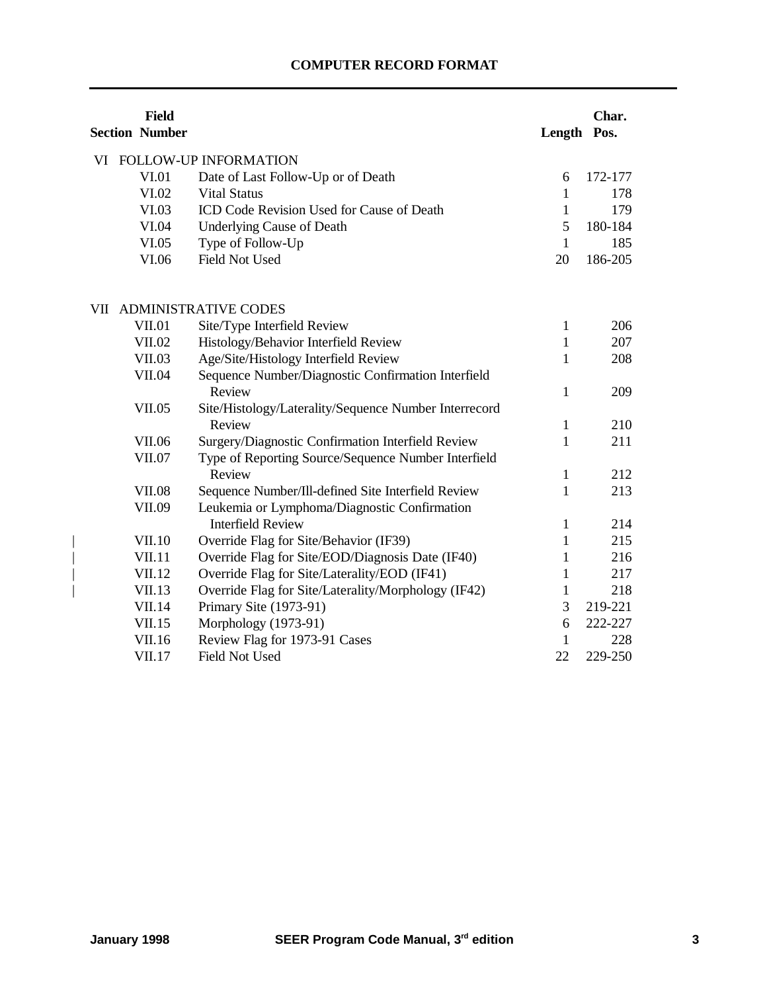# **COMPUTER RECORD FORMAT**

| <b>Field</b><br><b>Section Number</b> |                                                              | Length Pos.  | Char.   |
|---------------------------------------|--------------------------------------------------------------|--------------|---------|
|                                       | VI FOLLOW-UP INFORMATION                                     |              |         |
| VI.01                                 | Date of Last Follow-Up or of Death                           | 6            | 172-177 |
| VI.02                                 | <b>Vital Status</b>                                          | 1            | 178     |
| VI.03                                 | ICD Code Revision Used for Cause of Death                    | $\mathbf{1}$ | 179     |
| VI.04                                 | <b>Underlying Cause of Death</b>                             | 5            | 180-184 |
| VI.05                                 | Type of Follow-Up                                            | $\mathbf{1}$ | 185     |
| VI.06                                 | Field Not Used                                               | 20           | 186-205 |
|                                       | VII ADMINISTRATIVE CODES                                     |              |         |
| <b>VII.01</b>                         | Site/Type Interfield Review                                  | $\mathbf{1}$ | 206     |
| <b>VII.02</b>                         | Histology/Behavior Interfield Review                         | 1            | 207     |
| <b>VII.03</b>                         | Age/Site/Histology Interfield Review                         | 1            | 208     |
| <b>VII.04</b>                         | Sequence Number/Diagnostic Confirmation Interfield<br>Review | 1            | 209     |
| <b>VII.05</b>                         | Site/Histology/Laterality/Sequence Number Interrecord        |              |         |
|                                       | Review                                                       | 1            | 210     |
| <b>VII.06</b>                         | Surgery/Diagnostic Confirmation Interfield Review            | 1            | 211     |
| <b>VII.07</b>                         | Type of Reporting Source/Sequence Number Interfield          |              |         |
|                                       | Review                                                       | 1            | 212     |
| <b>VII.08</b>                         | Sequence Number/Ill-defined Site Interfield Review           | 1            | 213     |
| VII.09                                | Leukemia or Lymphoma/Diagnostic Confirmation                 |              |         |
|                                       | <b>Interfield Review</b>                                     | $\mathbf{1}$ | 214     |
| <b>VII.10</b>                         | Override Flag for Site/Behavior (IF39)                       | 1            | 215     |
| <b>VII.11</b>                         | Override Flag for Site/EOD/Diagnosis Date (IF40)             | $\mathbf 1$  | 216     |
| <b>VII.12</b>                         | Override Flag for Site/Laterality/EOD (IF41)                 | 1            | 217     |
| <b>VII.13</b>                         | Override Flag for Site/Laterality/Morphology (IF42)          | $\mathbf{1}$ | 218     |
| <b>VII.14</b>                         | Primary Site (1973-91)                                       | 3            | 219-221 |
| <b>VII.15</b>                         | Morphology (1973-91)                                         | 6            | 222-227 |
| <b>VII.16</b>                         | Review Flag for 1973-91 Cases                                | 1            | 228     |
| <b>VII.17</b>                         | <b>Field Not Used</b>                                        | 22           | 229-250 |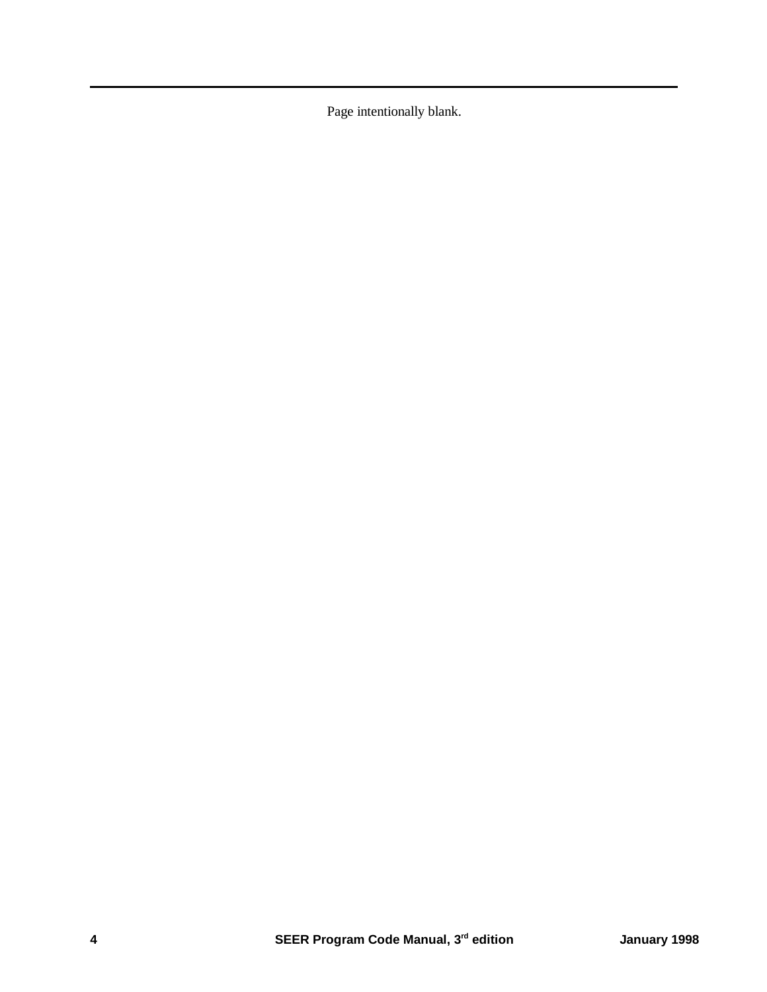Page intentionally blank.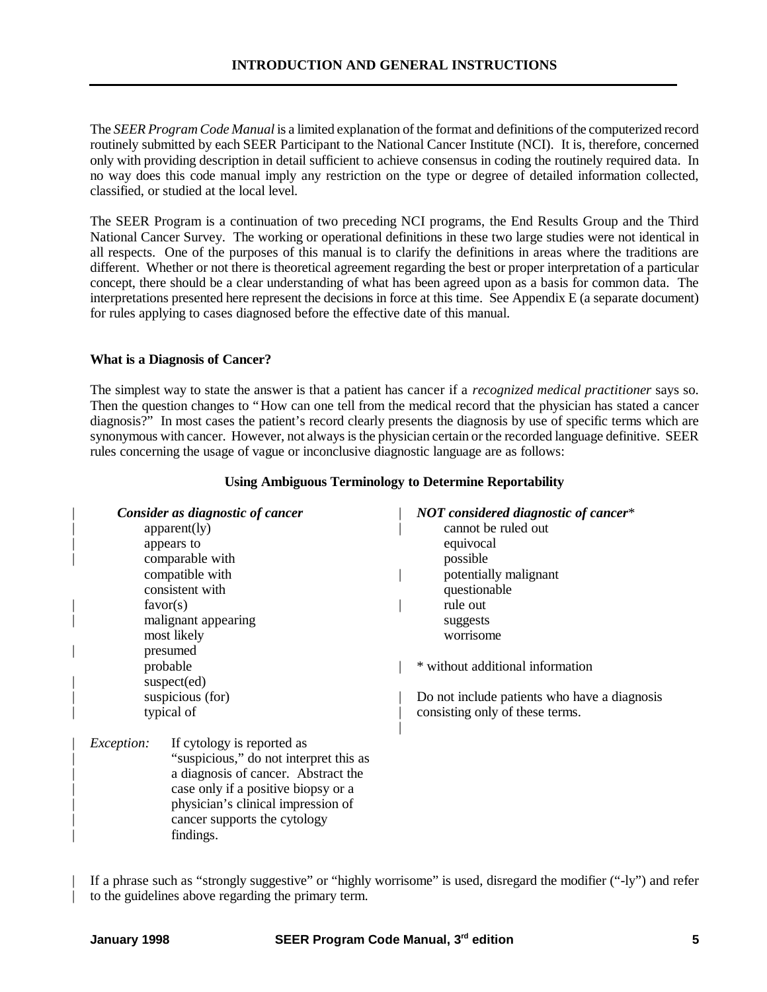The *SEER Program Code Manual* is a limited explanation of the format and definitions of the computerized record routinely submitted by each SEER Participant to the National Cancer Institute (NCI). It is, therefore, concerned only with providing description in detail sufficient to achieve consensus in coding the routinely required data. In no way does this code manual imply any restriction on the type or degree of detailed information collected, classified, or studied at the local level.

The SEER Program is a continuation of two preceding NCI programs, the End Results Group and the Third National Cancer Survey. The working or operational definitions in these two large studies were not identical in all respects. One of the purposes of this manual is to clarify the definitions in areas where the traditions are different. Whether or not there is theoretical agreement regarding the best or proper interpretation of a particular concept, there should be a clear understanding of what has been agreed upon as a basis for common data. The interpretations presented here represent the decisions in force at this time. See Appendix E (a separate document) for rules applying to cases diagnosed before the effective date of this manual.

#### **What is a Diagnosis of Cancer?**

The simplest way to state the answer is that a patient has cancer if a *recognized medical practitioner* says so. Then the question changes to "How can one tell from the medical record that the physician has stated a cancer diagnosis?" In most cases the patient's record clearly presents the diagnosis by use of specific terms which are synonymous with cancer. However, not always is the physician certain or the recorded language definitive. SEER rules concerning the usage of vague or inconclusive diagnostic language are as follows:

#### **Using Ambiguous Terminology to Determine Reportability**

| Consider as diagnostic of cancer                | <b>NOT</b> considered diagnostic of cancer*  |  |
|-------------------------------------------------|----------------------------------------------|--|
| apparent(ly)                                    | cannot be ruled out                          |  |
| appears to                                      | equivocal                                    |  |
| comparable with                                 | possible                                     |  |
| compatible with                                 | potentially malignant                        |  |
| consistent with                                 | questionable                                 |  |
| favor(s)                                        | rule out                                     |  |
| malignant appearing                             | suggests                                     |  |
| most likely                                     | worrisome                                    |  |
| presumed                                        |                                              |  |
| probable                                        | * without additional information             |  |
| suspect(ed)                                     |                                              |  |
| suspicious (for)                                | Do not include patients who have a diagnosis |  |
| typical of                                      | consisting only of these terms.              |  |
|                                                 |                                              |  |
| If cytology is reported as<br><i>Exception:</i> |                                              |  |
| "suspicious," do not interpret this as          |                                              |  |
| a diagnosis of cancer. Abstract the             |                                              |  |
| case only if a positive biopsy or a             |                                              |  |
| physician's clinical impression of              |                                              |  |
| cancer supports the cytology                    |                                              |  |
| findings.                                       |                                              |  |
|                                                 |                                              |  |

| If a phrase such as "strongly suggestive" or "highly worrisome" is used, disregard the modifier ("-ly") and refer to the guidelines above regarding the primary term.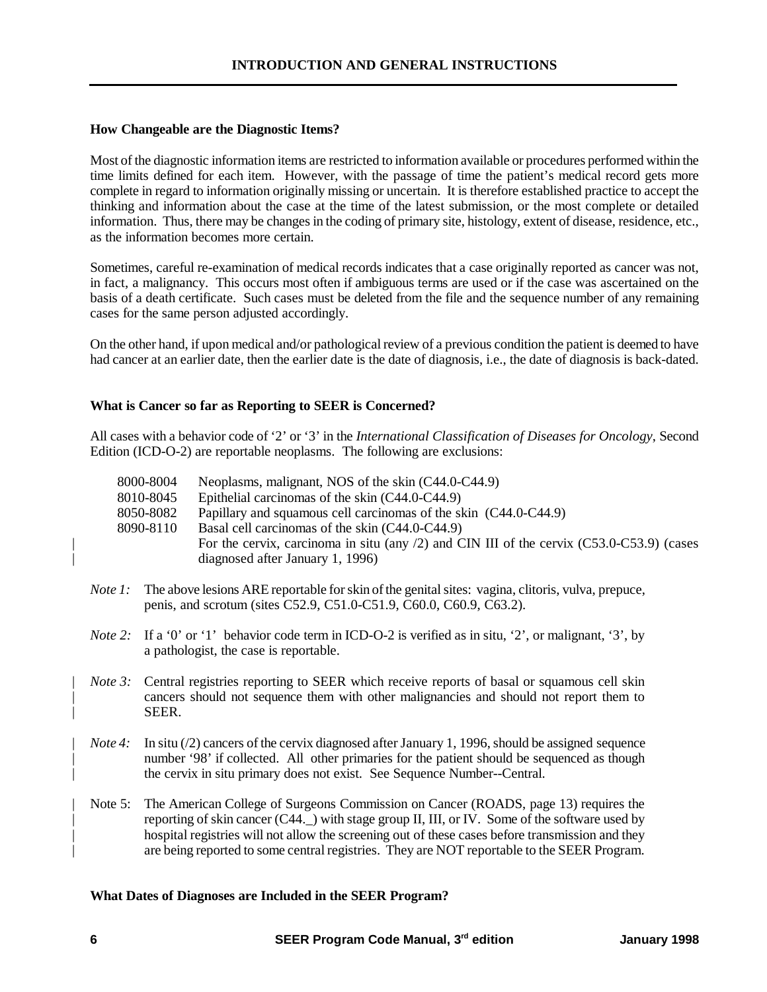#### **How Changeable are the Diagnostic Items?**

Most of the diagnostic information items are restricted to information available or procedures performed within the time limits defined for each item. However, with the passage of time the patient's medical record gets more complete in regard to information originally missing or uncertain. It is therefore established practice to accept the thinking and information about the case at the time of the latest submission, or the most complete or detailed information. Thus, there may be changes in the coding of primary site, histology, extent of disease, residence, etc., as the information becomes more certain.

Sometimes, careful re-examination of medical records indicates that a case originally reported as cancer was not, in fact, a malignancy. This occurs most often if ambiguous terms are used or if the case was ascertained on the basis of a death certificate. Such cases must be deleted from the file and the sequence number of any remaining cases for the same person adjusted accordingly.

On the other hand, if upon medical and/or pathological review of a previous condition the patient is deemed to have had cancer at an earlier date, then the earlier date is the date of diagnosis, i.e., the date of diagnosis is back-dated.

#### **What is Cancer so far as Reporting to SEER is Concerned?**

All cases with a behavior code of '2'or '3'in the *International Classification of Diseases for Oncology*, Second Edition (ICD-O-2) are reportable neoplasms. The following are exclusions:

|                   | 8000-8004<br>Neoplasms, malignant, NOS of the skin (C44.0-C44.9)<br>Epithelial carcinomas of the skin (C44.0-C44.9)<br>8010-8045<br>Papillary and squamous cell carcinomas of the skin (C44.0-C44.9)<br>8050-8082<br>Basal cell carcinomas of the skin (C44.0-C44.9)<br>8090-8110<br>For the cervix, carcinoma in situ (any $/2$ ) and CIN III of the cervix (C53.0-C53.9) (cases<br>diagnosed after January 1, 1996) |
|-------------------|-----------------------------------------------------------------------------------------------------------------------------------------------------------------------------------------------------------------------------------------------------------------------------------------------------------------------------------------------------------------------------------------------------------------------|
| <i>Note</i> $l$ : | The above lesions ARE reportable for skin of the genital sites: vagina, clitoris, vulva, prepuce,<br>penis, and scrotum (sites C52.9, C51.0-C51.9, C60.0, C60.9, C63.2).                                                                                                                                                                                                                                              |
|                   | <i>Note 2:</i> If a '0' or '1' behavior code term in ICD-O-2 is verified as in situ, '2', or malignant, '3', by<br>a pathologist, the case is reportable.                                                                                                                                                                                                                                                             |
|                   | <i>Note 3:</i> Central registries reporting to SEER which receive reports of basal or squamous cell skin<br>cancers should not sequence them with other malignancies and should not report them to<br>SEER.                                                                                                                                                                                                           |
| Note 4:           | In situ $(2)$ cancers of the cervix diagnosed after January 1, 1996, should be assigned sequence<br>number '98' if collected. All other primaries for the patient should be sequenced as though<br>the cervix in situ primary does not exist. See Sequence Number--Central.                                                                                                                                           |
| Note 5:           | The American College of Surgeons Commission on Cancer (ROADS, page 13) requires the<br>reporting of skin cancer $(C44_{-})$ with stage group II, III, or IV. Some of the software used by<br>hospital registries will not allow the screening out of these cases before transmission and they<br>are being reported to some central registries. They are NOT reportable to the SEER Program.                          |

#### **What Dates of Diagnoses are Included in the SEER Program?**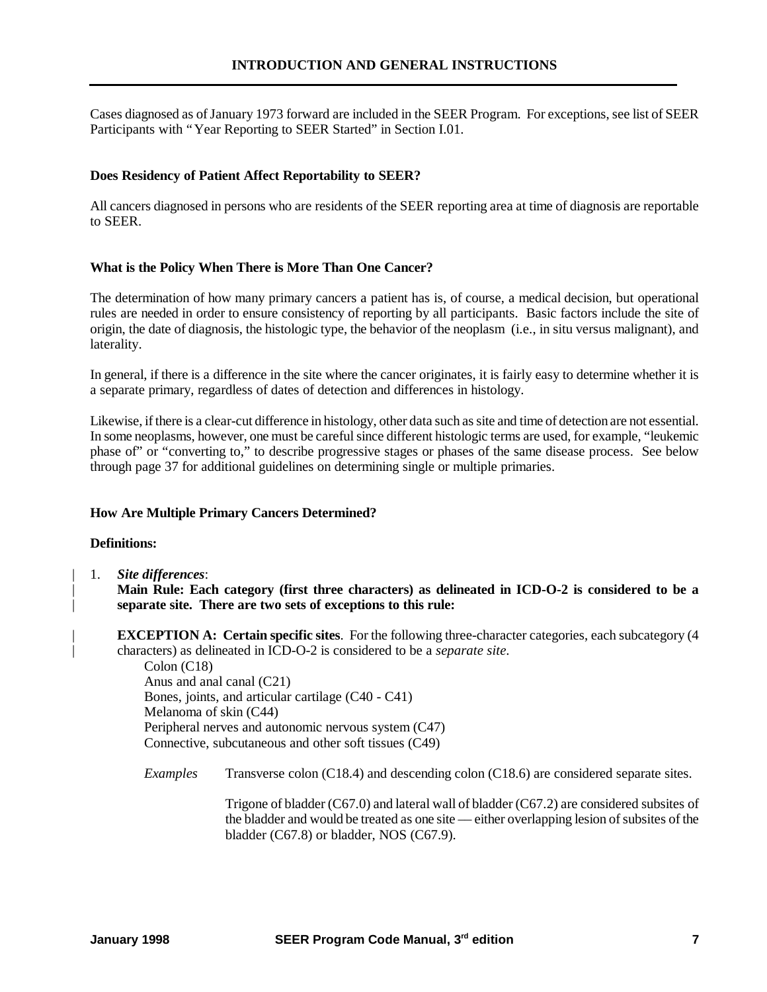Cases diagnosed as ofJanuary 1973 forward are included in the SEER Program. For exceptions, see list of SEER Participants with "Year Reporting to SEER Started" in Section I.01.

#### **Does Residency of Patient Affect Reportability to SEER?**

All cancers diagnosed in persons who are residents of the SEER reporting area at time of diagnosis are reportable to SEER.

#### **What is the Policy When There is More Than One Cancer?**

The determination of how many primary cancers a patient has is, of course, a medical decision, but operational rules are needed in order to ensure consistency of reporting by all participants. Basic factors include the site of origin, the date of diagnosis, the histologic type, the behavior of the neoplasm (i.e., in situ versus malignant), and laterality.

In general, if there is a difference in the site where the cancer originates, it is fairly easy to determine whether it is a separate primary, regardless of dates of detection and differences in histology.

Likewise, if there is a clear-cut difference in histology, other data such as site and time of detection are not essential. In some neoplasms, however, one must be careful since different histologic terms are used, for example, "leukemic phase of" or "converting to," to describe progressive stages or phases of the same disease process. See below through page 37 for additional guidelines on determining single or multiple primaries.

#### **How Are Multiple Primary Cancers Determined?**

#### **Definitions:**

| 1. *Site differences*:

| **Main Rule: Each category (first three characters) as delineated in ICD-O-2 is considered to be a** | **separate site. There are two sets of exceptions to this rule:**

**EXCEPTION A: Certain specific sites**. For the following three-character categories, each subcategory (4) | characters) as delineated in ICD-O-2 is considered to be a *separate site*.

Colon (C18) Anus and anal canal (C21) Bones, joints, and articular cartilage (C40 - C41) Melanoma of skin (C44) Peripheral nerves and autonomic nervous system (C47) Connective, subcutaneous and other soft tissues (C49)

*Examples* Transverse colon (C18.4) and descending colon (C18.6) are considered separate sites.

Trigone of bladder (C67.0) and lateral wall of bladder (C67.2) are considered subsites of the bladder and would be treated as one site — either overlapping lesion of subsites of the bladder (C67.8) or bladder, NOS (C67.9).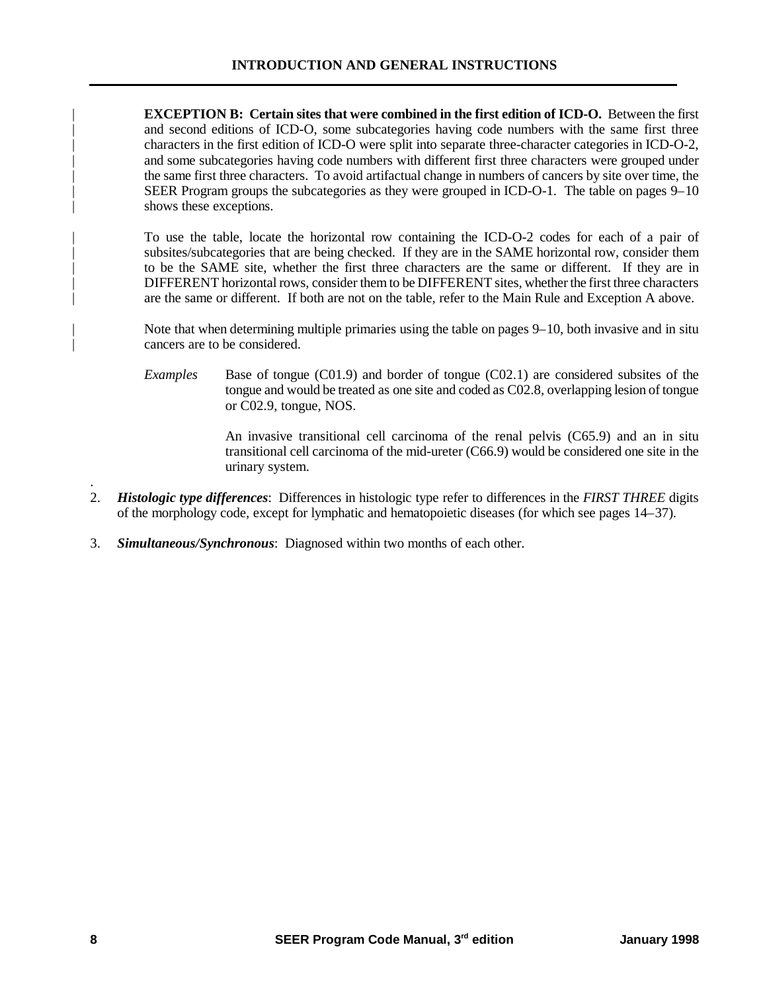| **EXCEPTION B: Certain sites that were combined in the first edition of ICD-O.** Between the first and second editions of ICD-O, some subcategories having code numbers with the same first three | characters in the first edition of ICD-O were split into separate three-character categories in ICD-O-2, and some subcategories having code numbers with different first three characters were grouped under | the same first three characters. To avoid artifactual change in numbers of cancers by site over time, the | SEER Program groups the subcategories as they were grouped in ICD-O-1. The table on pages 9–10 shows these exceptions.

| To use the table, locate the horizontal row containing the ICD-O-2 codes for each of a pair of subsites/subcategories that are being checked. If they are in the SAME horizontal row, consider them to be the SAME site, whether the first three characters are the same or different. If they are in DIFFERENT horizontal rows, consider them to be DIFFERENT sites, whether the first three characters are the same or different. If both are not on the table, refer to the Main Rule and Exception A above.

Note that when determining multiple primaries using the table on pages 9–10, both invasive and in situ cancers are to be considered.

*Examples* Base of tongue (C01.9) and border of tongue (C02.1) are considered subsites of the tongue and would be treated as one site and coded as C02.8, overlapping lesion of tongue or C02.9, tongue, NOS.

> An invasive transitional cell carcinoma of the renal pelvis (C65.9) and an in situ transitional cell carcinoma of the mid-ureter (C66.9) would be considered one site in the urinary system.

- 2. *Histologic type differences*: Differences in histologic type refer to differences in the *FIRST THREE* digits of the morphology code, except for lymphatic and hematopoietic diseases (for which see pages 14–37).
- 3. *Simultaneous/Synchronous*: Diagnosed within two months of each other.

.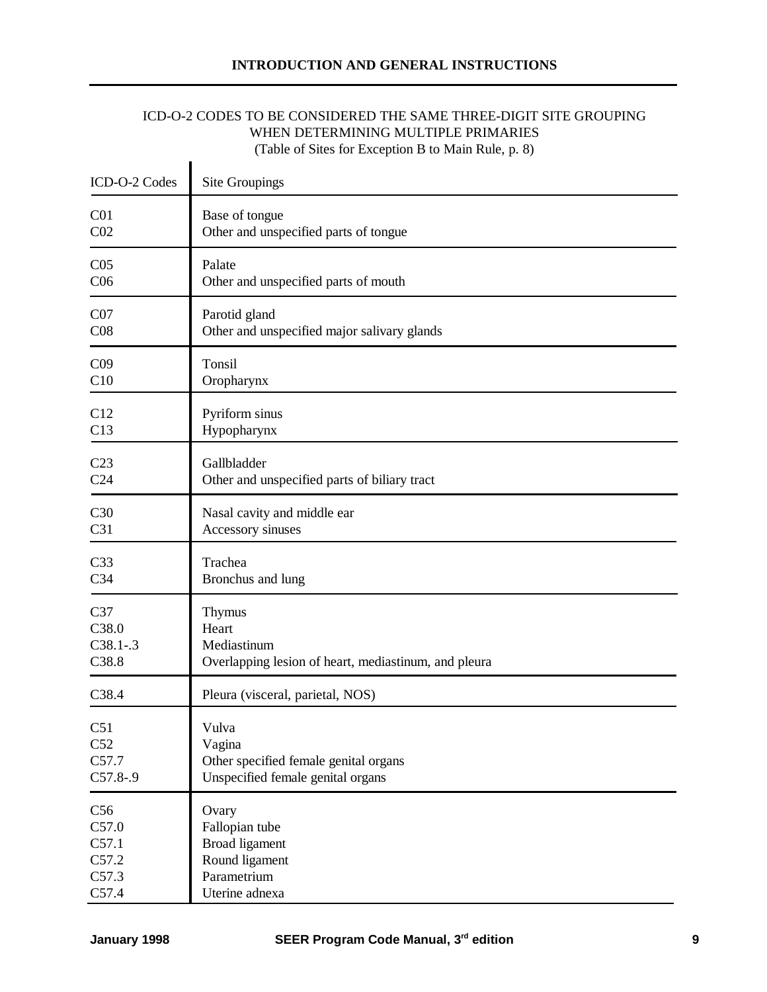## **INTRODUCTION AND GENERAL INSTRUCTIONS**

# ICD-O-2 CODES TO BE CONSIDERED THE SAME THREE-DIGIT SITE GROUPING WHEN DETERMINING MULTIPLE PRIMARIES (Table of Sites for Exception B to Main Rule, p. 8)

 $\blacksquare$ 

| ICD-O-2 Codes   | Site Groupings                                       |
|-----------------|------------------------------------------------------|
| C <sub>01</sub> | Base of tongue                                       |
| C <sub>02</sub> | Other and unspecified parts of tongue                |
| C <sub>05</sub> | Palate                                               |
| C <sub>06</sub> | Other and unspecified parts of mouth                 |
| CO7             | Parotid gland                                        |
| C <sub>08</sub> | Other and unspecified major salivary glands          |
| C <sub>09</sub> | Tonsil                                               |
| C10             | Oropharynx                                           |
| C12             | Pyriform sinus                                       |
| C13             | Hypopharynx                                          |
| C <sub>23</sub> | Gallbladder                                          |
| C <sub>24</sub> | Other and unspecified parts of biliary tract         |
| C30             | Nasal cavity and middle ear                          |
| C31             | Accessory sinuses                                    |
| C <sub>33</sub> | Trachea                                              |
| C <sub>34</sub> | Bronchus and lung                                    |
| C <sub>37</sub> | Thymus                                               |
| C38.0           | Heart                                                |
| $C38.1-.3$      | Mediastinum                                          |
| C38.8           | Overlapping lesion of heart, mediastinum, and pleura |
| C38.4           | Pleura (visceral, parietal, NOS)                     |
| C51             | Vulva                                                |
| C52             | Vagina                                               |
| C57.7           | Other specified female genital organs                |
| $C57.8 - .9$    | Unspecified female genital organs                    |
| C56             | Ovary                                                |
| C57.0           | Fallopian tube                                       |
| C57.1           | Broad ligament                                       |
| C57.2           | Round ligament                                       |
| C57.3           | Parametrium                                          |
| C57.4           | Uterine adnexa                                       |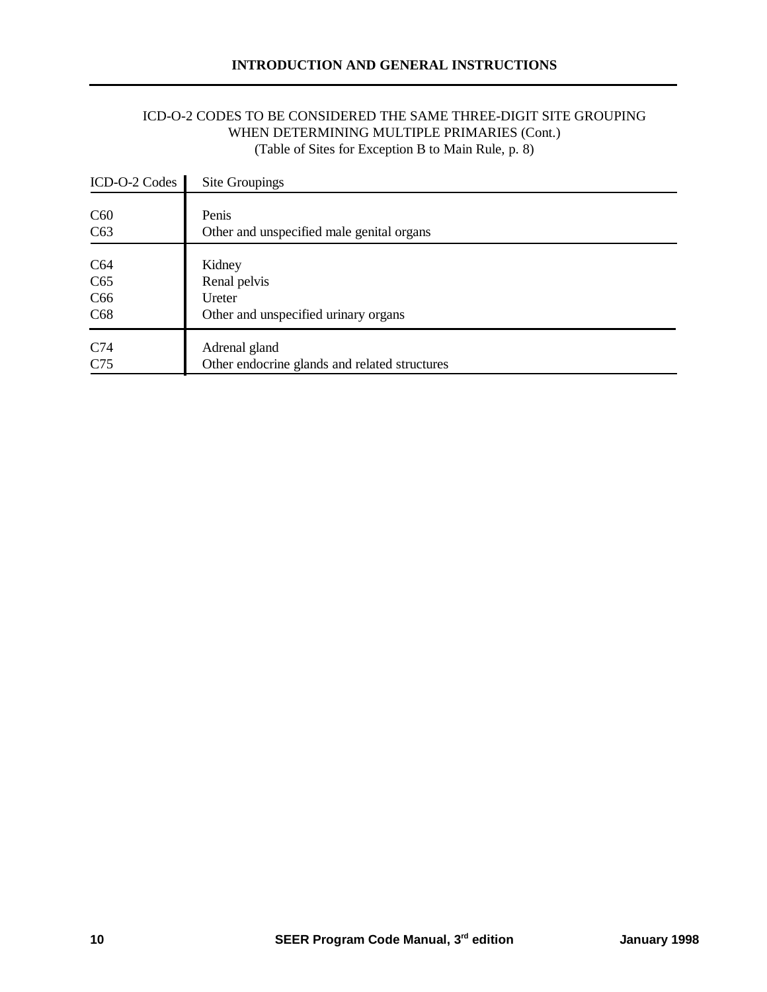## **INTRODUCTION AND GENERAL INSTRUCTIONS**

# ICD-O-2 CODES TO BE CONSIDERED THE SAME THREE-DIGIT SITE GROUPING WHEN DETERMINING MULTIPLE PRIMARIES (Cont.) (Table of Sites for Exception B to Main Rule, p. 8)

| ICD-O-2 Codes   | Site Groupings                                |
|-----------------|-----------------------------------------------|
| C60             | Penis                                         |
| C63             | Other and unspecified male genital organs     |
| C64             | Kidney                                        |
| C65             | Renal pelvis                                  |
| C66             | Ureter                                        |
| C68             | Other and unspecified urinary organs          |
| C <sub>74</sub> | Adrenal gland                                 |
| C75             | Other endocrine glands and related structures |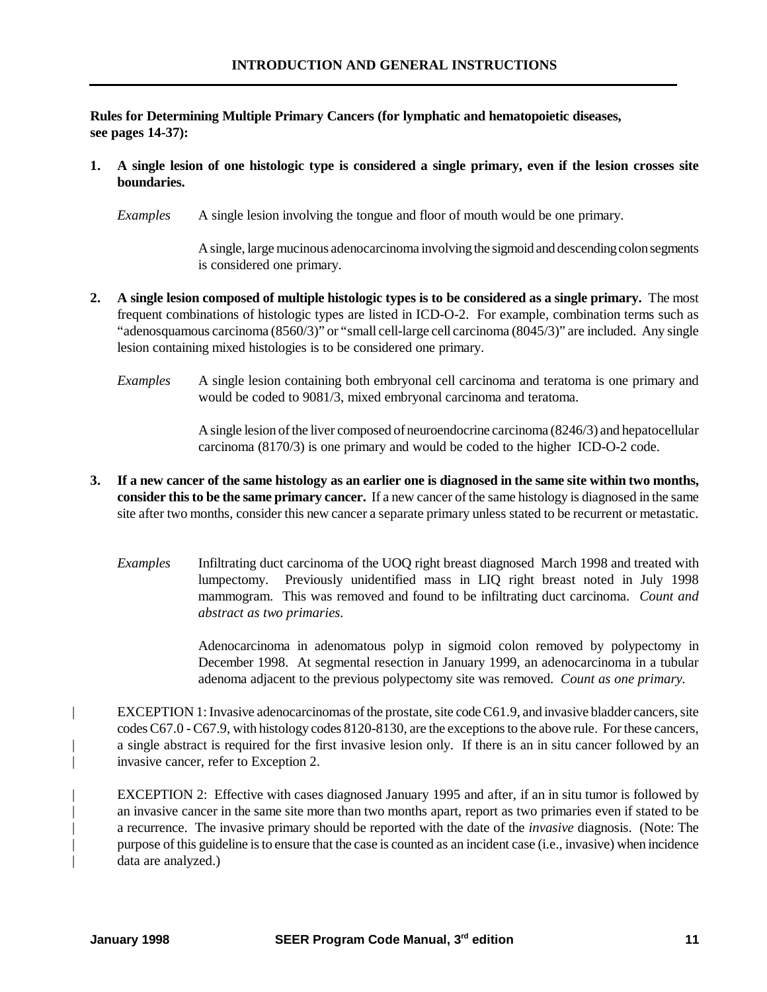**Rules for Determining Multiple Primary Cancers (for lymphatic and hematopoietic diseases, see pages 14-37):**

- **1. A single lesion of one histologic type is considered a single primary, even if the lesion crosses site boundaries.**
	- *Examples* A single lesion involving the tongue and floor of mouth would be one primary.

A single, large mucinous adenocarcinoma involving the sigmoid and descending colon segments is considered one primary.

- **2. A single lesion composed of multiple histologic types is to be considered as a single primary.** The most frequent combinations of histologic types are listed in ICD-O-2. For example, combination terms such as "adenosquamous carcinoma (8560/3)"or "small cell-large cell carcinoma (8045/3)"are included. Any single lesion containing mixed histologies is to be considered one primary.
	- *Examples* A single lesion containing both embryonal cell carcinoma and teratoma is one primary and would be coded to 9081/3, mixed embryonal carcinoma and teratoma.

A single lesion of the liver composed of neuroendocrine carcinoma (8246/3) and hepatocellular carcinoma (8170/3) is one primary and would be coded to the higher ICD-O-2 code.

- 3. If a new cancer of the same histology as an earlier one is diagnosed in the same site within two months, **consider thisto be the same primary cancer.** If a new cancer of the same histology is diagnosed in the same site after two months, consider this new cancer a separate primary unless stated to be recurrent or metastatic.
	- *Examples* Infiltrating duct carcinoma of the UOQ right breast diagnosed March 1998 and treated with lumpectomy. Previously unidentified mass in LIQ right breast noted in July 1998 mammogram. This was removed and found to be infiltrating duct carcinoma. *Count and abstract as two primaries.*

Adenocarcinoma in adenomatous polyp in sigmoid colon removed by polypectomy in December 1998. At segmental resection in January 1999, an adenocarcinoma in a tubular adenoma adjacent to the previous polypectomy site was removed. *Count as one primary.*

| EXCEPTION 1: Invasive adenocarcinomas of the prostate, site code C61.9, and invasive bladder cancers, site codes C67.0 - C67.9, with histology codes 8120-8130, are the exceptions to the above rule. For these cancers, | a single abstract is required for the first invasive lesion only. If there is an in situ cancer followed by an | invasive cancer, refer to Exception 2.

| EXCEPTION 2: Effective with cases diagnosed January 1995 and after, if an in situ tumor is followed by | an invasive cancer in the same site more than two months apart, report as two primaries even if stated to be | a recurrence. The invasive primary should be reported with the date of the *invasive* diagnosis. (Note: The | purpose of this guideline isto ensure that the case is counted as an incident case (i.e., invasive) when incidence | data are analyzed.)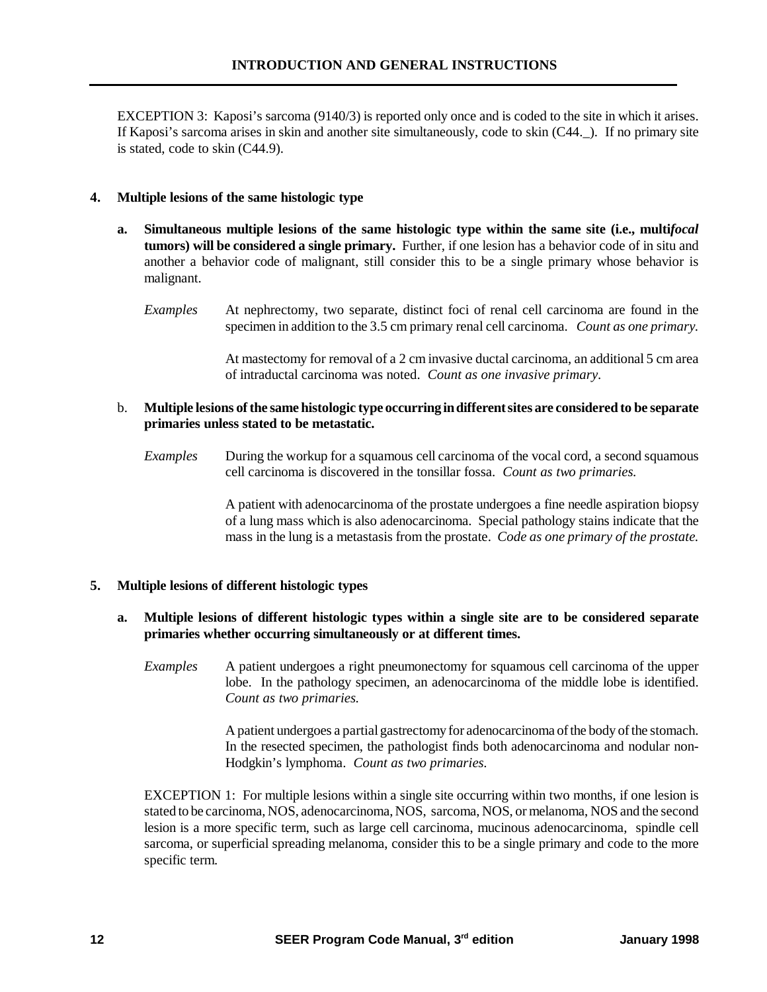EXCEPTION 3: Kaposi's sarcoma (9140/3) is reported only once and is coded to the site in which it arises. If Kaposi's sarcoma arises in skin and another site simultaneously, code to skin (C44.\_). If no primary site is stated, code to skin (C44.9).

#### **4. Multiple lesions of the same histologic type**

- **a. Simultaneous multiple lesions of the same histologic type within the same site (i.e., multi***focal* **tumors) will be considered a single primary.** Further, if one lesion has a behavior code of in situ and another a behavior code of malignant, still consider this to be a single primary whose behavior is malignant.
	- *Examples* At nephrectomy, two separate, distinct foci of renal cell carcinoma are found in the specimen in addition to the 3.5 cm primary renal cell carcinoma. *Count as one primary.*

At mastectomy for removal of a 2 cm invasive ductal carcinoma, an additional 5 cm area of intraductal carcinoma was noted. *Count as one invasive primary*.

- b. **Multiple lesions ofthe same histologic type occurring indifferentsites are considered to be separate primaries unless stated to be metastatic.**
	- *Examples* During the workup for a squamous cell carcinoma of the vocal cord, a second squamous cell carcinoma is discovered in the tonsillar fossa. *Count as two primaries.*

A patient with adenocarcinoma of the prostate undergoes a fine needle aspiration biopsy of a lung mass which is also adenocarcinoma. Special pathology stains indicate that the mass in the lung is a metastasis from the prostate. *Code as one primary of the prostate.*

#### **5. Multiple lesions of different histologic types**

- **a. Multiple lesions of different histologic types within a single site are to be considered separate primaries whether occurring simultaneously or at different times.**
	- *Examples* A patient undergoes a right pneumonectomy for squamous cell carcinoma of the upper lobe. In the pathology specimen, an adenocarcinoma of the middle lobe is identified. *Count as two primaries.*

A patient undergoes a partial gastrectomy for adenocarcinoma ofthe body of the stomach. In the resected specimen, the pathologist finds both adenocarcinoma and nodular non-Hodgkin's lymphoma. *Count as two primaries.*

EXCEPTION 1: For multiple lesions within a single site occurring within two months, if one lesion is stated to be carcinoma, NOS, adenocarcinoma, NOS, sarcoma, NOS, or melanoma, NOS and the second lesion is a more specific term, such as large cell carcinoma, mucinous adenocarcinoma, spindle cell sarcoma, or superficial spreading melanoma, consider this to be a single primary and code to the more specific term.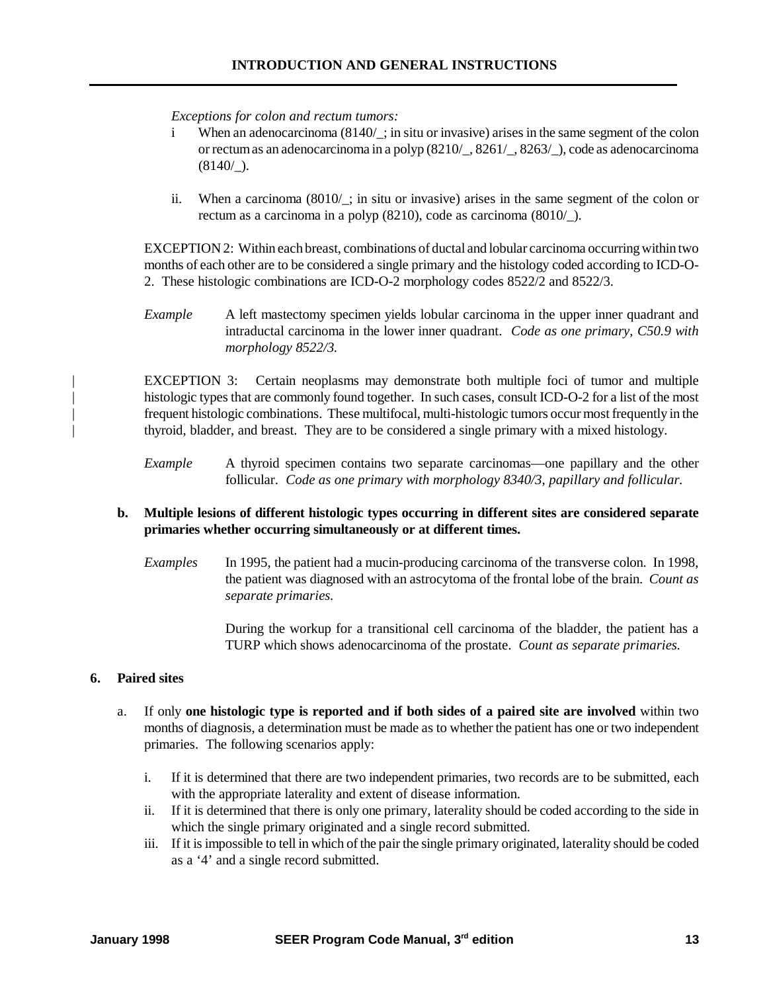*Exceptions for colon and rectum tumors:*

- i When an adenocarcinoma  $(8140/$ ; in situ or invasive) arises in the same segment of the colon or rectum as an adenocarcinoma in a polyp (8210/\_, 8261/\_, 8263/\_), code as adenocarcinoma  $(8140/$ ).
- ii. When a carcinoma  $(8010')$ ; in situ or invasive) arises in the same segment of the colon or rectum as a carcinoma in a polyp (8210), code as carcinoma (8010/).

EXCEPTION 2: Within each breast, combinations of ductal and lobular carcinoma occurring within two months of each other are to be considered a single primary and the histology coded according to ICD-O-2. These histologic combinations are ICD-O-2 morphology codes 8522/2 and 8522/3.

*Example* A left mastectomy specimen yields lobular carcinoma in the upper inner quadrant and intraductal carcinoma in the lower inner quadrant. *Code as one primary, C50.9 with morphology 8522/3.*

| EXCEPTION 3: Certain neoplasms may demonstrate both multiple foci of tumor and multiple | histologic typesthat are commonly found together. In such cases, consult ICD-O-2 for a list of the most | frequent histologic combinations. These multifocal, multi-histologic tumors occur most frequently in the | thyroid, bladder, and breast. They are to be considered a single primary with a mixed histology.

> *Example* A thyroid specimen contains two separate carcinomas—one papillary and the other follicular. *Code as one primary with morphology 8340/3, papillary and follicular.*

#### **b. Multiple lesions of different histologic types occurring in different sites are considered separate primaries whether occurring simultaneously or at different times.**

*Examples* In 1995, the patient had a mucin-producing carcinoma of the transverse colon. In 1998, the patient was diagnosed with an astrocytoma of the frontal lobe of the brain. *Count as separate primaries.*

> During the workup for a transitional cell carcinoma of the bladder, the patient has a TURP which shows adenocarcinoma of the prostate. *Count as separate primaries.*

#### **6. Paired sites**

- a. If only **one histologic type is reported and if both sides of a paired site are involved** within two months of diagnosis, a determination must be made as to whether the patient has one or two independent primaries. The following scenarios apply:
	- i. If it is determined that there are two independent primaries, two records are to be submitted, each with the appropriate laterality and extent of disease information.
	- ii. If it is determined that there is only one primary, laterality should be coded according to the side in which the single primary originated and a single record submitted.
	- iii. If it isimpossible to tell in which of the pair the single primary originated, laterality should be coded as a '4' and a single record submitted.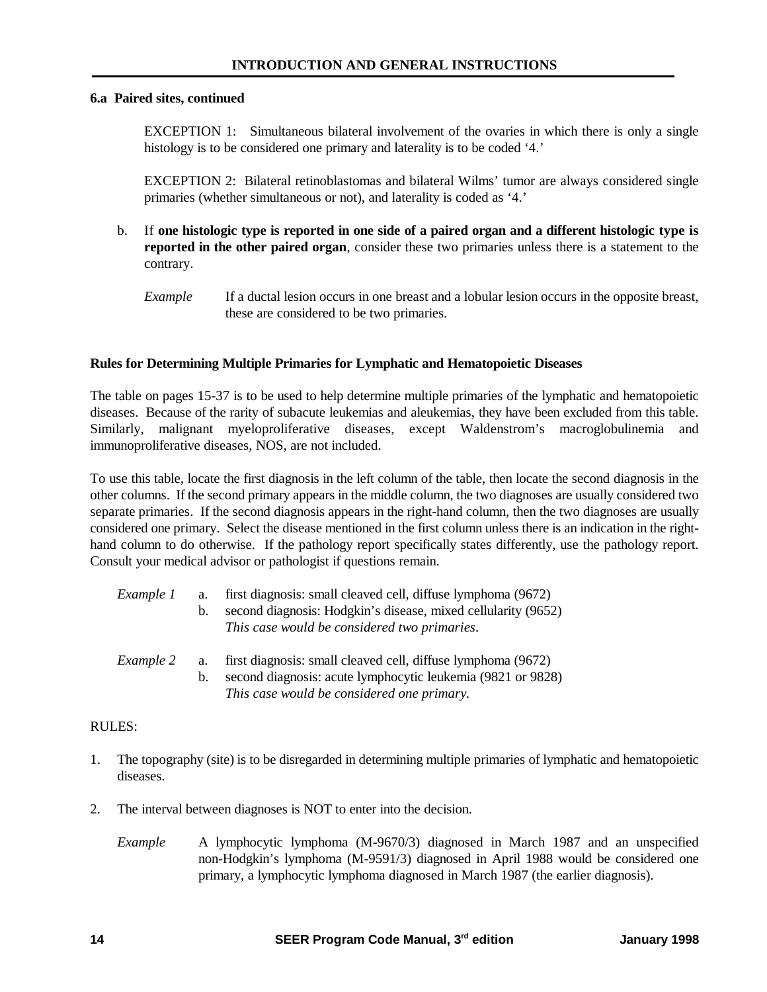#### **6.a Paired sites, continued**

EXCEPTION 1: Simultaneous bilateral involvement of the ovaries in which there is only a single histology is to be considered one primary and laterality is to be coded '4.'

EXCEPTION 2: Bilateral retinoblastomas and bilateral Wilms' tumor are always considered single primaries (whether simultaneous or not), and laterality is coded as '4.'

- b. If **one histologic type is reported in one side of a paired organ and a different histologic type is reported in the other paired organ**, consider these two primaries unless there is a statement to the contrary.
	- *Example* If a ductal lesion occurs in one breast and a lobular lesion occurs in the opposite breast, these are considered to be two primaries.

#### **Rules for Determining Multiple Primaries for Lymphatic and Hematopoietic Diseases**

The table on pages 15-37 is to be used to help determine multiple primaries of the lymphatic and hematopoietic diseases. Because of the rarity of subacute leukemias and aleukemias, they have been excluded from this table. Similarly, malignant myeloproliferative diseases, except Waldenstrom's macroglobulinemia and immunoproliferative diseases, NOS, are not included.

To use this table, locate the first diagnosis in the left column of the table, then locate the second diagnosis in the other columns. If the second primary appears in the middle column, the two diagnoses are usually considered two separate primaries. If the second diagnosis appears in the right-hand column, then the two diagnoses are usually considered one primary. Select the disease mentioned in the first column unless there is an indication in the righthand column to do otherwise. If the pathology report specifically states differently, use the pathology report. Consult your medical advisor or pathologist if questions remain.

| Example 1 | a. | first diagnosis: small cleaved cell, diffuse lymphoma (9672)  |  |
|-----------|----|---------------------------------------------------------------|--|
|           | b. | second diagnosis: Hodgkin's disease, mixed cellularity (9652) |  |
|           |    | This case would be considered two primaries.                  |  |
| Example 2 | a. | first diagnosis: small cleaved cell, diffuse lymphoma (9672)  |  |
|           | b. | second diagnosis: acute lymphocytic leukemia (9821 or 9828)   |  |
|           |    | This case would be considered one primary.                    |  |

#### RULES:

- 1. The topography (site) is to be disregarded in determining multiple primaries of lymphatic and hematopoietic diseases.
- 2. The interval between diagnoses is NOT to enter into the decision.
	- *Example* A lymphocytic lymphoma (M-9670/3) diagnosed in March 1987 and an unspecified non-Hodgkin's lymphoma (M-9591/3) diagnosed in April 1988 would be considered one primary, a lymphocytic lymphoma diagnosed in March 1987 (the earlier diagnosis).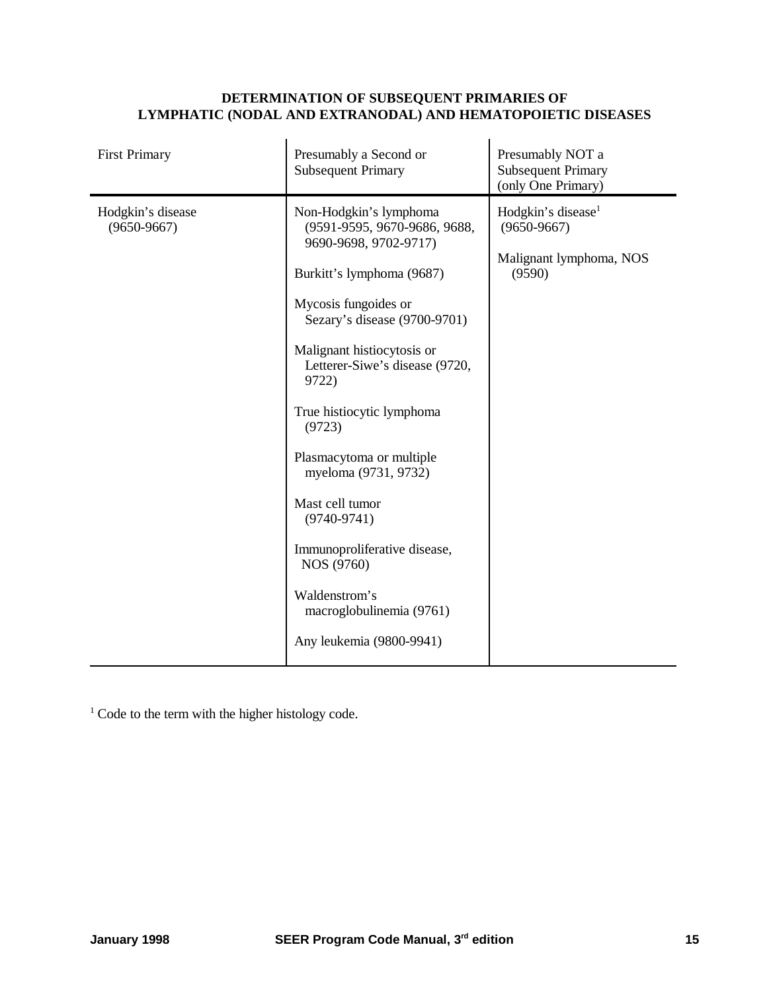| <b>First Primary</b>                 | Presumably a Second or<br><b>Subsequent Primary</b>                                                                                                                                                                                                                                                                                                                                                                                                                                                   | Presumably NOT a<br><b>Subsequent Primary</b><br>(only One Primary)                    |
|--------------------------------------|-------------------------------------------------------------------------------------------------------------------------------------------------------------------------------------------------------------------------------------------------------------------------------------------------------------------------------------------------------------------------------------------------------------------------------------------------------------------------------------------------------|----------------------------------------------------------------------------------------|
| Hodgkin's disease<br>$(9650 - 9667)$ | Non-Hodgkin's lymphoma<br>(9591-9595, 9670-9686, 9688,<br>9690-9698, 9702-9717)<br>Burkitt's lymphoma (9687)<br>Mycosis fungoides or<br>Sezary's disease (9700-9701)<br>Malignant histiocytosis or<br>Letterer-Siwe's disease (9720,<br>9722)<br>True histiocytic lymphoma<br>(9723)<br>Plasmacytoma or multiple<br>myeloma (9731, 9732)<br>Mast cell tumor<br>$(9740 - 9741)$<br>Immunoproliferative disease,<br>NOS (9760)<br>Waldenstrom's<br>macroglobulinemia (9761)<br>Any leukemia (9800-9941) | Hodgkin's disease <sup>1</sup><br>$(9650 - 9667)$<br>Malignant lymphoma, NOS<br>(9590) |

<sup>1</sup> Code to the term with the higher histology code.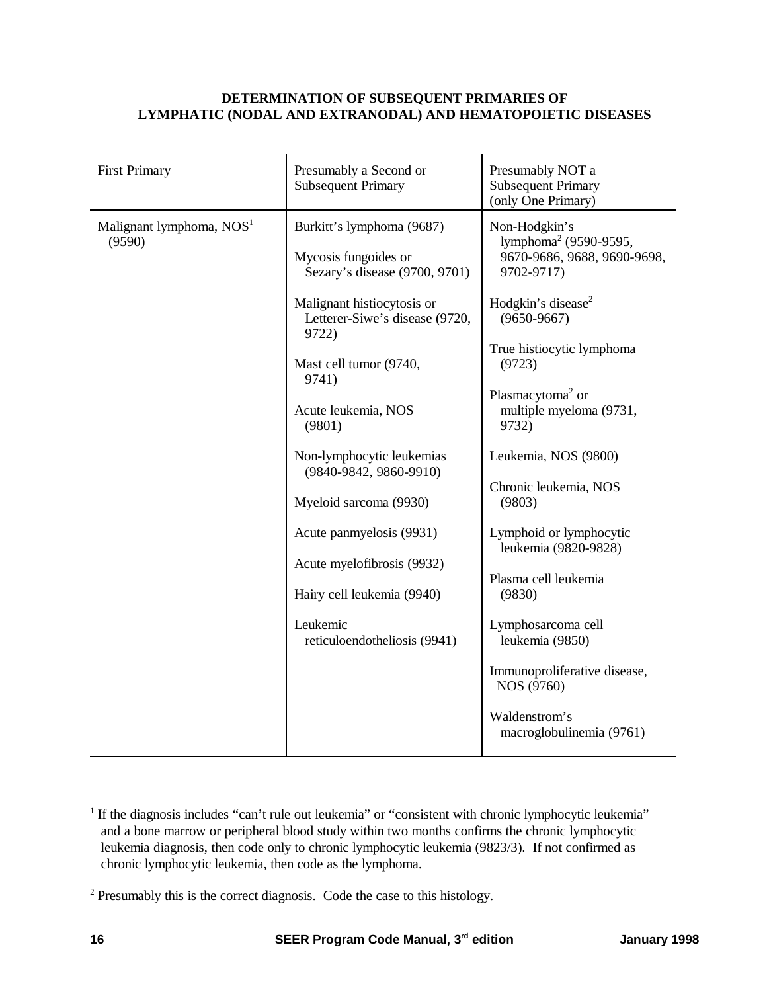| Malignant lymphoma, NOS <sup>1</sup><br>Non-Hodgkin's<br>Burkitt's lymphoma (9687)<br>lymphoma <sup>2</sup> (9590-9595,<br>(9590)<br>Mycosis fungoides or<br>Sezary's disease (9700, 9701)<br>9702-9717)<br>Hodgkin's disease <sup>2</sup><br>Malignant histiocytosis or<br>$(9650 - 9667)$<br>Letterer-Siwe's disease (9720,<br>9722)<br>True histiocytic lymphoma<br>Mast cell tumor (9740,<br>(9723)<br>9741)                                                                                                                                                             | <b>First Primary</b> | Presumably a Second or<br><b>Subsequent Primary</b> | Presumably NOT a<br><b>Subsequent Primary</b><br>(only One Primary) |
|------------------------------------------------------------------------------------------------------------------------------------------------------------------------------------------------------------------------------------------------------------------------------------------------------------------------------------------------------------------------------------------------------------------------------------------------------------------------------------------------------------------------------------------------------------------------------|----------------------|-----------------------------------------------------|---------------------------------------------------------------------|
| multiple myeloma (9731,<br>Acute leukemia, NOS<br>9732)<br>(9801)<br>Non-lymphocytic leukemias<br>Leukemia, NOS (9800)<br>$(9840-9842, 9860-9910)$<br>Chronic leukemia, NOS<br>(9803)<br>Myeloid sarcoma (9930)<br>Acute panmyelosis (9931)<br>Lymphoid or lymphocytic<br>leukemia (9820-9828)<br>Acute myelofibrosis (9932)<br>Plasma cell leukemia<br>Hairy cell leukemia (9940)<br>(9830)<br>Leukemic<br>Lymphosarcoma cell<br>reticuloendotheliosis (9941)<br>leukemia (9850)<br>Immunoproliferative disease,<br>NOS (9760)<br>Waldenstrom's<br>macroglobulinemia (9761) |                      |                                                     | 9670-9686, 9688, 9690-9698,<br>Plasmacytoma <sup>2</sup> or         |

<sup>&</sup>lt;sup>1</sup> If the diagnosis includes "can't rule out leukemia" or "consistent with chronic lymphocytic leukemia" and a bone marrow or peripheral blood study within two months confirms the chronic lymphocytic leukemia diagnosis, then code only to chronic lymphocytic leukemia (9823/3). If not confirmed as chronic lymphocytic leukemia, then code as the lymphoma.

<sup>&</sup>lt;sup>2</sup> Presumably this is the correct diagnosis. Code the case to this histology.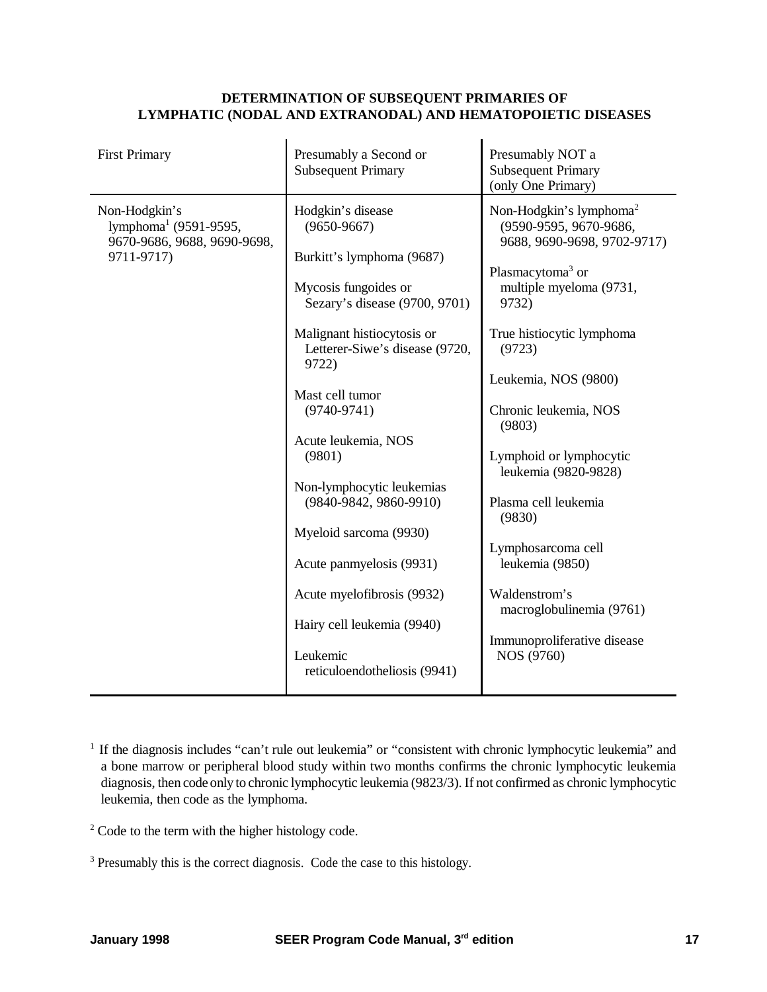| <b>First Primary</b>                                                                            | Presumably a Second or<br><b>Subsequent Primary</b>                                                                                                                                                                                                                                                                                                                                                                                                                                                   | Presumably NOT a<br><b>Subsequent Primary</b><br>(only One Primary)                                                                                                                                                                                                                                                                                                                                                                                                                        |
|-------------------------------------------------------------------------------------------------|-------------------------------------------------------------------------------------------------------------------------------------------------------------------------------------------------------------------------------------------------------------------------------------------------------------------------------------------------------------------------------------------------------------------------------------------------------------------------------------------------------|--------------------------------------------------------------------------------------------------------------------------------------------------------------------------------------------------------------------------------------------------------------------------------------------------------------------------------------------------------------------------------------------------------------------------------------------------------------------------------------------|
| Non-Hodgkin's<br>lymphoma <sup>1</sup> (9591-9595,<br>9670-9686, 9688, 9690-9698,<br>9711-9717) | Hodgkin's disease<br>$(9650 - 9667)$<br>Burkitt's lymphoma (9687)<br>Mycosis fungoides or<br>Sezary's disease (9700, 9701)<br>Malignant histiocytosis or<br>Letterer-Siwe's disease (9720,<br>9722)<br>Mast cell tumor<br>$(9740 - 9741)$<br>Acute leukemia, NOS<br>(9801)<br>Non-lymphocytic leukemias<br>$(9840 - 9842, 9860 - 9910)$<br>Myeloid sarcoma (9930)<br>Acute panmyelosis (9931)<br>Acute myelofibrosis (9932)<br>Hairy cell leukemia (9940)<br>Leukemic<br>reticuloendotheliosis (9941) | Non-Hodgkin's lymphoma <sup>2</sup><br>(9590-9595, 9670-9686,<br>9688, 9690-9698, 9702-9717)<br>Plasmacytoma <sup>3</sup> or<br>multiple myeloma (9731,<br>9732)<br>True histiocytic lymphoma<br>(9723)<br>Leukemia, NOS (9800)<br>Chronic leukemia, NOS<br>(9803)<br>Lymphoid or lymphocytic<br>leukemia (9820-9828)<br>Plasma cell leukemia<br>(9830)<br>Lymphosarcoma cell<br>leukemia (9850)<br>Waldenstrom's<br>macroglobulinemia (9761)<br>Immunoproliferative disease<br>NOS (9760) |

<sup>1</sup> If the diagnosis includes "can't rule out leukemia" or "consistent with chronic lymphocytic leukemia" and a bone marrow or peripheral blood study within two months confirms the chronic lymphocytic leukemia diagnosis, then code only to chronic lymphocytic leukemia (9823/3). If not confirmed as chronic lymphocytic leukemia, then code as the lymphoma.

<sup>2</sup> Code to the term with the higher histology code.

<sup>3</sup> Presumably this is the correct diagnosis. Code the case to this histology.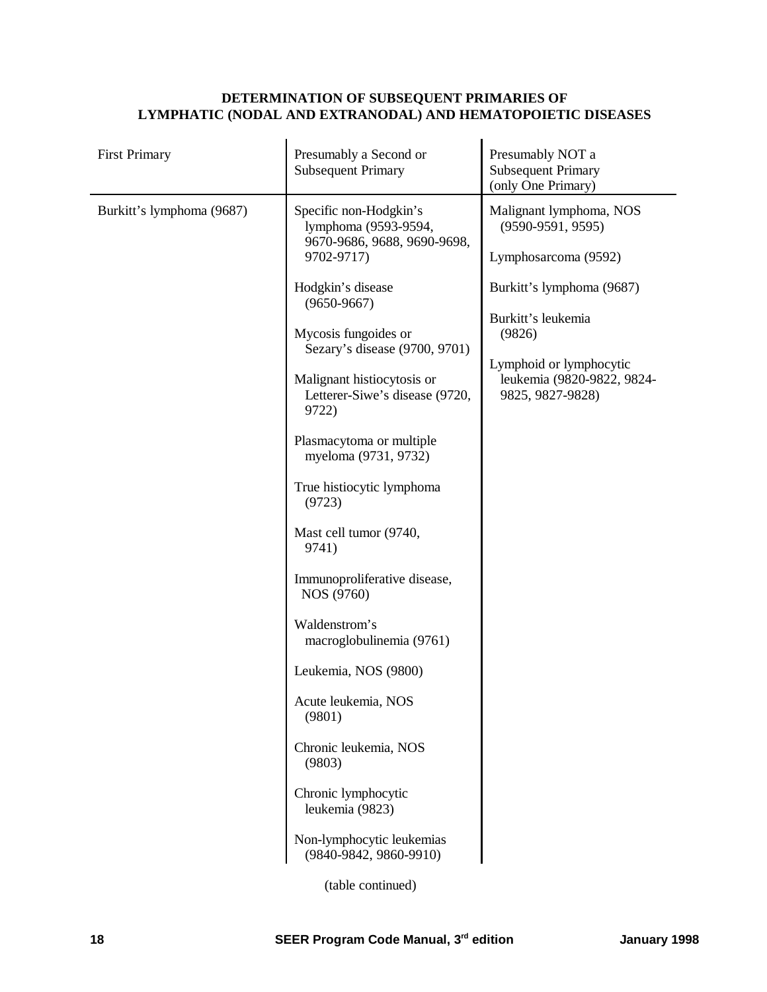| <b>First Primary</b>      | Presumably a Second or<br><b>Subsequent Primary</b>                                                                                                                                                                                                                                                                                                                                                                                               | Presumably NOT a<br><b>Subsequent Primary</b><br>(only One Primary)                                                                                                                                              |
|---------------------------|---------------------------------------------------------------------------------------------------------------------------------------------------------------------------------------------------------------------------------------------------------------------------------------------------------------------------------------------------------------------------------------------------------------------------------------------------|------------------------------------------------------------------------------------------------------------------------------------------------------------------------------------------------------------------|
| Burkitt's lymphoma (9687) | Specific non-Hodgkin's<br>lymphoma (9593-9594,<br>9670-9686, 9688, 9690-9698,<br>9702-9717)<br>Hodgkin's disease<br>$(9650 - 9667)$<br>Mycosis fungoides or<br>Sezary's disease (9700, 9701)<br>Malignant histiocytosis or<br>Letterer-Siwe's disease (9720,<br>9722)<br>Plasmacytoma or multiple<br>myeloma (9731, 9732)<br>True histiocytic lymphoma<br>(9723)<br>Mast cell tumor (9740,<br>9741)<br>Immunoproliferative disease,<br>NOS (9760) | Malignant lymphoma, NOS<br>$(9590-9591, 9595)$<br>Lymphosarcoma (9592)<br>Burkitt's lymphoma (9687)<br>Burkitt's leukemia<br>(9826)<br>Lymphoid or lymphocytic<br>leukemia (9820-9822, 9824-<br>9825, 9827-9828) |
|                           | Waldenstrom's<br>macroglobulinemia (9761)<br>Leukemia, NOS (9800)<br>Acute leukemia, NOS<br>(9801)<br>Chronic leukemia, NOS<br>(9803)                                                                                                                                                                                                                                                                                                             |                                                                                                                                                                                                                  |
|                           | Chronic lymphocytic<br>leukemia (9823)<br>Non-lymphocytic leukemias<br>$(9840 - 9842, 9860 - 9910)$<br>(table continued)                                                                                                                                                                                                                                                                                                                          |                                                                                                                                                                                                                  |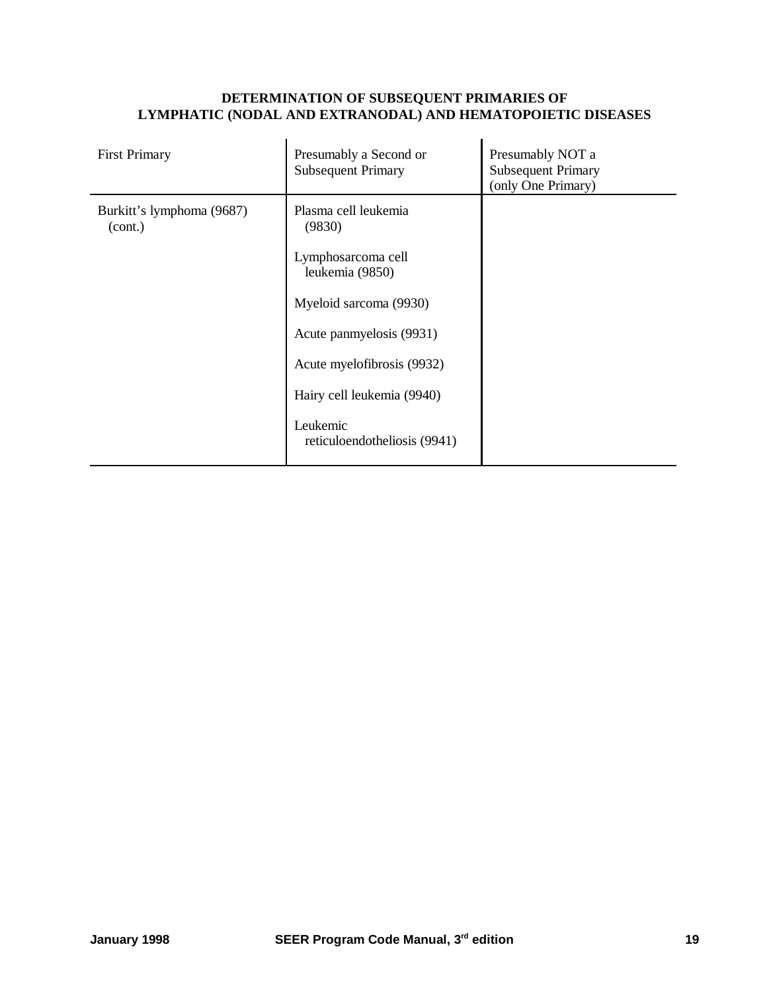| <b>First Primary</b>                 | Presumably a Second or<br><b>Subsequent Primary</b>                                                                                                                                                   | Presumably NOT a<br><b>Subsequent Primary</b><br>(only One Primary) |
|--------------------------------------|-------------------------------------------------------------------------------------------------------------------------------------------------------------------------------------------------------|---------------------------------------------------------------------|
| Burkitt's lymphoma (9687)<br>(cont.) | Plasma cell leukemia<br>(9830)<br>Lymphosarcoma cell<br>leukemia (9850)<br>Myeloid sarcoma (9930)<br>Acute panmyelosis (9931)<br>Acute myelofibrosis (9932)<br>Hairy cell leukemia (9940)<br>Leukemic |                                                                     |
|                                      | reticuloendotheliosis (9941)                                                                                                                                                                          |                                                                     |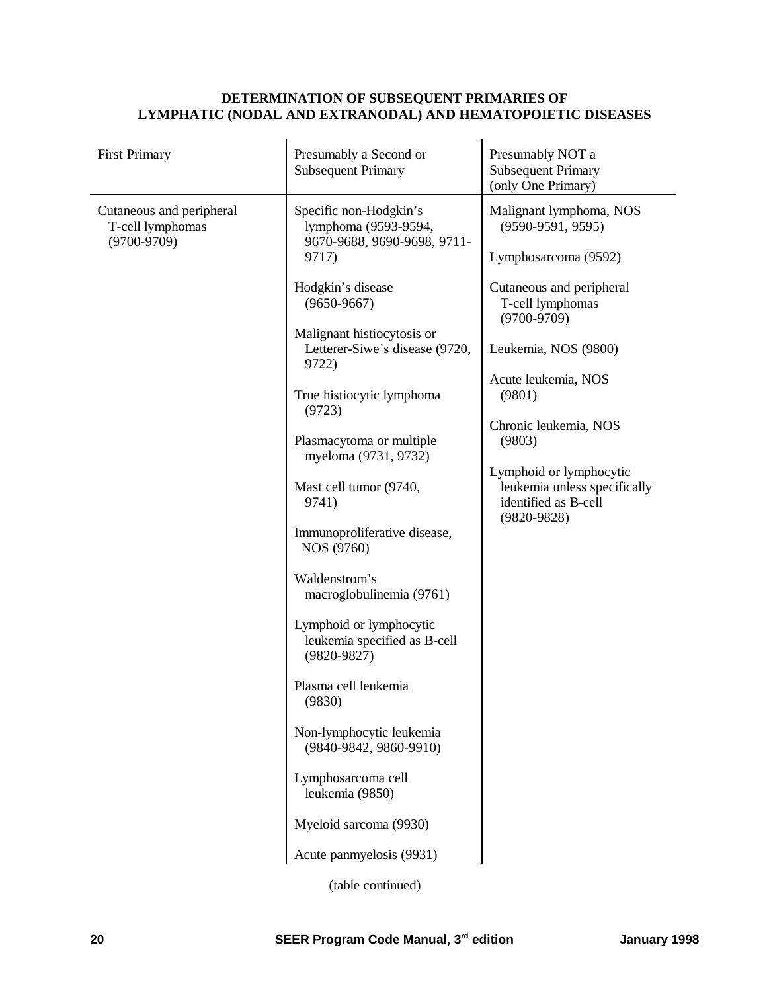| <b>First Primary</b>                                          | Presumably a Second or<br><b>Subsequent Primary</b>                                                                                                                                                                                                                                                                                                                                                                                                                                                                                                                                                                                                                                                                              | Presumably NOT a<br><b>Subsequent Primary</b><br>(only One Primary)                                                                                                                                                                                                                                                                       |
|---------------------------------------------------------------|----------------------------------------------------------------------------------------------------------------------------------------------------------------------------------------------------------------------------------------------------------------------------------------------------------------------------------------------------------------------------------------------------------------------------------------------------------------------------------------------------------------------------------------------------------------------------------------------------------------------------------------------------------------------------------------------------------------------------------|-------------------------------------------------------------------------------------------------------------------------------------------------------------------------------------------------------------------------------------------------------------------------------------------------------------------------------------------|
| Cutaneous and peripheral<br>T-cell lymphomas<br>$(9700-9709)$ | Specific non-Hodgkin's<br>lymphoma (9593-9594,<br>9670-9688, 9690-9698, 9711-<br>9717)<br>Hodgkin's disease<br>$(9650 - 9667)$<br>Malignant histiocytosis or<br>Letterer-Siwe's disease (9720,<br>9722)<br>True histiocytic lymphoma<br>(9723)<br>Plasmacytoma or multiple<br>myeloma (9731, 9732)<br>Mast cell tumor (9740,<br>9741)<br>Immunoproliferative disease,<br>NOS (9760)<br>Waldenstrom's<br>macroglobulinemia (9761)<br>Lymphoid or lymphocytic<br>leukemia specified as B-cell<br>$(9820 - 9827)$<br>Plasma cell leukemia<br>(9830)<br>Non-lymphocytic leukemia<br>$(9840 - 9842, 9860 - 9910)$<br>Lymphosarcoma cell<br>leukemia (9850)<br>Myeloid sarcoma (9930)<br>Acute panmyelosis (9931)<br>(table continued) | Malignant lymphoma, NOS<br>$(9590-9591, 9595)$<br>Lymphosarcoma (9592)<br>Cutaneous and peripheral<br>T-cell lymphomas<br>$(9700-9709)$<br>Leukemia, NOS (9800)<br>Acute leukemia, NOS<br>(9801)<br>Chronic leukemia, NOS<br>(9803)<br>Lymphoid or lymphocytic<br>leukemia unless specifically<br>identified as B-cell<br>$(9820 - 9828)$ |
|                                                               |                                                                                                                                                                                                                                                                                                                                                                                                                                                                                                                                                                                                                                                                                                                                  |                                                                                                                                                                                                                                                                                                                                           |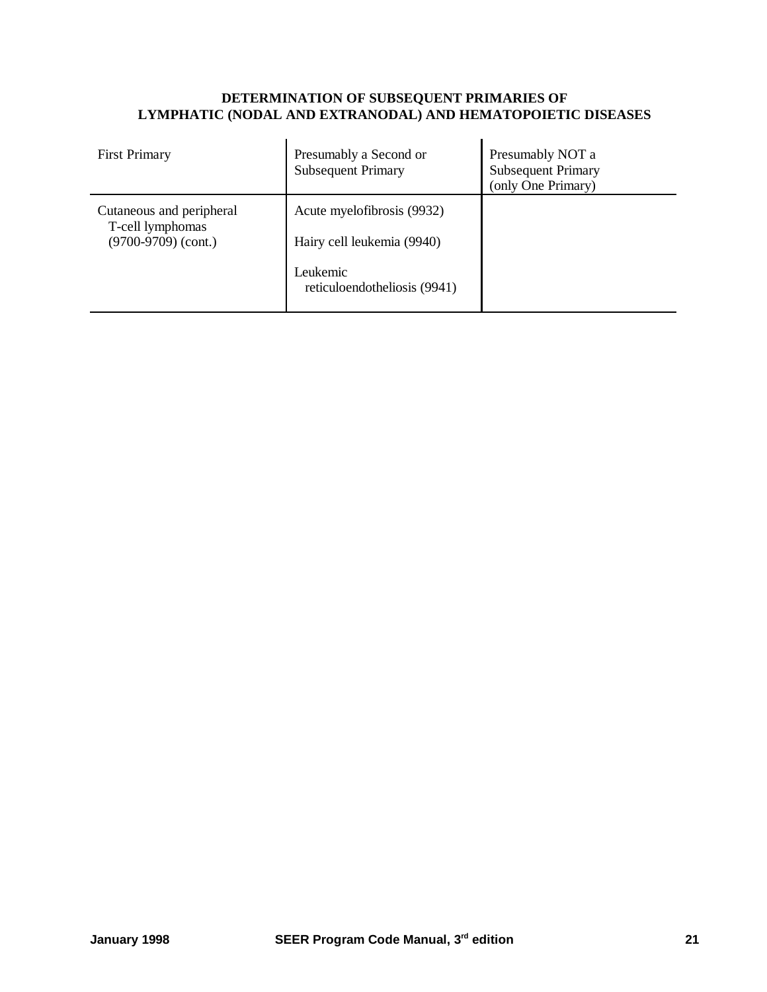| <b>First Primary</b>                                                  | Presumably a Second or<br><b>Subsequent Primary</b>                                                  | Presumably NOT a<br><b>Subsequent Primary</b><br>(only One Primary) |
|-----------------------------------------------------------------------|------------------------------------------------------------------------------------------------------|---------------------------------------------------------------------|
| Cutaneous and peripheral<br>T-cell lymphomas<br>$(9700-9709)$ (cont.) | Acute myelofibrosis (9932)<br>Hairy cell leukemia (9940)<br>Leukemic<br>reticuloendotheliosis (9941) |                                                                     |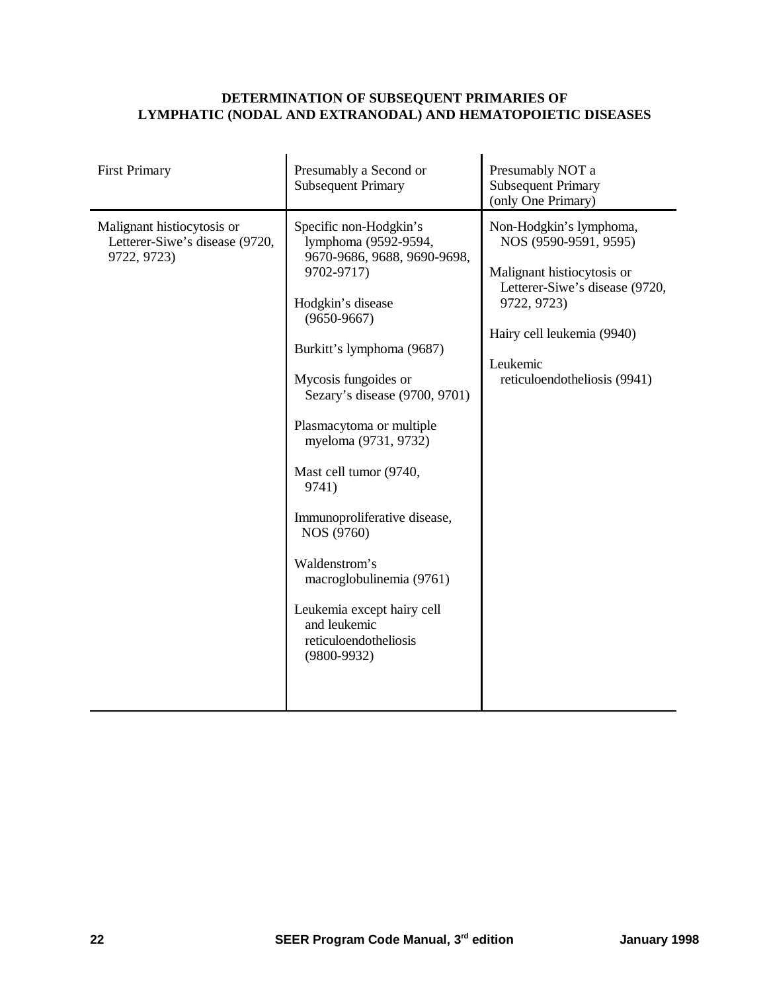| <b>First Primary</b>                                                        | Presumably a Second or<br><b>Subsequent Primary</b>                                                                                                                                                                                                                                                                                                                                                                                                                                                   | Presumably NOT a<br><b>Subsequent Primary</b><br>(only One Primary)                                                                                                                                       |
|-----------------------------------------------------------------------------|-------------------------------------------------------------------------------------------------------------------------------------------------------------------------------------------------------------------------------------------------------------------------------------------------------------------------------------------------------------------------------------------------------------------------------------------------------------------------------------------------------|-----------------------------------------------------------------------------------------------------------------------------------------------------------------------------------------------------------|
| Malignant histiocytosis or<br>Letterer-Siwe's disease (9720,<br>9722, 9723) | Specific non-Hodgkin's<br>lymphoma (9592-9594,<br>9670-9686, 9688, 9690-9698,<br>9702-9717)<br>Hodgkin's disease<br>$(9650 - 9667)$<br>Burkitt's lymphoma (9687)<br>Mycosis fungoides or<br>Sezary's disease (9700, 9701)<br>Plasmacytoma or multiple<br>myeloma (9731, 9732)<br>Mast cell tumor (9740,<br>9741)<br>Immunoproliferative disease,<br>NOS (9760)<br>Waldenstrom's<br>macroglobulinemia (9761)<br>Leukemia except hairy cell<br>and leukemic<br>reticuloendotheliosis<br>$(9800 - 9932)$ | Non-Hodgkin's lymphoma,<br>NOS (9590-9591, 9595)<br>Malignant histiocytosis or<br>Letterer-Siwe's disease (9720,<br>9722, 9723)<br>Hairy cell leukemia (9940)<br>Leukemic<br>reticuloendotheliosis (9941) |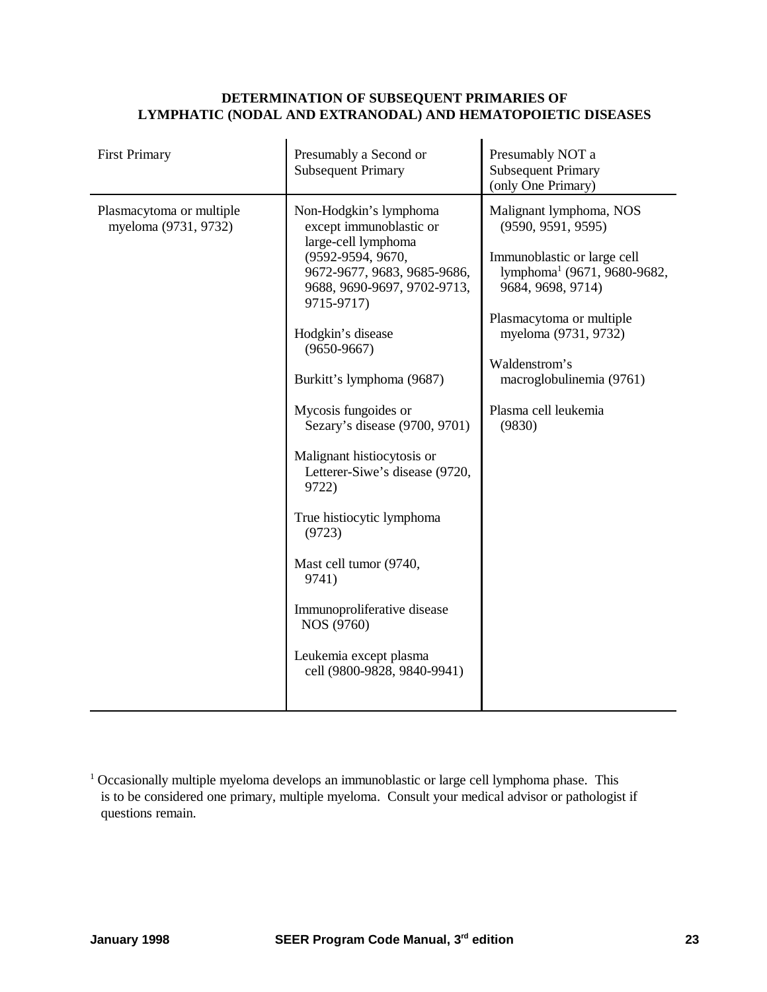| <b>First Primary</b>                             | Presumably a Second or<br><b>Subsequent Primary</b>                                                                                                                                                                                                                                                                                                                                                                                                                                                                                                              | Presumably NOT a<br><b>Subsequent Primary</b><br>(only One Primary)                                                                                                                                                                                                             |
|--------------------------------------------------|------------------------------------------------------------------------------------------------------------------------------------------------------------------------------------------------------------------------------------------------------------------------------------------------------------------------------------------------------------------------------------------------------------------------------------------------------------------------------------------------------------------------------------------------------------------|---------------------------------------------------------------------------------------------------------------------------------------------------------------------------------------------------------------------------------------------------------------------------------|
| Plasmacytoma or multiple<br>myeloma (9731, 9732) | Non-Hodgkin's lymphoma<br>except immunoblastic or<br>large-cell lymphoma<br>(9592-9594, 9670,<br>9672-9677, 9683, 9685-9686,<br>9688, 9690-9697, 9702-9713,<br>9715-9717)<br>Hodgkin's disease<br>$(9650 - 9667)$<br>Burkitt's lymphoma (9687)<br>Mycosis fungoides or<br>Sezary's disease (9700, 9701)<br>Malignant histiocytosis or<br>Letterer-Siwe's disease (9720,<br>9722)<br>True histiocytic lymphoma<br>(9723)<br>Mast cell tumor (9740,<br>9741)<br>Immunoproliferative disease<br>NOS (9760)<br>Leukemia except plasma<br>cell (9800-9828, 9840-9941) | Malignant lymphoma, NOS<br>(9590, 9591, 9595)<br>Immunoblastic or large cell<br>lymphoma <sup>1</sup> (9671, 9680-9682,<br>9684, 9698, 9714)<br>Plasmacytoma or multiple<br>myeloma (9731, 9732)<br>Waldenstrom's<br>macroglobulinemia (9761)<br>Plasma cell leukemia<br>(9830) |

<sup>1</sup> Occasionally multiple myeloma develops an immunoblastic or large cell lymphoma phase. This is to be considered one primary, multiple myeloma. Consult your medical advisor or pathologist if questions remain.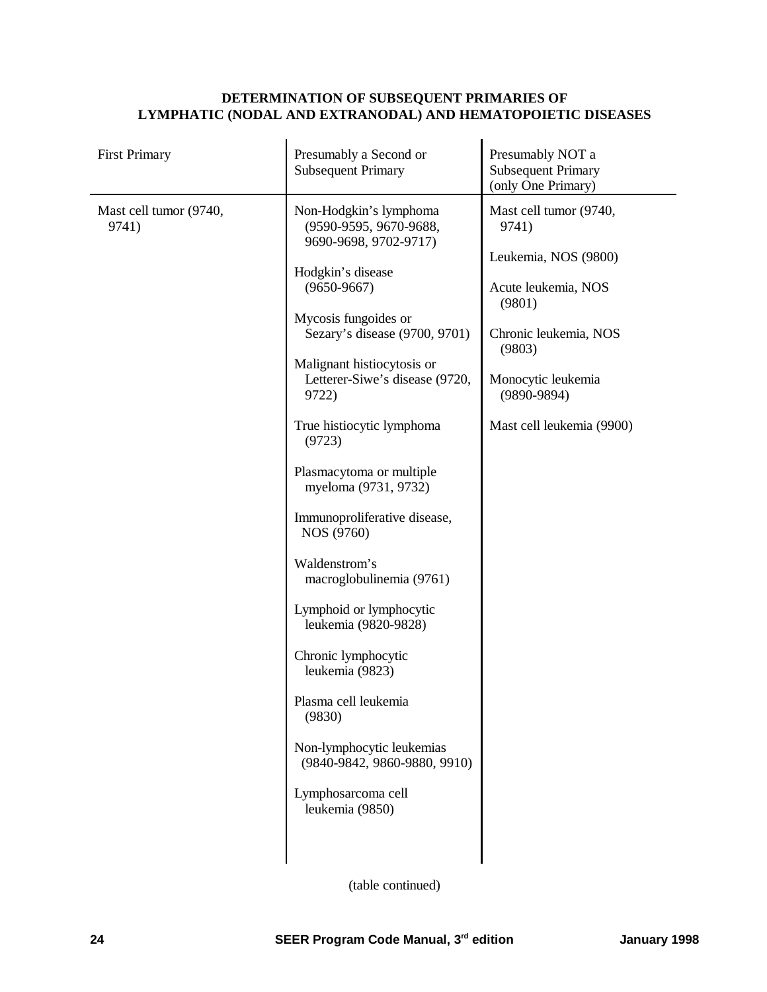| <b>First Primary</b>            | Presumably a Second or<br><b>Subsequent Primary</b>                                                                                                                                                                                                                                                                                                                                                                                                                                                                                                                                                                                                                            | Presumably NOT a<br><b>Subsequent Primary</b><br>(only One Primary)                                                                                                                               |
|---------------------------------|--------------------------------------------------------------------------------------------------------------------------------------------------------------------------------------------------------------------------------------------------------------------------------------------------------------------------------------------------------------------------------------------------------------------------------------------------------------------------------------------------------------------------------------------------------------------------------------------------------------------------------------------------------------------------------|---------------------------------------------------------------------------------------------------------------------------------------------------------------------------------------------------|
| Mast cell tumor (9740,<br>9741) | Non-Hodgkin's lymphoma<br>(9590-9595, 9670-9688,<br>9690-9698, 9702-9717)<br>Hodgkin's disease<br>$(9650 - 9667)$<br>Mycosis fungoides or<br>Sezary's disease (9700, 9701)<br>Malignant histiocytosis or<br>Letterer-Siwe's disease (9720,<br>9722)<br>True histiocytic lymphoma<br>(9723)<br>Plasmacytoma or multiple<br>myeloma (9731, 9732)<br>Immunoproliferative disease,<br>NOS (9760)<br>Waldenstrom's<br>macroglobulinemia (9761)<br>Lymphoid or lymphocytic<br>leukemia (9820-9828)<br>Chronic lymphocytic<br>leukemia (9823)<br>Plasma cell leukemia<br>(9830)<br>Non-lymphocytic leukemias<br>(9840-9842, 9860-9880, 9910)<br>Lymphosarcoma cell<br>leukemia (9850) | Mast cell tumor (9740,<br>9741)<br>Leukemia, NOS (9800)<br>Acute leukemia, NOS<br>(9801)<br>Chronic leukemia, NOS<br>(9803)<br>Monocytic leukemia<br>$(9890 - 9894)$<br>Mast cell leukemia (9900) |

(table continued)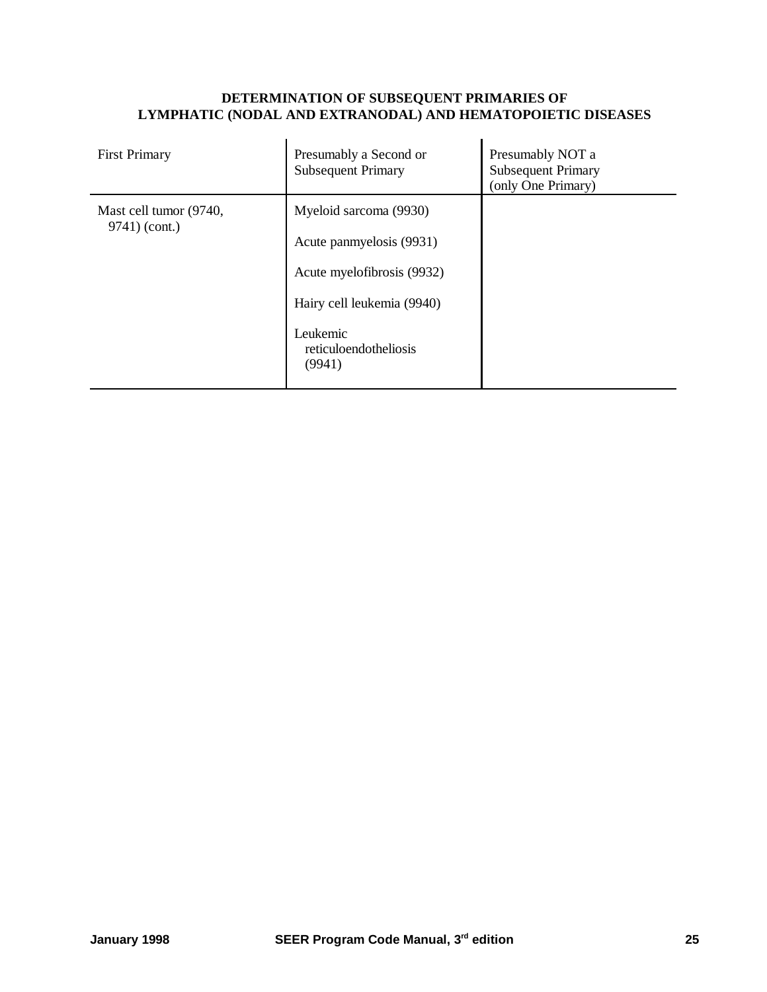| <b>First Primary</b>                    | Presumably a Second or<br><b>Subsequent Primary</b>                                                                                                           | Presumably NOT a<br><b>Subsequent Primary</b><br>(only One Primary) |
|-----------------------------------------|---------------------------------------------------------------------------------------------------------------------------------------------------------------|---------------------------------------------------------------------|
| Mast cell tumor (9740,<br>9741) (cont.) | Myeloid sarcoma (9930)<br>Acute panmyelosis (9931)<br>Acute myelofibrosis (9932)<br>Hairy cell leukemia (9940)<br>Leukemic<br>reticuloendotheliosis<br>(9941) |                                                                     |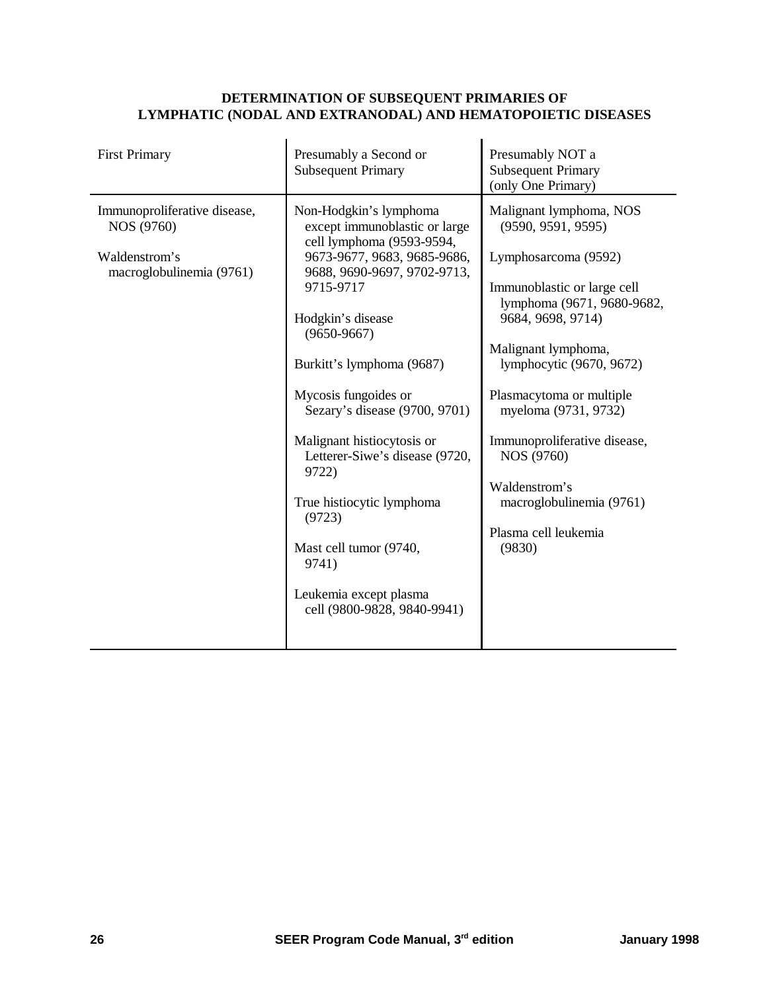| (only One Primary)                                                                                                                                                                                                                                                                                                                                                                                                                                                                                                                                                                                   |                                                                                                                                                                                                                                                                                                                                                                                             |
|------------------------------------------------------------------------------------------------------------------------------------------------------------------------------------------------------------------------------------------------------------------------------------------------------------------------------------------------------------------------------------------------------------------------------------------------------------------------------------------------------------------------------------------------------------------------------------------------------|---------------------------------------------------------------------------------------------------------------------------------------------------------------------------------------------------------------------------------------------------------------------------------------------------------------------------------------------------------------------------------------------|
| Immunoproliferative disease,<br>Non-Hodgkin's lymphoma<br>NOS (9760)<br>except immunoblastic or large<br>cell lymphoma (9593-9594,<br>Waldenstrom's<br>9673-9677, 9683, 9685-9686,<br>macroglobulinemia (9761)<br>9688, 9690-9697, 9702-9713,<br>9715-9717<br>Hodgkin's disease<br>$(9650 - 9667)$<br>Burkitt's lymphoma (9687)<br>Mycosis fungoides or<br>Sezary's disease (9700, 9701)<br>Malignant histiocytosis or<br>Letterer-Siwe's disease (9720,<br>9722)<br>True histiocytic lymphoma<br>(9723)<br>Mast cell tumor (9740,<br>9741)<br>Leukemia except plasma<br>cell (9800-9828, 9840-9941) | Malignant lymphoma, NOS<br>(9590, 9591, 9595)<br>Lymphosarcoma (9592)<br>Immunoblastic or large cell<br>lymphoma (9671, 9680-9682,<br>9684, 9698, 9714)<br>Malignant lymphoma,<br>lymphocytic (9670, 9672)<br>Plasmacytoma or multiple<br>myeloma (9731, 9732)<br>Immunoproliferative disease,<br>NOS (9760)<br>Waldenstrom's<br>macroglobulinemia (9761)<br>Plasma cell leukemia<br>(9830) |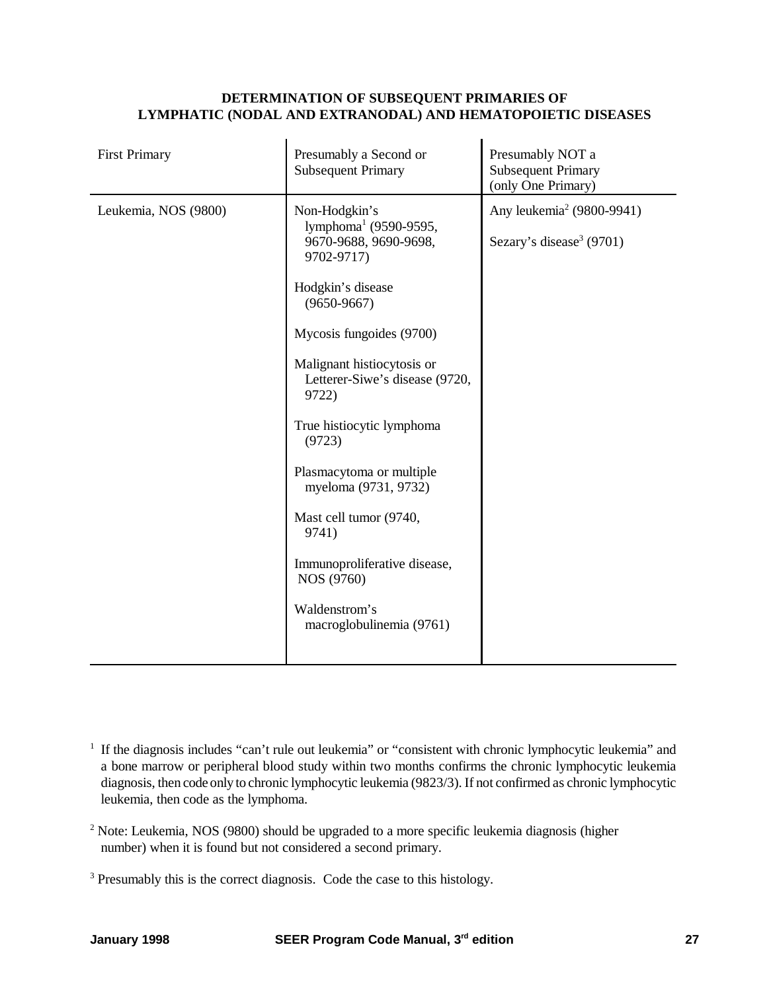|                                                                                                                                                                                                                                                                                                                                                                                                                                                                                                                                                                          | <b>First Primary</b> | Presumably a Second or<br><b>Subsequent Primary</b> | Presumably NOT a<br><b>Subsequent Primary</b><br>(only One Primary) |
|--------------------------------------------------------------------------------------------------------------------------------------------------------------------------------------------------------------------------------------------------------------------------------------------------------------------------------------------------------------------------------------------------------------------------------------------------------------------------------------------------------------------------------------------------------------------------|----------------------|-----------------------------------------------------|---------------------------------------------------------------------|
| Any leukemia <sup>2</sup> (9800-9941)<br>Leukemia, NOS (9800)<br>Non-Hodgkin's<br>lymphoma <sup>1</sup> (9590-9595,<br>Sezary's disease <sup>3</sup> (9701)<br>9670-9688, 9690-9698,<br>9702-9717)<br>Hodgkin's disease<br>$(9650 - 9667)$<br>Mycosis fungoides (9700)<br>Malignant histiocytosis or<br>Letterer-Siwe's disease (9720,<br>9722)<br>True histiocytic lymphoma<br>(9723)<br>Plasmacytoma or multiple<br>myeloma (9731, 9732)<br>Mast cell tumor (9740,<br>9741)<br>Immunoproliferative disease,<br>NOS (9760)<br>Waldenstrom's<br>macroglobulinemia (9761) |                      |                                                     |                                                                     |

- <sup>2</sup> Note: Leukemia, NOS (9800) should be upgraded to a more specific leukemia diagnosis (higher number) when it is found but not considered a second primary.
- <sup>3</sup> Presumably this is the correct diagnosis. Code the case to this histology.

<sup>&</sup>lt;sup>1</sup> If the diagnosis includes "can't rule out leukemia" or "consistent with chronic lymphocytic leukemia" and a bone marrow or peripheral blood study within two months confirms the chronic lymphocytic leukemia diagnosis, then code only to chronic lymphocytic leukemia (9823/3). If not confirmed as chronic lymphocytic leukemia, then code as the lymphoma.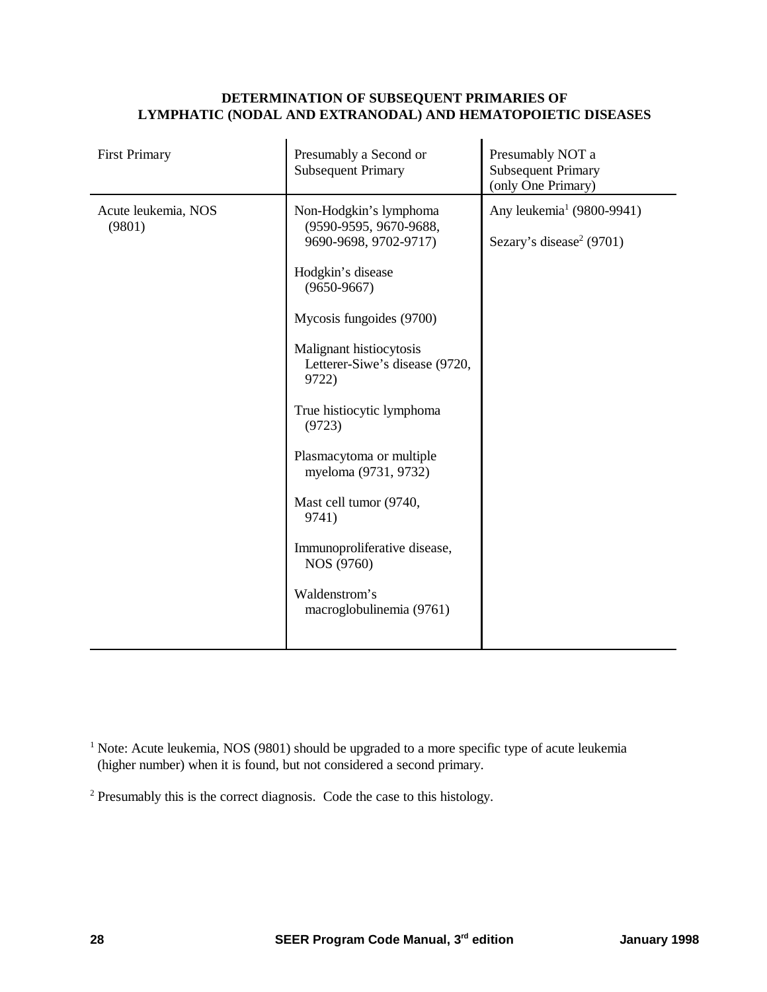| <b>First Primary</b>          | Presumably a Second or<br><b>Subsequent Primary</b>                                                                                                                                                                                                                                                                                                                                                                                          | Presumably NOT a<br><b>Subsequent Primary</b><br>(only One Primary)           |
|-------------------------------|----------------------------------------------------------------------------------------------------------------------------------------------------------------------------------------------------------------------------------------------------------------------------------------------------------------------------------------------------------------------------------------------------------------------------------------------|-------------------------------------------------------------------------------|
| Acute leukemia, NOS<br>(9801) | Non-Hodgkin's lymphoma<br>(9590-9595, 9670-9688,<br>9690-9698, 9702-9717)<br>Hodgkin's disease<br>$(9650 - 9667)$<br>Mycosis fungoides (9700)<br>Malignant histiocytosis<br>Letterer-Siwe's disease (9720,<br>9722)<br>True histiocytic lymphoma<br>(9723)<br>Plasmacytoma or multiple<br>myeloma (9731, 9732)<br>Mast cell tumor (9740,<br>9741)<br>Immunoproliferative disease,<br>NOS (9760)<br>Waldenstrom's<br>macroglobulinemia (9761) | Any leukemia <sup>1</sup> (9800-9941)<br>Sezary's disease <sup>2</sup> (9701) |

<sup>&</sup>lt;sup>1</sup> Note: Acute leukemia, NOS (9801) should be upgraded to a more specific type of acute leukemia (higher number) when it is found, but not considered a second primary.

<sup>&</sup>lt;sup>2</sup> Presumably this is the correct diagnosis. Code the case to this histology.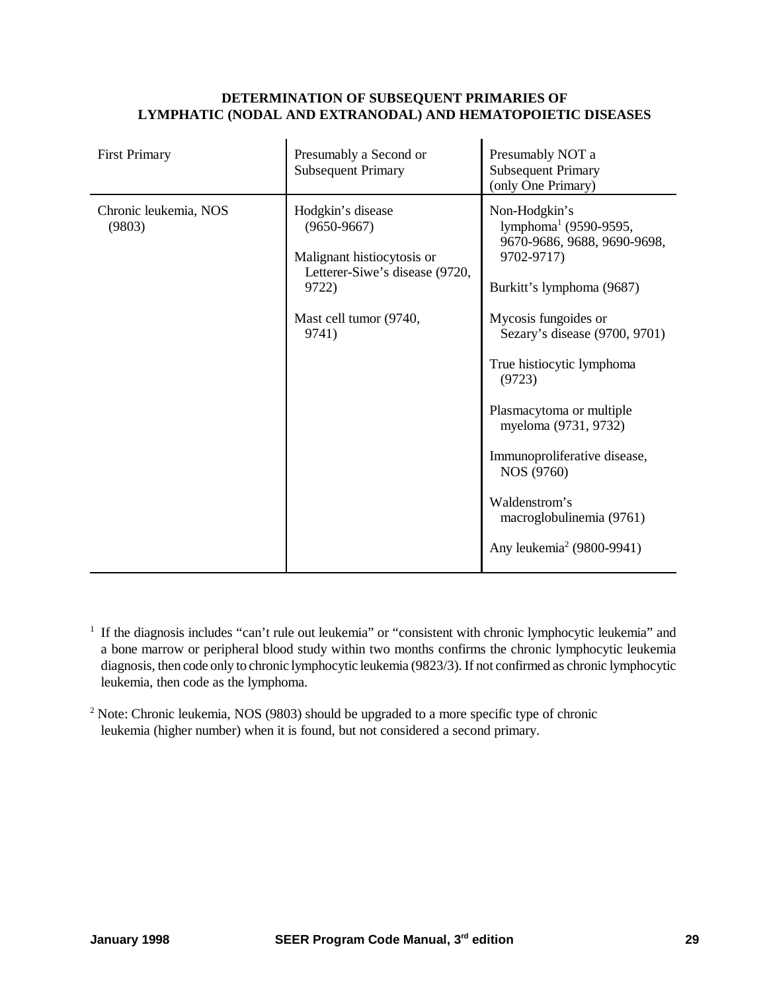| <b>First Primary</b>            | Presumably a Second or<br><b>Subsequent Primary</b>                                                                                              | Presumably NOT a<br><b>Subsequent Primary</b><br>(only One Primary)                                                                                                                                                                                                                                                                                                                                                  |
|---------------------------------|--------------------------------------------------------------------------------------------------------------------------------------------------|----------------------------------------------------------------------------------------------------------------------------------------------------------------------------------------------------------------------------------------------------------------------------------------------------------------------------------------------------------------------------------------------------------------------|
| Chronic leukemia, NOS<br>(9803) | Hodgkin's disease<br>$(9650 - 9667)$<br>Malignant histiocytosis or<br>Letterer-Siwe's disease (9720,<br>9722)<br>Mast cell tumor (9740,<br>9741) | Non-Hodgkin's<br>lymphoma <sup>1</sup> (9590-9595,<br>9670-9686, 9688, 9690-9698,<br>9702-9717)<br>Burkitt's lymphoma (9687)<br>Mycosis fungoides or<br>Sezary's disease (9700, 9701)<br>True histiocytic lymphoma<br>(9723)<br>Plasmacytoma or multiple<br>myeloma (9731, 9732)<br>Immunoproliferative disease,<br>NOS (9760)<br>Waldenstrom's<br>macroglobulinemia (9761)<br>Any leukemia <sup>2</sup> (9800-9941) |

- <sup>1</sup> If the diagnosis includes "can't rule out leukemia" or "consistent with chronic lymphocytic leukemia" and a bone marrow or peripheral blood study within two months confirms the chronic lymphocytic leukemia diagnosis, then code only to chronic lymphocytic leukemia (9823/3). If not confirmed as chronic lymphocytic leukemia, then code as the lymphoma.
- <sup>2</sup> Note: Chronic leukemia, NOS (9803) should be upgraded to a more specific type of chronic leukemia (higher number) when it is found, but not considered a second primary.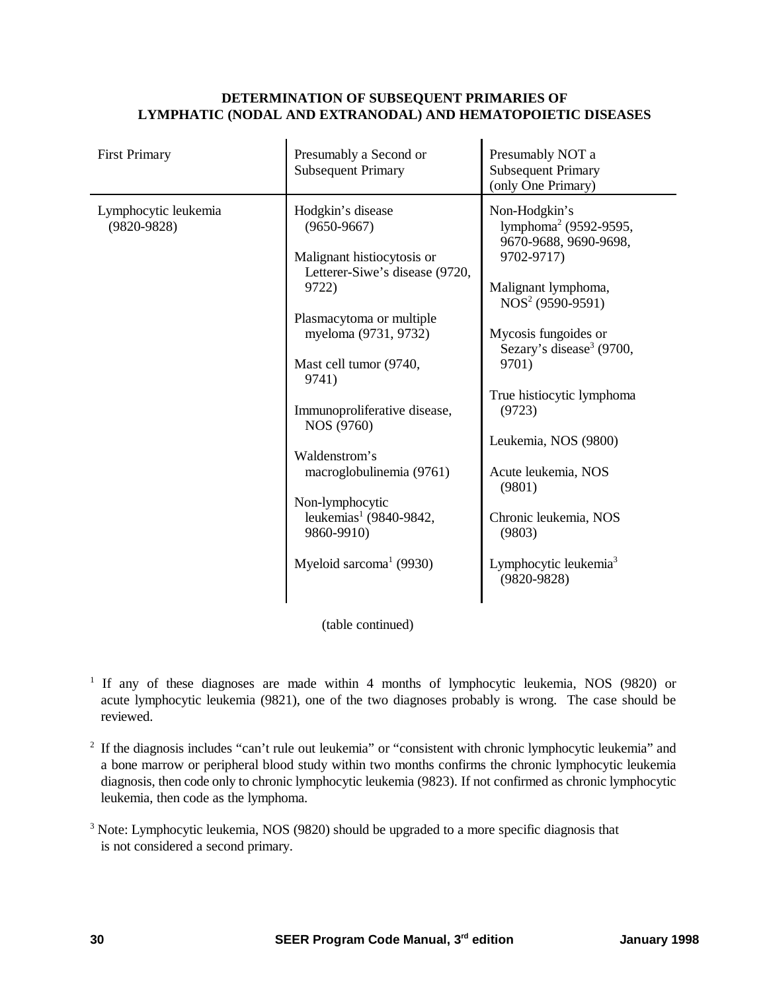| <b>First Primary</b>                    | Presumably a Second or<br><b>Subsequent Primary</b>                                                                                                                                                   | Presumably NOT a<br><b>Subsequent Primary</b><br>(only One Primary)                                                                                                                                             |
|-----------------------------------------|-------------------------------------------------------------------------------------------------------------------------------------------------------------------------------------------------------|-----------------------------------------------------------------------------------------------------------------------------------------------------------------------------------------------------------------|
| Lymphocytic leukemia<br>$(9820 - 9828)$ | Hodgkin's disease<br>$(9650 - 9667)$<br>Malignant histiocytosis or<br>Letterer-Siwe's disease (9720,<br>9722)<br>Plasmacytoma or multiple<br>myeloma (9731, 9732)<br>Mast cell tumor (9740,<br>9741)  | Non-Hodgkin's<br>lymphoma <sup>2</sup> (9592-9595,<br>9670-9688, 9690-9698,<br>9702-9717)<br>Malignant lymphoma,<br>$NOS2$ (9590-9591)<br>Mycosis fungoides or<br>Sezary's disease <sup>3</sup> (9700,<br>9701) |
|                                         | Immunoproliferative disease,<br>NOS (9760)<br>Waldenstrom's<br>macroglobulinemia (9761)<br>Non-lymphocytic<br>leukemias <sup>1</sup> (9840-9842,<br>9860-9910)<br>Myeloid sarcoma <sup>1</sup> (9930) | True histiocytic lymphoma<br>(9723)<br>Leukemia, NOS (9800)<br>Acute leukemia, NOS<br>(9801)<br>Chronic leukemia, NOS<br>(9803)<br>Lymphocytic leukemia <sup>3</sup><br>$(9820 - 9828)$                         |

(table continued)

- <sup>1</sup> If any of these diagnoses are made within 4 months of lymphocytic leukemia, NOS (9820) or acute lymphocytic leukemia (9821), one of the two diagnoses probably is wrong. The case should be reviewed.
- <sup>2</sup> If the diagnosis includes "can't rule out leukemia" or "consistent with chronic lymphocytic leukemia" and a bone marrow or peripheral blood study within two months confirms the chronic lymphocytic leukemia diagnosis, then code only to chronic lymphocytic leukemia (9823). If not confirmed as chronic lymphocytic leukemia, then code as the lymphoma.
- $3$  Note: Lymphocytic leukemia, NOS (9820) should be upgraded to a more specific diagnosis that is not considered a second primary.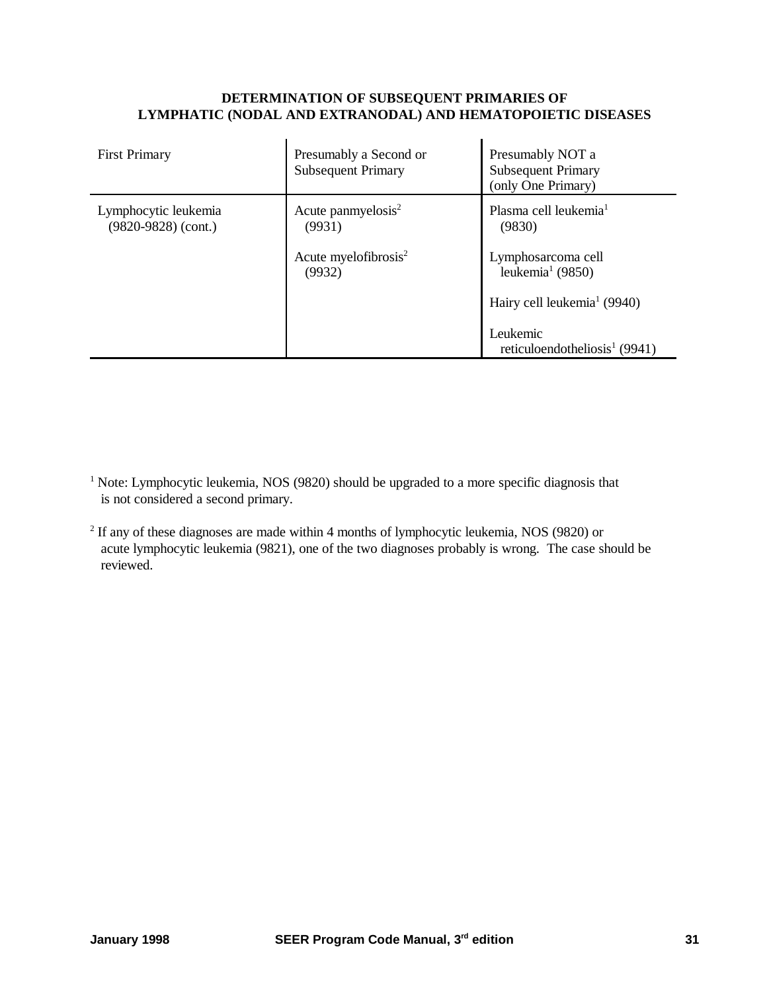| <b>First Primary</b>                          | Presumably a Second or<br><b>Subsequent Primary</b> | Presumably NOT a<br><b>Subsequent Primary</b><br>(only One Primary) |
|-----------------------------------------------|-----------------------------------------------------|---------------------------------------------------------------------|
| Lymphocytic leukemia<br>$(9820-9828)$ (cont.) | Acute panmyelosis <sup>2</sup><br>(9931)            | Plasma cell leukemia $1$<br>(9830)                                  |
|                                               | Acute myelofibrosis $2$<br>(9932)                   | Lymphosarcoma cell<br>leukemia <sup>1</sup> (9850)                  |
|                                               |                                                     | Hairy cell leukemia <sup>1</sup> (9940)                             |
|                                               |                                                     | Leukemic<br>reticuloendotheliosis <sup>1</sup> (9941)               |

- <sup>1</sup> Note: Lymphocytic leukemia, NOS (9820) should be upgraded to a more specific diagnosis that is not considered a second primary.
- <sup>2</sup> If any of these diagnoses are made within 4 months of lymphocytic leukemia, NOS (9820) or acute lymphocytic leukemia (9821), one of the two diagnoses probably is wrong. The case should be reviewed.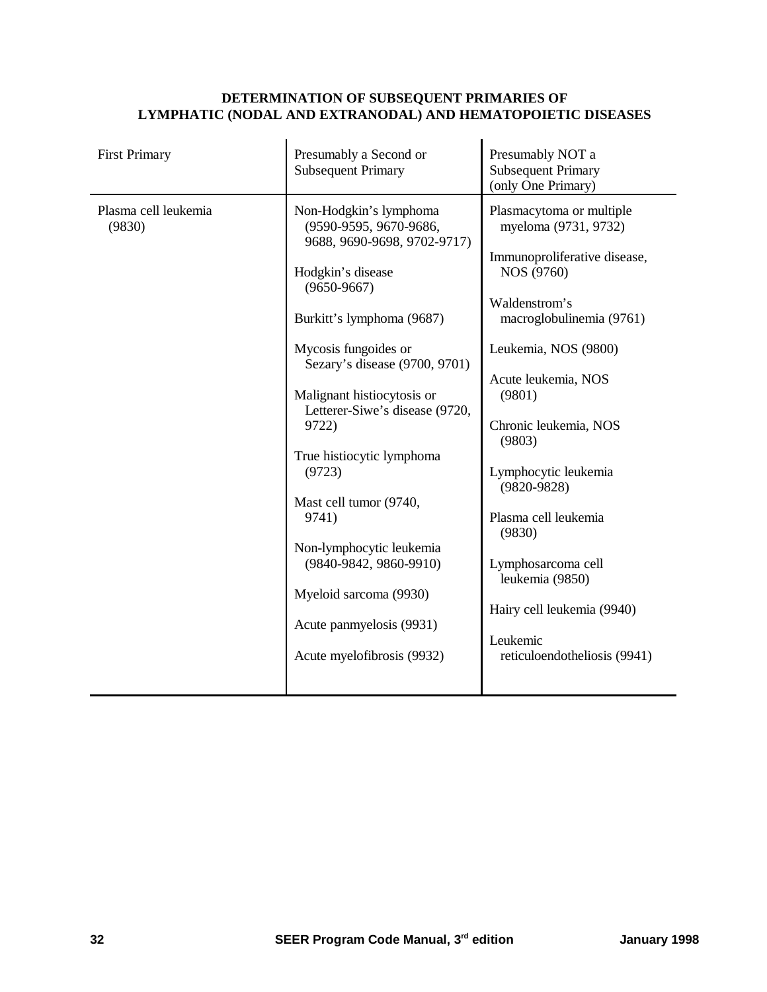| <b>First Primary</b>           | Presumably a Second or<br><b>Subsequent Primary</b>                                                                                                                                                                                                                                                                                                                                                                                                                                                              | Presumably NOT a<br><b>Subsequent Primary</b><br>(only One Primary)                                                                                                                                                                                                                                                                                                                                                                     |
|--------------------------------|------------------------------------------------------------------------------------------------------------------------------------------------------------------------------------------------------------------------------------------------------------------------------------------------------------------------------------------------------------------------------------------------------------------------------------------------------------------------------------------------------------------|-----------------------------------------------------------------------------------------------------------------------------------------------------------------------------------------------------------------------------------------------------------------------------------------------------------------------------------------------------------------------------------------------------------------------------------------|
| Plasma cell leukemia<br>(9830) | Non-Hodgkin's lymphoma<br>(9590-9595, 9670-9686,<br>9688, 9690-9698, 9702-9717)<br>Hodgkin's disease<br>$(9650 - 9667)$<br>Burkitt's lymphoma (9687)<br>Mycosis fungoides or<br>Sezary's disease (9700, 9701)<br>Malignant histiocytosis or<br>Letterer-Siwe's disease (9720,<br>9722)<br>True histiocytic lymphoma<br>(9723)<br>Mast cell tumor (9740,<br>9741)<br>Non-lymphocytic leukemia<br>$(9840 - 9842, 9860 - 9910)$<br>Myeloid sarcoma (9930)<br>Acute panmyelosis (9931)<br>Acute myelofibrosis (9932) | Plasmacytoma or multiple<br>myeloma (9731, 9732)<br>Immunoproliferative disease,<br>NOS (9760)<br>Waldenstrom's<br>macroglobulinemia (9761)<br>Leukemia, NOS (9800)<br>Acute leukemia, NOS<br>(9801)<br>Chronic leukemia, NOS<br>(9803)<br>Lymphocytic leukemia<br>$(9820 - 9828)$<br>Plasma cell leukemia<br>(9830)<br>Lymphosarcoma cell<br>leukemia (9850)<br>Hairy cell leukemia (9940)<br>Leukemic<br>reticuloendotheliosis (9941) |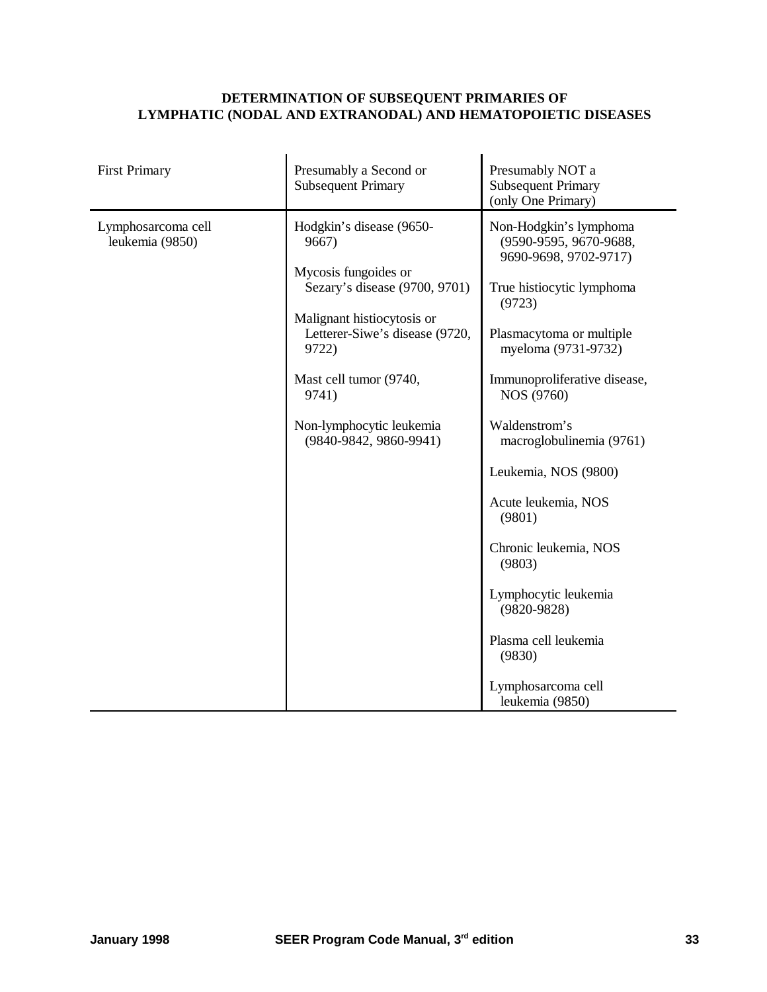| <b>First Primary</b>                  | Presumably a Second or<br><b>Subsequent Primary</b>                                                                                                                                                                                                          | Presumably NOT a<br><b>Subsequent Primary</b><br>(only One Primary)                                                                                                                                                                                                                                                                                                                                                                                                              |
|---------------------------------------|--------------------------------------------------------------------------------------------------------------------------------------------------------------------------------------------------------------------------------------------------------------|----------------------------------------------------------------------------------------------------------------------------------------------------------------------------------------------------------------------------------------------------------------------------------------------------------------------------------------------------------------------------------------------------------------------------------------------------------------------------------|
| Lymphosarcoma cell<br>leukemia (9850) | Hodgkin's disease (9650-<br>9667)<br>Mycosis fungoides or<br>Sezary's disease (9700, 9701)<br>Malignant histiocytosis or<br>Letterer-Siwe's disease (9720,<br>9722)<br>Mast cell tumor (9740,<br>9741)<br>Non-lymphocytic leukemia<br>(9840-9842, 9860-9941) | Non-Hodgkin's lymphoma<br>(9590-9595, 9670-9688,<br>9690-9698, 9702-9717)<br>True histiocytic lymphoma<br>(9723)<br>Plasmacytoma or multiple<br>myeloma (9731-9732)<br>Immunoproliferative disease,<br>NOS (9760)<br>Waldenstrom's<br>macroglobulinemia (9761)<br>Leukemia, NOS (9800)<br>Acute leukemia, NOS<br>(9801)<br>Chronic leukemia, NOS<br>(9803)<br>Lymphocytic leukemia<br>$(9820 - 9828)$<br>Plasma cell leukemia<br>(9830)<br>Lymphosarcoma cell<br>leukemia (9850) |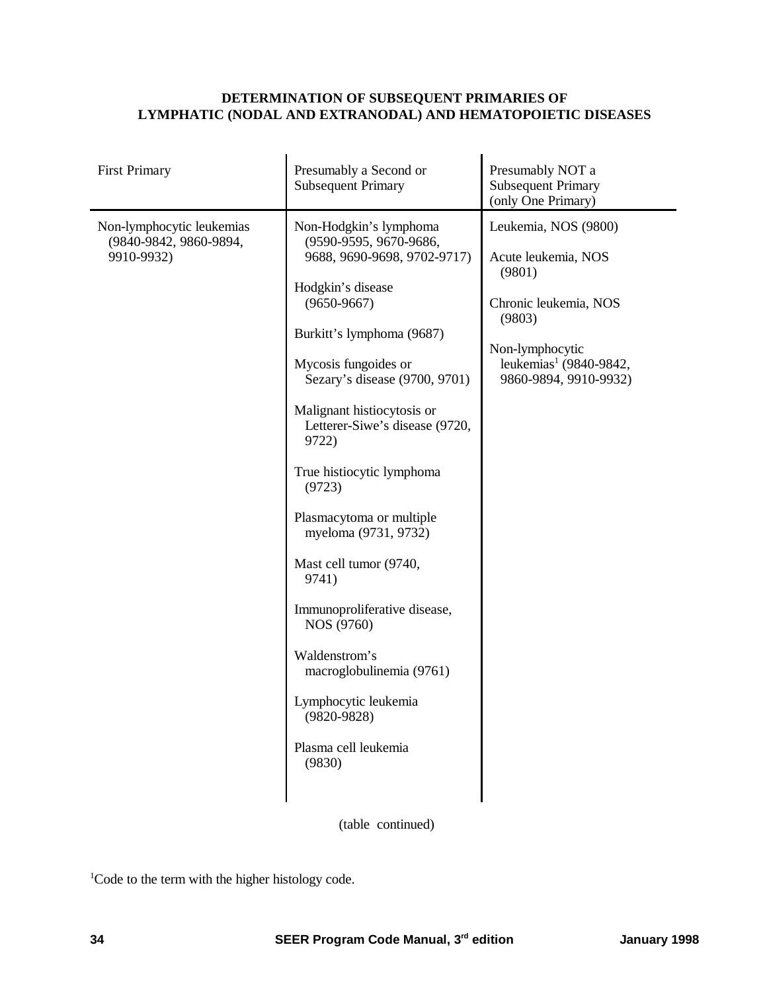| <b>First Primary</b>                                              | Presumably a Second or<br><b>Subsequent Primary</b>                                                                                                                                                                                                                                                                                                                                                                                                                                                                                                                                          | Presumably NOT a<br><b>Subsequent Primary</b><br>(only One Primary)                                                                                                        |
|-------------------------------------------------------------------|----------------------------------------------------------------------------------------------------------------------------------------------------------------------------------------------------------------------------------------------------------------------------------------------------------------------------------------------------------------------------------------------------------------------------------------------------------------------------------------------------------------------------------------------------------------------------------------------|----------------------------------------------------------------------------------------------------------------------------------------------------------------------------|
| Non-lymphocytic leukemias<br>(9840-9842, 9860-9894,<br>9910-9932) | Non-Hodgkin's lymphoma<br>(9590-9595, 9670-9686,<br>9688, 9690-9698, 9702-9717)<br>Hodgkin's disease<br>$(9650 - 9667)$<br>Burkitt's lymphoma (9687)<br>Mycosis fungoides or<br>Sezary's disease (9700, 9701)<br>Malignant histiocytosis or<br>Letterer-Siwe's disease (9720,<br>9722)<br>True histiocytic lymphoma<br>(9723)<br>Plasmacytoma or multiple<br>myeloma (9731, 9732)<br>Mast cell tumor (9740,<br>9741)<br>Immunoproliferative disease,<br>NOS (9760)<br>Waldenstrom's<br>macroglobulinemia (9761)<br>Lymphocytic leukemia<br>$(9820 - 9828)$<br>Plasma cell leukemia<br>(9830) | Leukemia, NOS (9800)<br>Acute leukemia, NOS<br>(9801)<br>Chronic leukemia, NOS<br>(9803)<br>Non-lymphocytic<br>leukemias <sup>1</sup> (9840-9842,<br>9860-9894, 9910-9932) |

(table continued)

<sup>1</sup>Code to the term with the higher histology code.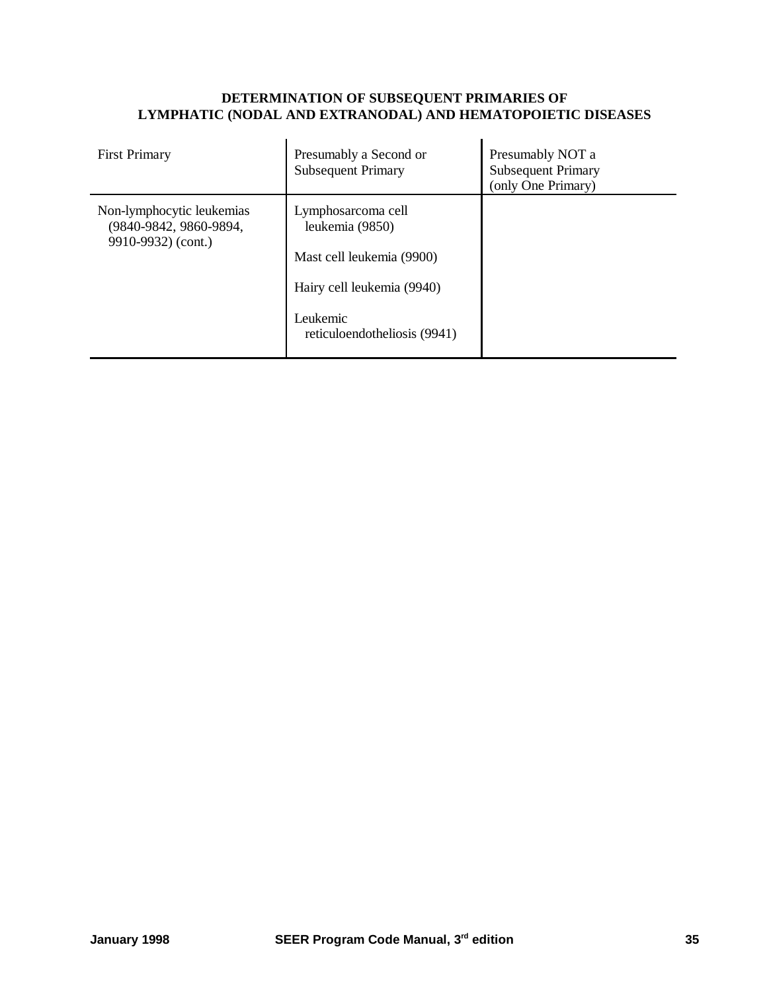| <b>First Primary</b>                                                      | Presumably a Second or<br><b>Subsequent Primary</b>                                                                                          | Presumably NOT a<br><b>Subsequent Primary</b><br>(only One Primary) |
|---------------------------------------------------------------------------|----------------------------------------------------------------------------------------------------------------------------------------------|---------------------------------------------------------------------|
| Non-lymphocytic leukemias<br>(9840-9842, 9860-9894,<br>9910-9932) (cont.) | Lymphosarcoma cell<br>leukemia (9850)<br>Mast cell leukemia (9900)<br>Hairy cell leukemia (9940)<br>Leukemic<br>reticuloendotheliosis (9941) |                                                                     |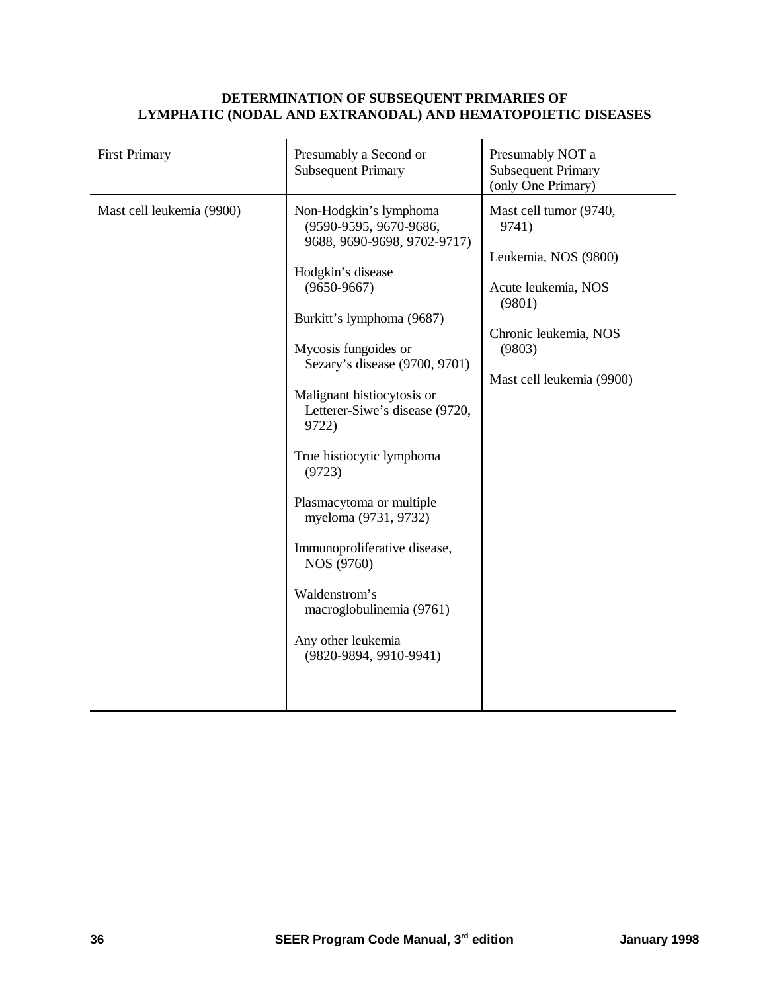| <b>First Primary</b>      | Presumably a Second or<br><b>Subsequent Primary</b>                                                                                                                                                                                                                                                                                                                                                                                                                                                                          | Presumably NOT a<br><b>Subsequent Primary</b><br>(only One Primary)                                                                                      |
|---------------------------|------------------------------------------------------------------------------------------------------------------------------------------------------------------------------------------------------------------------------------------------------------------------------------------------------------------------------------------------------------------------------------------------------------------------------------------------------------------------------------------------------------------------------|----------------------------------------------------------------------------------------------------------------------------------------------------------|
| Mast cell leukemia (9900) | Non-Hodgkin's lymphoma<br>(9590-9595, 9670-9686,<br>9688, 9690-9698, 9702-9717)<br>Hodgkin's disease<br>$(9650 - 9667)$<br>Burkitt's lymphoma (9687)<br>Mycosis fungoides or<br>Sezary's disease (9700, 9701)<br>Malignant histiocytosis or<br>Letterer-Siwe's disease (9720,<br>9722)<br>True histiocytic lymphoma<br>(9723)<br>Plasmacytoma or multiple<br>myeloma (9731, 9732)<br>Immunoproliferative disease,<br>NOS (9760)<br>Waldenstrom's<br>macroglobulinemia (9761)<br>Any other leukemia<br>(9820-9894, 9910-9941) | Mast cell tumor (9740,<br>9741)<br>Leukemia, NOS (9800)<br>Acute leukemia, NOS<br>(9801)<br>Chronic leukemia, NOS<br>(9803)<br>Mast cell leukemia (9900) |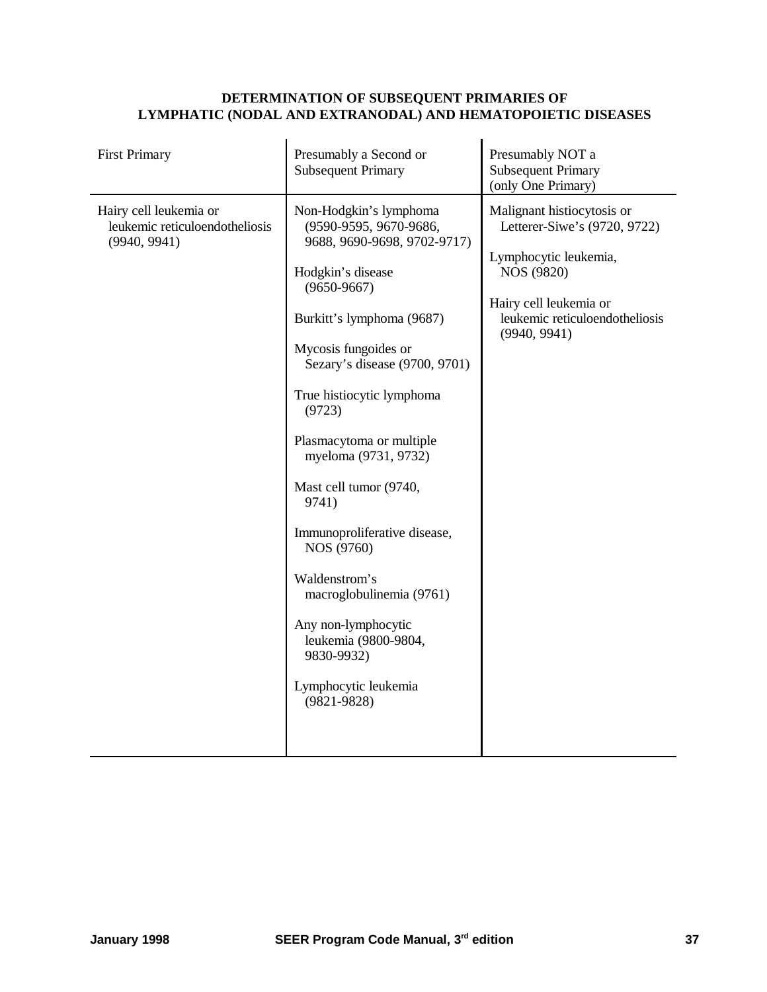| <b>First Primary</b>                                                     | Presumably a Second or<br><b>Subsequent Primary</b>                                                                                                                                                                                                                                                                                                                                                                                                                                                                                            | Presumably NOT a<br><b>Subsequent Primary</b><br>(only One Primary)                                                                                                           |
|--------------------------------------------------------------------------|------------------------------------------------------------------------------------------------------------------------------------------------------------------------------------------------------------------------------------------------------------------------------------------------------------------------------------------------------------------------------------------------------------------------------------------------------------------------------------------------------------------------------------------------|-------------------------------------------------------------------------------------------------------------------------------------------------------------------------------|
| Hairy cell leukemia or<br>leukemic reticuloendotheliosis<br>(9940, 9941) | Non-Hodgkin's lymphoma<br>(9590-9595, 9670-9686,<br>9688, 9690-9698, 9702-9717)<br>Hodgkin's disease<br>$(9650 - 9667)$<br>Burkitt's lymphoma (9687)<br>Mycosis fungoides or<br>Sezary's disease (9700, 9701)<br>True histiocytic lymphoma<br>(9723)<br>Plasmacytoma or multiple<br>myeloma (9731, 9732)<br>Mast cell tumor (9740,<br>9741)<br>Immunoproliferative disease,<br>NOS (9760)<br>Waldenstrom's<br>macroglobulinemia (9761)<br>Any non-lymphocytic<br>leukemia (9800-9804,<br>9830-9932)<br>Lymphocytic leukemia<br>$(9821 - 9828)$ | Malignant histiocytosis or<br>Letterer-Siwe's (9720, 9722)<br>Lymphocytic leukemia,<br>NOS (9820)<br>Hairy cell leukemia or<br>leukemic reticuloendotheliosis<br>(9940, 9941) |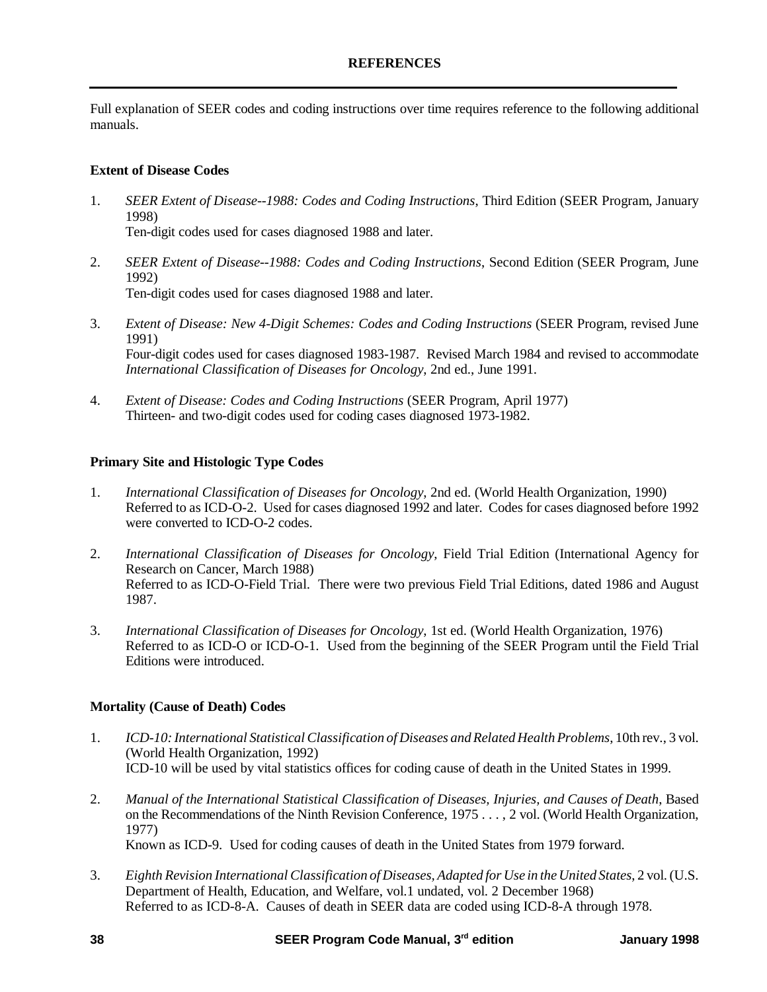Full explanation of SEER codes and coding instructions over time requires reference to the following additional manuals.

#### **Extent of Disease Codes**

1. *SEER Extent of Disease--1988: Codes and Coding Instructions*, Third Edition (SEER Program, January 1998) Ten-digit codes used for cases diagnosed 1988 and later.

2. *SEER Extent of Disease--1988: Codes and Coding Instructions*, Second Edition (SEER Program, June 1992)

Ten-digit codes used for cases diagnosed 1988 and later.

- 3. *Extent of Disease: New 4-Digit Schemes: Codes and Coding Instructions* (SEER Program, revised June 1991) Four-digit codes used for cases diagnosed 1983-1987. Revised March 1984 and revised to accommodate *International Classification of Diseases for Oncology*, 2nd ed., June 1991.
- 4. *Extent of Disease: Codes and Coding Instructions* (SEER Program, April 1977) Thirteen- and two-digit codes used for coding cases diagnosed 1973-1982.

#### **Primary Site and Histologic Type Codes**

- 1. *International Classification of Diseases for Oncology*, 2nd ed. (World Health Organization, 1990) Referred to as ICD-O-2. Used for cases diagnosed 1992 and later. Codes for cases diagnosed before 1992 were converted to ICD-O-2 codes.
- 2. *International Classification of Diseases for Oncology*, Field Trial Edition (International Agency for Research on Cancer, March 1988) Referred to as ICD-O-Field Trial. There were two previous Field Trial Editions, dated 1986 and August 1987.
- 3. *International Classification of Diseases for Oncology*, 1st ed. (World Health Organization, 1976) Referred to as ICD-O or ICD-O-1. Used from the beginning of the SEER Program until the Field Trial Editions were introduced.

#### **Mortality (Cause of Death) Codes**

- 1. *ICD-10:International StatisticalClassification of Diseases and Related Health Problems*, 10th rev., 3 vol. (World Health Organization, 1992) ICD-10 will be used by vital statistics offices for coding cause of death in the United States in 1999.
- 2. *Manual of the International Statistical Classification of Diseases, Injuries, and Causes of Death*, Based on the Recommendations of the Ninth Revision Conference, 1975 . . . , 2 vol. (World Health Organization, 1977) Known as ICD-9. Used for coding causes of death in the United States from 1979 forward.
- 3. *Eighth Revision International Classification of Diseases, Adapted for Use in the United States*, 2 vol. (U.S. Department of Health, Education, and Welfare, vol.1 undated, vol. 2 December 1968) Referred to as ICD-8-A. Causes of death in SEER data are coded using ICD-8-A through 1978.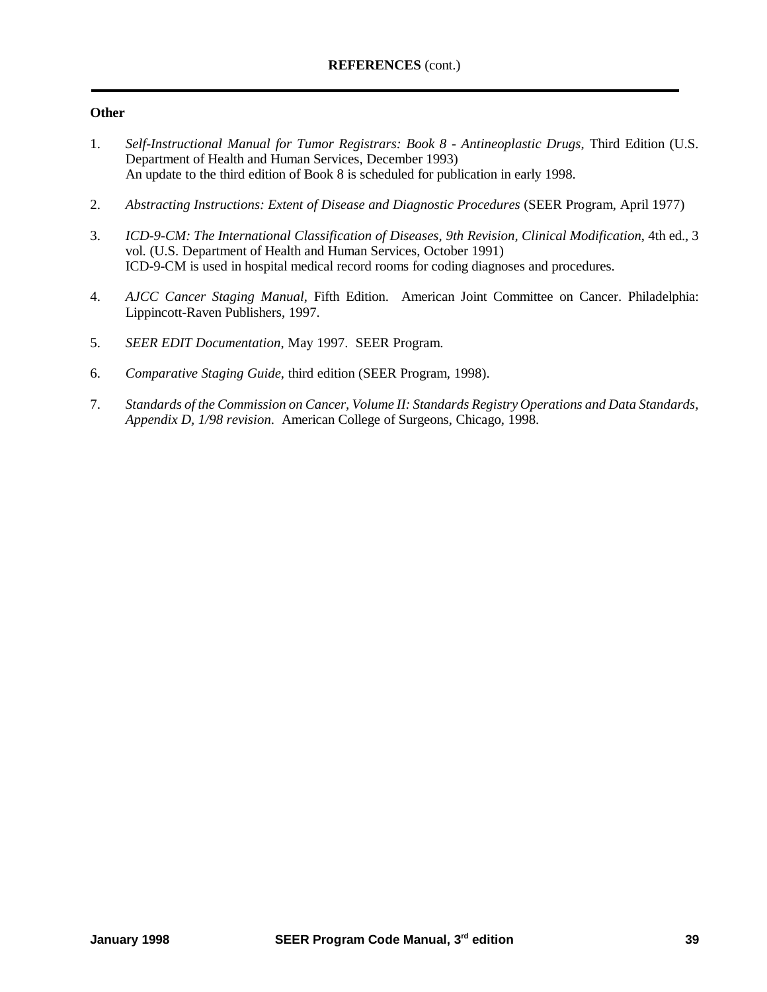#### **Other**

- 1. *Self-Instructional Manual for Tumor Registrars: Book 8 - Antineoplastic Drugs*, Third Edition (U.S. Department of Health and Human Services, December 1993) An update to the third edition of Book 8 is scheduled for publication in early 1998.
- 2. *Abstracting Instructions: Extent of Disease and Diagnostic Procedures* (SEER Program, April 1977)
- 3. *ICD-9-CM: The International Classification of Diseases, 9th Revision, Clinical Modification*, 4th ed., 3 vol. (U.S. Department of Health and Human Services, October 1991) ICD-9-CM is used in hospital medical record rooms for coding diagnoses and procedures.
- 4. *AJCC Cancer Staging Manual*, Fifth Edition. American Joint Committee on Cancer. Philadelphia: Lippincott-Raven Publishers, 1997.
- 5. *SEER EDIT Documentation*, May 1997. SEER Program.
- 6. *Comparative Staging Guide*, third edition (SEER Program, 1998).
- 7. *Standards of the Commission on Cancer, Volume II: Standards Registry Operations and Data Standards, Appendix D, 1/98 revision*. American College of Surgeons, Chicago, 1998.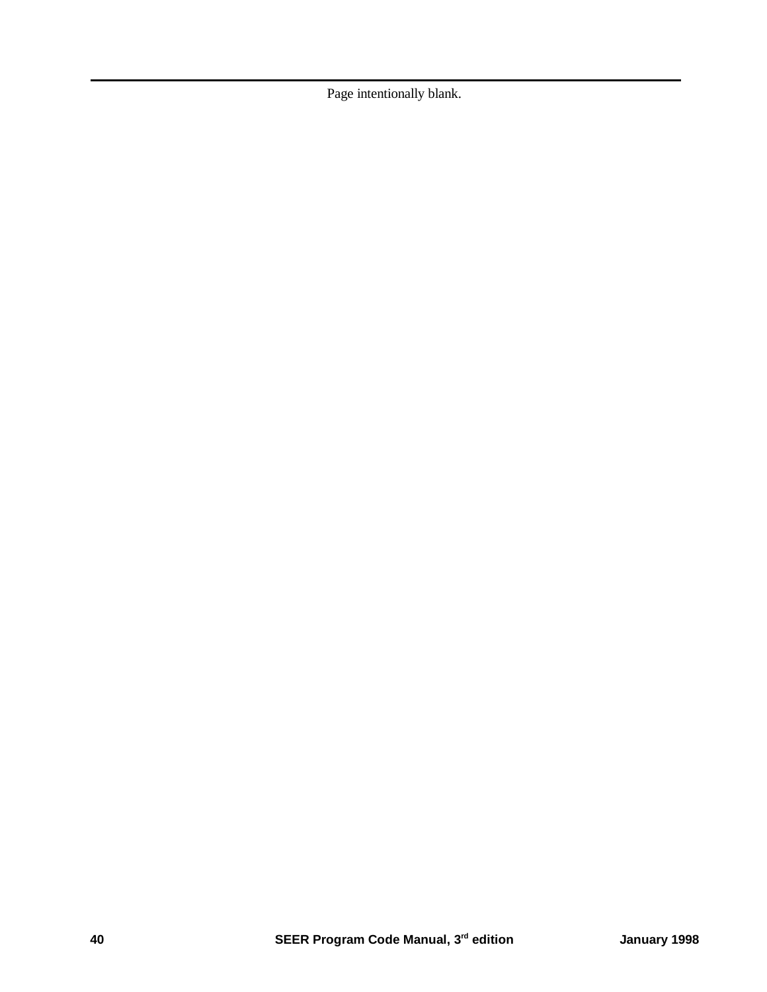Page intentionally blank.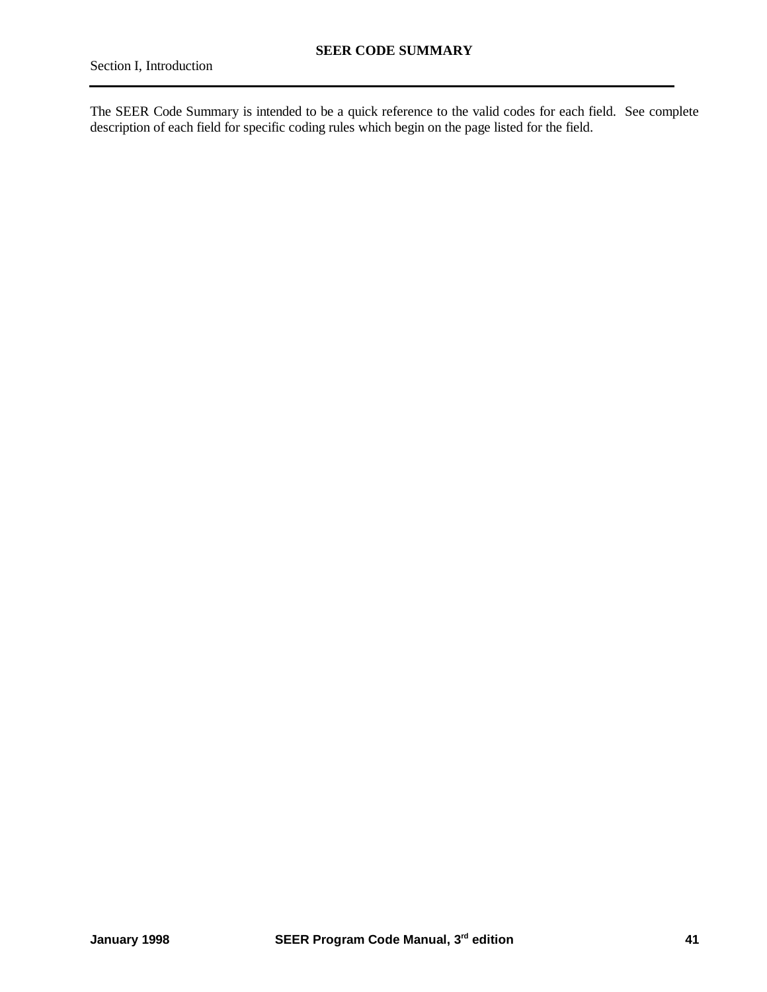The SEER Code Summary is intended to be a quick reference to the valid codes for each field. See complete description of each field for specific coding rules which begin on the page listed for the field.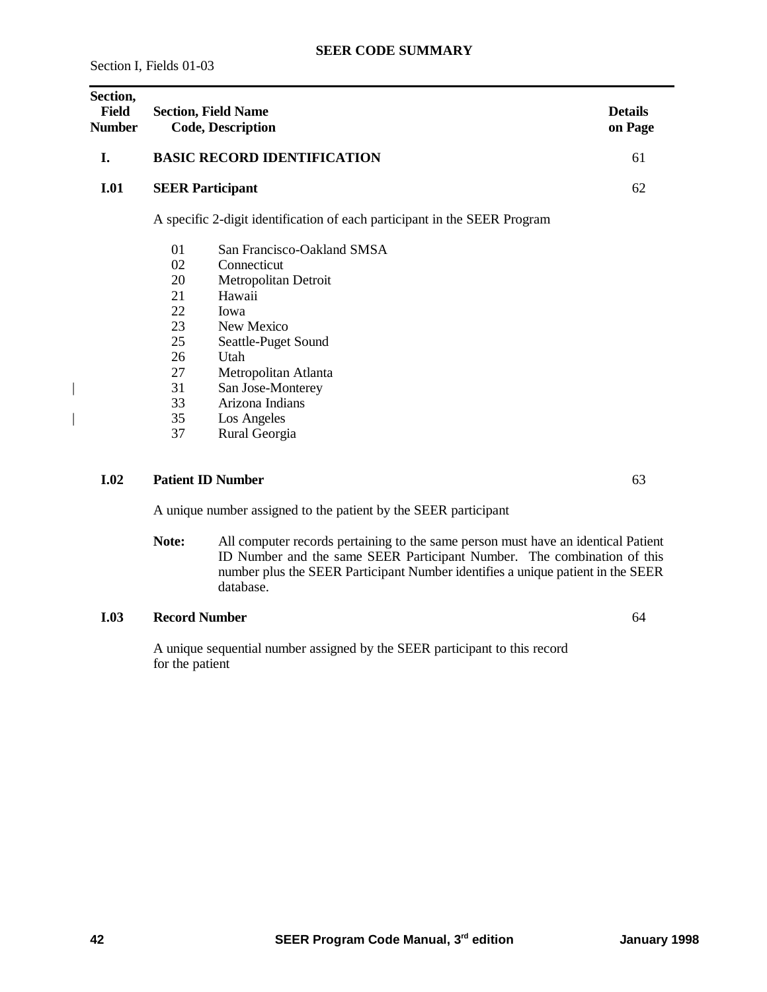| Section,<br><b>Field</b><br><b>Number</b> | <b>Section, Field Name</b><br><b>Code, Description</b> |                                                                           | <b>Details</b><br>on Page |
|-------------------------------------------|--------------------------------------------------------|---------------------------------------------------------------------------|---------------------------|
| I.                                        | <b>BASIC RECORD IDENTIFICATION</b>                     |                                                                           | 61                        |
| I.01                                      |                                                        | <b>SEER Participant</b>                                                   |                           |
|                                           |                                                        | A specific 2-digit identification of each participant in the SEER Program |                           |
|                                           | 01                                                     | San Francisco-Oakland SMSA                                                |                           |
|                                           | 02                                                     | Connecticut                                                               |                           |
|                                           | 20                                                     | Metropolitan Detroit                                                      |                           |
|                                           | 21                                                     | Hawaii                                                                    |                           |
|                                           | 22                                                     | Iowa                                                                      |                           |
|                                           | 23                                                     | New Mexico                                                                |                           |
|                                           | 25                                                     | Seattle-Puget Sound                                                       |                           |
|                                           | 26                                                     | Utah                                                                      |                           |
|                                           | 27                                                     | Metropolitan Atlanta                                                      |                           |
|                                           | 31                                                     | San Jose-Monterey                                                         |                           |
|                                           | 33                                                     | Arizona Indians                                                           |                           |
|                                           | 35                                                     | Los Angeles                                                               |                           |
|                                           | 37                                                     | Rural Georgia                                                             |                           |
| I.02                                      |                                                        | <b>Patient ID Number</b>                                                  | 63                        |

A unique number assigned to the patient by the SEER participant

**Note:** All computer records pertaining to the same person must have an identical Patient ID Number and the same SEER Participant Number. The combination of this number plus the SEER Participant Number identifies a unique patient in the SEER database.

## **I.03 Record Number** 64

A unique sequential number assigned by the SEER participant to this record for the patient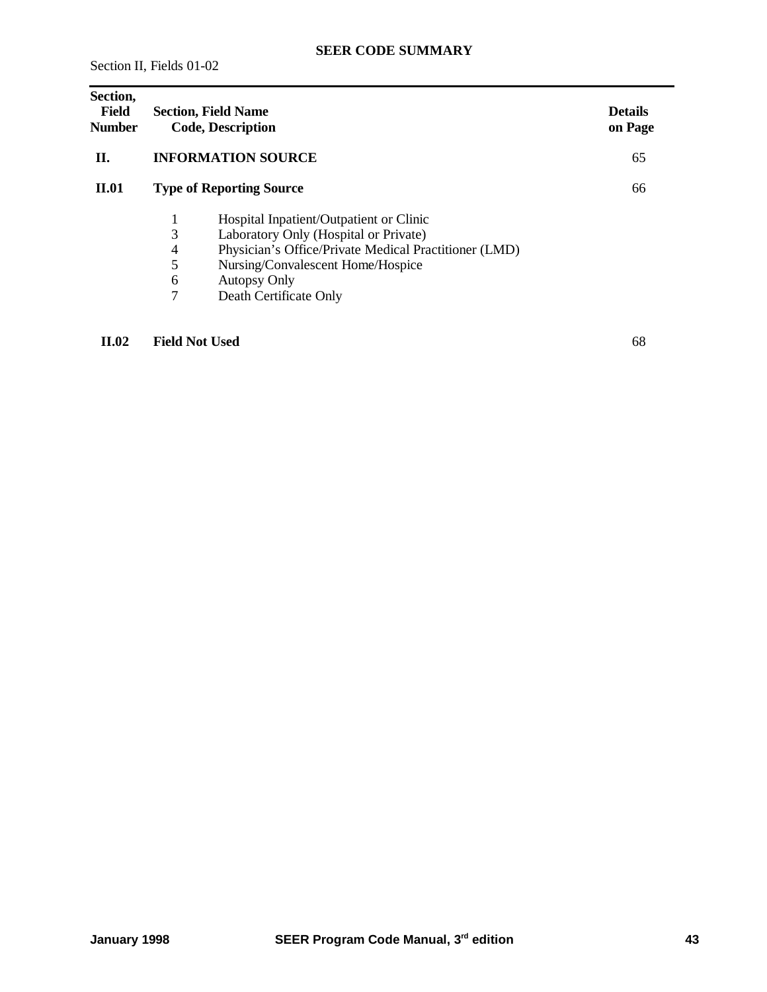| Section,<br>Field<br><b>Number</b> |                                 | <b>Section, Field Name</b><br><b>Code, Description</b>                                                                                                                                                | <b>Details</b><br>on Page |
|------------------------------------|---------------------------------|-------------------------------------------------------------------------------------------------------------------------------------------------------------------------------------------------------|---------------------------|
| Н.                                 |                                 | <b>INFORMATION SOURCE</b>                                                                                                                                                                             | 65                        |
| <b>II.01</b>                       | <b>Type of Reporting Source</b> |                                                                                                                                                                                                       | 66                        |
|                                    | 1<br>3<br>4<br>5<br>6<br>7      | Hospital Inpatient/Outpatient or Clinic<br>Laboratory Only (Hospital or Private)<br>Physician's Office/Private Medical Practitioner (LMD)<br>Nursing/Convalescent Home/Hospice<br><b>Autopsy Only</b> |                           |
|                                    |                                 | Death Certificate Only                                                                                                                                                                                |                           |

## **II.02 Field Not Used** 68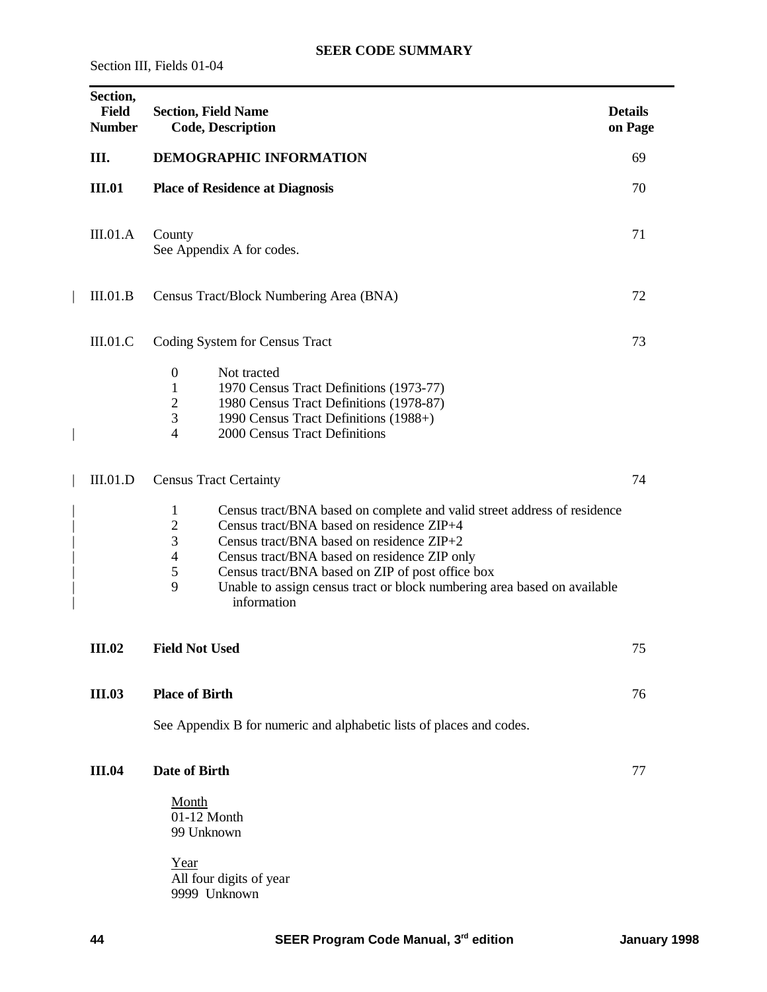| Section,<br><b>Field</b><br><b>Number</b> | <b>Section, Field Name</b><br><b>Code, Description</b>                                                                                                                                                                                                                                                                                                                                                                | <b>Details</b><br>on Page |
|-------------------------------------------|-----------------------------------------------------------------------------------------------------------------------------------------------------------------------------------------------------------------------------------------------------------------------------------------------------------------------------------------------------------------------------------------------------------------------|---------------------------|
| Ш.                                        | <b>DEMOGRAPHIC INFORMATION</b>                                                                                                                                                                                                                                                                                                                                                                                        | 69                        |
| <b>III.01</b>                             | <b>Place of Residence at Diagnosis</b>                                                                                                                                                                                                                                                                                                                                                                                | 70                        |
| III.01.A                                  | County<br>See Appendix A for codes.                                                                                                                                                                                                                                                                                                                                                                                   | 71                        |
| III.01.B                                  | Census Tract/Block Numbering Area (BNA)                                                                                                                                                                                                                                                                                                                                                                               | 72                        |
| III.01.C                                  | Coding System for Census Tract                                                                                                                                                                                                                                                                                                                                                                                        | 73                        |
|                                           | $\boldsymbol{0}$<br>Not tracted<br>1970 Census Tract Definitions (1973-77)<br>1<br>$\boldsymbol{2}$<br>1980 Census Tract Definitions (1978-87)<br>3<br>1990 Census Tract Definitions (1988+)<br>$\overline{4}$<br>2000 Census Tract Definitions                                                                                                                                                                       |                           |
| III.01.D                                  | <b>Census Tract Certainty</b>                                                                                                                                                                                                                                                                                                                                                                                         | 74                        |
|                                           | Census tract/BNA based on complete and valid street address of residence<br>$\mathbf{1}$<br>$\mathbf{2}$<br>Census tract/BNA based on residence ZIP+4<br>3<br>Census tract/BNA based on residence ZIP+2<br>4<br>Census tract/BNA based on residence ZIP only<br>5<br>Census tract/BNA based on ZIP of post office box<br>9<br>Unable to assign census tract or block numbering area based on available<br>information |                           |
| <b>III.02</b>                             | <b>Field Not Used</b>                                                                                                                                                                                                                                                                                                                                                                                                 | 75                        |
| <b>III.03</b>                             | <b>Place of Birth</b><br>See Appendix B for numeric and alphabetic lists of places and codes.                                                                                                                                                                                                                                                                                                                         | 76                        |
| <b>III.04</b>                             | Date of Birth<br>Month<br>01-12 Month<br>99 Unknown                                                                                                                                                                                                                                                                                                                                                                   | 77                        |
|                                           | Year<br>All four digits of year                                                                                                                                                                                                                                                                                                                                                                                       |                           |

9999 Unknown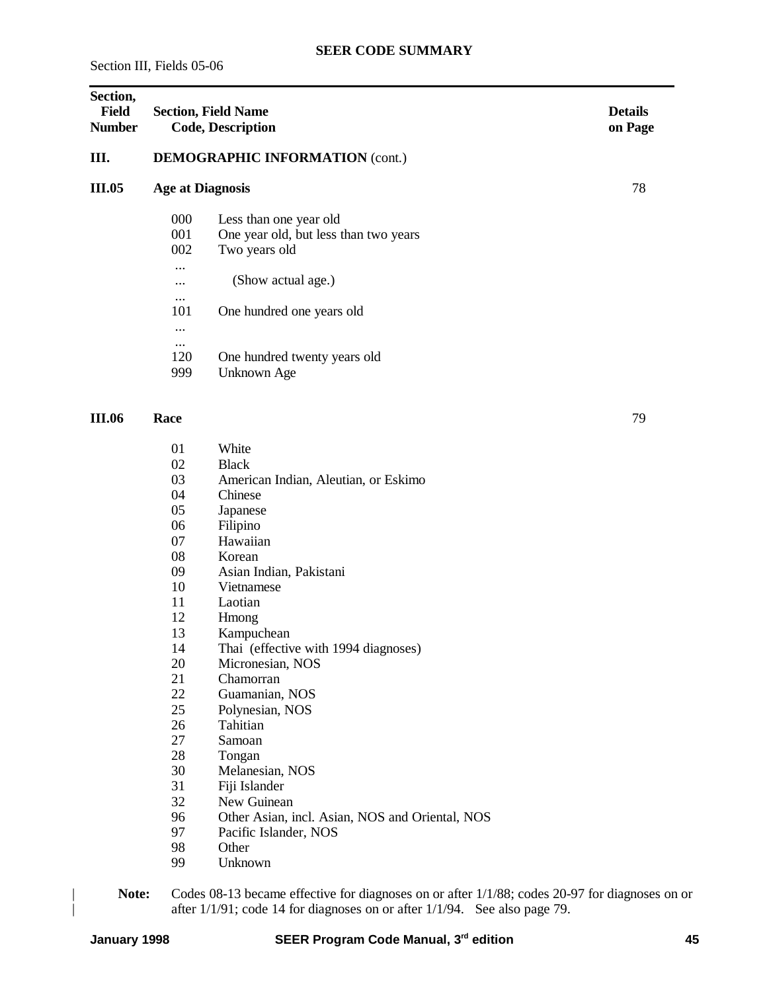| Section,<br><b>Field</b><br><b>Number</b> |                                                                                                                                                                      | <b>Section, Field Name</b><br><b>Code, Description</b>                                                                                                                                                                                                                                                                                                                                                                                                                                             | <b>Details</b><br>on Page |
|-------------------------------------------|----------------------------------------------------------------------------------------------------------------------------------------------------------------------|----------------------------------------------------------------------------------------------------------------------------------------------------------------------------------------------------------------------------------------------------------------------------------------------------------------------------------------------------------------------------------------------------------------------------------------------------------------------------------------------------|---------------------------|
| III.                                      |                                                                                                                                                                      | <b>DEMOGRAPHIC INFORMATION (cont.)</b>                                                                                                                                                                                                                                                                                                                                                                                                                                                             |                           |
| <b>III.05</b>                             | <b>Age at Diagnosis</b>                                                                                                                                              |                                                                                                                                                                                                                                                                                                                                                                                                                                                                                                    | 78                        |
|                                           | 000<br>001<br>002<br><br>                                                                                                                                            | Less than one year old<br>One year old, but less than two years<br>Two years old<br>(Show actual age.)                                                                                                                                                                                                                                                                                                                                                                                             |                           |
|                                           | <br>101<br><br><br>120<br>999                                                                                                                                        | One hundred one years old<br>One hundred twenty years old<br><b>Unknown Age</b>                                                                                                                                                                                                                                                                                                                                                                                                                    |                           |
| <b>III.06</b>                             | Race                                                                                                                                                                 |                                                                                                                                                                                                                                                                                                                                                                                                                                                                                                    | 79                        |
|                                           | 01<br>02<br>03<br>04<br>05<br>06<br>07<br>08<br>09<br>10<br>11<br>12<br>13<br>14<br>20<br>21<br>22<br>25<br>26<br>27<br>28<br>30<br>31<br>32<br>96<br>97<br>98<br>99 | White<br><b>Black</b><br>American Indian, Aleutian, or Eskimo<br>Chinese<br>Japanese<br>Filipino<br>Hawaiian<br>Korean<br>Asian Indian, Pakistani<br>Vietnamese<br>Laotian<br>Hmong<br>Kampuchean<br>Thai (effective with 1994 diagnoses)<br>Micronesian, NOS<br>Chamorran<br>Guamanian, NOS<br>Polynesian, NOS<br>Tahitian<br>Samoan<br>Tongan<br>Melanesian, NOS<br>Fiji Islander<br>New Guinean<br>Other Asian, incl. Asian, NOS and Oriental, NOS<br>Pacific Islander, NOS<br>Other<br>Unknown |                           |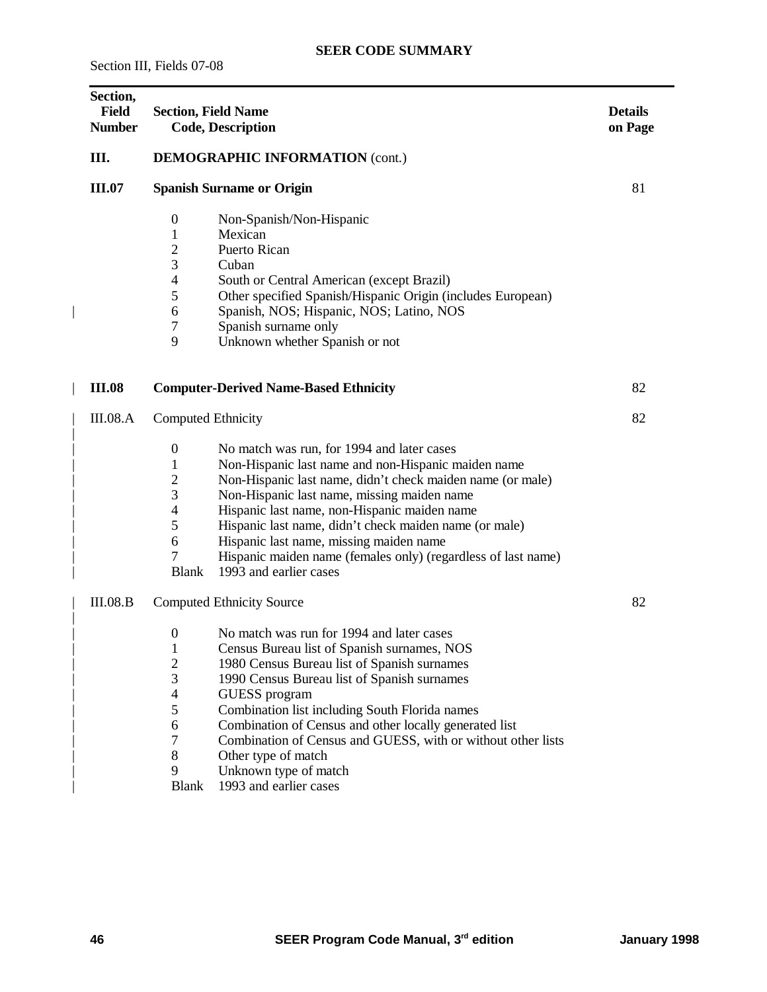| Section,<br>Field<br><b>Number</b> | <b>Section, Field Name</b><br><b>Code, Description</b>                                                                                                                                                                                                                                                                                                                                                                                                                                                                                | <b>Details</b><br>on Page |
|------------------------------------|---------------------------------------------------------------------------------------------------------------------------------------------------------------------------------------------------------------------------------------------------------------------------------------------------------------------------------------------------------------------------------------------------------------------------------------------------------------------------------------------------------------------------------------|---------------------------|
| III.                               | <b>DEMOGRAPHIC INFORMATION (cont.)</b>                                                                                                                                                                                                                                                                                                                                                                                                                                                                                                |                           |
| <b>III.07</b>                      | <b>Spanish Surname or Origin</b>                                                                                                                                                                                                                                                                                                                                                                                                                                                                                                      | 81                        |
|                                    | $\boldsymbol{0}$<br>Non-Spanish/Non-Hispanic<br>$\mathbf{1}$<br>Mexican<br>$\boldsymbol{2}$<br>Puerto Rican<br>3<br>Cuban<br>$\overline{\mathcal{L}}$<br>South or Central American (except Brazil)<br>5<br>Other specified Spanish/Hispanic Origin (includes European)<br>6<br>Spanish, NOS; Hispanic, NOS; Latino, NOS<br>7<br>Spanish surname only<br>9<br>Unknown whether Spanish or not                                                                                                                                           |                           |
| <b>III.08</b>                      | <b>Computer-Derived Name-Based Ethnicity</b>                                                                                                                                                                                                                                                                                                                                                                                                                                                                                          | 82                        |
| <b>III.08.A</b>                    | <b>Computed Ethnicity</b>                                                                                                                                                                                                                                                                                                                                                                                                                                                                                                             | 82                        |
|                                    | $\boldsymbol{0}$<br>No match was run, for 1994 and later cases<br>Non-Hispanic last name and non-Hispanic maiden name<br>1<br>2<br>Non-Hispanic last name, didn't check maiden name (or male)<br>3<br>Non-Hispanic last name, missing maiden name<br>4<br>Hispanic last name, non-Hispanic maiden name<br>5<br>Hispanic last name, didn't check maiden name (or male)<br>6<br>Hispanic last name, missing maiden name<br>7<br>Hispanic maiden name (females only) (regardless of last name)<br>1993 and earlier cases<br><b>Blank</b> |                           |
| III.08.B                           | <b>Computed Ethnicity Source</b><br>No match was run for 1994 and later cases<br>0<br>$\,1$<br>Census Bureau list of Spanish surnames, NOS<br>$\mathbf{2}$<br>1980 Census Bureau list of Spanish surnames<br>3<br>1990 Census Bureau list of Spanish surnames<br>$\overline{\mathcal{L}}$<br>GUESS program<br>5<br>Combination list including South Florida names<br>6<br>Combination of Census and other locally generated list                                                                                                      | 82                        |
|                                    | $\tau$<br>Combination of Census and GUESS, with or without other lists<br>8<br>Other type of match<br>9<br>Unknown type of match<br>1993 and earlier cases<br>Blank                                                                                                                                                                                                                                                                                                                                                                   |                           |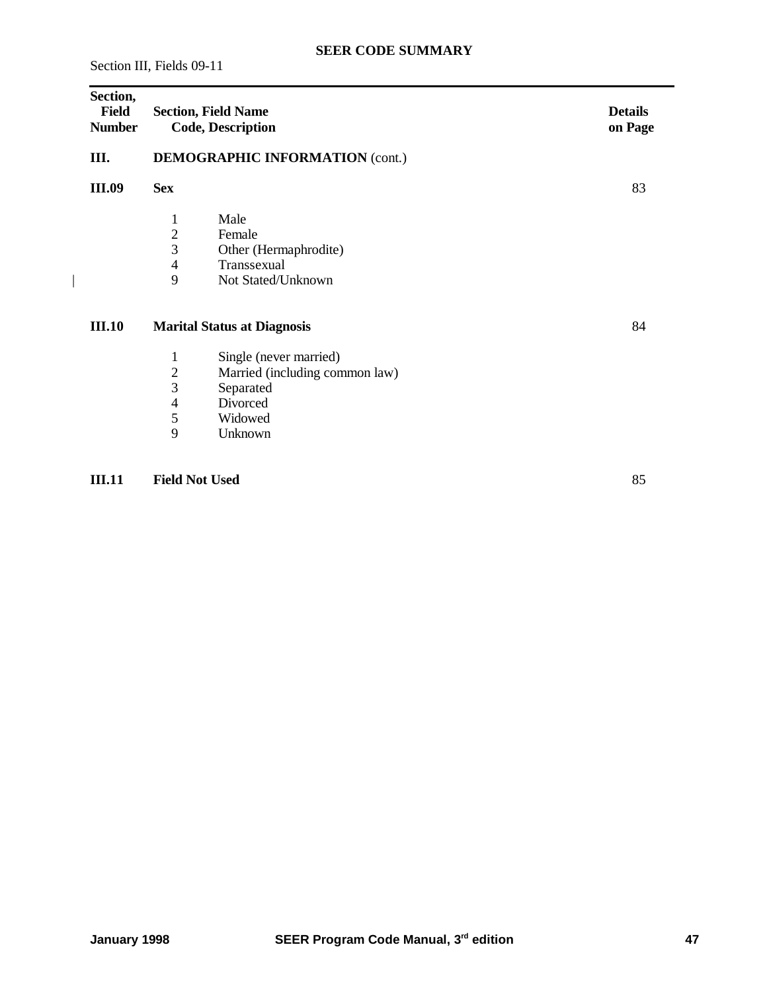|    | Section,<br><b>Field</b><br><b>Number</b> |                                        | <b>Section, Field Name</b><br><b>Code, Description</b> | <b>Details</b><br>on Page |  |
|----|-------------------------------------------|----------------------------------------|--------------------------------------------------------|---------------------------|--|
| Ш. |                                           | <b>DEMOGRAPHIC INFORMATION (cont.)</b> |                                                        |                           |  |
|    | <b>III.09</b>                             | <b>Sex</b>                             |                                                        | 83                        |  |
|    |                                           | 1                                      | Male                                                   |                           |  |
|    |                                           | $\overline{2}$                         | Female                                                 |                           |  |
|    |                                           | 3                                      | Other (Hermaphrodite)                                  |                           |  |
|    |                                           | $\overline{4}$                         | Transsexual                                            |                           |  |
|    |                                           | 9                                      | Not Stated/Unknown                                     |                           |  |
|    | <b>III.10</b>                             |                                        | <b>Marital Status at Diagnosis</b>                     | 84                        |  |
|    |                                           | 1                                      | Single (never married)                                 |                           |  |
|    |                                           | $\overline{c}$                         | Married (including common law)                         |                           |  |
|    |                                           | $\overline{3}$                         | Separated                                              |                           |  |
|    |                                           | $\overline{4}$                         | Divorced                                               |                           |  |
|    |                                           | 5                                      | Widowed                                                |                           |  |
|    |                                           | 9                                      | Unknown                                                |                           |  |
|    |                                           |                                        |                                                        |                           |  |
|    |                                           |                                        |                                                        |                           |  |

## **III.11 Field Not Used** 85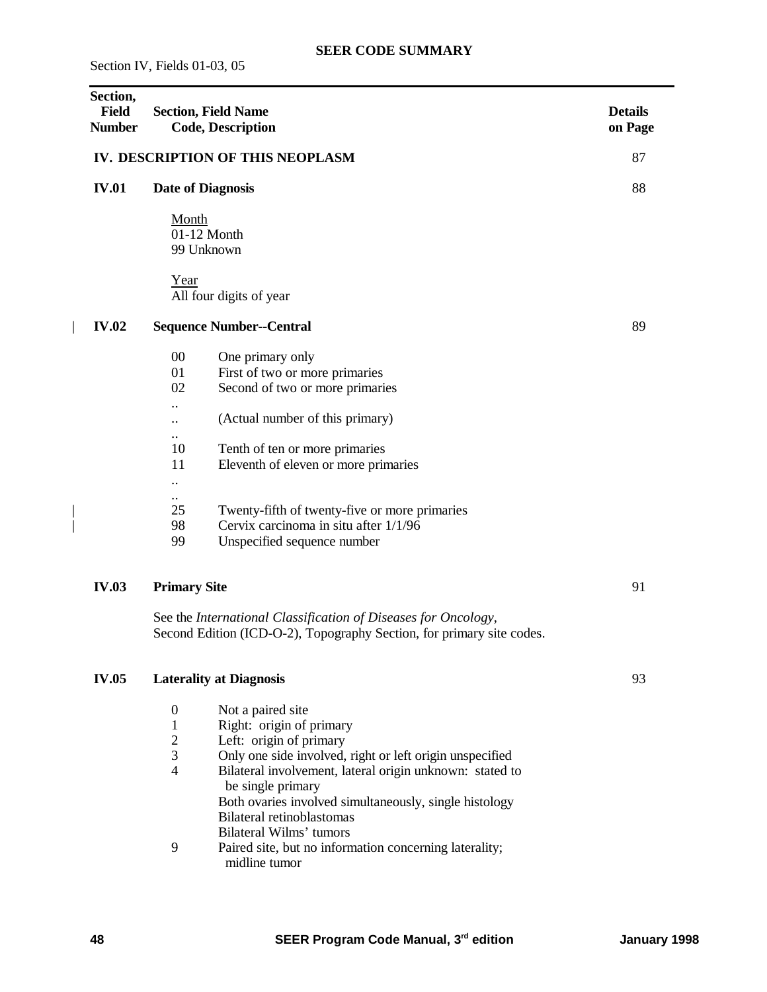| Section,<br><b>Field</b><br><b>Number</b> | <b>Section, Field Name</b><br><b>Code, Description</b>                                                                                                                                                                                                                                                                                            | <b>Details</b><br>on Page |
|-------------------------------------------|---------------------------------------------------------------------------------------------------------------------------------------------------------------------------------------------------------------------------------------------------------------------------------------------------------------------------------------------------|---------------------------|
|                                           | IV. DESCRIPTION OF THIS NEOPLASM                                                                                                                                                                                                                                                                                                                  | 87                        |
| <b>IV.01</b>                              | <b>Date of Diagnosis</b>                                                                                                                                                                                                                                                                                                                          | 88                        |
|                                           | <b>Month</b><br>01-12 Month<br>99 Unknown                                                                                                                                                                                                                                                                                                         |                           |
|                                           | Year<br>All four digits of year                                                                                                                                                                                                                                                                                                                   |                           |
| <b>IV.02</b>                              | <b>Sequence Number--Central</b>                                                                                                                                                                                                                                                                                                                   | 89                        |
|                                           | 00<br>One primary only<br>First of two or more primaries<br>01<br>02<br>Second of two or more primaries                                                                                                                                                                                                                                           |                           |
|                                           | <br>(Actual number of this primary)<br>$\ddot{\phantom{a}}$                                                                                                                                                                                                                                                                                       |                           |
|                                           | $\ddot{\phantom{0}}$<br>Tenth of ten or more primaries<br>10<br>11<br>Eleventh of eleven or more primaries<br>$\ddotsc$                                                                                                                                                                                                                           |                           |
|                                           | 25<br>Twenty-fifth of twenty-five or more primaries<br>98<br>Cervix carcinoma in situ after 1/1/96<br>99<br>Unspecified sequence number                                                                                                                                                                                                           |                           |
| <b>IV.03</b>                              | <b>Primary Site</b>                                                                                                                                                                                                                                                                                                                               | 91                        |
|                                           | See the International Classification of Diseases for Oncology,<br>Second Edition (ICD-O-2), Topography Section, for primary site codes.                                                                                                                                                                                                           |                           |
| <b>IV.05</b>                              | <b>Laterality at Diagnosis</b>                                                                                                                                                                                                                                                                                                                    | 93                        |
|                                           | $\boldsymbol{0}$<br>Not a paired site<br>Right: origin of primary<br>1<br>Left: origin of primary<br>$\overline{2}$<br>Only one side involved, right or left origin unspecified<br>3<br>Bilateral involvement, lateral origin unknown: stated to<br>$\overline{4}$<br>be single primary<br>Both ovaries involved simultaneously, single histology |                           |
|                                           | <b>Bilateral retinoblastomas</b><br><b>Bilateral Wilms' tumors</b><br>9<br>Paired site, but no information concerning laterality;<br>midline tumor                                                                                                                                                                                                |                           |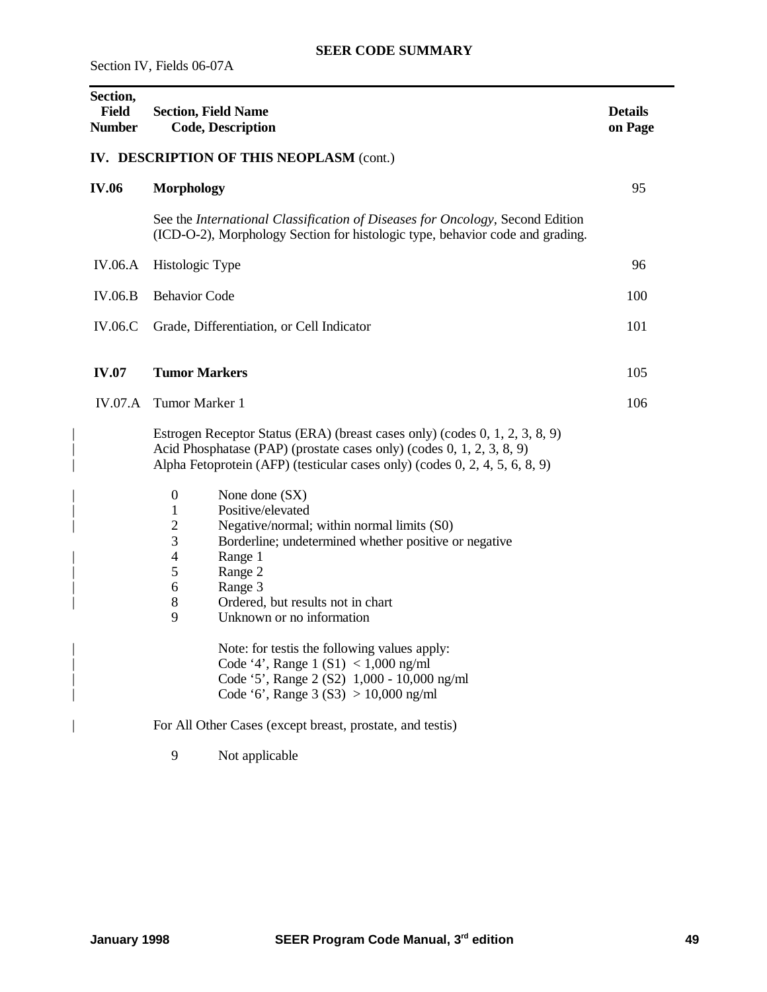| Section,<br><b>Field</b><br><b>Number</b> |                                   | <b>Section, Field Name</b><br><b>Code, Description</b>                                                                                                                                                                                                                                                                                           |     |  |
|-------------------------------------------|-----------------------------------|--------------------------------------------------------------------------------------------------------------------------------------------------------------------------------------------------------------------------------------------------------------------------------------------------------------------------------------------------|-----|--|
|                                           |                                   | IV. DESCRIPTION OF THIS NEOPLASM (cont.)                                                                                                                                                                                                                                                                                                         |     |  |
|                                           | <b>IV.06</b><br><b>Morphology</b> |                                                                                                                                                                                                                                                                                                                                                  |     |  |
|                                           |                                   | See the International Classification of Diseases for Oncology, Second Edition<br>(ICD-O-2), Morphology Section for histologic type, behavior code and grading.                                                                                                                                                                                   |     |  |
|                                           | <b>IV.06.A</b>                    | Histologic Type                                                                                                                                                                                                                                                                                                                                  | 96  |  |
|                                           | <b>IV.06.B</b>                    | <b>Behavior Code</b>                                                                                                                                                                                                                                                                                                                             | 100 |  |
|                                           | <b>IV.06.C</b>                    | Grade, Differentiation, or Cell Indicator                                                                                                                                                                                                                                                                                                        | 101 |  |
|                                           | <b>IV.07</b>                      | <b>Tumor Markers</b>                                                                                                                                                                                                                                                                                                                             | 105 |  |
|                                           | <b>IV.07.A</b>                    | Tumor Marker 1                                                                                                                                                                                                                                                                                                                                   | 106 |  |
|                                           |                                   | Estrogen Receptor Status (ERA) (breast cases only) (codes 0, 1, 2, 3, 8, 9)<br>Acid Phosphatase (PAP) (prostate cases only) (codes $0, 1, 2, 3, 8, 9$ )<br>Alpha Fetoprotein (AFP) (testicular cases only) (codes $0, 2, 4, 5, 6, 8, 9$ )                                                                                                        |     |  |
|                                           |                                   | $\boldsymbol{0}$<br>None done (SX)<br>$\mathbf{1}$<br>Positive/elevated<br>$\mathbf{2}$<br>Negative/normal; within normal limits (S0)<br>3<br>Borderline; undetermined whether positive or negative<br>$\overline{4}$<br>Range 1<br>5<br>Range 2<br>6<br>Range 3<br>$8\,$<br>Ordered, but results not in chart<br>9<br>Unknown or no information |     |  |
|                                           |                                   | Note: for testis the following values apply:<br>Code '4', Range $1 (S1) < 1,000$ ng/ml<br>Code '5', Range 2 (S2) 1,000 - 10,000 ng/ml<br>Code '6', Range $3(S3) > 10,000$ ng/ml                                                                                                                                                                  |     |  |
|                                           |                                   | For All Other Cases (except breast, prostate, and testis)                                                                                                                                                                                                                                                                                        |     |  |
|                                           |                                   | 9<br>Not applicable                                                                                                                                                                                                                                                                                                                              |     |  |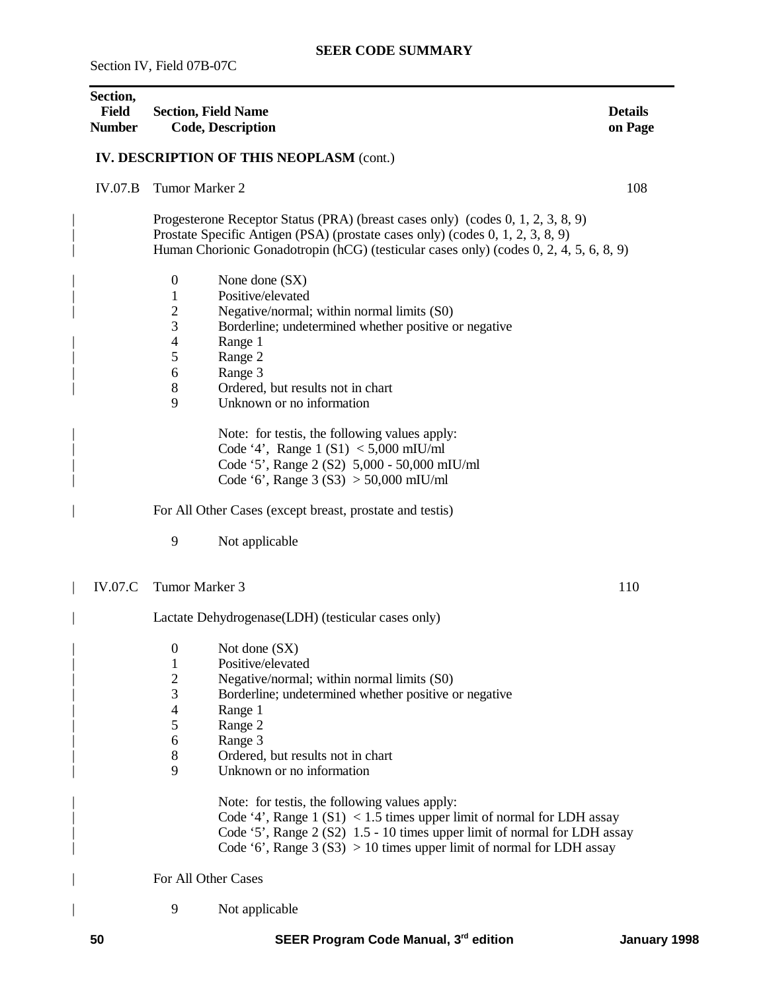| Section,<br><b>Field</b><br><b>Number</b> | <b>Section, Field Name</b><br><b>Code, Description</b>                                                                                                                                                                                                                                                                                                                                                                                                                                                                                                                                                        | <b>Details</b><br>on Page |
|-------------------------------------------|---------------------------------------------------------------------------------------------------------------------------------------------------------------------------------------------------------------------------------------------------------------------------------------------------------------------------------------------------------------------------------------------------------------------------------------------------------------------------------------------------------------------------------------------------------------------------------------------------------------|---------------------------|
|                                           | IV. DESCRIPTION OF THIS NEOPLASM (cont.)                                                                                                                                                                                                                                                                                                                                                                                                                                                                                                                                                                      |                           |
| IV.07.B                                   | Tumor Marker 2                                                                                                                                                                                                                                                                                                                                                                                                                                                                                                                                                                                                | 108                       |
|                                           | Progesterone Receptor Status (PRA) (breast cases only) (codes 0, 1, 2, 3, 8, 9)<br>Prostate Specific Antigen (PSA) (prostate cases only) (codes 0, 1, 2, 3, 8, 9)<br>Human Chorionic Gonadotropin (hCG) (testicular cases only) (codes 0, 2, 4, 5, 6, 8, 9)                                                                                                                                                                                                                                                                                                                                                   |                           |
|                                           | $\boldsymbol{0}$<br>None done (SX)<br>$\mathbf{1}$<br>Positive/elevated<br>$\overline{c}$<br>Negative/normal; within normal limits (S0)<br>3<br>Borderline; undetermined whether positive or negative<br>4<br>Range 1<br>5<br>Range 2<br>6<br>Range 3<br>8<br>Ordered, but results not in chart<br>9<br>Unknown or no information                                                                                                                                                                                                                                                                             |                           |
|                                           | Note: for testis, the following values apply:<br>Code '4', Range $1(S1) < 5,000$ mIU/ml<br>Code '5', Range 2 (S2) 5,000 - 50,000 mIU/ml<br>Code '6', Range $3(S3) > 50,000$ mIU/ml                                                                                                                                                                                                                                                                                                                                                                                                                            |                           |
|                                           | For All Other Cases (except breast, prostate and testis)                                                                                                                                                                                                                                                                                                                                                                                                                                                                                                                                                      |                           |
|                                           | 9<br>Not applicable                                                                                                                                                                                                                                                                                                                                                                                                                                                                                                                                                                                           |                           |
| <b>IV.07.C</b>                            | Tumor Marker 3                                                                                                                                                                                                                                                                                                                                                                                                                                                                                                                                                                                                | 110                       |
|                                           | Lactate Dehydrogenase(LDH) (testicular cases only)                                                                                                                                                                                                                                                                                                                                                                                                                                                                                                                                                            |                           |
|                                           | 0 Not done (SX)<br>1<br>Positive/elevated<br>$\overline{c}$<br>Negative/normal; within normal limits (S0)<br>3<br>Borderline; undetermined whether positive or negative<br>$\overline{\mathcal{A}}$<br>Range 1<br>5<br>Range 2<br>6<br>Range 3<br>8<br>Ordered, but results not in chart<br>9<br>Unknown or no information<br>Note: for testis, the following values apply:<br>Code '4', Range $1(S1) < 1.5$ times upper limit of normal for LDH assay<br>Code '5', Range 2 (S2) 1.5 - 10 times upper limit of normal for LDH assay<br>Code '6', Range $3(S3) > 10$ times upper limit of normal for LDH assay |                           |
|                                           | For All Other Cases                                                                                                                                                                                                                                                                                                                                                                                                                                                                                                                                                                                           |                           |
|                                           | 9<br>Not applicable                                                                                                                                                                                                                                                                                                                                                                                                                                                                                                                                                                                           |                           |
|                                           |                                                                                                                                                                                                                                                                                                                                                                                                                                                                                                                                                                                                               |                           |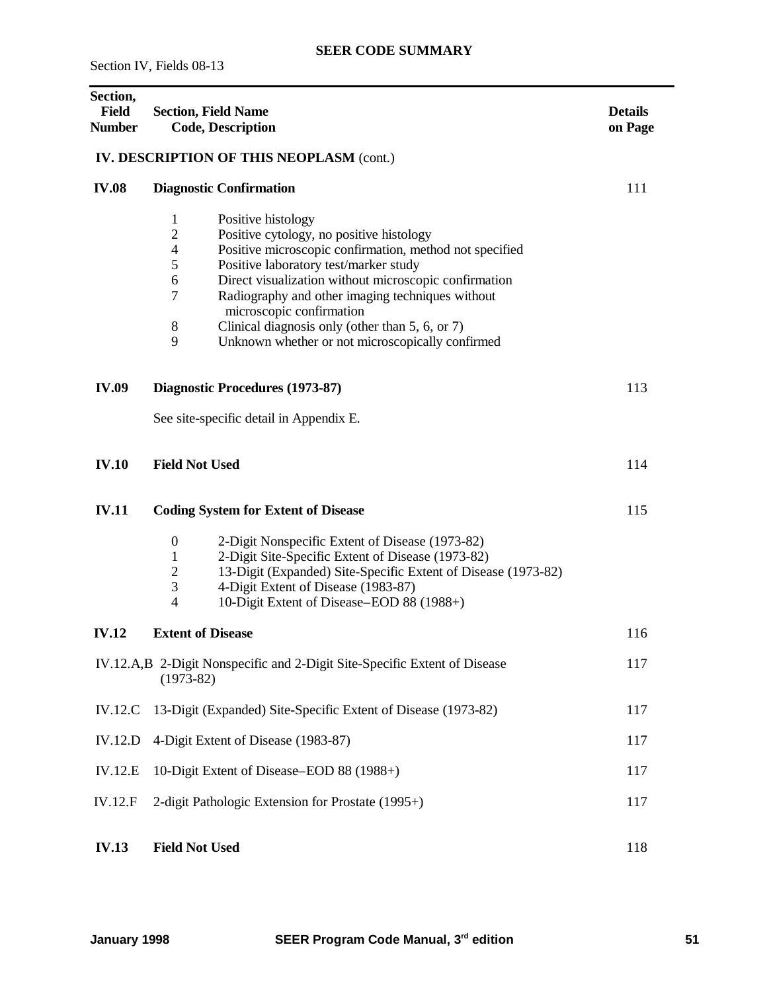| Section,<br><b>Field</b><br><b>Number</b> | <b>Section, Field Name</b><br><b>Code, Description</b>                  |                                                                                                                                                                                                                                                           | <b>Details</b><br>on Page |  |
|-------------------------------------------|-------------------------------------------------------------------------|-----------------------------------------------------------------------------------------------------------------------------------------------------------------------------------------------------------------------------------------------------------|---------------------------|--|
|                                           |                                                                         | IV. DESCRIPTION OF THIS NEOPLASM (cont.)                                                                                                                                                                                                                  |                           |  |
| <b>IV.08</b>                              |                                                                         | <b>Diagnostic Confirmation</b>                                                                                                                                                                                                                            | 111                       |  |
|                                           | $\mathbf{1}$                                                            | Positive histology                                                                                                                                                                                                                                        |                           |  |
|                                           | $\overline{c}$                                                          | Positive cytology, no positive histology                                                                                                                                                                                                                  |                           |  |
|                                           | 4                                                                       | Positive microscopic confirmation, method not specified                                                                                                                                                                                                   |                           |  |
|                                           | 5<br>6                                                                  | Positive laboratory test/marker study<br>Direct visualization without microscopic confirmation                                                                                                                                                            |                           |  |
|                                           | 7                                                                       | Radiography and other imaging techniques without<br>microscopic confirmation                                                                                                                                                                              |                           |  |
|                                           | 8                                                                       | Clinical diagnosis only (other than 5, 6, or 7)                                                                                                                                                                                                           |                           |  |
|                                           | 9                                                                       | Unknown whether or not microscopically confirmed                                                                                                                                                                                                          |                           |  |
| <b>IV.09</b>                              |                                                                         | Diagnostic Procedures (1973-87)                                                                                                                                                                                                                           | 113                       |  |
|                                           |                                                                         | See site-specific detail in Appendix E.                                                                                                                                                                                                                   |                           |  |
| <b>IV.10</b>                              | <b>Field Not Used</b>                                                   |                                                                                                                                                                                                                                                           | 114                       |  |
| <b>IV.11</b>                              |                                                                         | <b>Coding System for Extent of Disease</b>                                                                                                                                                                                                                | 115                       |  |
|                                           | $\boldsymbol{0}$<br>$\mathbf{1}$<br>$\mathbf{2}$<br>3<br>$\overline{4}$ | 2-Digit Nonspecific Extent of Disease (1973-82)<br>2-Digit Site-Specific Extent of Disease (1973-82)<br>13-Digit (Expanded) Site-Specific Extent of Disease (1973-82)<br>4-Digit Extent of Disease (1983-87)<br>10-Digit Extent of Disease-EOD 88 (1988+) |                           |  |
| <b>IV.12</b>                              |                                                                         | <b>Extent of Disease</b>                                                                                                                                                                                                                                  | 116                       |  |
|                                           | $(1973-82)$                                                             | IV.12.A,B 2-Digit Nonspecific and 2-Digit Site-Specific Extent of Disease                                                                                                                                                                                 | 117                       |  |
| <b>IV.12.C</b>                            |                                                                         | 13-Digit (Expanded) Site-Specific Extent of Disease (1973-82)                                                                                                                                                                                             | 117                       |  |
| <b>IV.12.D</b>                            |                                                                         | 4-Digit Extent of Disease (1983-87)                                                                                                                                                                                                                       | 117                       |  |
| <b>IV.12.E</b>                            |                                                                         | 10-Digit Extent of Disease–EOD 88 (1988+)                                                                                                                                                                                                                 | 117                       |  |
| <b>IV.12.F</b>                            |                                                                         | 2-digit Pathologic Extension for Prostate (1995+)                                                                                                                                                                                                         | 117                       |  |
| <b>IV.13</b>                              | <b>Field Not Used</b>                                                   |                                                                                                                                                                                                                                                           | 118                       |  |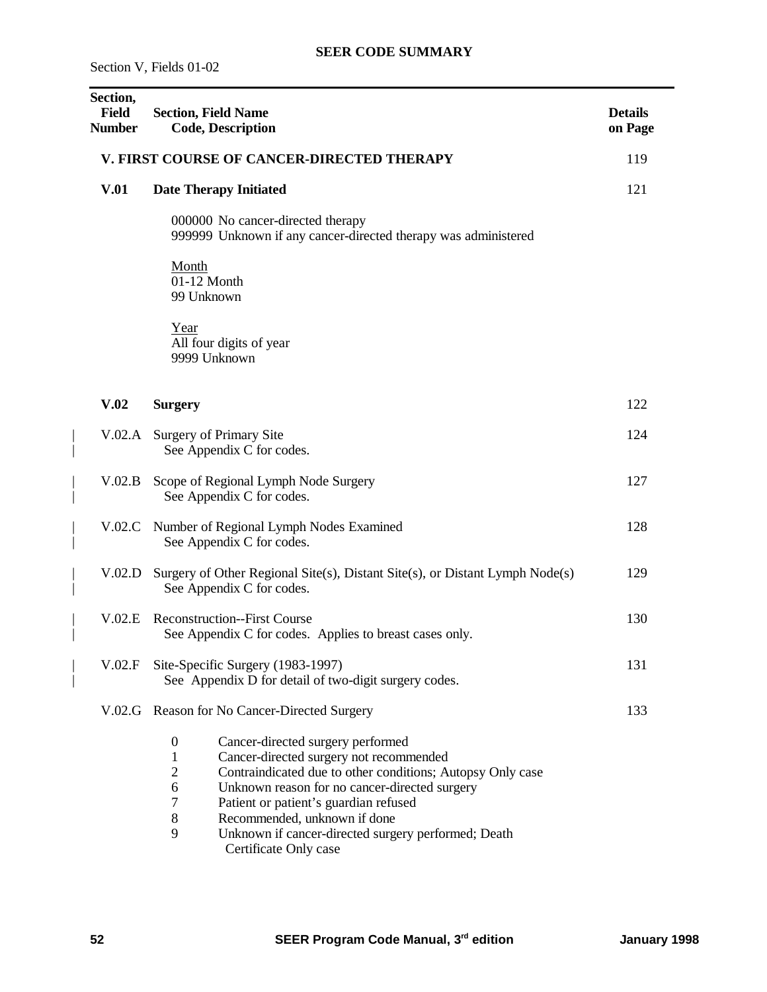| Section,<br><b>Field</b><br><b>Number</b> | <b>Section, Field Name</b><br><b>Code, Description</b>                                                                                                                                                                                                                                                                                                                                                      | <b>Details</b><br>on Page |
|-------------------------------------------|-------------------------------------------------------------------------------------------------------------------------------------------------------------------------------------------------------------------------------------------------------------------------------------------------------------------------------------------------------------------------------------------------------------|---------------------------|
|                                           | V. FIRST COURSE OF CANCER-DIRECTED THERAPY                                                                                                                                                                                                                                                                                                                                                                  | 119                       |
| V.01                                      | <b>Date Therapy Initiated</b>                                                                                                                                                                                                                                                                                                                                                                               | 121                       |
|                                           | 000000 No cancer-directed therapy<br>999999 Unknown if any cancer-directed therapy was administered                                                                                                                                                                                                                                                                                                         |                           |
|                                           | Month<br>01-12 Month<br>99 Unknown                                                                                                                                                                                                                                                                                                                                                                          |                           |
|                                           | Year<br>All four digits of year<br>9999 Unknown                                                                                                                                                                                                                                                                                                                                                             |                           |
| V.02                                      | <b>Surgery</b>                                                                                                                                                                                                                                                                                                                                                                                              | 122                       |
|                                           | V.02.A Surgery of Primary Site<br>See Appendix C for codes.                                                                                                                                                                                                                                                                                                                                                 | 124                       |
| V.02.B                                    | Scope of Regional Lymph Node Surgery<br>See Appendix C for codes.                                                                                                                                                                                                                                                                                                                                           | 127                       |
|                                           | V.02.C Number of Regional Lymph Nodes Examined<br>See Appendix C for codes.                                                                                                                                                                                                                                                                                                                                 | 128                       |
|                                           | V.02.D Surgery of Other Regional Site(s), Distant Site(s), or Distant Lymph Node(s)<br>See Appendix C for codes.                                                                                                                                                                                                                                                                                            | 129                       |
| V.02.E                                    | <b>Reconstruction--First Course</b><br>See Appendix C for codes. Applies to breast cases only.                                                                                                                                                                                                                                                                                                              | 130                       |
| V.02.F                                    | Site-Specific Surgery (1983-1997)<br>See Appendix D for detail of two-digit surgery codes.                                                                                                                                                                                                                                                                                                                  | 131                       |
|                                           | V.02.G Reason for No Cancer-Directed Surgery                                                                                                                                                                                                                                                                                                                                                                | 133                       |
|                                           | $\boldsymbol{0}$<br>Cancer-directed surgery performed<br>Cancer-directed surgery not recommended<br>1<br>Contraindicated due to other conditions; Autopsy Only case<br>2<br>6<br>Unknown reason for no cancer-directed surgery<br>$\tau$<br>Patient or patient's guardian refused<br>8<br>Recommended, unknown if done<br>9<br>Unknown if cancer-directed surgery performed; Death<br>Certificate Only case |                           |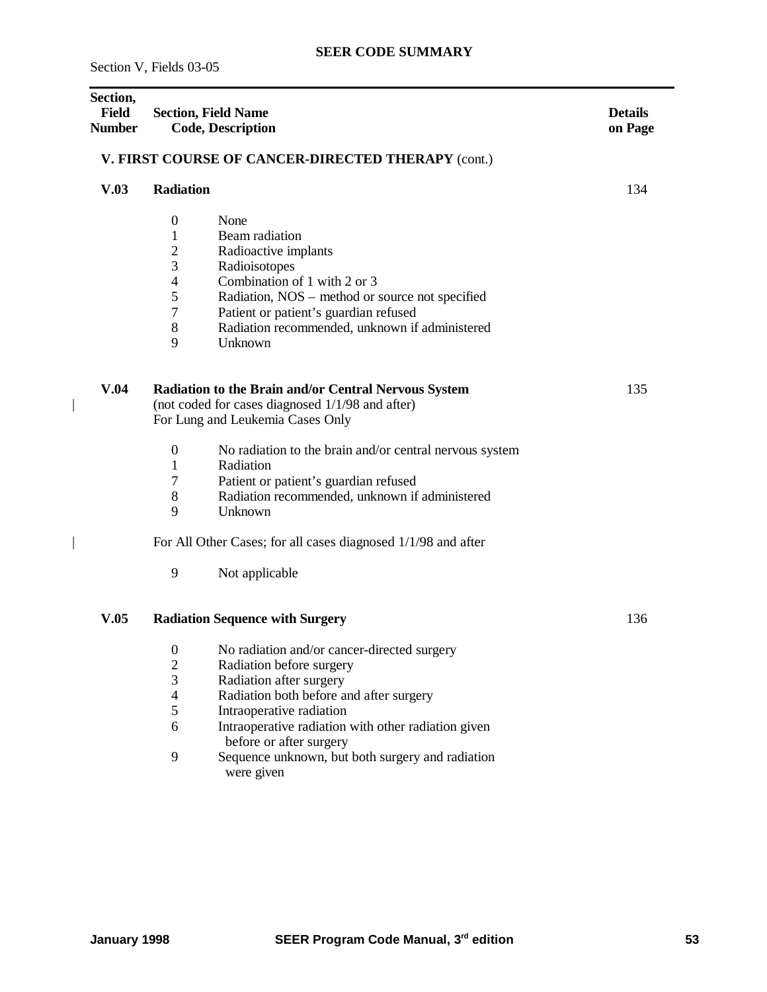| Section,<br><b>Field</b><br><b>Number</b> |                                                    | <b>Section, Field Name</b><br><b>Code, Description</b>                                  | <b>Details</b><br>on Page |  |  |
|-------------------------------------------|----------------------------------------------------|-----------------------------------------------------------------------------------------|---------------------------|--|--|
|                                           | V. FIRST COURSE OF CANCER-DIRECTED THERAPY (cont.) |                                                                                         |                           |  |  |
| V.03                                      | <b>Radiation</b>                                   |                                                                                         | 134                       |  |  |
|                                           | $\boldsymbol{0}$                                   | None                                                                                    |                           |  |  |
|                                           | 1                                                  | Beam radiation                                                                          |                           |  |  |
|                                           | $\overline{2}$                                     | Radioactive implants                                                                    |                           |  |  |
|                                           | 3                                                  | Radioisotopes                                                                           |                           |  |  |
|                                           | 4                                                  | Combination of 1 with 2 or 3                                                            |                           |  |  |
|                                           | 5                                                  | Radiation, NOS - method or source not specified                                         |                           |  |  |
|                                           | $\tau$<br>$\,8\,$                                  | Patient or patient's guardian refused<br>Radiation recommended, unknown if administered |                           |  |  |
|                                           | 9                                                  | Unknown                                                                                 |                           |  |  |
| V.04                                      |                                                    | Radiation to the Brain and/or Central Nervous System                                    | 135                       |  |  |
|                                           |                                                    | (not coded for cases diagnosed 1/1/98 and after)                                        |                           |  |  |
|                                           |                                                    | For Lung and Leukemia Cases Only                                                        |                           |  |  |
|                                           | $\boldsymbol{0}$                                   | No radiation to the brain and/or central nervous system                                 |                           |  |  |
|                                           | 1                                                  | Radiation                                                                               |                           |  |  |
|                                           | 7                                                  | Patient or patient's guardian refused                                                   |                           |  |  |
|                                           | $8\,$                                              | Radiation recommended, unknown if administered                                          |                           |  |  |
|                                           | 9                                                  | Unknown                                                                                 |                           |  |  |
|                                           |                                                    | For All Other Cases; for all cases diagnosed 1/1/98 and after                           |                           |  |  |
|                                           | 9                                                  | Not applicable                                                                          |                           |  |  |
| V.05                                      |                                                    | <b>Radiation Sequence with Surgery</b>                                                  | 136                       |  |  |
|                                           | $\overline{0}$                                     | No radiation and/or cancer-directed surgery                                             |                           |  |  |
|                                           | $\overline{c}$                                     | Radiation before surgery                                                                |                           |  |  |
|                                           | 3                                                  | Radiation after surgery                                                                 |                           |  |  |
|                                           | $\overline{\mathcal{A}}$                           | Radiation both before and after surgery                                                 |                           |  |  |
|                                           | 5                                                  | Intraoperative radiation                                                                |                           |  |  |
|                                           | 6                                                  | Intraoperative radiation with other radiation given<br>before or after surgery          |                           |  |  |
|                                           | 9                                                  | Sequence unknown, but both surgery and radiation<br>were given                          |                           |  |  |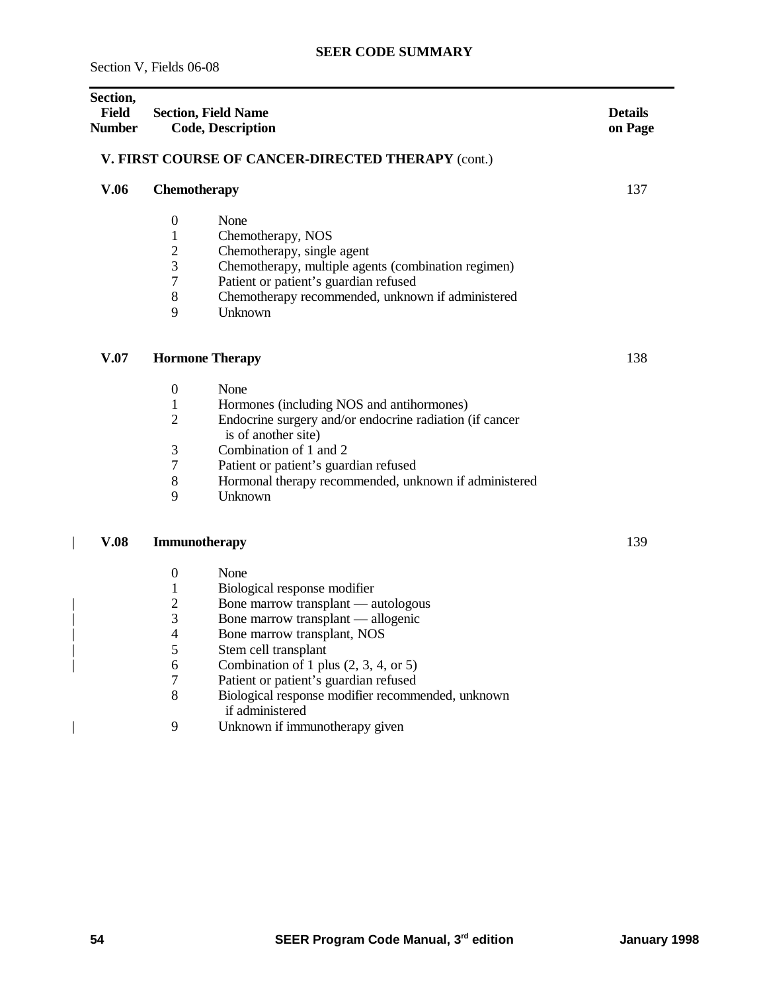| Section,<br><b>Field</b><br><b>Number</b>          | <b>Section, Field Name</b><br><b>Code, Description</b>                      | <b>Details</b><br>on Page                                                                                                                                                                                               |     |  |  |
|----------------------------------------------------|-----------------------------------------------------------------------------|-------------------------------------------------------------------------------------------------------------------------------------------------------------------------------------------------------------------------|-----|--|--|
| V. FIRST COURSE OF CANCER-DIRECTED THERAPY (cont.) |                                                                             |                                                                                                                                                                                                                         |     |  |  |
| V.06                                               | Chemotherapy                                                                |                                                                                                                                                                                                                         | 137 |  |  |
|                                                    | $\boldsymbol{0}$<br>$\mathbf{1}$<br>$\overline{2}$<br>3<br>$\tau$<br>8<br>9 | None<br>Chemotherapy, NOS<br>Chemotherapy, single agent<br>Chemotherapy, multiple agents (combination regimen)<br>Patient or patient's guardian refused<br>Chemotherapy recommended, unknown if administered<br>Unknown |     |  |  |
| V.07                                               |                                                                             | <b>Hormone Therapy</b>                                                                                                                                                                                                  | 138 |  |  |
|                                                    | $\boldsymbol{0}$                                                            | None                                                                                                                                                                                                                    |     |  |  |
|                                                    | $\mathbf{1}$                                                                | Hormones (including NOS and antihormones)                                                                                                                                                                               |     |  |  |
|                                                    | $\overline{2}$                                                              | Endocrine surgery and/or endocrine radiation (if cancer<br>is of another site)                                                                                                                                          |     |  |  |
|                                                    | 3                                                                           | Combination of 1 and 2                                                                                                                                                                                                  |     |  |  |
|                                                    | $\tau$                                                                      | Patient or patient's guardian refused                                                                                                                                                                                   |     |  |  |
|                                                    | $8\,$<br>9                                                                  | Hormonal therapy recommended, unknown if administered<br>Unknown                                                                                                                                                        |     |  |  |
| V.08                                               |                                                                             | Immunotherapy                                                                                                                                                                                                           | 139 |  |  |
|                                                    | $\boldsymbol{0}$                                                            | None                                                                                                                                                                                                                    |     |  |  |
|                                                    | $\mathbf{1}$                                                                | Biological response modifier                                                                                                                                                                                            |     |  |  |
|                                                    | $\mathbf{2}$                                                                | Bone marrow transplant — autologous                                                                                                                                                                                     |     |  |  |
|                                                    | 3                                                                           | Bone marrow transplant — allogenic                                                                                                                                                                                      |     |  |  |
|                                                    | $\overline{4}$                                                              | Bone marrow transplant, NOS                                                                                                                                                                                             |     |  |  |
|                                                    | 5                                                                           | Stem cell transplant                                                                                                                                                                                                    |     |  |  |
|                                                    | $\sqrt{6}$                                                                  | Combination of 1 plus $(2, 3, 4, \text{or } 5)$                                                                                                                                                                         |     |  |  |
|                                                    | $\tau$                                                                      | Patient or patient's guardian refused                                                                                                                                                                                   |     |  |  |
|                                                    | 8                                                                           | Biological response modifier recommended, unknown<br>if administered                                                                                                                                                    |     |  |  |
|                                                    | 9                                                                           | Unknown if immunotherapy given                                                                                                                                                                                          |     |  |  |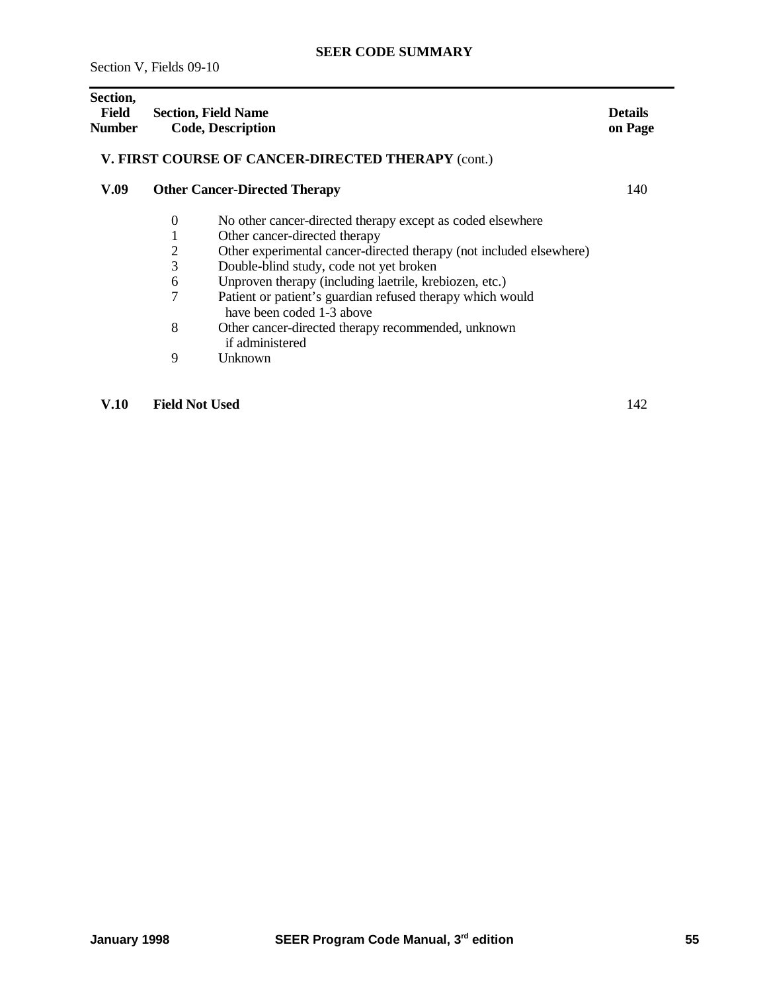| Section,<br>Field<br><b>Number</b> | <b>Section, Field Name</b><br><b>Code, Description</b> |                                                                                        |     |
|------------------------------------|--------------------------------------------------------|----------------------------------------------------------------------------------------|-----|
|                                    |                                                        | V. FIRST COURSE OF CANCER-DIRECTED THERAPY (cont.)                                     |     |
| V.09                               |                                                        | <b>Other Cancer-Directed Therapy</b>                                                   | 140 |
|                                    | $\boldsymbol{0}$                                       | No other cancer-directed therapy except as coded elsewhere                             |     |
|                                    | 1                                                      | Other cancer-directed therapy                                                          |     |
|                                    | $\overline{2}$                                         | Other experimental cancer-directed therapy (not included elsewhere)                    |     |
|                                    | 3                                                      | Double-blind study, code not yet broken                                                |     |
|                                    | 6                                                      | Unproven therapy (including laetrile, krebiozen, etc.)                                 |     |
|                                    | 7                                                      | Patient or patient's guardian refused therapy which would<br>have been coded 1-3 above |     |
|                                    | 8                                                      | Other cancer-directed therapy recommended, unknown<br>if administered                  |     |
|                                    | 9                                                      | Unknown                                                                                |     |

**V.10 Field Not Used** 142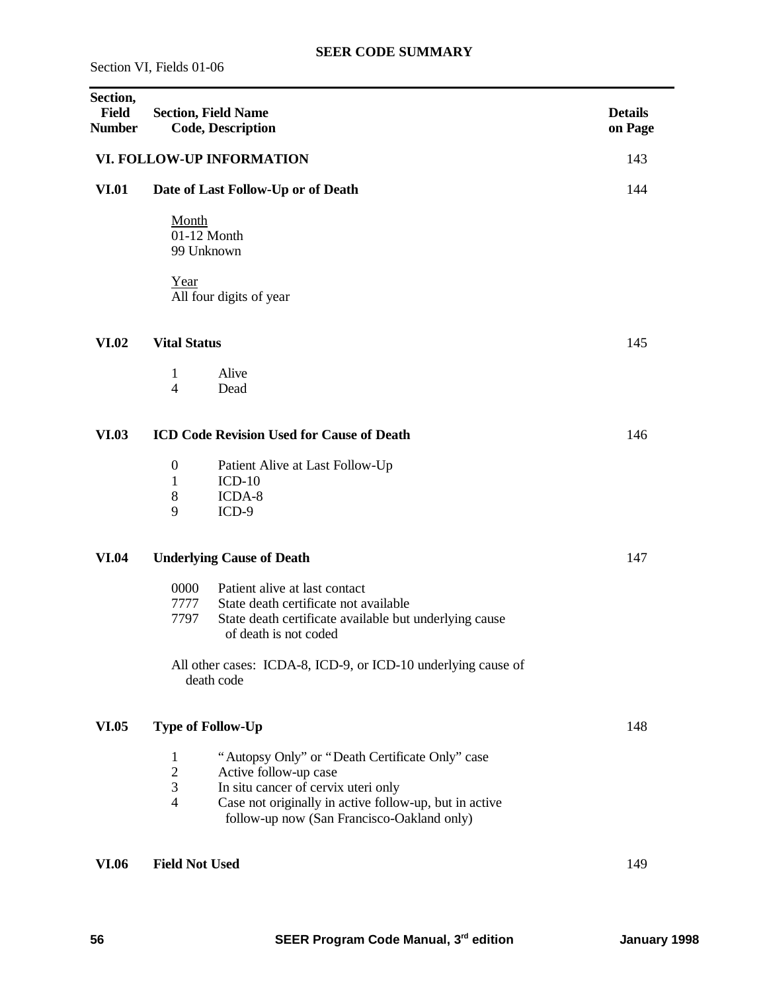| Section,<br><b>Field</b><br><b>Number</b> |                                                   | <b>Section, Field Name</b><br><b>Code, Description</b>                                                                                                                                                                  | <b>Details</b><br>on Page |
|-------------------------------------------|---------------------------------------------------|-------------------------------------------------------------------------------------------------------------------------------------------------------------------------------------------------------------------------|---------------------------|
|                                           |                                                   | <b>VI. FOLLOW-UP INFORMATION</b>                                                                                                                                                                                        | 143                       |
| <b>VI.01</b>                              |                                                   | Date of Last Follow-Up or of Death                                                                                                                                                                                      | 144                       |
|                                           | Month<br>01-12 Month<br>99 Unknown<br>Year        | All four digits of year                                                                                                                                                                                                 |                           |
| <b>VI.02</b>                              | <b>Vital Status</b>                               |                                                                                                                                                                                                                         | 145                       |
|                                           | 1<br>$\overline{4}$                               | Alive                                                                                                                                                                                                                   |                           |
|                                           |                                                   | Dead                                                                                                                                                                                                                    |                           |
| <b>VI.03</b>                              |                                                   | <b>ICD Code Revision Used for Cause of Death</b>                                                                                                                                                                        | 146                       |
|                                           | $\boldsymbol{0}$<br>1<br>8<br>9                   | Patient Alive at Last Follow-Up<br>$ICD-10$<br>ICDA-8<br>ICD-9                                                                                                                                                          |                           |
| <b>VI.04</b>                              |                                                   | <b>Underlying Cause of Death</b>                                                                                                                                                                                        | 147                       |
|                                           | 0000<br>7777<br>7797                              | Patient alive at last contact<br>State death certificate not available<br>State death certificate available but underlying cause<br>of death is not coded                                                               |                           |
|                                           |                                                   | All other cases: ICDA-8, ICD-9, or ICD-10 underlying cause of<br>death code                                                                                                                                             |                           |
| <b>VI.05</b>                              | <b>Type of Follow-Up</b>                          |                                                                                                                                                                                                                         | 148                       |
|                                           | $\mathbf{1}$<br>$\sqrt{2}$<br>3<br>$\overline{4}$ | "Autopsy Only" or "Death Certificate Only" case<br>Active follow-up case<br>In situ cancer of cervix uteri only<br>Case not originally in active follow-up, but in active<br>follow-up now (San Francisco-Oakland only) |                           |
| <b>VI.06</b>                              | <b>Field Not Used</b>                             |                                                                                                                                                                                                                         | 149                       |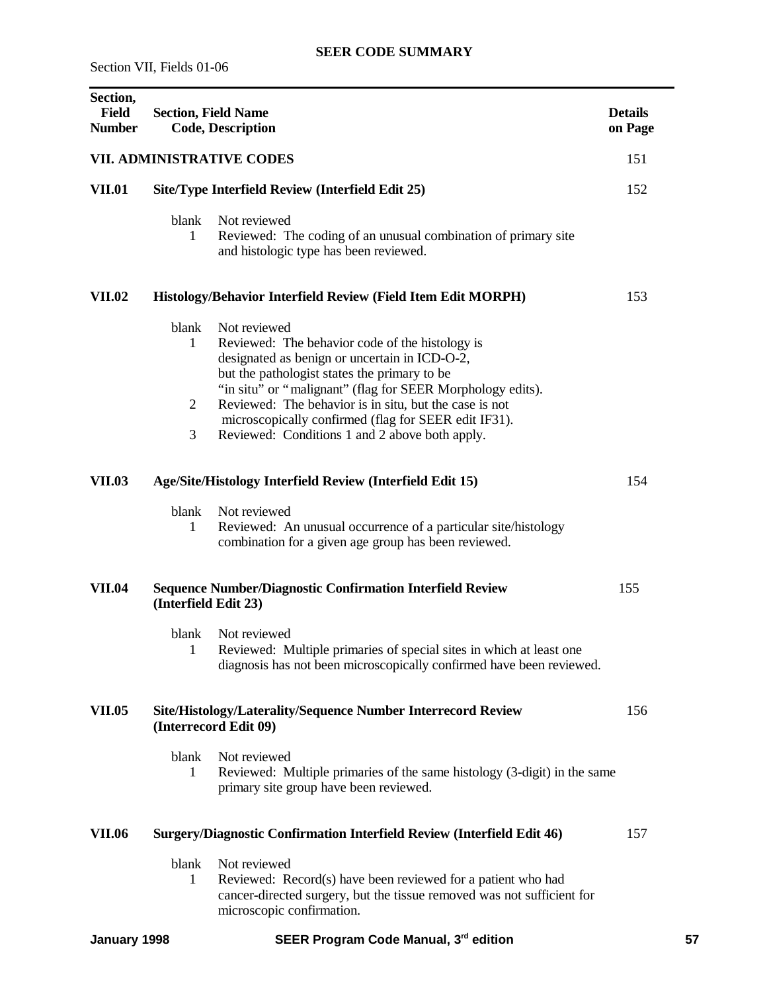| Section,<br><b>Field</b><br><b>Number</b> | <b>Section, Field Name</b><br><b>Code, Description</b>                 |                                                                                                                                                                                                                                                                                                                                                                                                    | <b>Details</b><br>on Page |  |
|-------------------------------------------|------------------------------------------------------------------------|----------------------------------------------------------------------------------------------------------------------------------------------------------------------------------------------------------------------------------------------------------------------------------------------------------------------------------------------------------------------------------------------------|---------------------------|--|
| <b>VII. ADMINISTRATIVE CODES</b><br>151   |                                                                        |                                                                                                                                                                                                                                                                                                                                                                                                    |                           |  |
| <b>VII.01</b>                             | Site/Type Interfield Review (Interfield Edit 25)                       |                                                                                                                                                                                                                                                                                                                                                                                                    | 152                       |  |
|                                           | blank<br>$\mathbf{1}$                                                  | Not reviewed<br>Reviewed: The coding of an unusual combination of primary site<br>and histologic type has been reviewed.                                                                                                                                                                                                                                                                           |                           |  |
| <b>VII.02</b>                             | Histology/Behavior Interfield Review (Field Item Edit MORPH)           |                                                                                                                                                                                                                                                                                                                                                                                                    | 153                       |  |
|                                           | blank<br>$\mathbf{1}$<br>2<br>3                                        | Not reviewed<br>Reviewed: The behavior code of the histology is<br>designated as benign or uncertain in ICD-O-2,<br>but the pathologist states the primary to be<br>"in situ" or "malignant" (flag for SEER Morphology edits).<br>Reviewed: The behavior is in situ, but the case is not<br>microscopically confirmed (flag for SEER edit IF31).<br>Reviewed: Conditions 1 and 2 above both apply. |                           |  |
| <b>VII.03</b>                             | Age/Site/Histology Interfield Review (Interfield Edit 15)              |                                                                                                                                                                                                                                                                                                                                                                                                    | 154                       |  |
|                                           | blank<br>1                                                             | Not reviewed<br>Reviewed: An unusual occurrence of a particular site/histology<br>combination for a given age group has been reviewed.                                                                                                                                                                                                                                                             |                           |  |
| <b>VII.04</b>                             | (Interfield Edit 23)                                                   | <b>Sequence Number/Diagnostic Confirmation Interfield Review</b>                                                                                                                                                                                                                                                                                                                                   | 155                       |  |
|                                           | blank                                                                  | Not reviewed<br>Reviewed: Multiple primaries of special sites in which at least one<br>diagnosis has not been microscopically confirmed have been reviewed.                                                                                                                                                                                                                                        |                           |  |
| <b>VII.05</b>                             |                                                                        | Site/Histology/Laterality/Sequence Number Interrecord Review<br>(Interrecord Edit 09)                                                                                                                                                                                                                                                                                                              | 156                       |  |
|                                           | blank<br>$\mathbf{1}$                                                  | Not reviewed<br>Reviewed: Multiple primaries of the same histology (3-digit) in the same<br>primary site group have been reviewed.                                                                                                                                                                                                                                                                 |                           |  |
| <b>VII.06</b>                             | Surgery/Diagnostic Confirmation Interfield Review (Interfield Edit 46) |                                                                                                                                                                                                                                                                                                                                                                                                    | 157                       |  |
|                                           | blank<br>$\mathbf{1}$                                                  | Not reviewed<br>Reviewed: Record(s) have been reviewed for a patient who had<br>cancer-directed surgery, but the tissue removed was not sufficient for<br>microscopic confirmation.                                                                                                                                                                                                                |                           |  |

# **January 1998 SEER Program Code Manual, 3rd edition 57**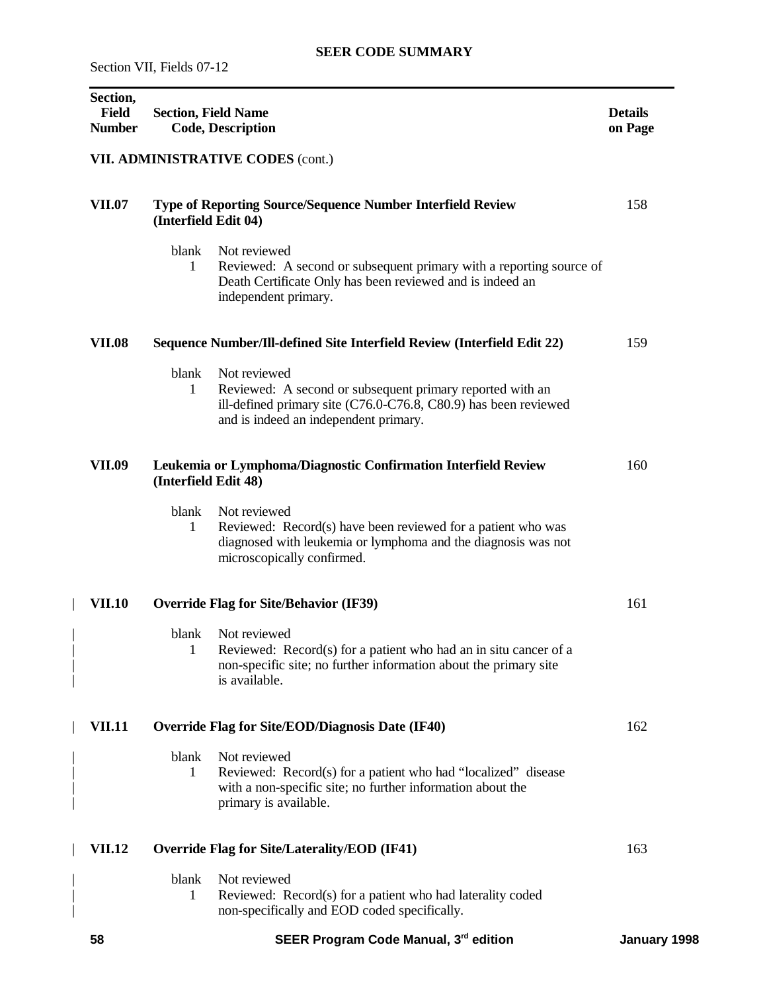| Section,<br>Field<br><b>Number</b> |                                                                                           | <b>Section, Field Name</b><br><b>Code, Description</b>                                                                                                                                | <b>Details</b><br>on Page |
|------------------------------------|-------------------------------------------------------------------------------------------|---------------------------------------------------------------------------------------------------------------------------------------------------------------------------------------|---------------------------|
|                                    |                                                                                           | VII. ADMINISTRATIVE CODES (cont.)                                                                                                                                                     |                           |
| <b>VII.07</b>                      | <b>Type of Reporting Source/Sequence Number Interfield Review</b><br>(Interfield Edit 04) |                                                                                                                                                                                       | 158                       |
|                                    | blank<br>1                                                                                | Not reviewed<br>Reviewed: A second or subsequent primary with a reporting source of<br>Death Certificate Only has been reviewed and is indeed an<br>independent primary.              |                           |
| <b>VII.08</b>                      |                                                                                           | Sequence Number/Ill-defined Site Interfield Review (Interfield Edit 22)                                                                                                               | 159                       |
|                                    | blank<br>$\mathbf 1$                                                                      | Not reviewed<br>Reviewed: A second or subsequent primary reported with an<br>ill-defined primary site (C76.0-C76.8, C80.9) has been reviewed<br>and is indeed an independent primary. |                           |
| <b>VII.09</b>                      | (Interfield Edit 48)                                                                      | Leukemia or Lymphoma/Diagnostic Confirmation Interfield Review                                                                                                                        | 160                       |
|                                    | blank<br>1                                                                                | Not reviewed<br>Reviewed: Record(s) have been reviewed for a patient who was<br>diagnosed with leukemia or lymphoma and the diagnosis was not<br>microscopically confirmed.           |                           |
| <b>VII.10</b>                      |                                                                                           | <b>Override Flag for Site/Behavior (IF39)</b>                                                                                                                                         | 161                       |
|                                    | blank                                                                                     | Not reviewed<br>Reviewed: Record(s) for a patient who had an in situ cancer of a<br>non-specific site; no further information about the primary site<br>is available.                 |                           |
| <b>VII.11</b>                      |                                                                                           | <b>Override Flag for Site/EOD/Diagnosis Date (IF40)</b>                                                                                                                               | 162                       |
|                                    | blank<br>1                                                                                | Not reviewed<br>Reviewed: Record(s) for a patient who had "localized" disease<br>with a non-specific site; no further information about the<br>primary is available.                  |                           |
| <b>VII.12</b>                      | <b>Override Flag for Site/Laterality/EOD (IF41)</b>                                       |                                                                                                                                                                                       | 163                       |
|                                    | blank<br>$\mathbf{1}$                                                                     | Not reviewed<br>Reviewed: Record(s) for a patient who had laterality coded<br>non-specifically and EOD coded specifically.                                                            |                           |
| 58                                 |                                                                                           | SEER Program Code Manual, 3rd edition                                                                                                                                                 | January 1998              |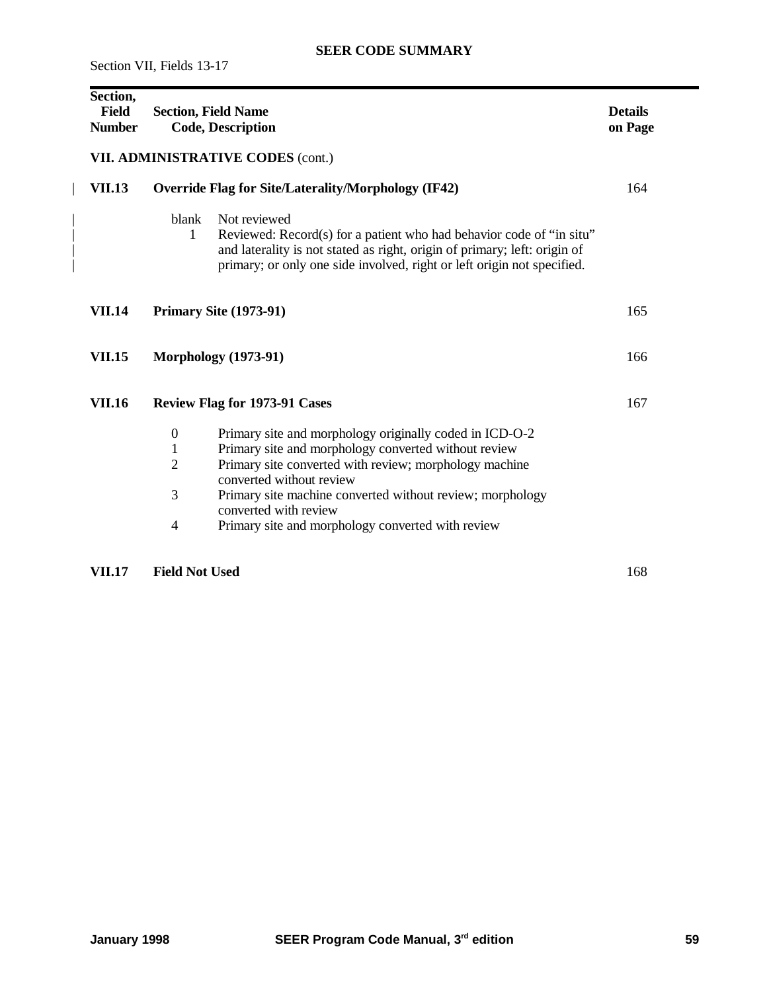| Section,<br><b>Field</b><br><b>Number</b> |                                                                     | <b>Section, Field Name</b><br><b>Code, Description</b>                                                                                                                                                                                                                                                                                           | <b>Details</b><br>on Page |  |
|-------------------------------------------|---------------------------------------------------------------------|--------------------------------------------------------------------------------------------------------------------------------------------------------------------------------------------------------------------------------------------------------------------------------------------------------------------------------------------------|---------------------------|--|
| VII. ADMINISTRATIVE CODES (cont.)         |                                                                     |                                                                                                                                                                                                                                                                                                                                                  |                           |  |
| <b>VII.13</b>                             | <b>Override Flag for Site/Laterality/Morphology (IF42)</b>          |                                                                                                                                                                                                                                                                                                                                                  |                           |  |
|                                           | blank<br>$\mathbf{1}$                                               | Not reviewed<br>Reviewed: Record(s) for a patient who had behavior code of "in situ"<br>and laterality is not stated as right, origin of primary; left: origin of<br>primary; or only one side involved, right or left origin not specified.                                                                                                     |                           |  |
| <b>VII.14</b>                             |                                                                     | <b>Primary Site (1973-91)</b>                                                                                                                                                                                                                                                                                                                    | 165                       |  |
| <b>VII.15</b>                             | <b>Morphology</b> (1973-91)<br><b>Review Flag for 1973-91 Cases</b> |                                                                                                                                                                                                                                                                                                                                                  | 166                       |  |
| <b>VII.16</b>                             |                                                                     |                                                                                                                                                                                                                                                                                                                                                  | 167                       |  |
|                                           | $\boldsymbol{0}$<br>1<br>$\overline{2}$<br>3<br>4                   | Primary site and morphology originally coded in ICD-O-2<br>Primary site and morphology converted without review<br>Primary site converted with review; morphology machine<br>converted without review<br>Primary site machine converted without review; morphology<br>converted with review<br>Primary site and morphology converted with review |                           |  |
|                                           |                                                                     |                                                                                                                                                                                                                                                                                                                                                  |                           |  |

# **VII.17 Field Not Used** 168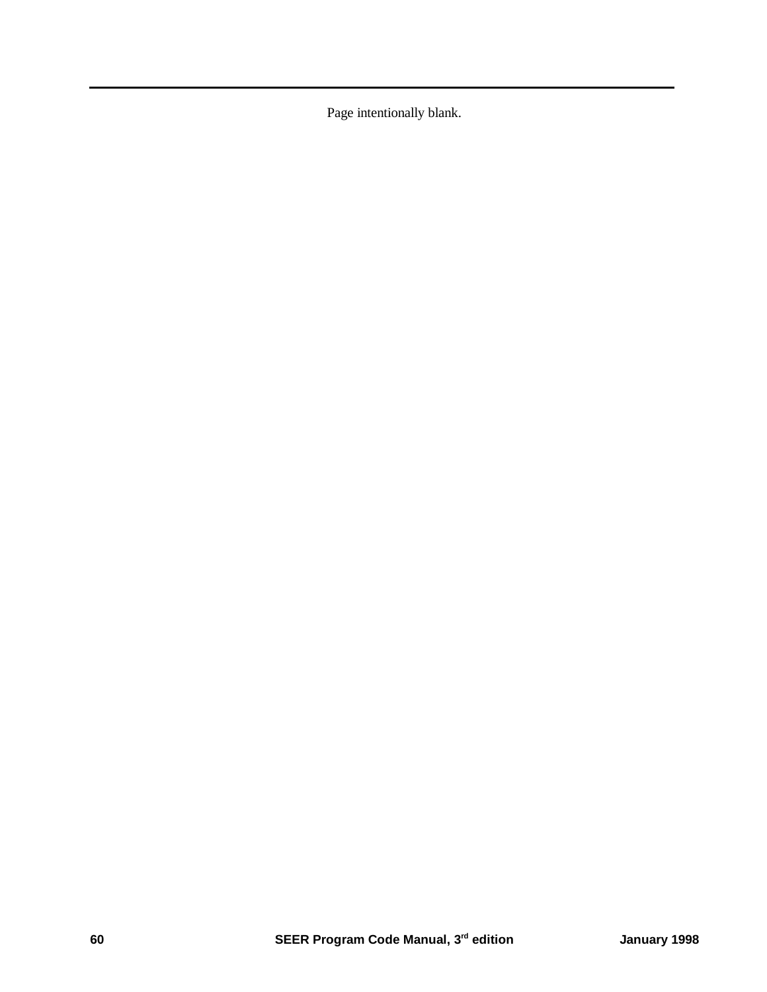Page intentionally blank.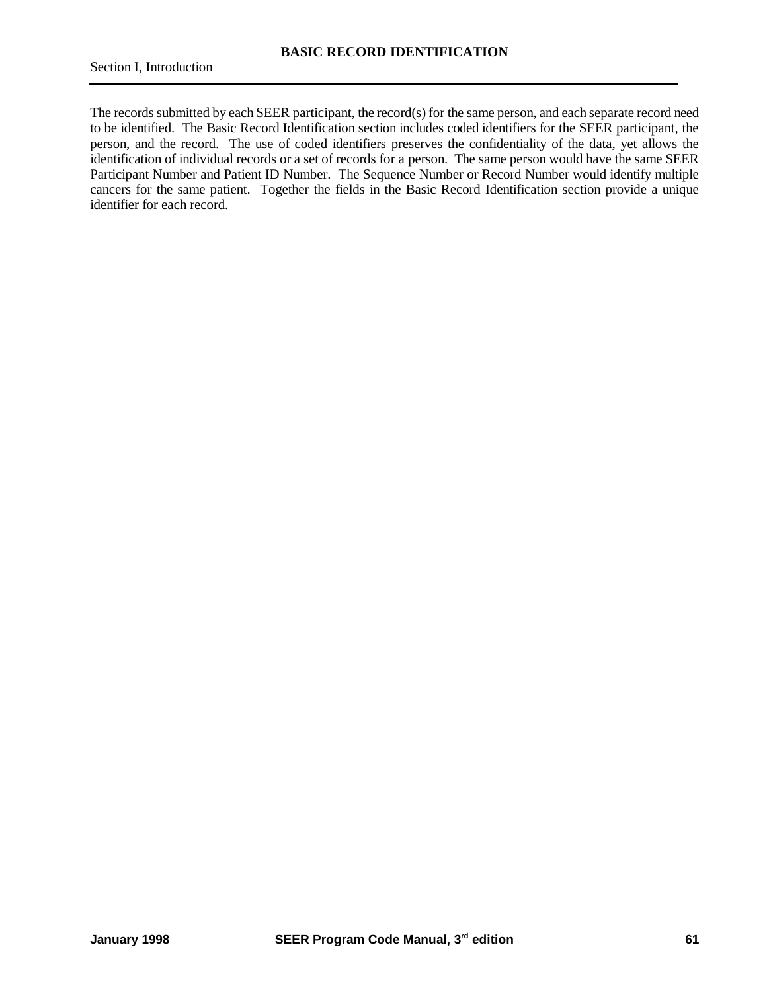The records submitted by each SEER participant, the record(s) for the same person, and each separate record need to be identified. The Basic Record Identification section includes coded identifiers for the SEER participant, the person, and the record. The use of coded identifiers preserves the confidentiality of the data, yet allows the identification of individual records or a set of records for a person. The same person would have the same SEER Participant Number and Patient ID Number. The Sequence Number or Record Number would identify multiple cancers for the same patient. Together the fields in the Basic Record Identification section provide a unique identifier for each record.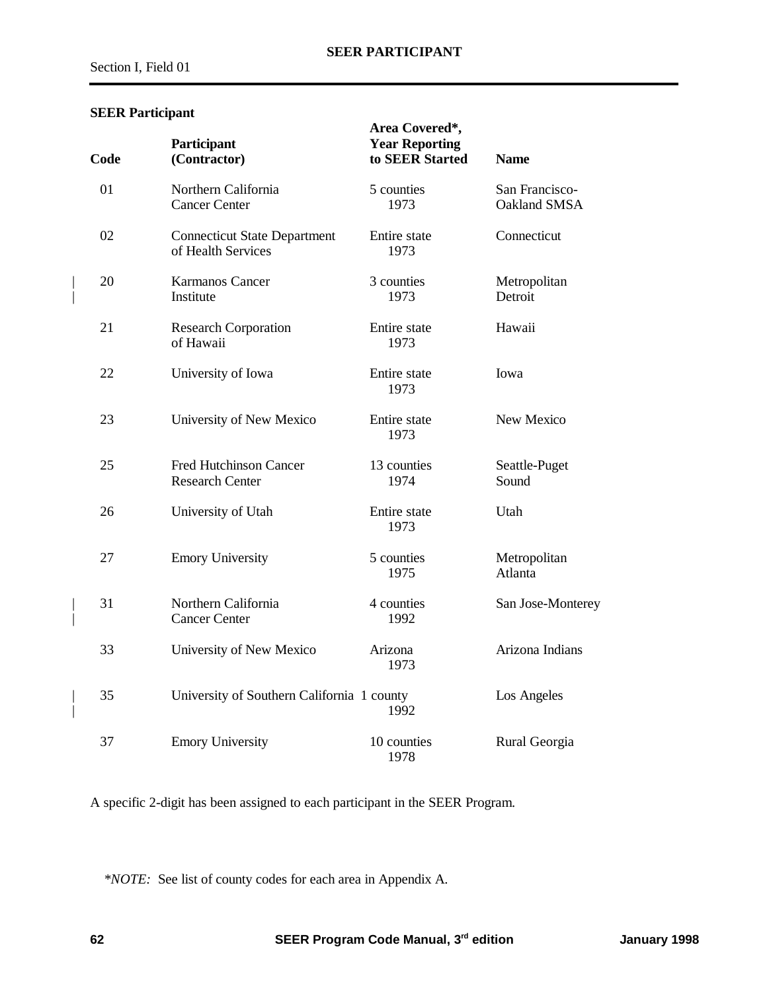## **SEER Participant**

| Code | Participant<br>(Contractor)                               | Area Covered*,<br><b>Year Reporting</b><br>to SEER Started | <b>Name</b>                           |
|------|-----------------------------------------------------------|------------------------------------------------------------|---------------------------------------|
| 01   | Northern California<br><b>Cancer Center</b>               | 5 counties<br>1973                                         | San Francisco-<br><b>Oakland SMSA</b> |
| 02   | <b>Connecticut State Department</b><br>of Health Services | Entire state<br>1973                                       | Connecticut                           |
| 20   | Karmanos Cancer<br>Institute                              | 3 counties<br>1973                                         | Metropolitan<br>Detroit               |
| 21   | <b>Research Corporation</b><br>of Hawaii                  | Entire state<br>1973                                       | Hawaii                                |
| 22   | University of Iowa                                        | Entire state<br>1973                                       | Iowa                                  |
| 23   | University of New Mexico                                  | Entire state<br>1973                                       | New Mexico                            |
| 25   | Fred Hutchinson Cancer<br><b>Research Center</b>          | 13 counties<br>1974                                        | Seattle-Puget<br>Sound                |
| 26   | University of Utah                                        | Entire state<br>1973                                       | Utah                                  |
| 27   | <b>Emory University</b>                                   | 5 counties<br>1975                                         | Metropolitan<br>Atlanta               |
| 31   | Northern California<br><b>Cancer Center</b>               | 4 counties<br>1992                                         | San Jose-Monterey                     |
| 33   | University of New Mexico                                  | Arizona<br>1973                                            | Arizona Indians                       |
| 35   | University of Southern California 1 county                | 1992                                                       | Los Angeles                           |
| 37   | <b>Emory University</b>                                   | 10 counties<br>1978                                        | Rural Georgia                         |

A specific 2-digit has been assigned to each participant in the SEER Program.

\**NOTE:* See list of county codes for each area in Appendix A.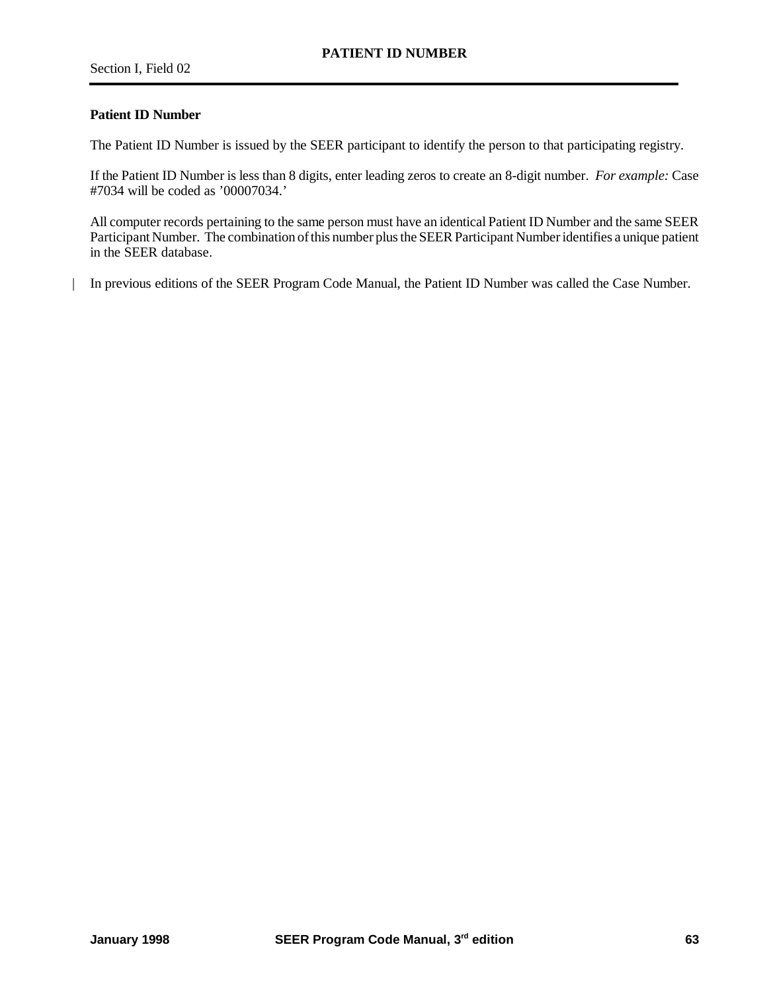#### **Patient ID Number**

The Patient ID Number is issued by the SEER participant to identify the person to that participating registry.

If the Patient ID Number is less than 8 digits, enter leading zeros to create an 8-digit number. *For example:* Case #7034 will be coded as '00007034.'

All computer records pertaining to the same person must have an identical Patient ID Number and the same SEER Participant Number. The combination of this number plus the SEER Participant Number identifies a unique patient in the SEER database.

| In previous editions of the SEER Program Code Manual, the Patient ID Number was called the Case Number.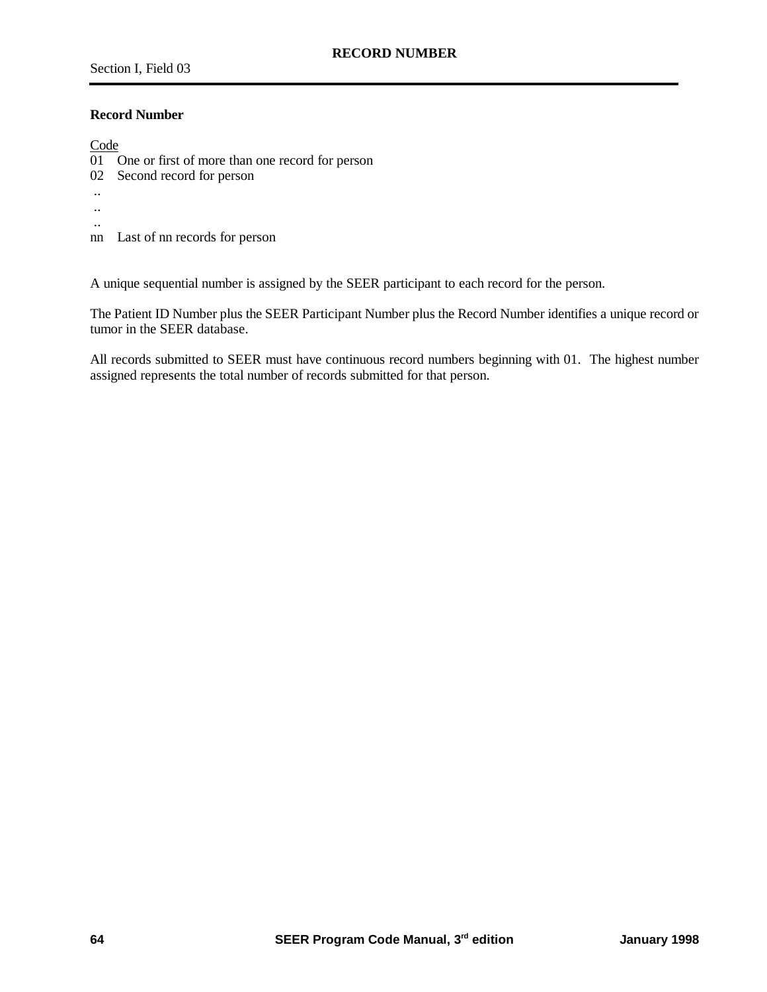#### **Record Number**

#### Code

- 01 One or first of more than one record for person
- 02 Second record for person
- ..
- ..
- ..
- nn Last of nn records for person

A unique sequential number is assigned by the SEER participant to each record for the person.

The Patient ID Number plus the SEER Participant Number plus the Record Number identifies a unique record or tumor in the SEER database.

All records submitted to SEER must have continuous record numbers beginning with 01. The highest number assigned represents the total number of records submitted for that person.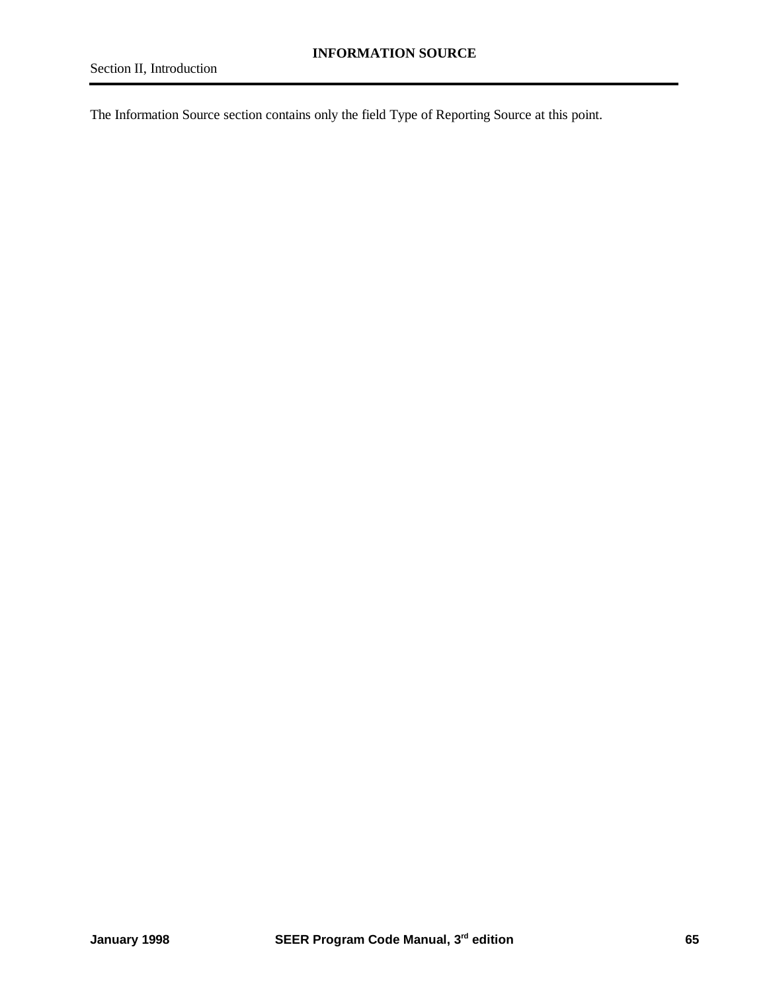The Information Source section contains only the field Type of Reporting Source at this point.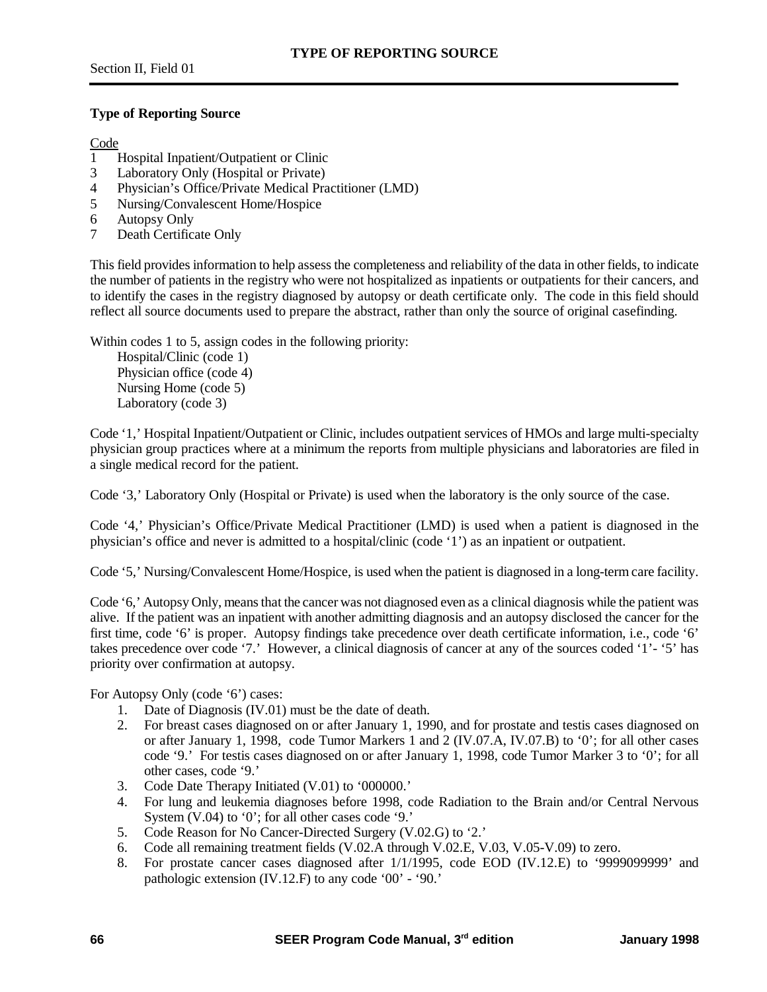# **Type of Reporting Source**

# Code

- 1 Hospital Inpatient/Outpatient or Clinic
- 3 Laboratory Only (Hospital or Private)
- 4 Physician's Office/Private Medical Practitioner (LMD)
- 5 Nursing/Convalescent Home/Hospice
- 6 Autopsy Only
- 7 Death Certificate Only

This field providesinformation to help assessthe completeness and reliability of the data in other fields, to indicate the number of patients in the registry who were not hospitalized as inpatients or outpatients for their cancers, and to identify the cases in the registry diagnosed by autopsy or death certificate only. The code in this field should reflect all source documents used to prepare the abstract, rather than only the source of original casefinding.

Within codes 1 to 5, assign codes in the following priority:

Hospital/Clinic (code 1) Physician office (code 4) Nursing Home (code 5) Laboratory (code 3)

Code '1,' Hospital Inpatient/Outpatient or Clinic, includes outpatient services of HMOs and large multi-specialty physician group practices where at a minimum the reports from multiple physicians and laboratories are filed in a single medical record for the patient.

Code '3,' Laboratory Only (Hospital or Private) is used when the laboratory is the only source of the case.

Code '4,'Physician's Office/Private Medical Practitioner (LMD) is used when a patient is diagnosed in the physician's office and never is admitted to a hospital/clinic (code '1') as an inpatient or outpatient.

Code '5,'Nursing/Convalescent Home/Hospice, is used when the patient is diagnosed in a long-term care facility.

Code '6,' Autopsy Only, means that the cancer was not diagnosed even as a clinical diagnosis while the patient was alive. If the patient was an inpatient with another admitting diagnosis and an autopsy disclosed the cancer for the first time, code '6' is proper. Autopsy findings take precedence over death certificate information, i.e., code '6' takes precedence over code '7.' However, a clinical diagnosis of cancer at any of the sources coded '1'- '5' has priority over confirmation at autopsy.

For Autopsy Only (code '6') cases:

- 1. Date of Diagnosis (IV.01) must be the date of death.
- 2. For breast cases diagnosed on or after January 1, 1990, and for prostate and testis cases diagnosed on or after January 1, 1998, code Tumor Markers 1 and 2 (IV.07.A, IV.07.B) to '0'; for all other cases code '9.' For testis cases diagnosed on or after January 1, 1998, code Tumor Marker 3 to '0'; for all other cases, code '9.'
- 3. Code Date Therapy Initiated (V.01) to '000000.'
- 4. For lung and leukemia diagnoses before 1998, code Radiation to the Brain and/or Central Nervous System (V.04) to '0'; for all other cases code '9.'
- 5. Code Reason for No Cancer-Directed Surgery (V.02.G) to '2.'
- 6. Code all remaining treatment fields (V.02.A through V.02.E, V.03, V.05-V.09) to zero.
- 8. For prostate cancer cases diagnosed after 1/1/1995, code EOD (IV.12.E) to '9999099999' and pathologic extension (IV.12.F) to any code '00' - '90.'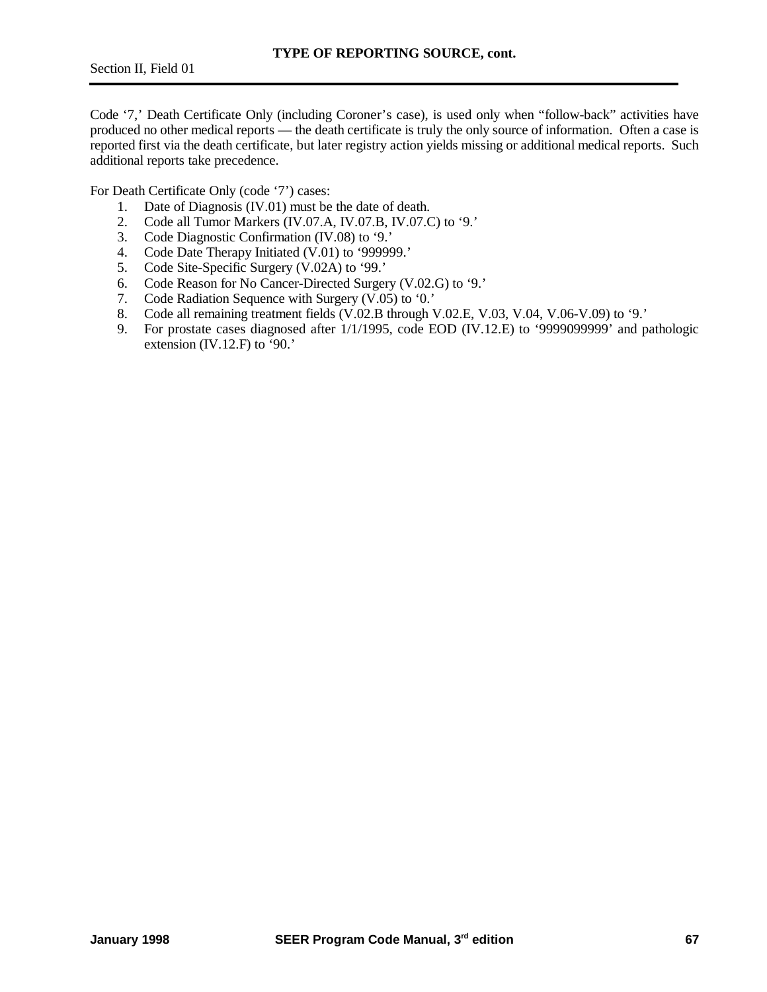Code '7,'Death Certificate Only (including Coroner's case), is used only when "follow-back" activities have produced no other medical reports — the death certificate is truly the only source of information. Often a case is reported first via the death certificate, but later registry action yields missing or additional medical reports. Such additional reports take precedence.

For Death Certificate Only (code '7') cases:

- 1. Date of Diagnosis (IV.01) must be the date of death.
- 2. Code all Tumor Markers (IV.07.A, IV.07.B, IV.07.C) to '9.'
- 3. Code Diagnostic Confirmation (IV.08) to '9.'
- 4. Code Date Therapy Initiated (V.01) to '999999.'
- 5. Code Site-Specific Surgery (V.02A) to '99.'
- 6. Code Reason for No Cancer-Directed Surgery (V.02.G) to '9.'
- 7. Code Radiation Sequence with Surgery (V.05) to '0.'
- 8. Code all remaining treatment fields (V.02.B through V.02.E, V.03, V.04, V.06-V.09) to '9.'
- 9. For prostate cases diagnosed after 1/1/1995, code EOD (IV.12.E) to '9999099999' and pathologic extension (IV.12.F) to '90.'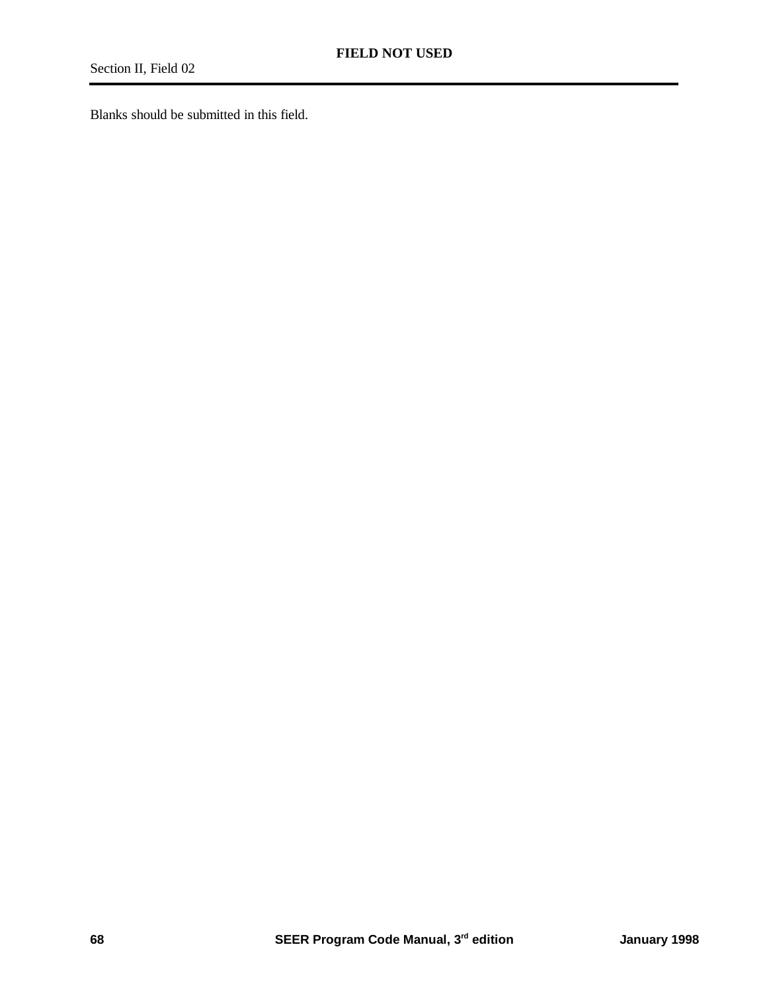Blanks should be submitted in this field.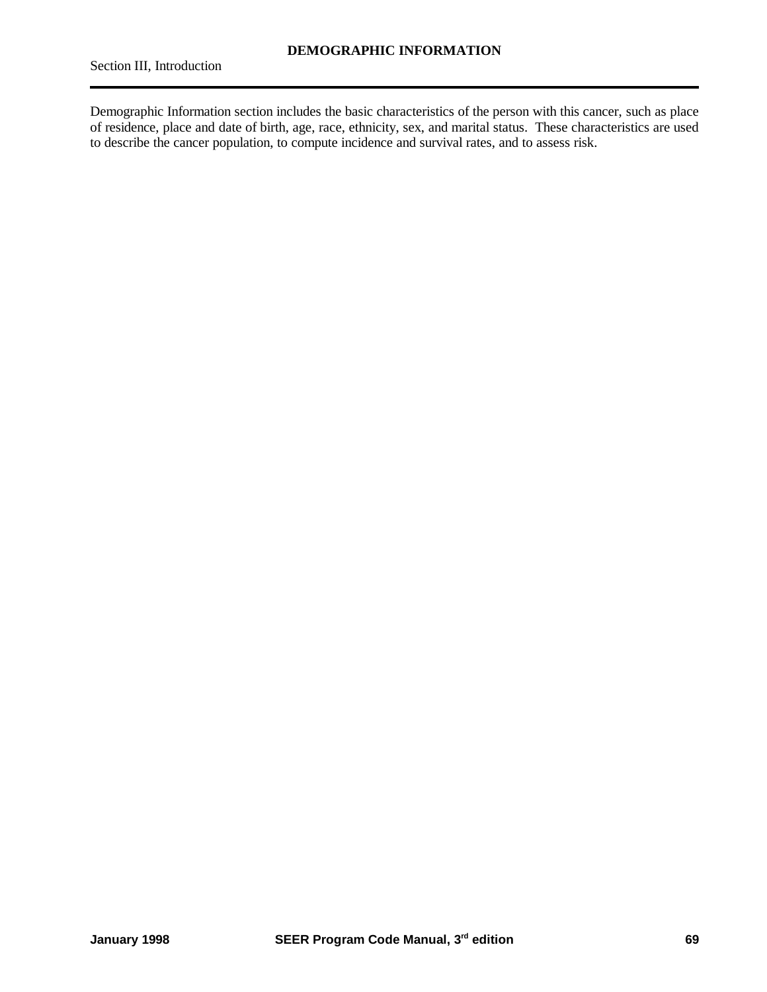Demographic Information section includes the basic characteristics of the person with this cancer, such as place of residence, place and date of birth, age, race, ethnicity, sex, and marital status. These characteristics are used to describe the cancer population, to compute incidence and survival rates, and to assess risk.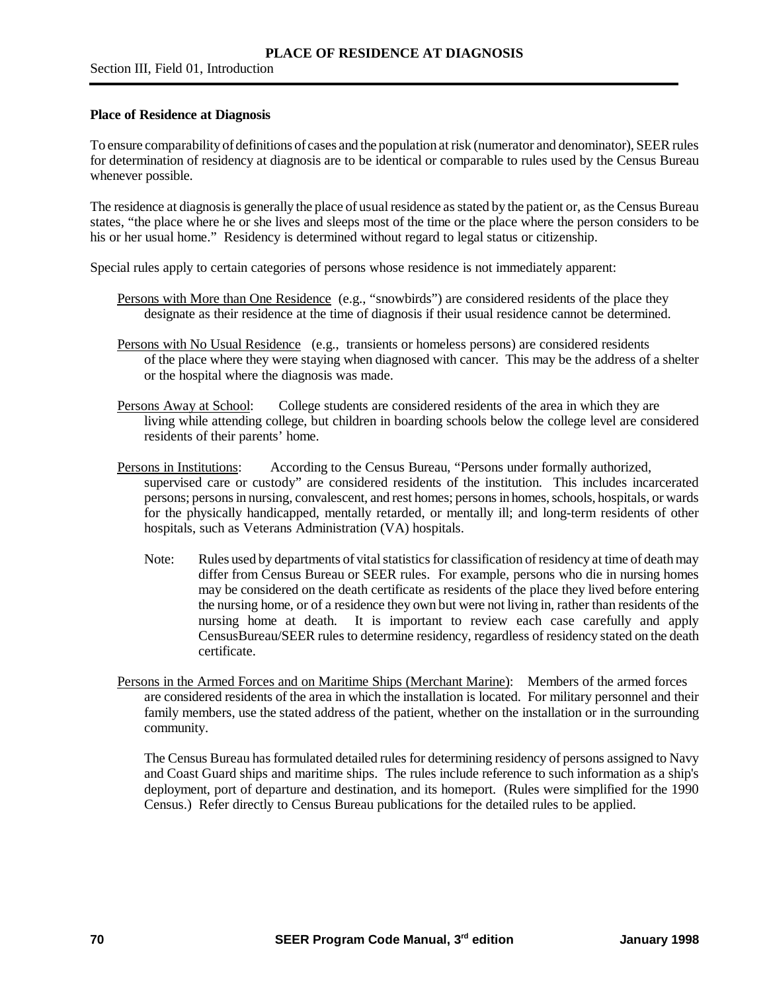## **Place of Residence at Diagnosis**

To ensure comparability of definitions of cases and the population atrisk (numerator and denominator), SEERrules for determination of residency at diagnosis are to be identical or comparable to rules used by the Census Bureau whenever possible.

The residence at diagnosis is generally the place of usual residence as stated by the patient or, as the Census Bureau states, "the place where he or she lives and sleeps most of the time or the place where the person considers to be his or her usual home." Residency is determined without regard to legal status or citizenship.

Special rules apply to certain categories of persons whose residence is not immediately apparent:

- Persons with More than One Residence (e.g., "snowbirds") are considered residents of the place they designate as their residence at the time of diagnosis if their usual residence cannot be determined.
- Persons with No Usual Residence (e.g., transients or homeless persons) are considered residents of the place where they were staying when diagnosed with cancer. This may be the address of a shelter or the hospital where the diagnosis was made.
- Persons Away at School: College students are considered residents of the area in which they are living while attending college, but children in boarding schools below the college level are considered residents of their parents' home.
- Persons in Institutions: According to the Census Bureau, "Persons under formally authorized, supervised care or custody" are considered residents of the institution. This includes incarcerated persons; persons in nursing, convalescent, and rest homes; persons in homes, schools, hospitals, or wards for the physically handicapped, mentally retarded, or mentally ill; and long-term residents of other hospitals, such as Veterans Administration (VA) hospitals.
	- Note: Rules used by departments of vital statistics for classification of residency at time of death may differ from Census Bureau or SEER rules. For example, persons who die in nursing homes may be considered on the death certificate as residents of the place they lived before entering the nursing home, or of a residence they own but were not living in, rather than residents of the nursing home at death. It is important to review each case carefully and apply CensusBureau/SEER rules to determine residency, regardless of residency stated on the death certificate.
- Persons in the Armed Forces and on Maritime Ships (Merchant Marine): Members of the armed forces are considered residents of the area in which the installation is located. For military personnel and their family members, use the stated address of the patient, whether on the installation or in the surrounding community.

The Census Bureau has formulated detailed rules for determining residency of persons assigned to Navy and Coast Guard ships and maritime ships. The rules include reference to such information as a ship's deployment, port of departure and destination, and its homeport. (Rules were simplified for the 1990 Census.) Refer directly to Census Bureau publications for the detailed rules to be applied.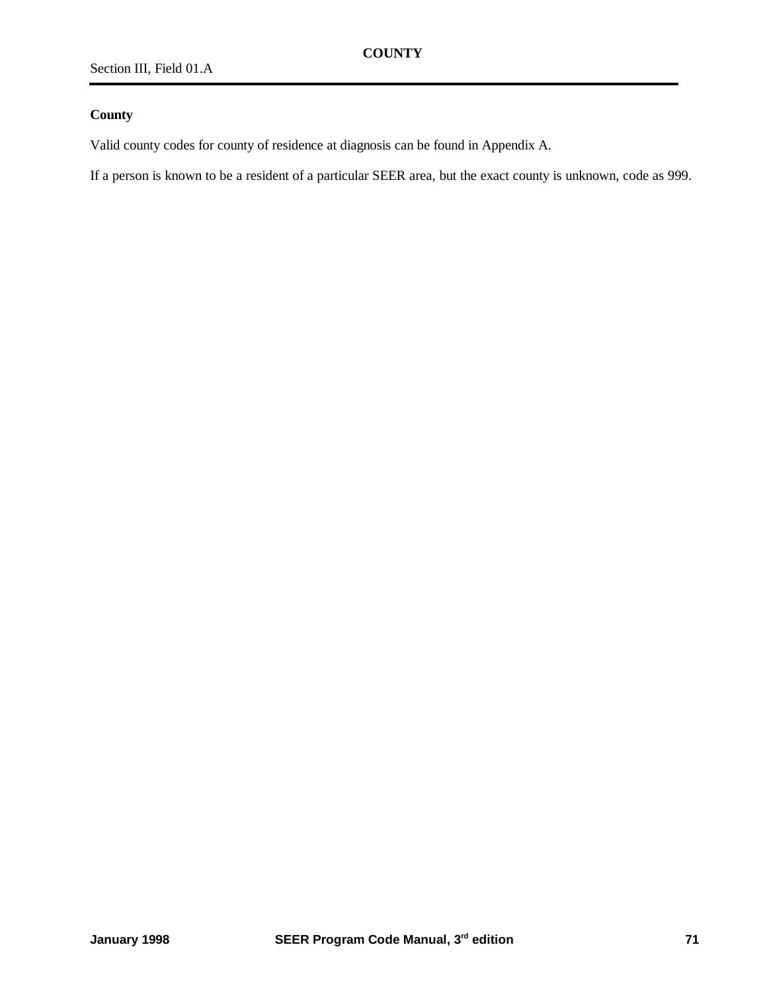# **County**

Valid county codes for county of residence at diagnosis can be found in Appendix A.

If a person is known to be a resident of a particular SEER area, but the exact county is unknown, code as 999.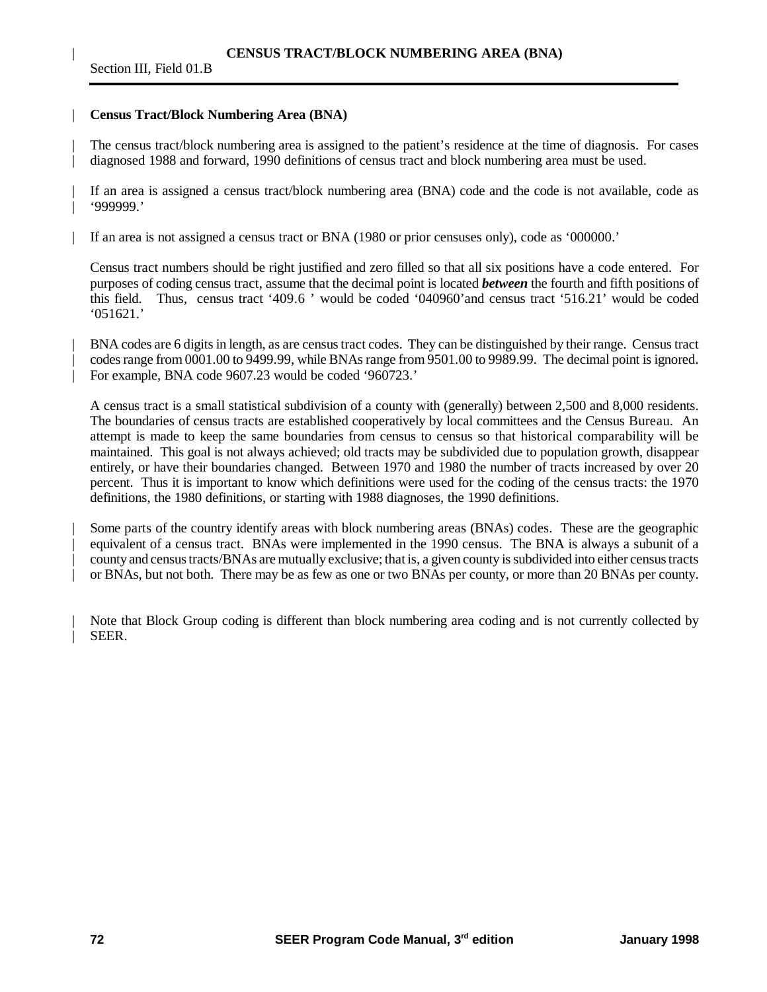Section III, Field 01.B

## | **Census Tract/Block Numbering Area (BNA)**

| The census tract/block numbering area is assigned to the patient's residence at the time of diagnosis. For cases | diagnosed 1988 and forward, 1990 definitions of census tract and block numbering area must be used.

| If an area is assigned a census tract/block numbering area (BNA) code and the code is not available, code as | '999999.'

| If an area is not assigned a census tract or BNA (1980 or prior censuses only), code as '000000.'

Census tract numbers should be right justified and zero filled so that all six positions have a code entered. For purposes of coding census tract, assume that the decimal point is located *between* the fourth and fifth positions of this field. Thus, census tract '409.6 ' would be coded '040960'and census tract '516.21' would be coded '051621.'

| BNA codes are 6 digitsin length, as are censustract codes. They can be distinguished by their range. Census tract | codesrange from 0001.00 to 9499.99, while BNAsrange from 9501.00 to 9989.99. The decimal point is ignored. | For example, BNA code 9607.23 would be coded '960723.'

A census tract is a small statistical subdivision of a county with (generally) between 2,500 and 8,000 residents. The boundaries of census tracts are established cooperatively by local committees and the Census Bureau. An attempt is made to keep the same boundaries from census to census so that historical comparability will be maintained. This goal is not always achieved; old tracts may be subdivided due to population growth, disappear entirely, or have their boundaries changed. Between 1970 and 1980 the number of tracts increased by over 20 percent. Thus it is important to know which definitions were used for the coding of the census tracts: the 1970 definitions, the 1980 definitions, or starting with 1988 diagnoses, the 1990 definitions.

| Some parts of the country identify areas with block numbering areas (BNAs) codes. These are the geographic | equivalent of a census tract. BNAs were implemented in the 1990 census. The BNA is always a subunit of a | county and censustracts/BNAs are mutually exclusive; that is, a given county issubdivided into either censustracts | or BNAs, but not both. There may be as few as one or two BNAs per county, or more than 20 BNAs per county.

Note that Block Group coding is different than block numbering area coding and is not currently collected by | SEER.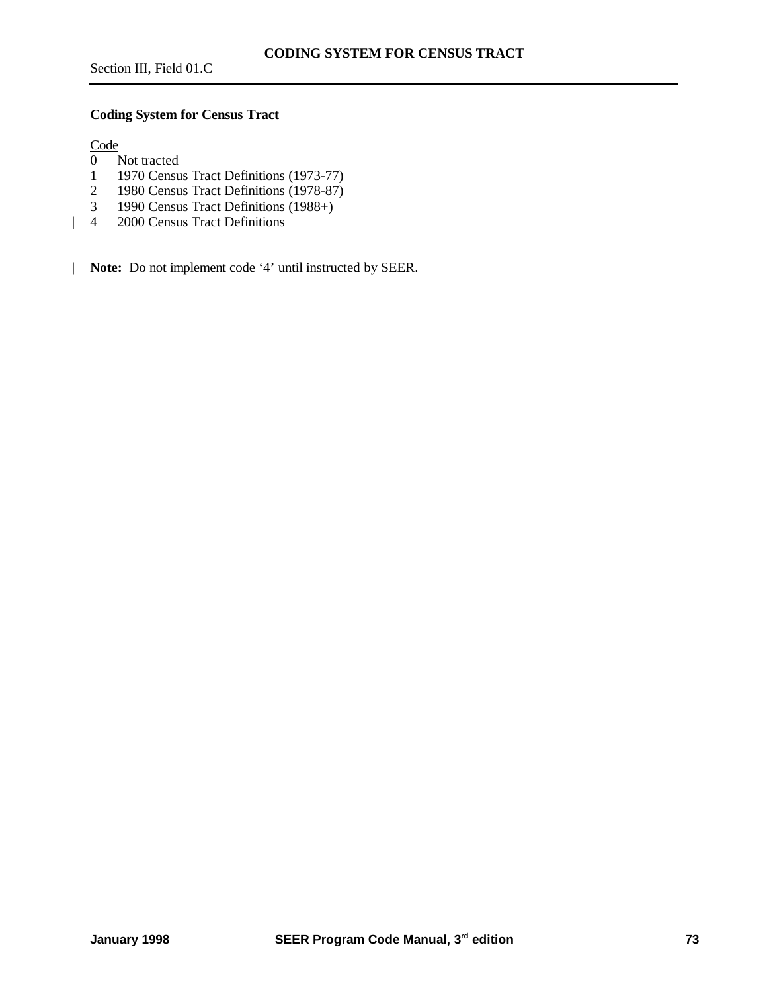# **Coding System for Census Tract**

Code

- 0 Not tracted
- 1 1970 Census Tract Definitions (1973-77)
- 2 1980 Census Tract Definitions (1978-87)<br>3 1990 Census Tract Definitions (1988+)
- 3 1990 Census Tract Definitions (1988+)
- | 4 2000 Census Tract Definitions

| **Note:** Do not implement code '4' until instructed by SEER.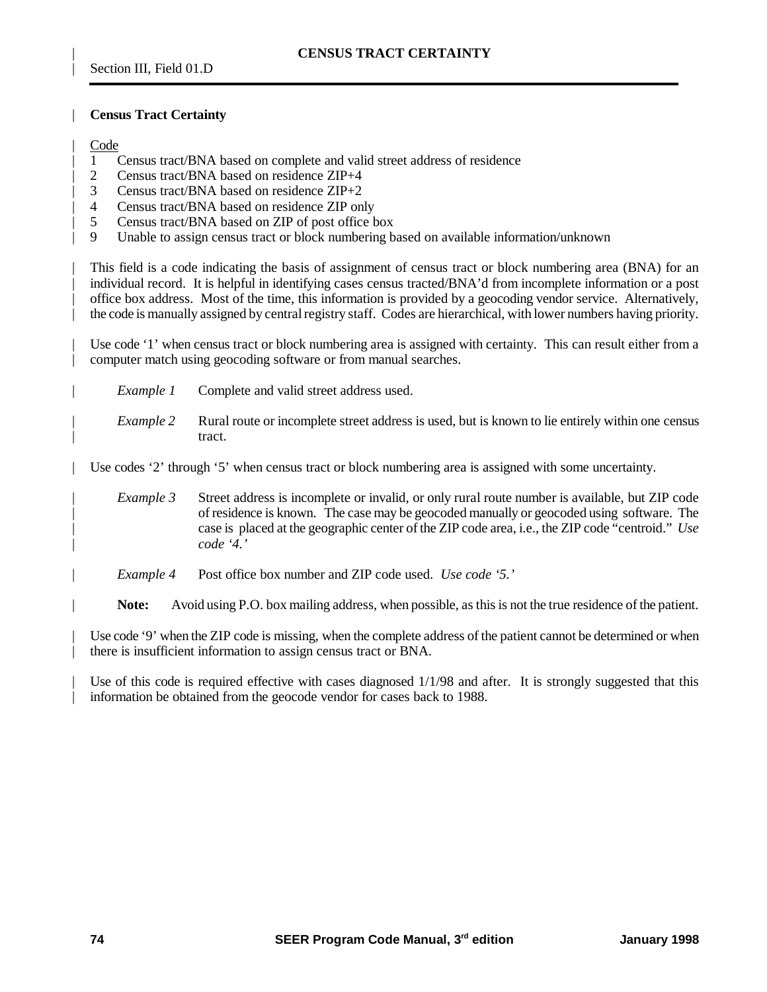## | **Census Tract Certainty**

## | Code

- | 1 Census tract/BNA based on complete and valid street address of residence
- | 2 Census tract/BNA based on residence ZIP+4
- | 3 Census tract/BNA based on residence ZIP+2
- | 4 Census tract/BNA based on residence ZIP only
- 5 Census tract/BNA based on ZIP of post office box
- | 9 Unable to assign census tract or block numbering based on available information/unknown

| This field is a code indicating the basis of assignment of census tract or block numbering area (BNA) for an | individual record. It is helpful in identifying cases census tracted/BNA'd from incomplete information or a post | office box address. Most of the time, this information is provided by a geocoding vendor service. Alternatively, | the code is manually assigned by central registry staff. Codes are hierarchical, with lower numbers having priority.

Use code '1' when census tract or block numbering area is assigned with certainty. This can result either from a | computer match using geocoding software or from manual searches.

*Example 1* Complete and valid street address used.

*Example* 2 Rural route or incomplete street address is used, but is known to lie entirely within one census tract.

| Use codes '2' through '5' when census tract or block numbering area is assigned with some uncertainty.

*Example 3* Street address is incomplete or invalid, or only rural route number is available, but ZIP code | of residence is known. The case may be geocoded manually or geocoded using software. The | case is placed at the geographic center of the ZIP code area, i.e., the ZIP code "centroid." *Use* | *code '4.'*

| *Example 4* Post office box number and ZIP code used. *Use code '5.'*

| **Note:** Avoid using P.O. box mailing address, when possible, asthisis not the true residence of the patient.

Use code '9' when the ZIP code is missing, when the complete address of the patient cannot be determined or when | there is insufficient information to assign census tract or BNA.

Use of this code is required effective with cases diagnosed  $1/1/98$  and after. It is strongly suggested that this information be obtained from the geocode vendor for cases back to 1988.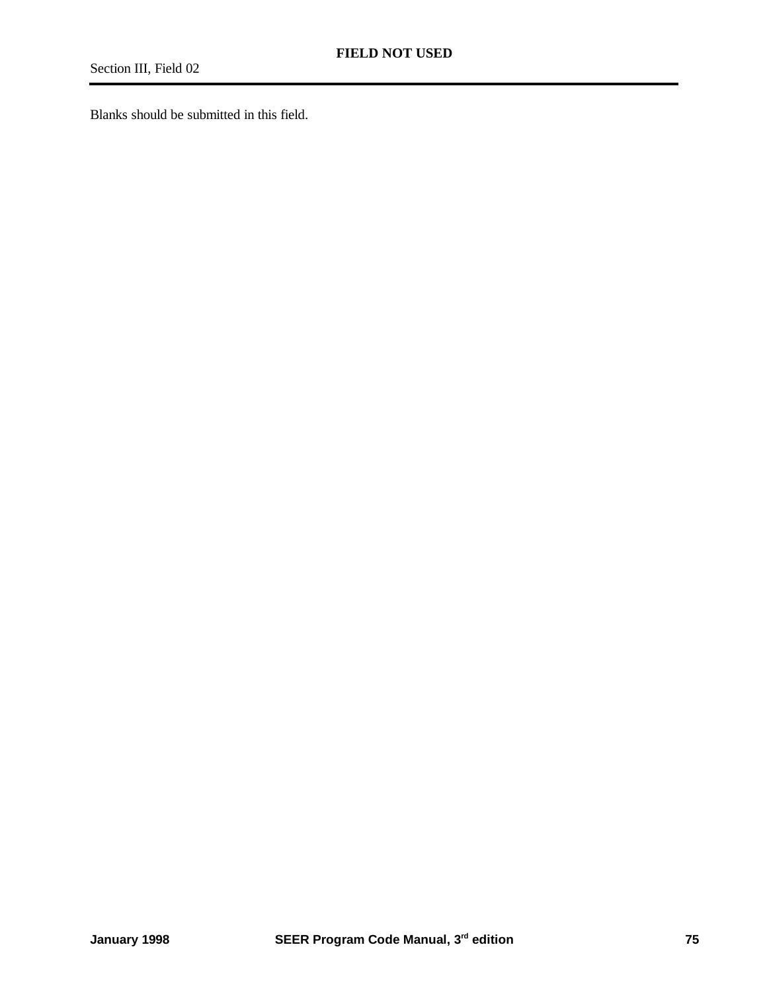Blanks should be submitted in this field.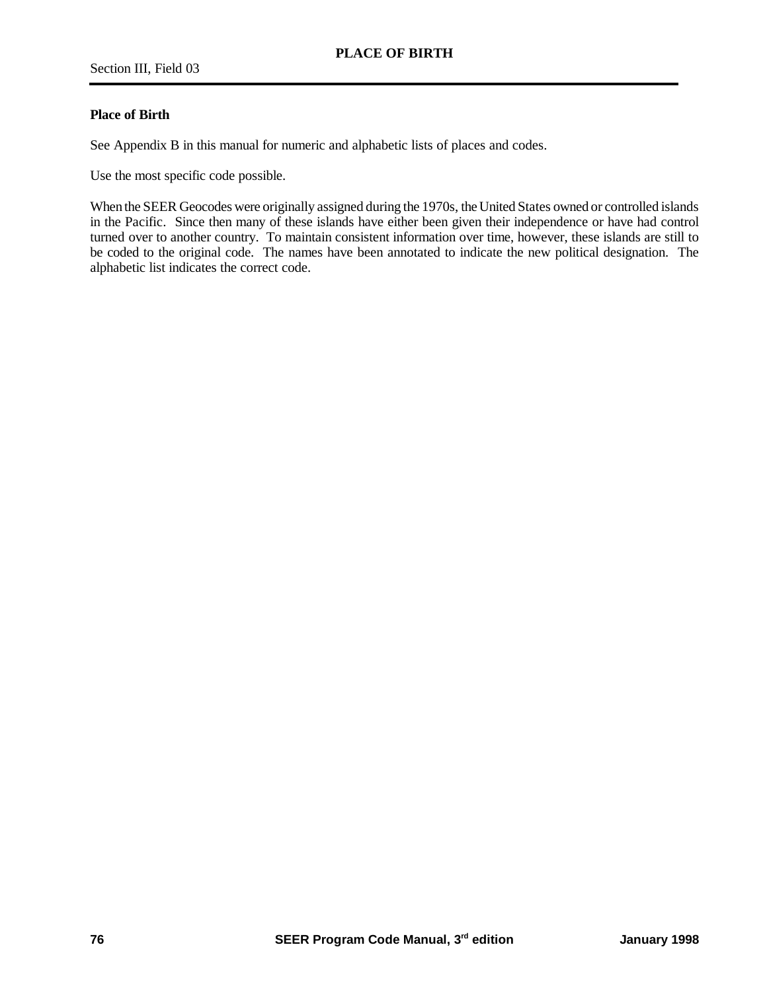# **Place of Birth**

See Appendix B in this manual for numeric and alphabetic lists of places and codes.

Use the most specific code possible.

When the SEER Geocodes were originally assigned during the 1970s, the United States owned or controlled islands in the Pacific. Since then many of these islands have either been given their independence or have had control turned over to another country. To maintain consistent information over time, however, these islands are still to be coded to the original code. The names have been annotated to indicate the new political designation. The alphabetic list indicates the correct code.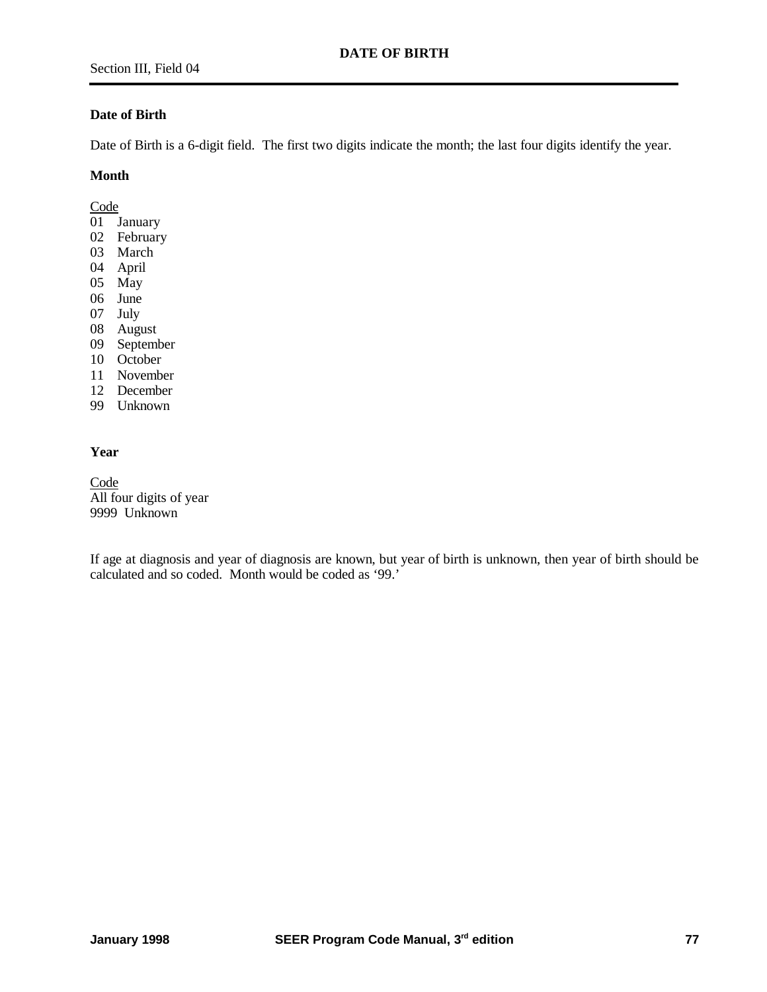# **Date of Birth**

Date of Birth is a 6-digit field. The first two digits indicate the month; the last four digits identify the year.

## **Month**

**Code** 

- 01 January
- 02 February
- 03 March
- 04 April
- 05 May
- 06 June
- 07 July
- 08 August
- 09 September
- 10 October
- 11 November
- 12 December
- 99 Unknown

## **Year**

Code All four digits of year 9999 Unknown

If age at diagnosis and year of diagnosis are known, but year of birth is unknown, then year of birth should be calculated and so coded. Month would be coded as '99.'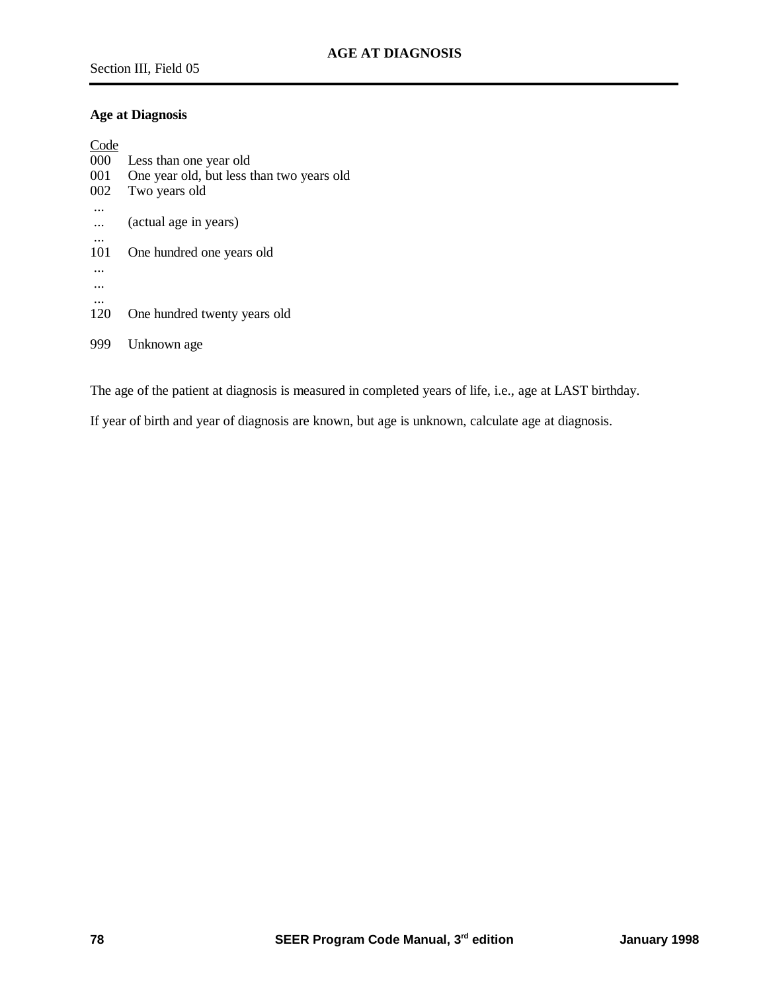# **Age at Diagnosis**

| Code<br>000<br>001 | Less than one year old<br>One year old, but less than two years old |
|--------------------|---------------------------------------------------------------------|
| 002                | Two years old                                                       |
| .                  | (actual age in years)                                               |
| 101                | One hundred one years old                                           |
|                    |                                                                     |
| 120                | One hundred twenty years old                                        |
|                    | Unknown age                                                         |

The age of the patient at diagnosis is measured in completed years of life, i.e., age at LAST birthday.

If year of birth and year of diagnosis are known, but age is unknown, calculate age at diagnosis.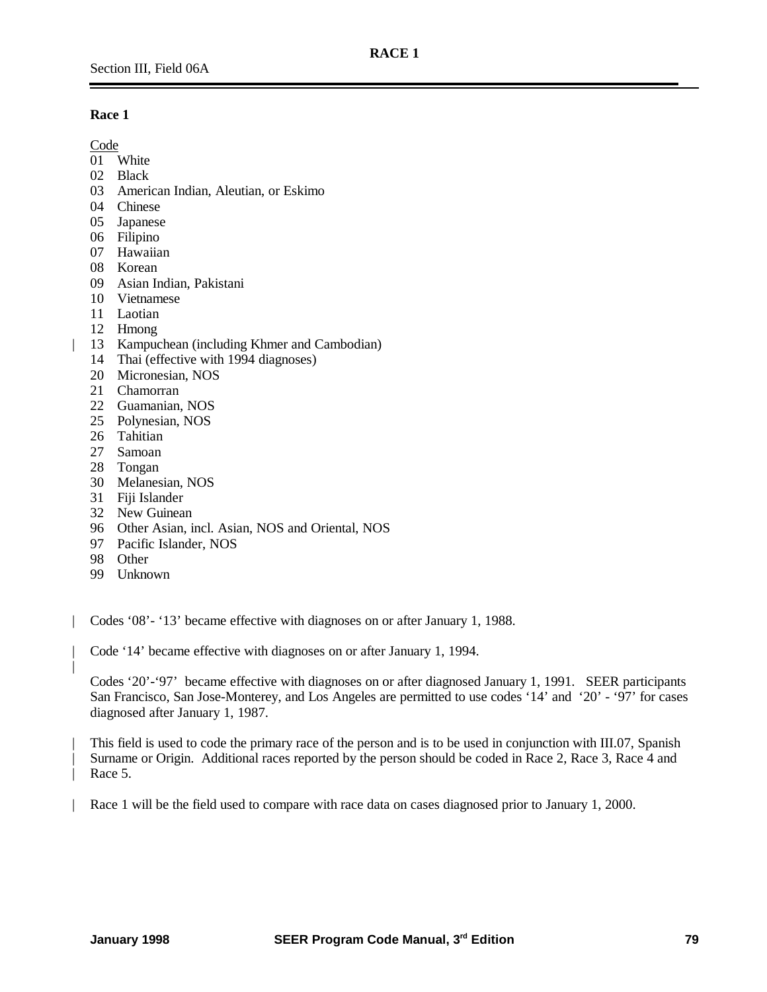## Code

- White
- Black
- American Indian, Aleutian, or Eskimo
- Chinese
- Japanese
- Filipino
- Hawaiian
- Korean
- Asian Indian, Pakistani
- Vietnamese
- Laotian
- Hmong
- 13 Kampuchean (including Khmer and Cambodian)
- 14 Thai (effective with 1994 diagnoses)
- Micronesian, NOS
- Chamorran
- Guamanian, NOS
- Polynesian, NOS
- Tahitian
- Samoan
- Tongan
- Melanesian, NOS
- Fiji Islander
- New Guinean
- Other Asian, incl. Asian, NOS and Oriental, NOS
- Pacific Islander, NOS
- Other

|

Unknown

| Codes '08'- '13' became effective with diagnoses on or after January 1, 1988.

| Code '14' became effective with diagnoses on or after January 1, 1994.

Codes '20'-'97' became effective with diagnoses on or after diagnosed January 1, 1991. SEER participants San Francisco, San Jose-Monterey, and Los Angeles are permitted to use codes '14' and '20' - '97' for cases diagnosed after January 1, 1987.

| This field is used to code the primary race of the person and is to be used in conjunction with III.07, Spanish Surname or Origin. Additional races reported by the person should be coded in Race 2, Race 3, Race 4 and  $\vert$  Race 5.

| Race 1 will be the field used to compare with race data on cases diagnosed prior to January 1, 2000.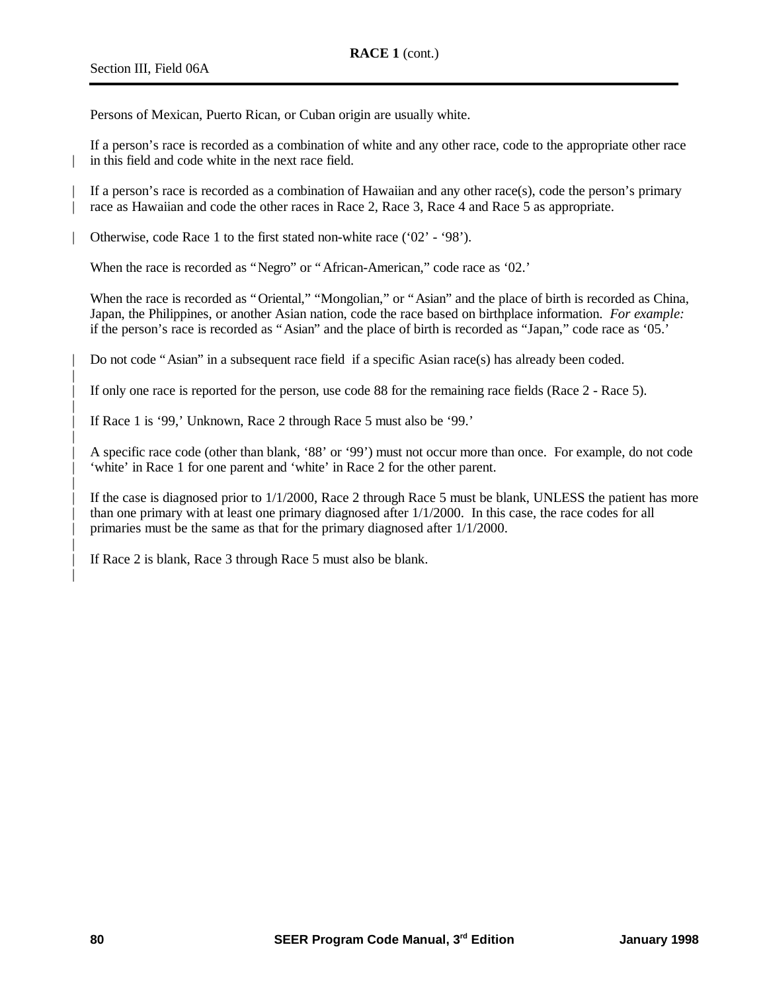Persons of Mexican, Puerto Rican, or Cuban origin are usually white.

If a person's race is recorded as a combination of white and any other race, code to the appropriate other race in this field and code white in the next race field.

If a person's race is recorded as a combination of Hawaiian and any other race(s), code the person's primary race as Hawaiian and code the other races in Race 2, Race 3, Race 4 and Race 5 as appropriate.

| Otherwise, code Race 1 to the first stated non-white race ('02' - '98').

When the race is recorded as "Negro" or "African-American," code race as '02.'

When the race is recorded as "Oriental," "Mongolian," or "Asian" and the place of birth is recorded as China, Japan, the Philippines, or another Asian nation, code the race based on birthplace information. *For example:* if the person's race is recorded as "Asian" and the place of birth is recorded as "Japan," code race as '05.'

Do not code "Asian" in a subsequent race field if a specific Asian race(s) has already been coded.

If only one race is reported for the person, use code 88 for the remaining race fields (Race 2 - Race 5).

| If Race 1 is '99,' Unknown, Race 2 through Race 5 must also be '99.'

| A specific race code (other than blank, '88' or '99') must not occur more than once. For example, do not code 'white' in Race 1 for one parent and 'white' in Race 2 for the other parent.

If the case is diagnosed prior to  $1/1/2000$ , Race 2 through Race 5 must be blank, UNLESS the patient has more than one primary with at least one primary diagnosed after  $1/1/2000$ . In this case, the race codes for all | primaries must be the same as that for the primary diagnosed after 1/1/2000.

If Race 2 is blank, Race 3 through Race 5 must also be blank.

|

|

|

|

|

|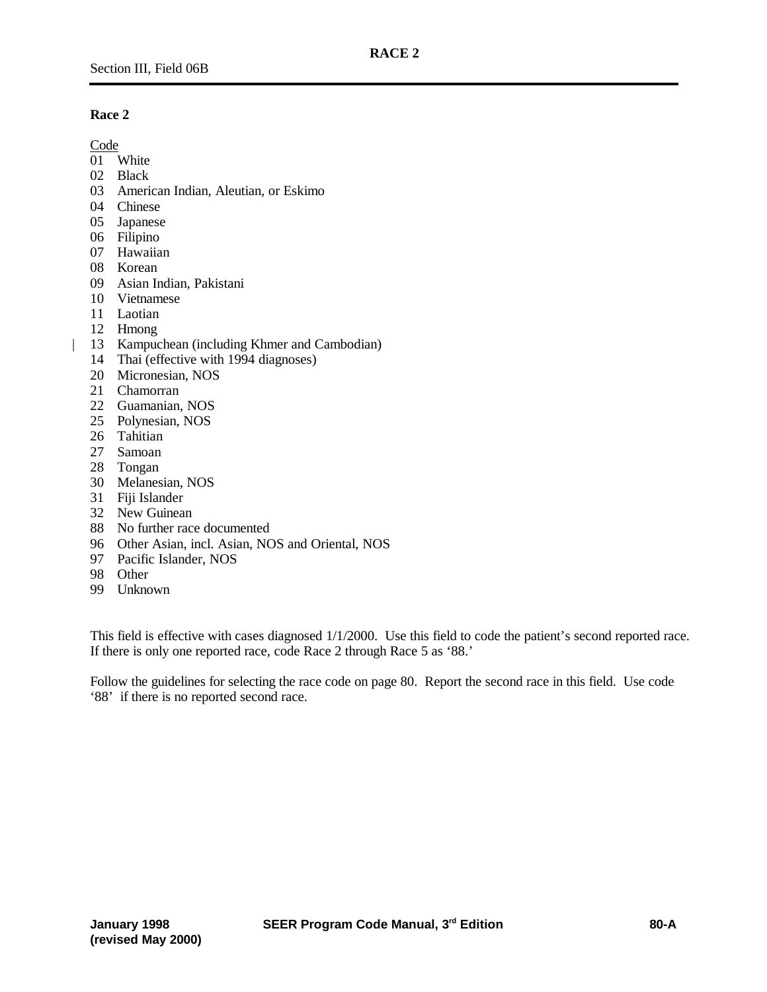# Code

- White
- Black
- American Indian, Aleutian, or Eskimo
- Chinese
- Japanese
- Filipino
- Hawaiian
- Korean
- Asian Indian, Pakistani
- Vietnamese
- Laotian
- Hmong
- | 13 Kampuchean (including Khmer and Cambodian)
- Thai (effective with 1994 diagnoses)
- Micronesian, NOS
- Chamorran
- Guamanian, NOS
- Polynesian, NOS
- Tahitian
- Samoan
- Tongan
- Melanesian, NOS
- Fiji Islander
- New Guinean
- 88 No further race documented
- Other Asian, incl. Asian, NOS and Oriental, NOS
- Pacific Islander, NOS
- Other
- Unknown

This field is effective with cases diagnosed 1/1/2000. Use this field to code the patient's second reported race. If there is only one reported race, code Race 2 through Race 5 as '88.'

Follow the guidelines for selecting the race code on page 80. Report the second race in this field. Use code '88' if there is no reported second race.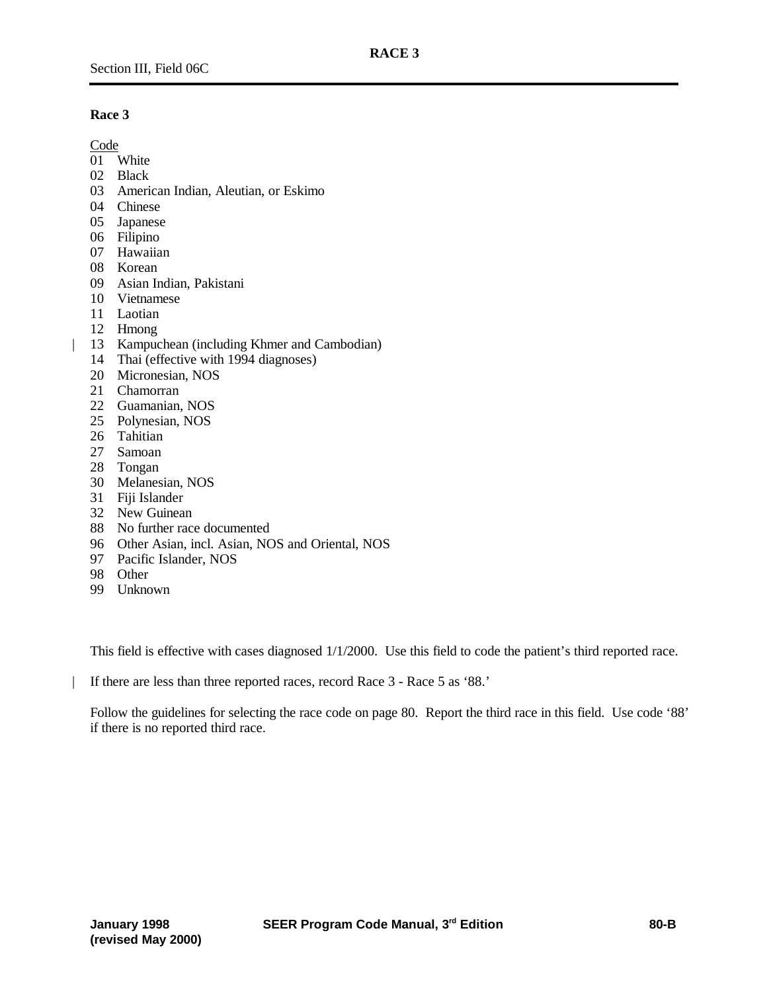# Code

- White
- Black
- American Indian, Aleutian, or Eskimo
- Chinese
- Japanese
- Filipino
- Hawaiian
- Korean
- Asian Indian, Pakistani
- Vietnamese
- Laotian
- Hmong
- 13 Kampuchean (including Khmer and Cambodian)
- Thai (effective with 1994 diagnoses)
- Micronesian, NOS
- Chamorran
- Guamanian, NOS
- Polynesian, NOS
- Tahitian
- Samoan
- Tongan
- Melanesian, NOS
- Fiji Islander
- New Guinean
- 88 No further race documented
- Other Asian, incl. Asian, NOS and Oriental, NOS
- Pacific Islander, NOS
- Other
- Unknown

This field is effective with cases diagnosed 1/1/2000. Use this field to code the patient's third reported race.

| If there are less than three reported races, record Race 3 - Race 5 as '88.'

Follow the guidelines for selecting the race code on page 80. Report the third race in this field. Use code '88' if there is no reported third race.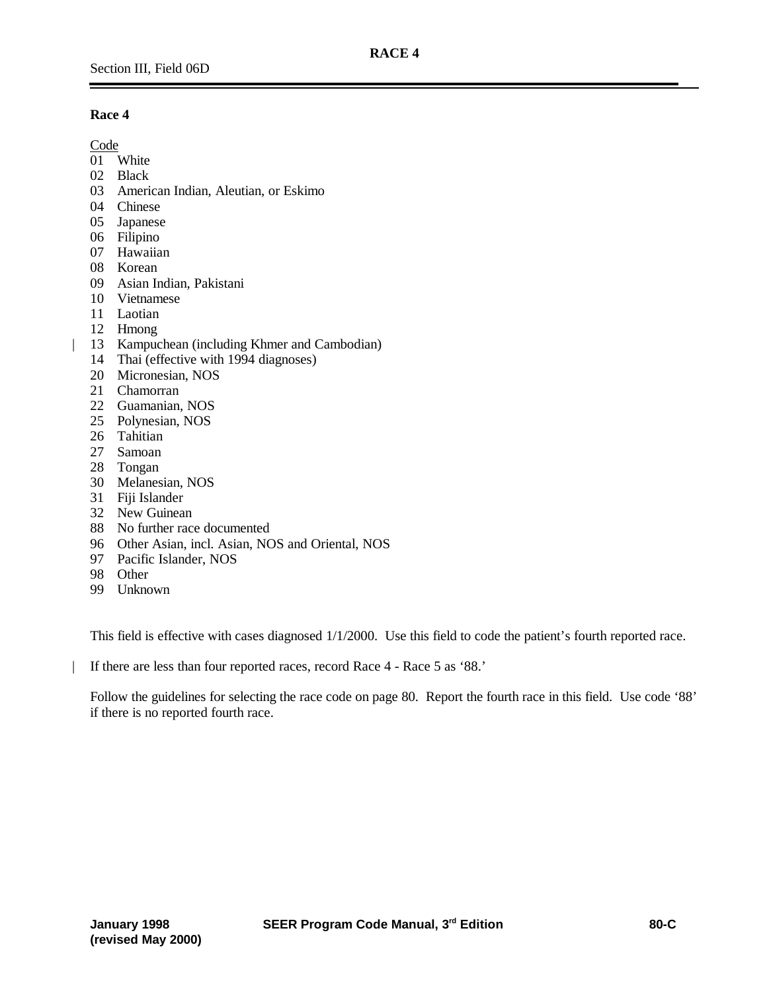## Code

- White
- Black
- American Indian, Aleutian, or Eskimo
- Chinese
- Japanese
- Filipino
- Hawaiian
- Korean
- Asian Indian, Pakistani
- Vietnamese
- Laotian
- Hmong
- 13 Kampuchean (including Khmer and Cambodian)
- Thai (effective with 1994 diagnoses)
- Micronesian, NOS
- Chamorran
- Guamanian, NOS
- Polynesian, NOS
- Tahitian
- Samoan
- Tongan
- Melanesian, NOS
- Fiji Islander
- New Guinean
- 88 No further race documented
- Other Asian, incl. Asian, NOS and Oriental, NOS
- Pacific Islander, NOS
- Other
- Unknown

This field is effective with cases diagnosed 1/1/2000. Use this field to code the patient's fourth reported race.

| If there are less than four reported races, record Race 4 - Race 5 as '88.'

Follow the guidelines for selecting the race code on page 80. Report the fourth race in this field. Use code '88' if there is no reported fourth race.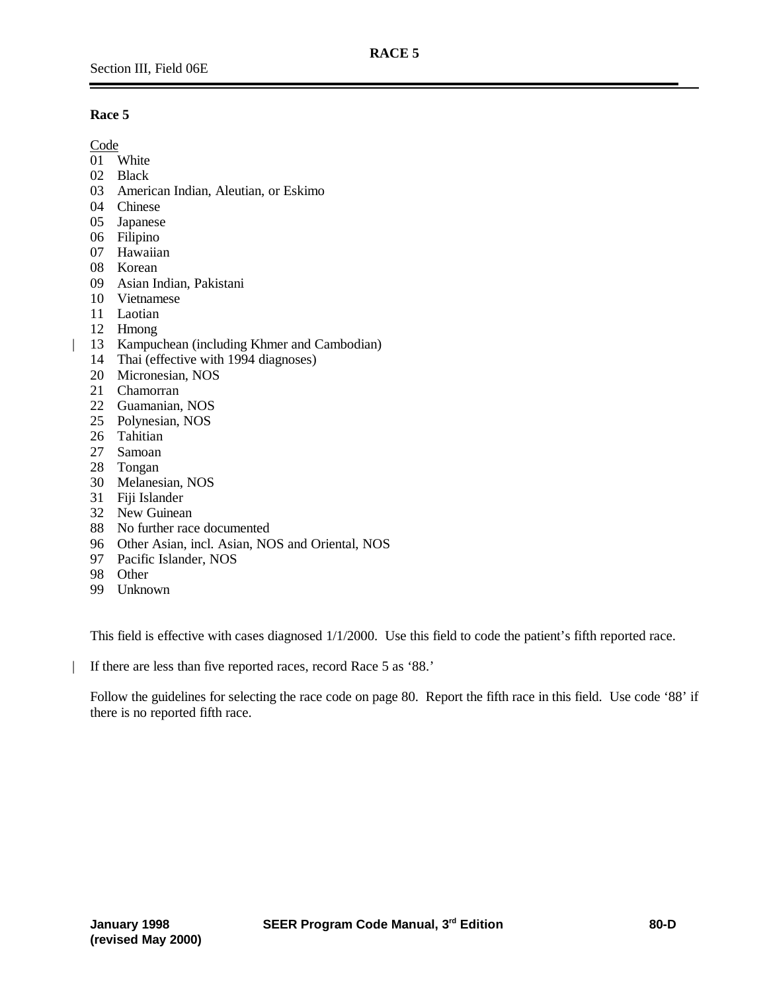# Code

- White
- Black
- American Indian, Aleutian, or Eskimo
- Chinese
- Japanese
- Filipino
- Hawaiian
- Korean
- Asian Indian, Pakistani
- Vietnamese
- Laotian
- Hmong
- 13 Kampuchean (including Khmer and Cambodian)
- Thai (effective with 1994 diagnoses)
- Micronesian, NOS
- Chamorran
- Guamanian, NOS
- Polynesian, NOS
- Tahitian
- Samoan
- Tongan
- Melanesian, NOS
- Fiji Islander
- New Guinean
- 88 No further race documented
- Other Asian, incl. Asian, NOS and Oriental, NOS
- Pacific Islander, NOS
- Other
- Unknown

This field is effective with cases diagnosed 1/1/2000. Use this field to code the patient's fifth reported race.

| If there are less than five reported races, record Race 5 as '88.'

Follow the guidelines for selecting the race code on page 80. Report the fifth race in this field. Use code '88' if there is no reported fifth race.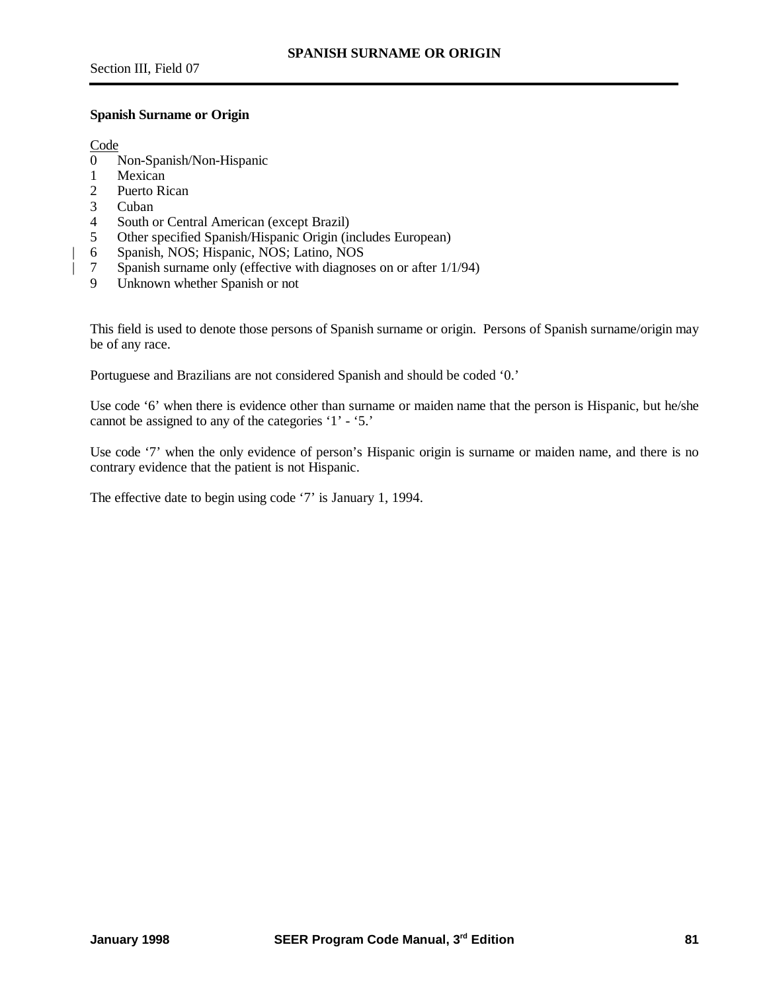## **Spanish Surname or Origin**

## Code

- 0 Non-Spanish/Non-Hispanic
- 1 Mexican
- 2 Puerto Rican
- 3 Cuban
- 4 South or Central American (except Brazil)
- 5 Other specified Spanish/Hispanic Origin (includes European)
- | 6 Spanish, NOS; Hispanic, NOS; Latino, NOS
- 7 Spanish surname only (effective with diagnoses on or after 1/1/94)
- 9 Unknown whether Spanish or not

This field is used to denote those persons of Spanish surname or origin. Persons of Spanish surname/origin may be of any race.

Portuguese and Brazilians are not considered Spanish and should be coded '0.'

Use code '6'when there is evidence other than surname or maiden name that the person is Hispanic, but he/she cannot be assigned to any of the categories '1' - '5.'

Use code '7'when the only evidence of person's Hispanic origin is surname or maiden name, and there is no contrary evidence that the patient is not Hispanic.

The effective date to begin using code '7' is January 1, 1994.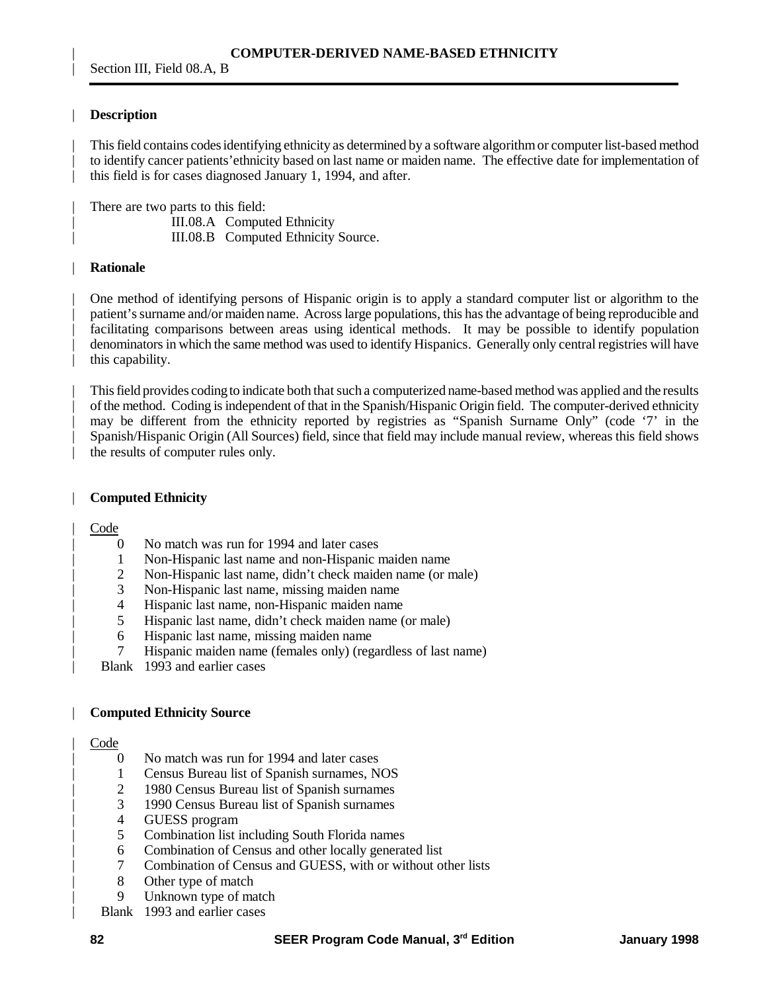| Section III, Field 08.A, B

# | **Description**

| Thisfield contains codesidentifying ethnicity as determined by a software algorithm or computer list-based method | to identify cancer patients'ethnicity based on last name or maiden name. The effective date for implementation of this field is for cases diagnosed January 1, 1994, and after.

There are two parts to this field:

| III.08.A Computed Ethnicity | III.08.B Computed Ethnicity Source.

# | **Rationale**

| One method of identifying persons of Hispanic origin is to apply a standard computer list or algorithm to the | patient'ssurname and/or maiden name. Across large populations, this has the advantage of being reproducible and facilitating comparisons between areas using identical methods. It may be possible to identify population denominators in which the same method was used to identify Hispanics. Generally only central registries will have this capability.

This field provides coding to indicate both that such a computerized name-based method was applied and the results | of the method. Coding is independent of that in the Spanish/Hispanic Origin field. The computer-derived ethnicity | may be different from the ethnicity reported by registries as "Spanish Surname Only" (code '7' in the | Spanish/Hispanic Origin (All Sources) field, since that field may include manual review, whereas this field shows the results of computer rules only.

# | **Computed Ethnicity**

| Code

- 0 No match was run for 1994 and later cases
- | 1 Non-Hispanic last name and non-Hispanic maiden name
- | 2 Non-Hispanic last name, didn't check maiden name (or male)
- | 3 Non-Hispanic last name, missing maiden name
- | 4 Hispanic last name, non-Hispanic maiden name
- | 5 Hispanic last name, didn't check maiden name (or male)
- | 6 Hispanic last name, missing maiden name
- | 7 Hispanic maiden name (females only) (regardless of last name)
- | Blank 1993 and earlier cases

# | **Computed Ethnicity Source**

## | Code

- | 0 No match was run for 1994 and later cases
- | 1 Census Bureau list of Spanish surnames, NOS
- | 2 1980 Census Bureau list of Spanish surnames
- | 3 1990 Census Bureau list of Spanish surnames
- | 4 GUESS program
- | 5 Combination list including South Florida names
- | 6 Combination of Census and other locally generated list
- | 7 Combination of Census and GUESS, with or without other lists
- | 8 Other type of match
- | 9 Unknown type of match
- | Blank 1993 and earlier cases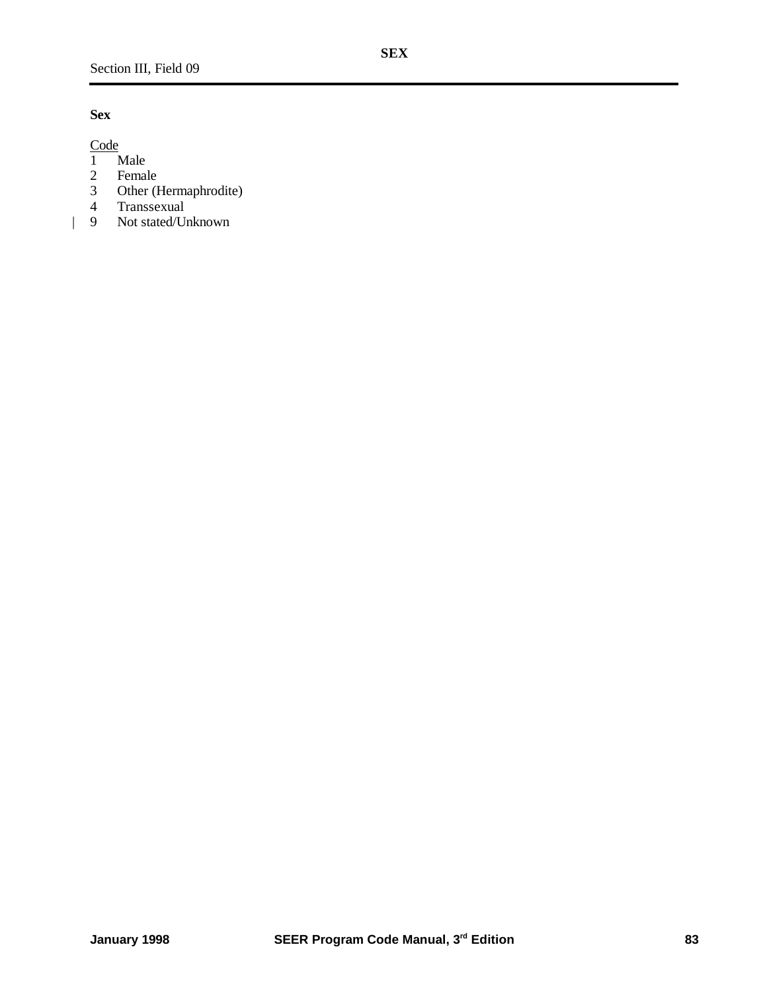# **Sex**

 $\frac{\text{Code}}{1 \text{ N}}$ 

- 1 Male<br>2 Femal
- Female
- 3 Other (Hermaphrodite)
- 4 Transsexual
- | 9 Not stated/Unknown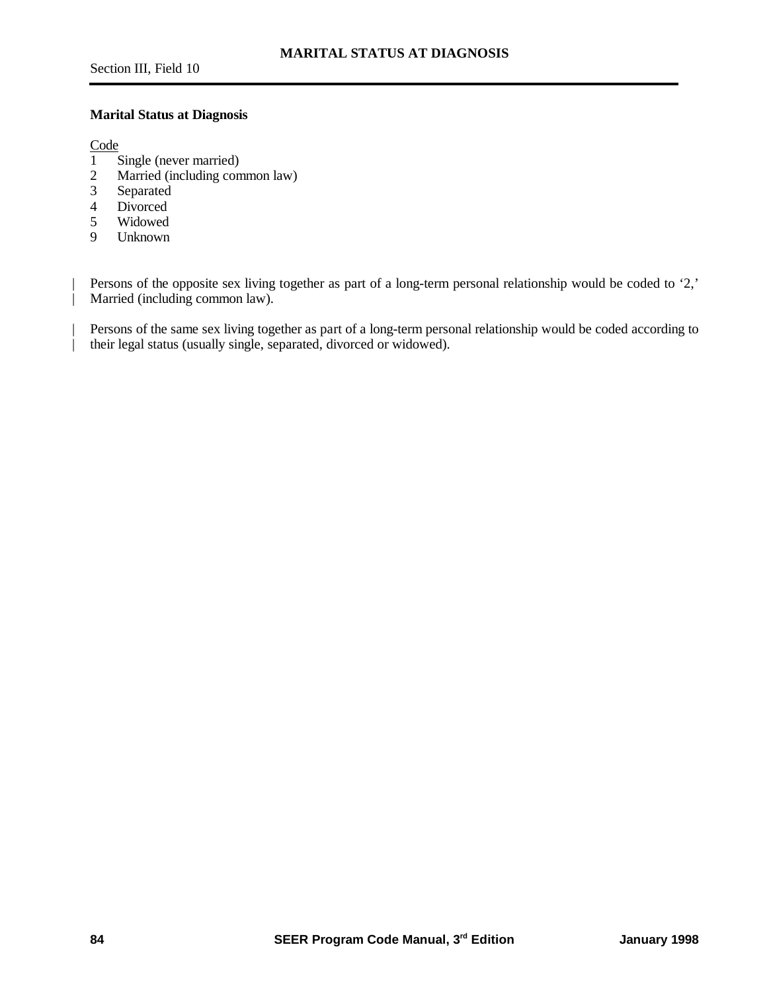## **Marital Status at Diagnosis**

# Code

- 1 Single (never married)
- 2 Married (including common law)
- 
- 3 Separated<br>4 Divorced
- 4 Divorced<br>5 Widowed
- 5 Widowed<br>9 Unknown 9 Unknown

| Persons of the opposite sex living together as part of a long-term personal relationship would be coded to '2,' | Married (including common law).

| Persons of the same sex living together as part of a long-term personal relationship would be coded according to | their legal status (usually single, separated, divorced or widowed).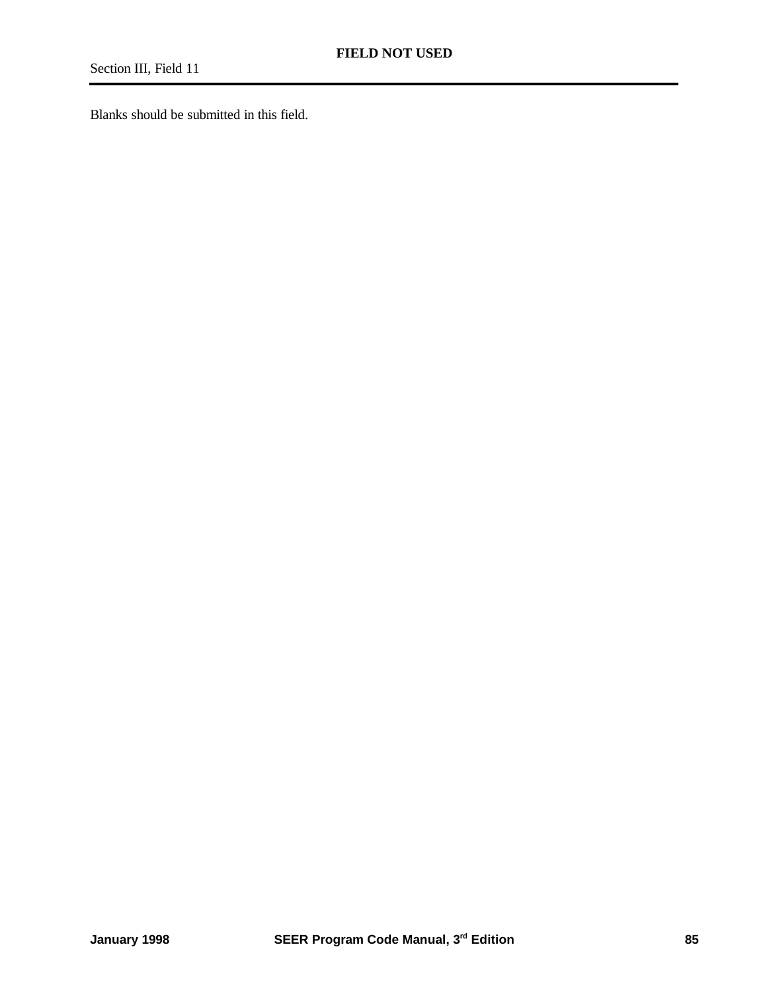Blanks should be submitted in this field.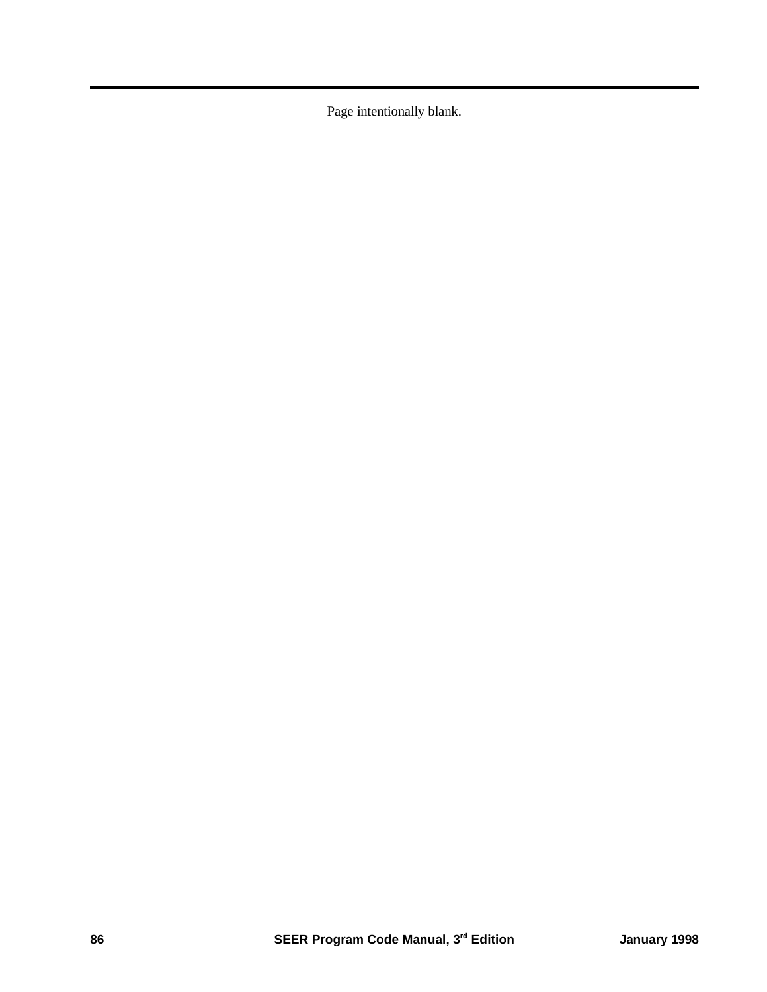Page intentionally blank.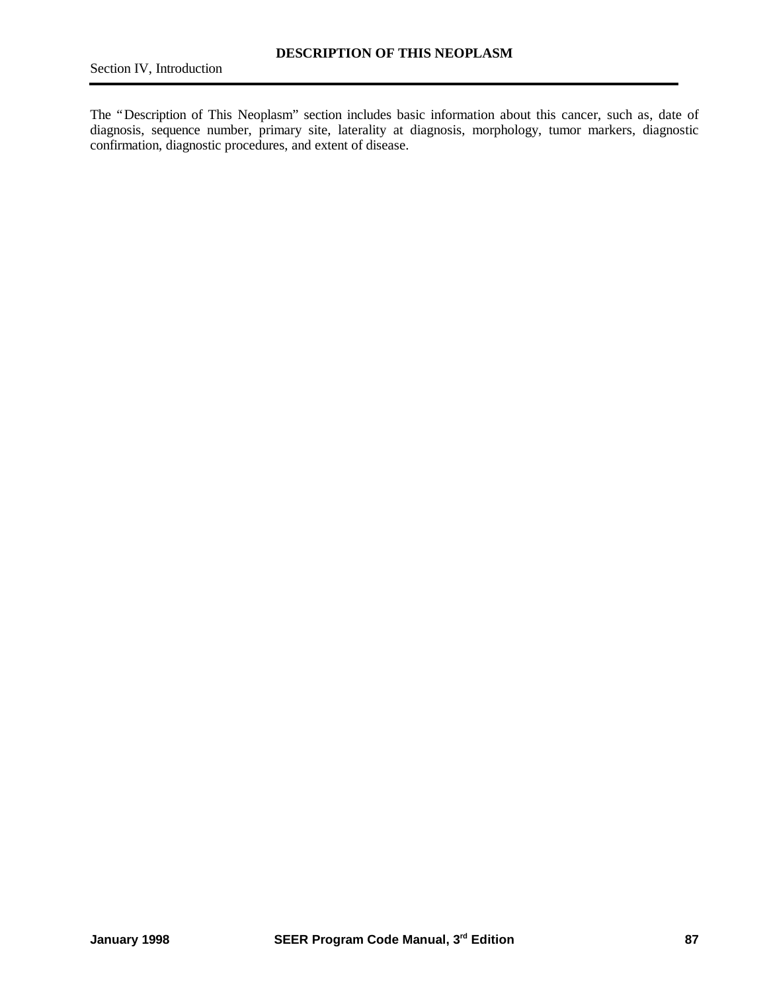The "Description of This Neoplasm" section includes basic information about this cancer, such as, date of diagnosis, sequence number, primary site, laterality at diagnosis, morphology, tumor markers, diagnostic confirmation, diagnostic procedures, and extent of disease.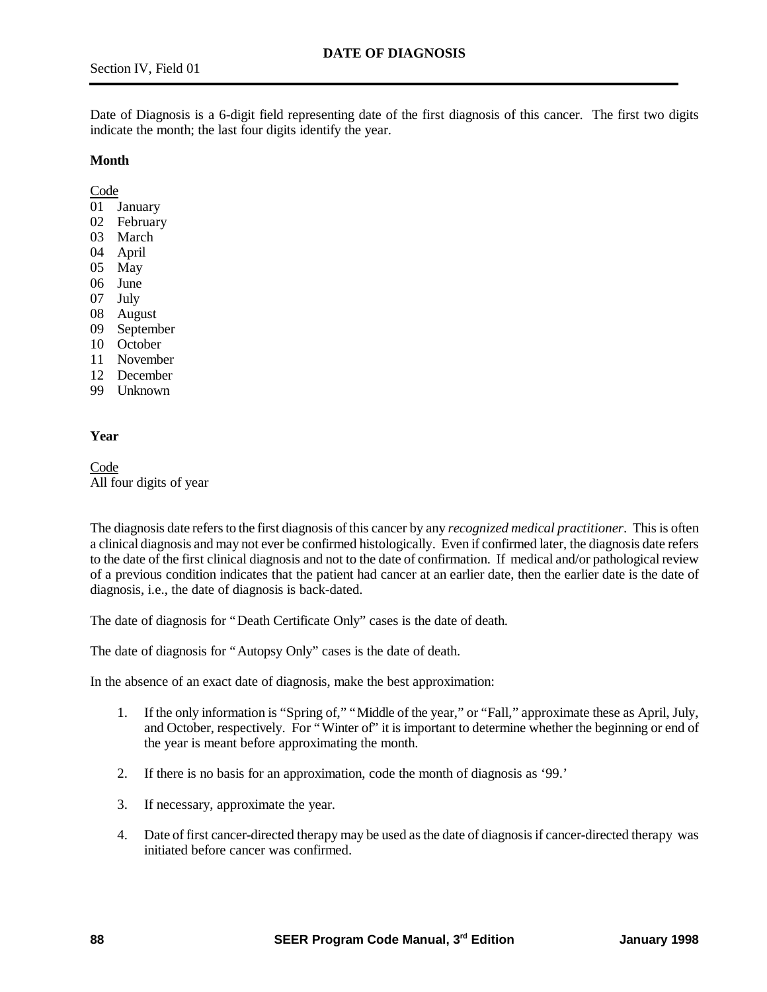Date of Diagnosis is a 6-digit field representing date of the first diagnosis of this cancer. The first two digits indicate the month; the last four digits identify the year.

#### **Month**

Code

- 01 January
- 02 February
- 03 March
- 04 April
- 05 May
- 06 June
- 07 July
- 08 August
- 09 September
- 10 October
- 11 November
- 12 December
- 99 Unknown

#### **Year**

Code All four digits of year

The diagnosis date refersto the first diagnosis of this cancer by any *recognized medical practitioner*. This is often a clinical diagnosis and may not ever be confirmed histologically. Even if confirmed later, the diagnosis date refers to the date of the first clinical diagnosis and not to the date of confirmation. If medical and/or pathological review of a previous condition indicates that the patient had cancer at an earlier date, then the earlier date is the date of diagnosis, i.e., the date of diagnosis is back-dated.

The date of diagnosis for "Death Certificate Only" cases is the date of death.

The date of diagnosis for "Autopsy Only" cases is the date of death.

In the absence of an exact date of diagnosis, make the best approximation:

- 1. If the only information is "Spring of,""Middle of the year,"or "Fall,"approximate these as April, July, and October, respectively. For "Winter of" it is important to determine whether the beginning or end of the year is meant before approximating the month.
- 2. If there is no basis for an approximation, code the month of diagnosis as '99.'
- 3. If necessary, approximate the year.
- 4. Date of first cancer-directed therapy may be used asthe date of diagnosisif cancer-directed therapy was initiated before cancer was confirmed.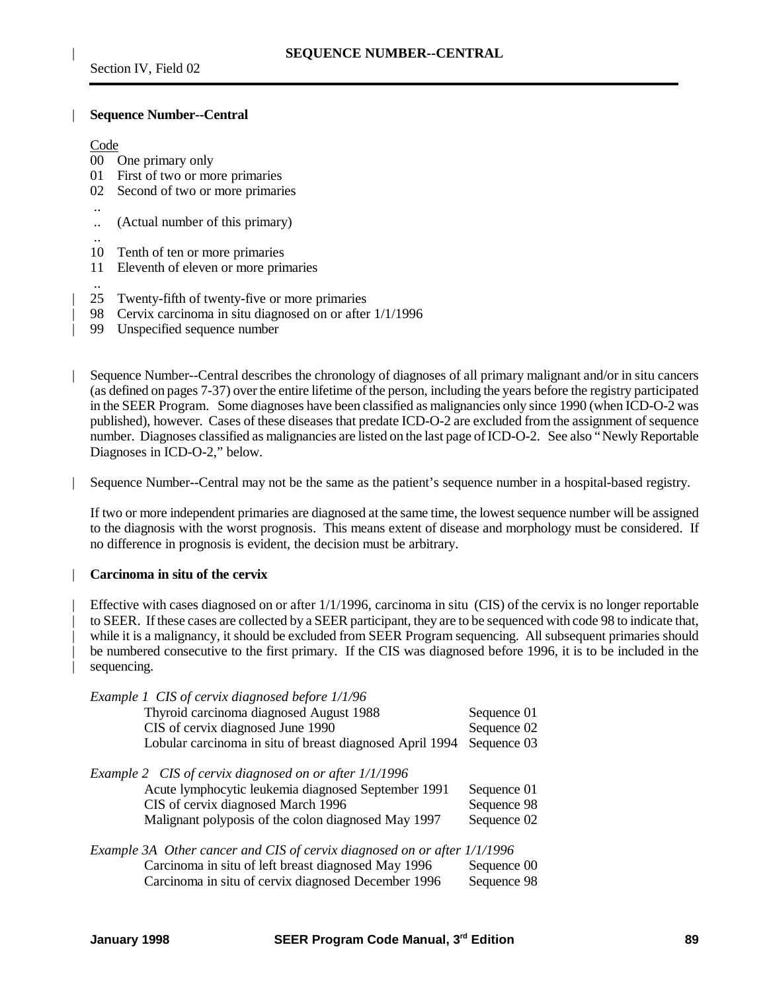#### | **Sequence Number--Central**

#### Code

- 00 One primary only
- 01 First of two or more primaries
- 02 Second of two or more primaries
- ..
- .. (Actual number of this primary)
- ..
- 10 Tenth of ten or more primaries
- 11 Eleventh of eleven or more primaries
- ..
- | 25 Twenty-fifth of twenty-five or more primaries
- | 98 Cervix carcinoma in situ diagnosed on or after 1/1/1996
- | 99 Unspecified sequence number
- | Sequence Number--Central describes the chronology of diagnoses of all primary malignant and/or in situ cancers (as defined on pages 7-37) over the entire lifetime of the person, including the years before the registry participated in the SEER Program. Some diagnoses have been classified as malignancies only since 1990 (when ICD-O-2 was published), however. Cases of these diseases that predate ICD-O-2 are excluded from the assignment of sequence number. Diagnoses classified as malignancies are listed on the last page of ICD-O-2. See also "Newly Reportable Diagnoses in ICD-O-2," below.

| Sequence Number--Central may not be the same as the patient's sequence number in a hospital-based registry.

If two or more independent primaries are diagnosed at the same time, the lowest sequence number will be assigned to the diagnosis with the worst prognosis. This means extent of disease and morphology must be considered. If no difference in prognosis is evident, the decision must be arbitrary.

# | **Carcinoma in situ of the cervix**

| Effective with cases diagnosed on or after 1/1/1996, carcinoma in situ (CIS) of the cervix is no longer reportable to SEER. If these cases are collected by a SEER participant, they are to be sequenced with code 98 to indicate that, while it is a malignancy, it should be excluded from SEER Program sequencing. All subsequent primaries should | be numbered consecutive to the first primary. If the CIS was diagnosed before 1996, it is to be included in the sequencing.

| Example 1 CIS of cervix diagnosed before 1/1/96                          |             |  |  |
|--------------------------------------------------------------------------|-------------|--|--|
| Thyroid carcinoma diagnosed August 1988                                  | Sequence 01 |  |  |
| CIS of cervix diagnosed June 1990                                        | Sequence 02 |  |  |
| Lobular carcinoma in situ of breast diagnosed April 1994                 | Sequence 03 |  |  |
| Example 2 CIS of cervix diagnosed on or after 1/1/1996                   |             |  |  |
| Acute lymphocytic leukemia diagnosed September 1991                      | Sequence 01 |  |  |
| CIS of cervix diagnosed March 1996                                       | Sequence 98 |  |  |
| Malignant polyposis of the colon diagnosed May 1997                      | Sequence 02 |  |  |
| Example 3A Other cancer and CIS of cervix diagnosed on or after 1/1/1996 |             |  |  |
| Carcinoma in situ of left breast diagnosed May 1996                      | Sequence 00 |  |  |
| Carcinoma in situ of cervix diagnosed December 1996                      | Sequence 98 |  |  |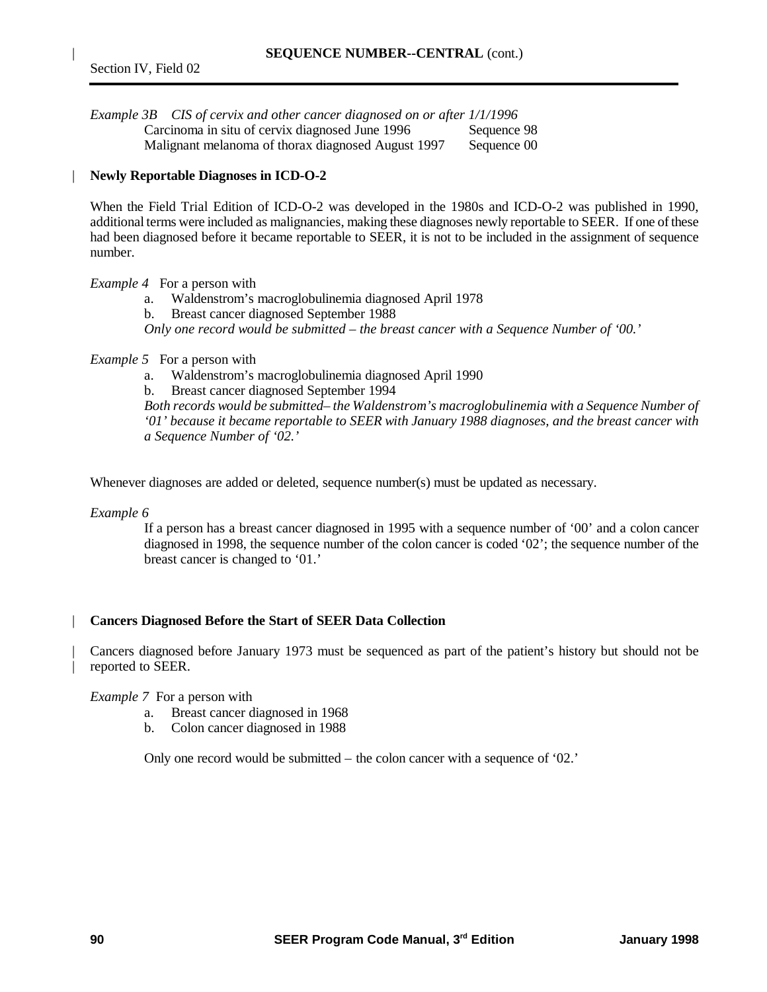| Example 3B CIS of cervix and other cancer diagnosed on or after 1/1/1996 |             |
|--------------------------------------------------------------------------|-------------|
| Carcinoma in situ of cervix diagnosed June 1996                          | Sequence 98 |
| Malignant melanoma of thorax diagnosed August 1997                       | Sequence 00 |

## | **Newly Reportable Diagnoses in ICD-O-2**

When the Field Trial Edition of ICD-O-2 was developed in the 1980s and ICD-O-2 was published in 1990, additional terms were included as malignancies, making these diagnoses newly reportable to SEER. If one of these had been diagnosed before it became reportable to SEER, it is not to be included in the assignment of sequence number.

## *Example 4* For a person with

- a. Waldenstrom's macroglobulinemia diagnosed April 1978
- b. Breast cancer diagnosed September 1988

*Only one record would be submitted – the breast cancer with a Sequence Number of '00.'*

## *Example 5* For a person with

a. Waldenstrom's macroglobulinemia diagnosed April 1990

b. Breast cancer diagnosed September 1994

*Both records would be submitted–the Waldenstrom's macroglobulinemia with a Sequence Number of '01'because it became reportable to SEER with January 1988 diagnoses, and the breast cancer with a Sequence Number of '02.'*

Whenever diagnoses are added or deleted, sequence number(s) must be updated as necessary.

*Example 6*

If a person has a breast cancer diagnosed in 1995 with a sequence number of '00'and a colon cancer diagnosed in 1998, the sequence number of the colon cancer is coded '02'; the sequence number of the breast cancer is changed to '01.'

# | **Cancers Diagnosed Before the Start of SEER Data Collection**

| Cancers diagnosed before January 1973 must be sequenced as part of the patient's history but should not be reported to SEER.

#### *Example 7* For a person with

- a. Breast cancer diagnosed in 1968
- b. Colon cancer diagnosed in 1988

Only one record would be submitted – the colon cancer with a sequence of '02.'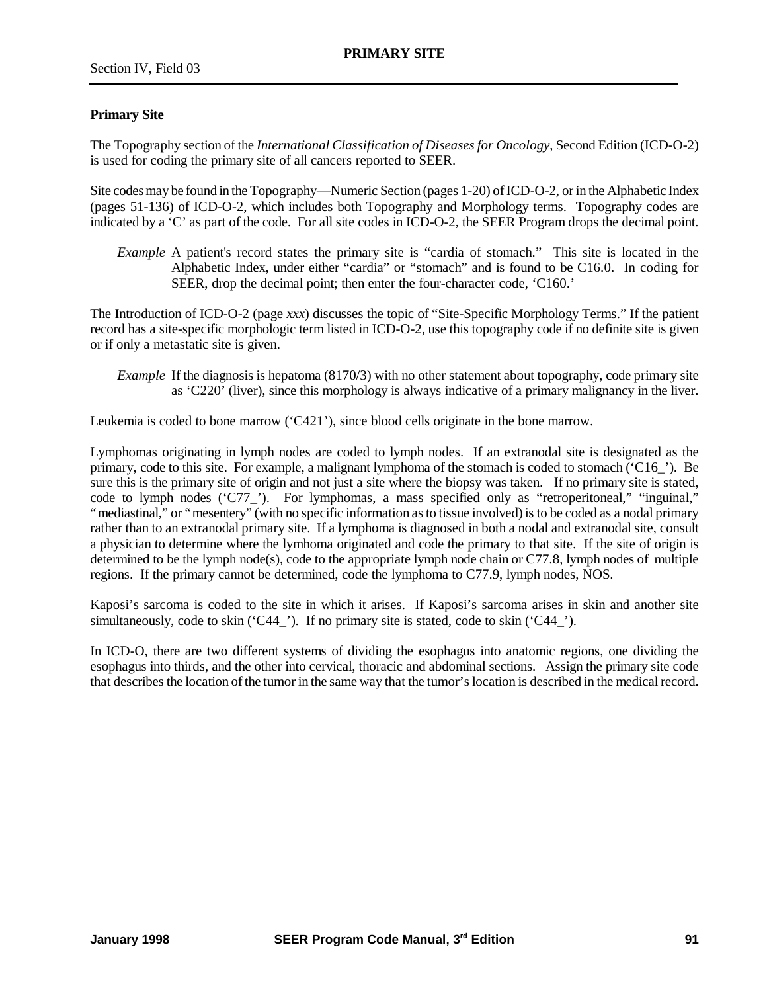# **Primary Site**

The Topography section of the *International Classification of Diseases for Oncology*, Second Edition (ICD-O-2) is used for coding the primary site of all cancers reported to SEER.

Site codesmay be found in the Topography— Numeric Section (pages 1-20) of ICD-O-2, or in the Alphabetic Index (pages 51-136) of ICD-O-2, which includes both Topography and Morphology terms. Topography codes are indicated by a 'C' as part of the code. For all site codes in ICD-O-2, the SEER Program drops the decimal point.

*Example* A patient's record states the primary site is "cardia of stomach." This site is located in the Alphabetic Index, under either "cardia" or "stomach" and is found to be C16.0. In coding for SEER, drop the decimal point; then enter the four-character code, 'C160.'

The Introduction of ICD-O-2 (page *xxx*) discusses the topic of "Site-Specific Morphology Terms."If the patient record has a site-specific morphologic term listed in ICD-O-2, use this topography code if no definite site is given or if only a metastatic site is given.

*Example* If the diagnosis is hepatoma (8170/3) with no other statement about topography, code primary site as 'C220'(liver), since this morphology is always indicative of a primary malignancy in the liver.

Leukemia is coded to bone marrow ('C421'), since blood cells originate in the bone marrow.

Lymphomas originating in lymph nodes are coded to lymph nodes. If an extranodal site is designated as the primary, code to this site. For example, a malignant lymphoma of the stomach is coded to stomach ('C16\_'). Be sure this is the primary site of origin and not just a site where the biopsy was taken. If no primary site is stated, code to lymph nodes ('C77\_'). For lymphomas, a mass specified only as "retroperitoneal," "inguinal," "mediastinal," or "mesentery" (with no specific information as to tissue involved) is to be coded as a nodal primary rather than to an extranodal primary site. If a lymphoma is diagnosed in both a nodal and extranodal site, consult a physician to determine where the lymhoma originated and code the primary to that site. If the site of origin is determined to be the lymph node(s), code to the appropriate lymph node chain or C77.8, lymph nodes of multiple regions. If the primary cannot be determined, code the lymphoma to C77.9, lymph nodes, NOS.

Kaposi's sarcoma is coded to the site in which it arises. If Kaposi's sarcoma arises in skin and another site simultaneously, code to skin ('C44\_'). If no primary site is stated, code to skin ('C44\_').

In ICD-O, there are two different systems of dividing the esophagus into anatomic regions, one dividing the esophagus into thirds, and the other into cervical, thoracic and abdominal sections. Assign the primary site code that describes the location of the tumor in the same way that the tumor's location is described in the medical record.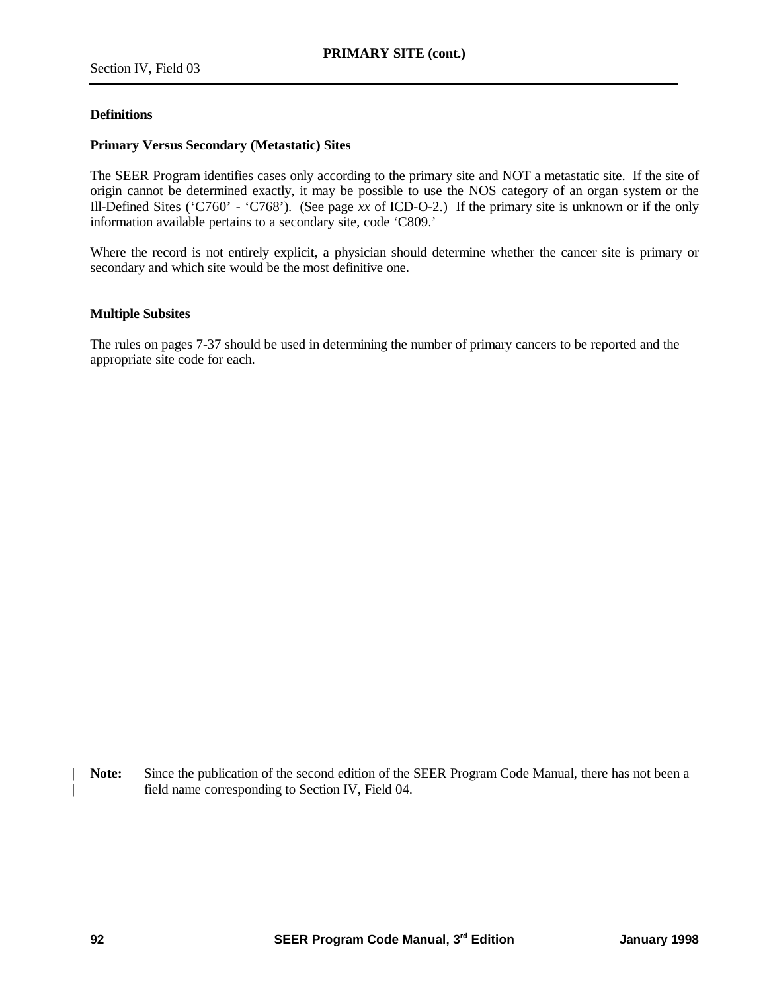## **Definitions**

#### **Primary Versus Secondary (Metastatic) Sites**

The SEER Program identifies cases only according to the primary site and NOT a metastatic site. If the site of origin cannot be determined exactly, it may be possible to use the NOS category of an organ system or the Ill-Defined Sites ('C760' - 'C768'). (See page *xx* of ICD-O-2.) If the primary site is unknown or if the only information available pertains to a secondary site, code 'C809.'

Where the record is not entirely explicit, a physician should determine whether the cancer site is primary or secondary and which site would be the most definitive one.

## **Multiple Subsites**

The rules on pages 7-37 should be used in determining the number of primary cancers to be reported and the appropriate site code for each.

| **Note:** Since the publication of the second edition of the SEER Program Code Manual, there has not been a field name corresponding to Section IV, Field 04.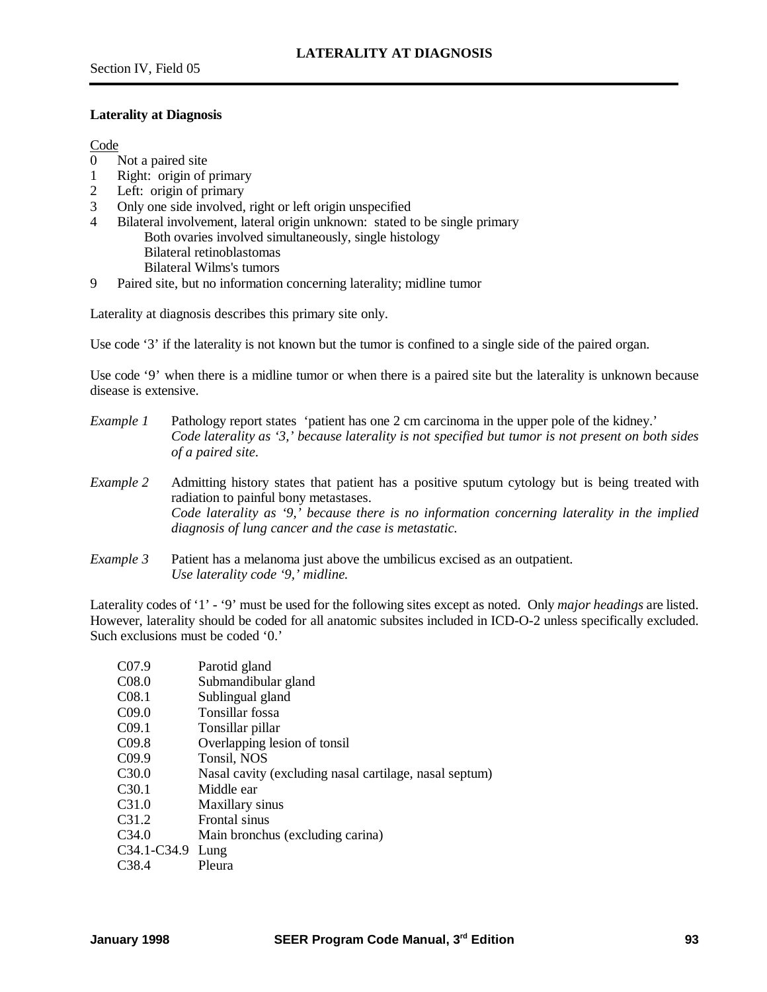## **Laterality at Diagnosis**

## Code

- 0 Not a paired site
- 1 Right: origin of primary
- 2 Left: origin of primary
- 3 Only one side involved, right or left origin unspecified
- 4 Bilateral involvement, lateral origin unknown: stated to be single primary Both ovaries involved simultaneously, single histology Bilateral retinoblastomas Bilateral Wilms's tumors
- 9 Paired site, but no information concerning laterality; midline tumor

Laterality at diagnosis describes this primary site only.

Use code '3' if the laterality is not known but the tumor is confined to a single side of the paired organ.

Use code '9' when there is a midline tumor or when there is a paired site but the laterality is unknown because disease is extensive.

- *Example 1* Pathology report states 'patient has one 2 cm carcinoma in the upper pole of the kidney.' *Code laterality as '3,' because laterality is not specified but tumor is not present on both sides of a paired site*.
- *Example 2* Admitting history states that patient has a positive sputum cytology but is being treated with radiation to painful bony metastases. *Code laterality as '9,' because there is no information concerning laterality in the implied diagnosis of lung cancer and the case is metastatic.*
- *Example 3* Patient has a melanoma just above the umbilicus excised as an outpatient. *Use laterality code '9,' midline.*

Laterality codes of '1'- '9'must be used for the following sites except as noted. Only *major headings* are listed. However, laterality should be coded for all anatomic subsites included in ICD-O-2 unless specifically excluded. Such exclusions must be coded '0.'

| C <sub>07.9</sub> | Parotid gland                                          |
|-------------------|--------------------------------------------------------|
| C <sub>08.0</sub> | Submandibular gland                                    |
| C <sub>08.1</sub> | Sublingual gland                                       |
| C <sub>09.0</sub> | Tonsillar fossa                                        |
| C <sub>09.1</sub> | Tonsillar pillar                                       |
| C <sub>09.8</sub> | Overlapping lesion of tonsil                           |
| C <sub>09.9</sub> | Tonsil, NOS                                            |
| C <sub>30.0</sub> | Nasal cavity (excluding nasal cartilage, nasal septum) |
| C <sub>30.1</sub> | Middle ear                                             |
| C <sub>31.0</sub> | Maxillary sinus                                        |
| C <sub>31.2</sub> | Frontal sinus                                          |
| C <sub>34.0</sub> | Main bronchus (excluding carina)                       |
| C34.1-C34.9       | Lung                                                   |
| C <sub>38.4</sub> | Pleura                                                 |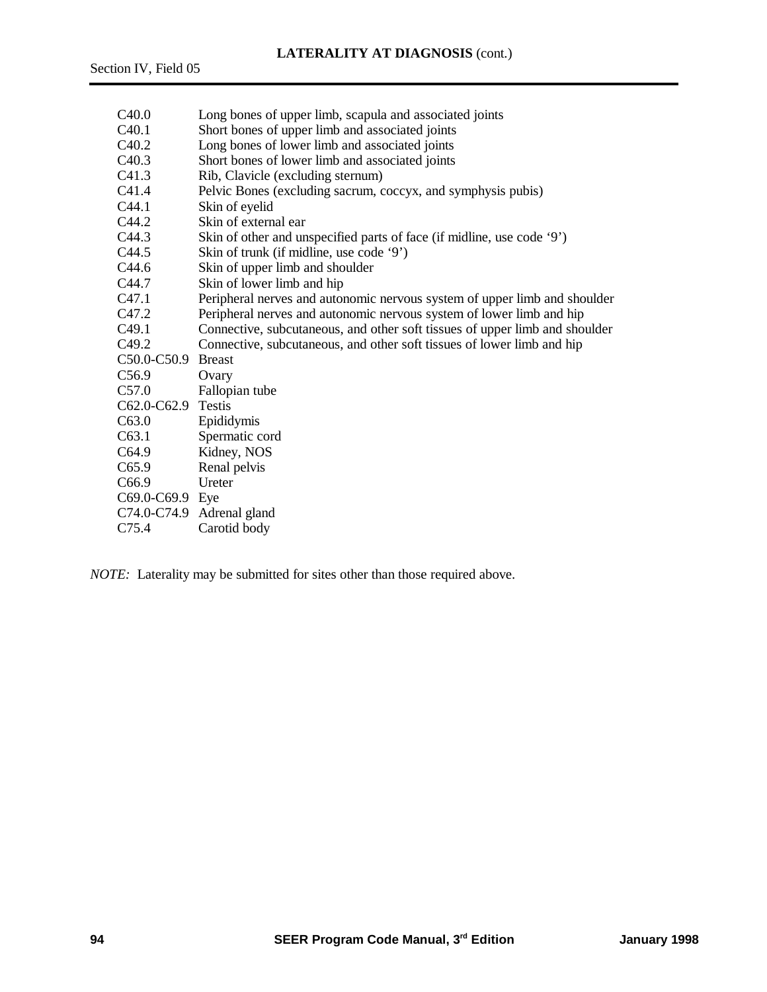| C <sub>40.0</sub>                    | Long bones of upper limb, scapula and associated joints                     |
|--------------------------------------|-----------------------------------------------------------------------------|
| C40.1                                | Short bones of upper limb and associated joints                             |
| C <sub>40.2</sub>                    | Long bones of lower limb and associated joints                              |
| C <sub>40.3</sub>                    | Short bones of lower limb and associated joints                             |
| C <sub>41.3</sub>                    | Rib, Clavicle (excluding sternum)                                           |
| C41.4                                | Pelvic Bones (excluding sacrum, coccyx, and symphysis pubis)                |
| C44.1                                | Skin of eyelid                                                              |
| C44.2                                | Skin of external ear                                                        |
| C44.3                                | Skin of other and unspecified parts of face (if midline, use code '9')      |
| C <sub>44.5</sub>                    | Skin of trunk (if midline, use code '9')                                    |
| C44.6                                | Skin of upper limb and shoulder                                             |
| C44.7                                | Skin of lower limb and hip                                                  |
| C <sub>47.1</sub>                    | Peripheral nerves and autonomic nervous system of upper limb and shoulder   |
| C <sub>47.2</sub>                    | Peripheral nerves and autonomic nervous system of lower limb and hip        |
| C <sub>49.1</sub>                    | Connective, subcutaneous, and other soft tissues of upper limb and shoulder |
| C <sub>49.2</sub>                    | Connective, subcutaneous, and other soft tissues of lower limb and hip      |
| C <sub>50.0</sub> -C <sub>50.9</sub> | <b>Breast</b>                                                               |
| C <sub>56.9</sub>                    | Ovary                                                                       |
| C57.0                                | Fallopian tube                                                              |
| C62.0-C62.9                          | <b>Testis</b>                                                               |
| C63.0                                | Epididymis                                                                  |
| C63.1                                | Spermatic cord                                                              |
| C <sub>64.9</sub>                    | Kidney, NOS                                                                 |
| C65.9                                | Renal pelvis                                                                |
| C <sub>66.9</sub>                    | Ureter                                                                      |
| C69.0-C69.9 Eye                      |                                                                             |
|                                      | C74.0-C74.9 Adrenal gland                                                   |
| C75.4                                | Carotid body                                                                |
|                                      |                                                                             |

*NOTE:* Laterality may be submitted for sites other than those required above.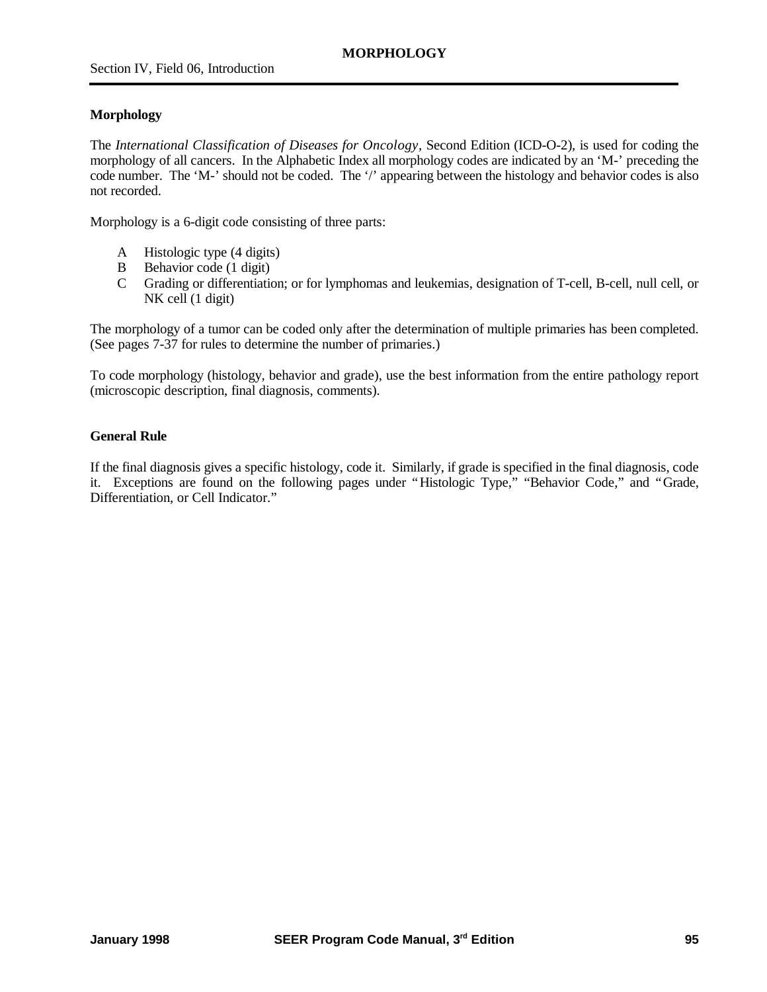# **Morphology**

The *International Classification of Diseases for Oncology*, Second Edition (ICD-O-2), is used for coding the morphology of all cancers. In the Alphabetic Index all morphology codes are indicated by an 'M-' preceding the code number. The 'M-' should not be coded. The '/' appearing between the histology and behavior codes is also not recorded.

Morphology is a 6-digit code consisting of three parts:

- A Histologic type (4 digits)
- B Behavior code (1 digit)
- C Grading or differentiation; or for lymphomas and leukemias, designation of T-cell, B-cell, null cell, or NK cell (1 digit)

The morphology of a tumor can be coded only after the determination of multiple primaries has been completed. (See pages 7-37 for rules to determine the number of primaries.)

To code morphology (histology, behavior and grade), use the best information from the entire pathology report (microscopic description, final diagnosis, comments).

## **General Rule**

If the final diagnosis gives a specific histology, code it. Similarly, if grade is specified in the final diagnosis, code it. Exceptions are found on the following pages under "Histologic Type," "Behavior Code," and "Grade, Differentiation, or Cell Indicator."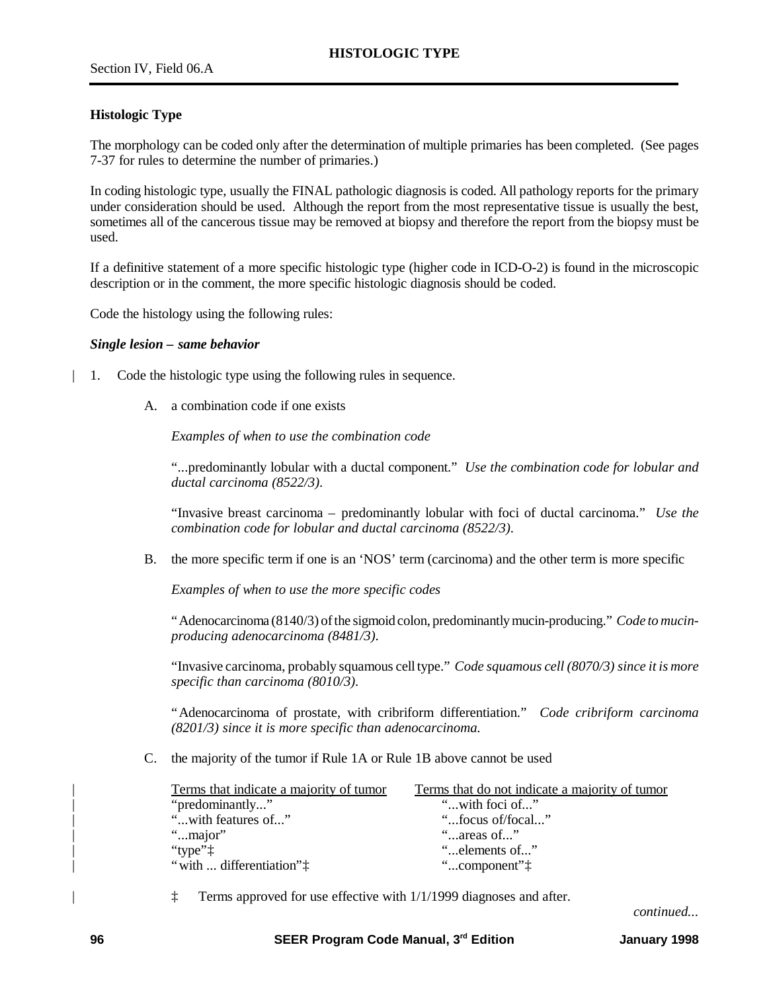# **Histologic Type**

The morphology can be coded only after the determination of multiple primaries has been completed. (See pages 7-37 for rules to determine the number of primaries.)

In coding histologic type, usually the FINAL pathologic diagnosis is coded. All pathology reports for the primary under consideration should be used. Although the report from the most representative tissue is usually the best, sometimes all of the cancerous tissue may be removed at biopsy and therefore the report from the biopsy must be used.

If a definitive statement of a more specific histologic type (higher code in ICD-O-2) is found in the microscopic description or in the comment, the more specific histologic diagnosis should be coded.

Code the histology using the following rules:

## *Single lesion – same behavior*

- 1. Code the histologic type using the following rules in sequence.
	- A. a combination code if one exists

*Examples of when to use the combination code*

"...predominantly lobular with a ductal component." *Use the combination code for lobular and ductal carcinoma (8522/3).*

"Invasive breast carcinoma – predominantly lobular with foci of ductal carcinoma." *Use the combination code for lobular and ductal carcinoma (8522/3).*

B. the more specific term if one is an 'NOS' term (carcinoma) and the other term is more specific

*Examples of when to use the more specific codes*

"Adenocarcinoma (8140/3) of the sigmoid colon, predominantly mucin-producing." *Code to mucinproducing adenocarcinoma (8481/3).*

"Invasive carcinoma, probably squamous cell type." *Code squamous cell (8070/3) since it is more specific than carcinoma (8010/3).*

"Adenocarcinoma of prostate, with cribriform differentiation." *Code cribriform carcinoma (8201/3) since it is more specific than adenocarcinoma.*

C. the majority of the tumor if Rule 1A or Rule 1B above cannot be used

| Terms that indicate a majority of tumor | Terms that do not indicate a majority of tumor |
|-----------------------------------------|------------------------------------------------|
| "predominantly"                         | "with foci of"                                 |
| " with features of"                     | "focus of/focal"                               |
| "major"                                 | "areas of"                                     |
| "type" $\ddagger$                       | "elements of"                                  |
| "with  differentiation":                | "component":                                   |

| ‡ Terms approved for use effective with 1/1/1999 diagnoses and after.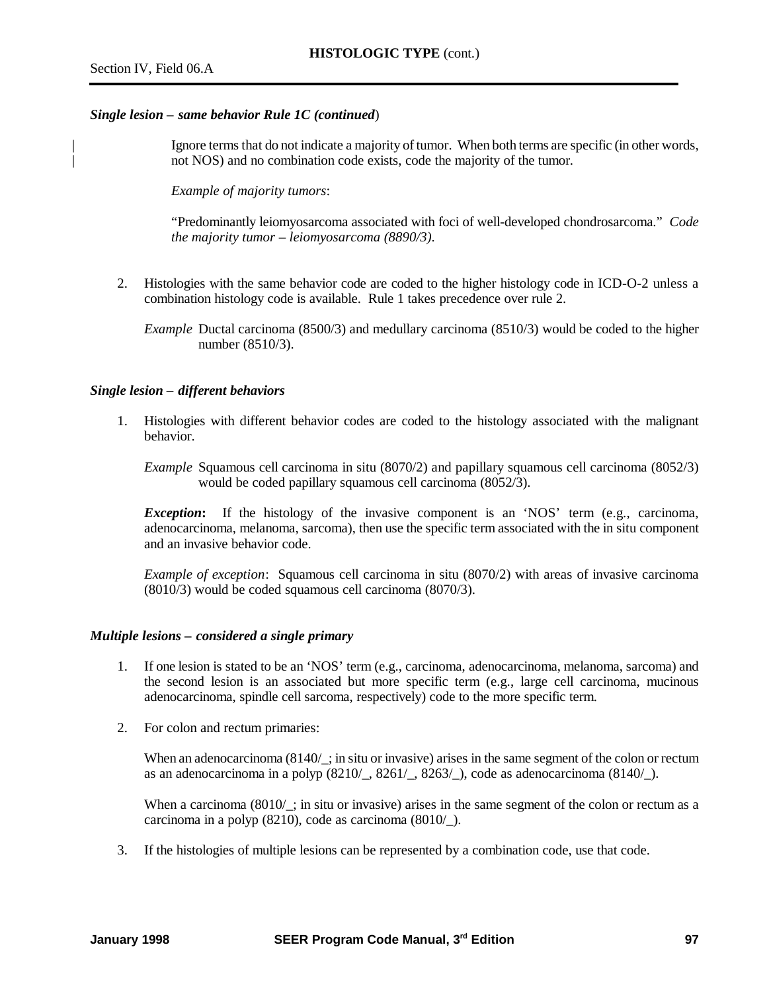#### *Single lesion – same behavior Rule 1C (continued*)

Ignore terms that do not indicate a majority of tumor. When both terms are specific (in other words, not NOS) and no combination code exists, code the majority of the tumor.

*Example of majority tumors*:

"Predominantly leiomyosarcoma associated with foci of well-developed chondrosarcoma." *Code the majority tumor – leiomyosarcoma (8890/3).*

2. Histologies with the same behavior code are coded to the higher histology code in ICD-O-2 unless a combination histology code is available. Rule 1 takes precedence over rule 2.

*Example* Ductal carcinoma (8500/3) and medullary carcinoma (8510/3) would be coded to the higher number (8510/3).

#### *Single lesion – different behaviors*

1. Histologies with different behavior codes are coded to the histology associated with the malignant behavior.

*Example* Squamous cell carcinoma in situ (8070/2) and papillary squamous cell carcinoma (8052/3) would be coded papillary squamous cell carcinoma (8052/3).

**Exception:** If the histology of the invasive component is an 'NOS' term (e.g., carcinoma, adenocarcinoma, melanoma, sarcoma), then use the specific term associated with the in situ component and an invasive behavior code.

*Example of exception*: Squamous cell carcinoma in situ (8070/2) with areas of invasive carcinoma (8010/3) would be coded squamous cell carcinoma (8070/3).

#### *Multiple lesions – considered a single primary*

- 1. If one lesion is stated to be an 'NOS'term (e.g., carcinoma, adenocarcinoma, melanoma, sarcoma) and the second lesion is an associated but more specific term (e.g., large cell carcinoma, mucinous adenocarcinoma, spindle cell sarcoma, respectively) code to the more specific term.
- 2. For colon and rectum primaries:

When an adenocarcinoma (8140/\_; in situ or invasive) arises in the same segment of the colon or rectum as an adenocarcinoma in a polyp  $(8210/$ ,  $8261/$ ,  $8263/$ ), code as adenocarcinoma  $(8140/$ ).

When a carcinoma (8010/<sub>-</sub>; in situ or invasive) arises in the same segment of the colon or rectum as a carcinoma in a polyp (8210), code as carcinoma (8010/\_).

3. If the histologies of multiple lesions can be represented by a combination code, use that code.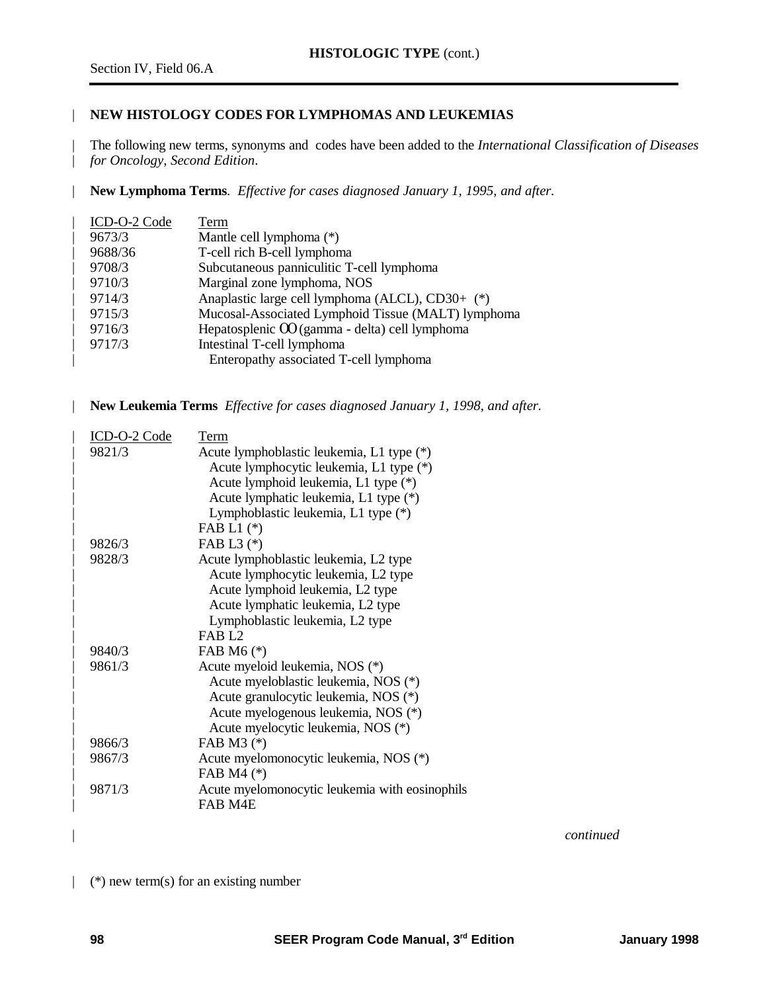# | **NEW HISTOLOGY CODES FOR LYMPHOMAS AND LEUKEMIAS**

| The following new terms, synonyms and codes have been added to the *International Classification of Diseases* | *for Oncology, Second Edition*.

| **New Lymphoma Terms**. *Effective for cases diagnosed January 1, 1995, and after.*

| ICD-O-2 Code | Term                                               |
|--------------|----------------------------------------------------|
| 9673/3       | Mantle cell lymphoma (*)                           |
| 9688/36      | T-cell rich B-cell lymphoma                        |
| 9708/3       | Subcutaneous panniculitic T-cell lymphoma          |
| 9710/3       | Marginal zone lymphoma, NOS                        |
| 9714/3       | Anaplastic large cell lymphoma (ALCL), CD30+ (*)   |
| 9715/3       | Mucosal-Associated Lymphoid Tissue (MALT) lymphoma |
| 9716/3       | Hepatosplenic $OO$ (gamma - delta) cell lymphoma   |
| 9717/3       | Intestinal T-cell lymphoma                         |
|              | Enteropathy associated T-cell lymphoma             |

### | **New Leukemia Terms** *Effective for cases diagnosed January 1, 1998, and after.*

| 9821/3<br>Acute lymphoblastic leukemia, L1 type (*)<br>Acute lymphocytic leukemia, L1 type (*)<br>Acute lymphoid leukemia, L1 type (*)<br>Acute lymphatic leukemia, L1 type (*)<br>Lymphoblastic leukemia, L1 type (*)<br>FAB L1 $(*)$<br>FAB L3 $(*)$<br>9826/3<br>9828/3<br>Acute lymphoblastic leukemia, L2 type<br>Acute lymphocytic leukemia, L2 type<br>Acute lymphoid leukemia, L2 type<br>Acute lymphatic leukemia, L2 type<br>Lymphoblastic leukemia, L2 type<br>FAB <sub>L2</sub><br>9840/3<br>FAB M6 $(*)$<br>Acute myeloid leukemia, NOS (*)<br>9861/3<br>Acute myeloblastic leukemia, NOS (*)<br>Acute granulocytic leukemia, NOS (*)<br>Acute myelogenous leukemia, NOS (*)<br>Acute myelocytic leukemia, NOS (*)<br>FAB M3 $(*)$<br>9866/3<br>9867/3<br>Acute myelomonocytic leukemia, NOS (*)<br>FAB M4 $(*)$<br>9871/3<br>Acute myelomonocytic leukemia with eosinophils<br>FAB M4E | ICD-O-2 Code | Term |
|------------------------------------------------------------------------------------------------------------------------------------------------------------------------------------------------------------------------------------------------------------------------------------------------------------------------------------------------------------------------------------------------------------------------------------------------------------------------------------------------------------------------------------------------------------------------------------------------------------------------------------------------------------------------------------------------------------------------------------------------------------------------------------------------------------------------------------------------------------------------------------------------------|--------------|------|
|                                                                                                                                                                                                                                                                                                                                                                                                                                                                                                                                                                                                                                                                                                                                                                                                                                                                                                      |              |      |
|                                                                                                                                                                                                                                                                                                                                                                                                                                                                                                                                                                                                                                                                                                                                                                                                                                                                                                      |              |      |
|                                                                                                                                                                                                                                                                                                                                                                                                                                                                                                                                                                                                                                                                                                                                                                                                                                                                                                      |              |      |
|                                                                                                                                                                                                                                                                                                                                                                                                                                                                                                                                                                                                                                                                                                                                                                                                                                                                                                      |              |      |
|                                                                                                                                                                                                                                                                                                                                                                                                                                                                                                                                                                                                                                                                                                                                                                                                                                                                                                      |              |      |
|                                                                                                                                                                                                                                                                                                                                                                                                                                                                                                                                                                                                                                                                                                                                                                                                                                                                                                      |              |      |
|                                                                                                                                                                                                                                                                                                                                                                                                                                                                                                                                                                                                                                                                                                                                                                                                                                                                                                      |              |      |
|                                                                                                                                                                                                                                                                                                                                                                                                                                                                                                                                                                                                                                                                                                                                                                                                                                                                                                      |              |      |
|                                                                                                                                                                                                                                                                                                                                                                                                                                                                                                                                                                                                                                                                                                                                                                                                                                                                                                      |              |      |
|                                                                                                                                                                                                                                                                                                                                                                                                                                                                                                                                                                                                                                                                                                                                                                                                                                                                                                      |              |      |
|                                                                                                                                                                                                                                                                                                                                                                                                                                                                                                                                                                                                                                                                                                                                                                                                                                                                                                      |              |      |
|                                                                                                                                                                                                                                                                                                                                                                                                                                                                                                                                                                                                                                                                                                                                                                                                                                                                                                      |              |      |
|                                                                                                                                                                                                                                                                                                                                                                                                                                                                                                                                                                                                                                                                                                                                                                                                                                                                                                      |              |      |
|                                                                                                                                                                                                                                                                                                                                                                                                                                                                                                                                                                                                                                                                                                                                                                                                                                                                                                      |              |      |
|                                                                                                                                                                                                                                                                                                                                                                                                                                                                                                                                                                                                                                                                                                                                                                                                                                                                                                      |              |      |
|                                                                                                                                                                                                                                                                                                                                                                                                                                                                                                                                                                                                                                                                                                                                                                                                                                                                                                      |              |      |
|                                                                                                                                                                                                                                                                                                                                                                                                                                                                                                                                                                                                                                                                                                                                                                                                                                                                                                      |              |      |
|                                                                                                                                                                                                                                                                                                                                                                                                                                                                                                                                                                                                                                                                                                                                                                                                                                                                                                      |              |      |
|                                                                                                                                                                                                                                                                                                                                                                                                                                                                                                                                                                                                                                                                                                                                                                                                                                                                                                      |              |      |
|                                                                                                                                                                                                                                                                                                                                                                                                                                                                                                                                                                                                                                                                                                                                                                                                                                                                                                      |              |      |
|                                                                                                                                                                                                                                                                                                                                                                                                                                                                                                                                                                                                                                                                                                                                                                                                                                                                                                      |              |      |
|                                                                                                                                                                                                                                                                                                                                                                                                                                                                                                                                                                                                                                                                                                                                                                                                                                                                                                      |              |      |
|                                                                                                                                                                                                                                                                                                                                                                                                                                                                                                                                                                                                                                                                                                                                                                                                                                                                                                      |              |      |
|                                                                                                                                                                                                                                                                                                                                                                                                                                                                                                                                                                                                                                                                                                                                                                                                                                                                                                      |              |      |

| *continued*

| (\*) new term(s) for an existing number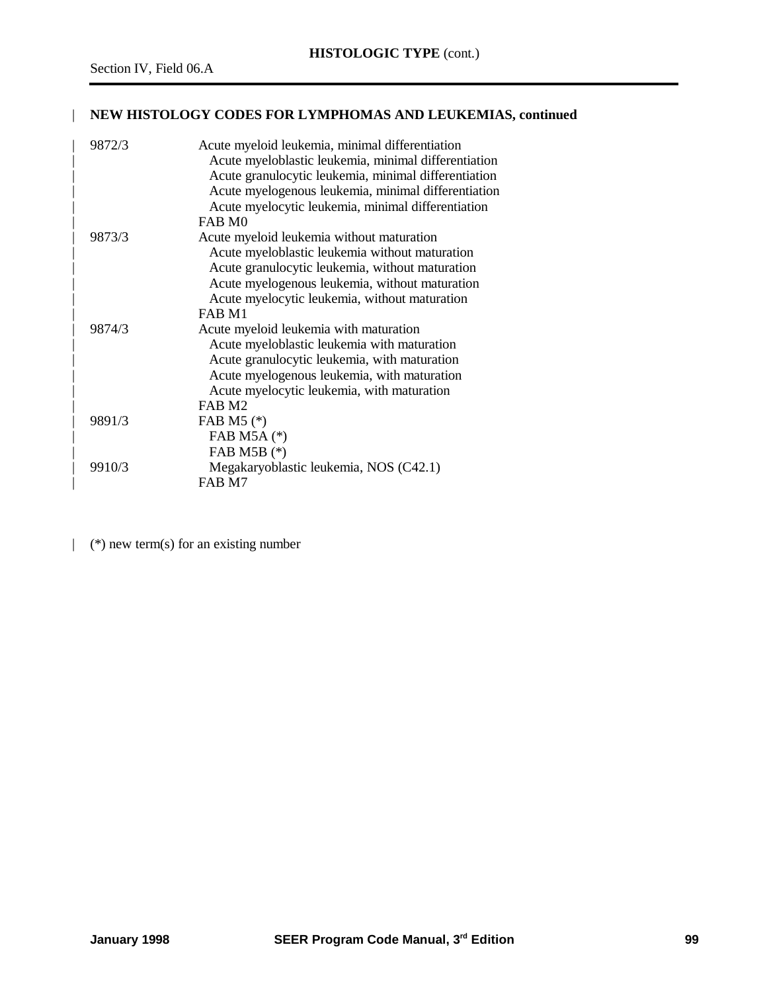# | **NEW HISTOLOGY CODES FOR LYMPHOMAS AND LEUKEMIAS, continued**

| 9872/3 | Acute myeloid leukemia, minimal differentiation<br>Acute myeloblastic leukemia, minimal differentiation<br>Acute granulocytic leukemia, minimal differentiation<br>Acute myelogenous leukemia, minimal differentiation<br>Acute myelocytic leukemia, minimal differentiation<br>FAB M0 |
|--------|----------------------------------------------------------------------------------------------------------------------------------------------------------------------------------------------------------------------------------------------------------------------------------------|
| 9873/3 | Acute myeloid leukemia without maturation<br>Acute myeloblastic leukemia without maturation<br>Acute granulocytic leukemia, without maturation<br>Acute myelogenous leukemia, without maturation<br>Acute myelocytic leukemia, without maturation                                      |
| 9874/3 | FAB M1<br>Acute myeloid leukemia with maturation<br>Acute myeloblastic leukemia with maturation<br>Acute granulocytic leukemia, with maturation<br>Acute myelogenous leukemia, with maturation<br>Acute myelocytic leukemia, with maturation<br>FAB M2                                 |
| 9891/3 | FAB M5 $(*)$<br>FAB M5A (*)<br>FAB M5B (*)                                                                                                                                                                                                                                             |
| 9910/3 | Megakaryoblastic leukemia, NOS (C42.1)<br>FAB M7                                                                                                                                                                                                                                       |

| (\*) new term(s) for an existing number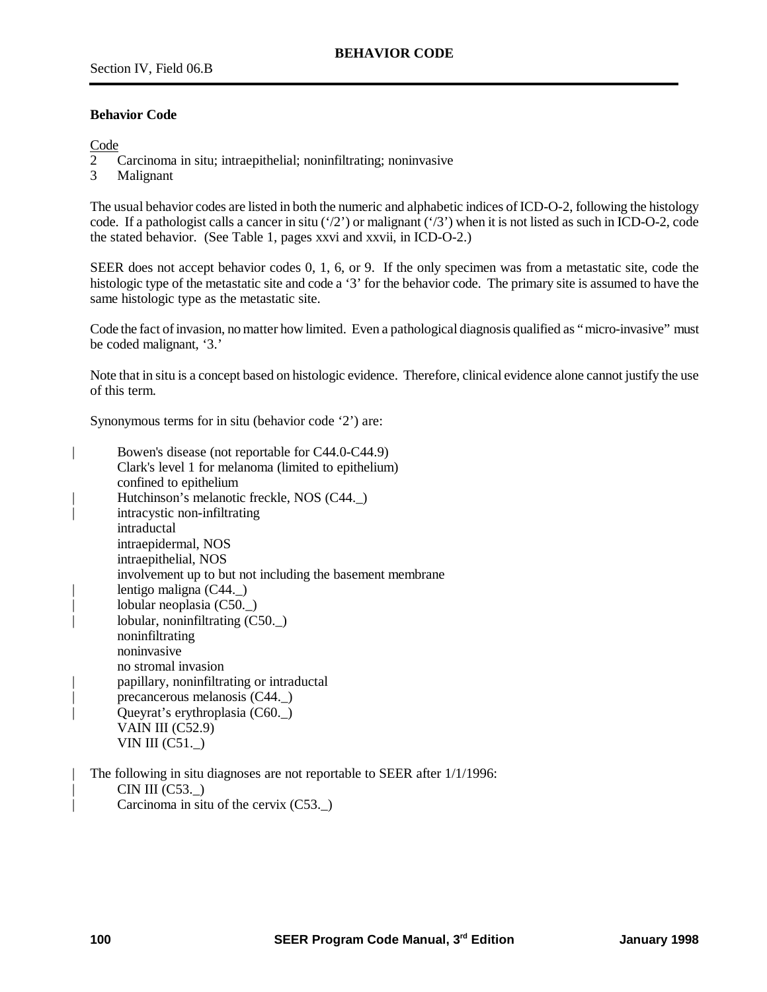# **Behavior Code**

# Code

- 2 Carcinoma in situ; intraepithelial; noninfiltrating; noninvasive
- 3 Malignant

The usual behavior codes are listed in both the numeric and alphabetic indices of ICD-O-2, following the histology code. If a pathologist calls a cancer in situ ('/2') or malignant ('/3') when it is not listed as such in ICD-O-2, code the stated behavior. (See Table 1, pages xxvi and xxvii, in ICD-O-2.)

SEER does not accept behavior codes 0, 1, 6, or 9. If the only specimen was from a metastatic site, code the histologic type of the metastatic site and code a '3' for the behavior code. The primary site is assumed to have the same histologic type as the metastatic site.

Code the fact of invasion, no matter how limited. Even a pathological diagnosis qualified as "micro-invasive" must be coded malignant, '3.'

Note that in situ is a concept based on histologic evidence. Therefore, clinical evidence alone cannot justify the use of this term.

Synonymous terms for in situ (behavior code '2') are:

| Bowen's disease (not reportable for C44.0-C44.9)                           |
|----------------------------------------------------------------------------|
| Clark's level 1 for melanoma (limited to epithelium)                       |
| confined to epithelium                                                     |
| Hutchinson's melanotic freckle, NOS (C44.)                                 |
| intracystic non-infiltrating                                               |
| intraductal                                                                |
| intraepidermal, NOS                                                        |
| intraepithelial, NOS                                                       |
|                                                                            |
| involvement up to but not including the basement membrane                  |
| lentigo maligna $(C44)$                                                    |
| lobular neoplasia $(C50)$                                                  |
| lobular, noninfiltrating (C50.)                                            |
| noninfiltrating                                                            |
| noninvasive                                                                |
| no stromal invasion                                                        |
| papillary, noninfiltrating or intraductal                                  |
| precancerous melanosis (C44.)                                              |
| Queyrat's erythroplasia (C60.)                                             |
| VAIN III (C52.9)                                                           |
| VIN III $(C51)$                                                            |
|                                                                            |
| The following in situ diagnoses are not reportable to SEER after 1/1/1996: |
| CIN III $(C53.$                                                            |
|                                                                            |

| Carcinoma in situ of the cervix (C53.\_)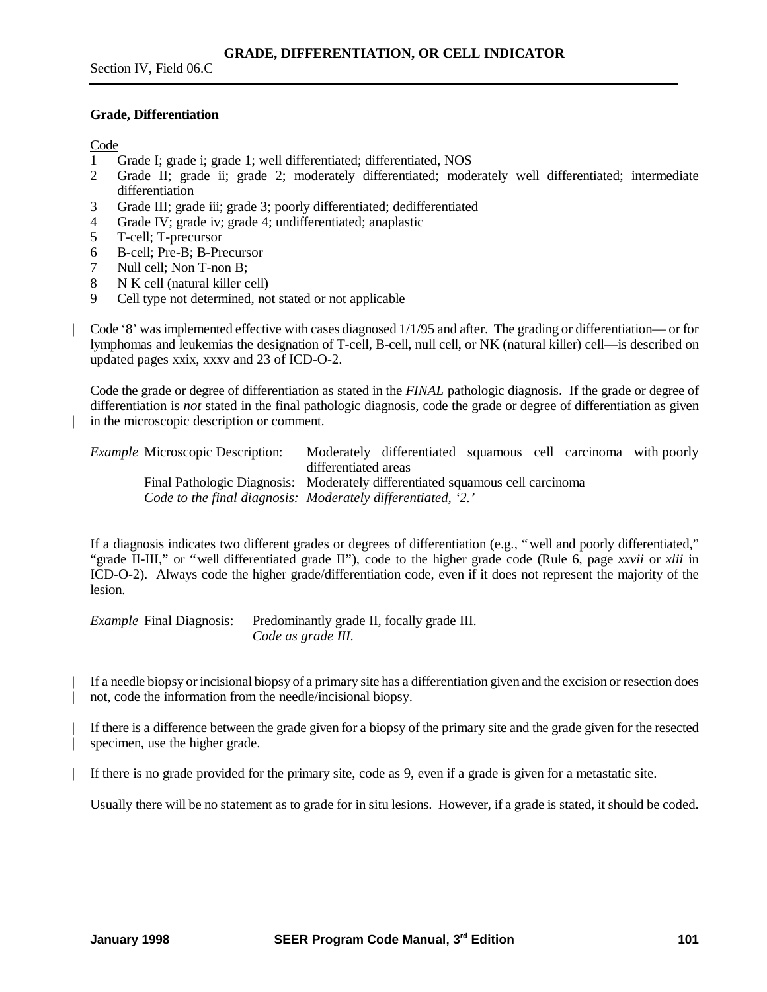### **Grade, Differentiation**

#### Code

- 1 Grade I; grade i; grade 1; well differentiated; differentiated, NOS
- 2 Grade II; grade ii; grade 2; moderately differentiated; moderately well differentiated; intermediate differentiation
- 3 Grade III; grade iii; grade 3; poorly differentiated; dedifferentiated
- 4 Grade IV; grade iv; grade 4; undifferentiated; anaplastic
- 5 T-cell; T-precursor
- 6 B-cell; Pre-B; B-Precursor
- 7 Null cell; Non T-non B;
- 8 N K cell (natural killer cell)
- 9 Cell type not determined, not stated or not applicable
- | Code '8'wasimplemented effective with cases diagnosed 1/1/95 and after. The grading or differentiation— or for lymphomas and leukemias the designation of T-cell, B-cell, null cell, or NK (natural killer) cell— is described on updated pages xxix, xxxv and 23 of ICD-O-2.

Code the grade or degree of differentiation as stated in the *FINAL* pathologic diagnosis. If the grade or degree of differentiation is *not* stated in the final pathologic diagnosis, code the grade or degree of differentiation as given in the microscopic description or comment.

| <i>Example Microscopic Description:</i>                                       | differentiated areas | Moderately differentiated squamous cell carcinoma with poorly |  |  |
|-------------------------------------------------------------------------------|----------------------|---------------------------------------------------------------|--|--|
| Final Pathologic Diagnosis: Moderately differentiated squamous cell carcinoma |                      |                                                               |  |  |
| Code to the final diagnosis: Moderately differentiated, '2.'                  |                      |                                                               |  |  |

If a diagnosis indicates two different grades or degrees of differentiation (e.g., "well and poorly differentiated," "grade II-III," or "well differentiated grade II"), code to the higher grade code (Rule 6, page *xxvii* or *xlii* in ICD-O-2). Always code the higher grade/differentiation code, even if it does not represent the majority of the lesion.

*Example* Final Diagnosis: Predominantly grade II, focally grade III. *Code as grade III.*

If a needle biopsy or incisional biopsy of a primary site has a differentiation given and the excision or resection does not, code the information from the needle/incisional biopsy.

| If there is a difference between the grade given for a biopsy of the primary site and the grade given for the resected specimen, use the higher grade.

| If there is no grade provided for the primary site, code as 9, even if a grade is given for a metastatic site.

Usually there will be no statement as to grade for in situ lesions. However, if a grade is stated, it should be coded.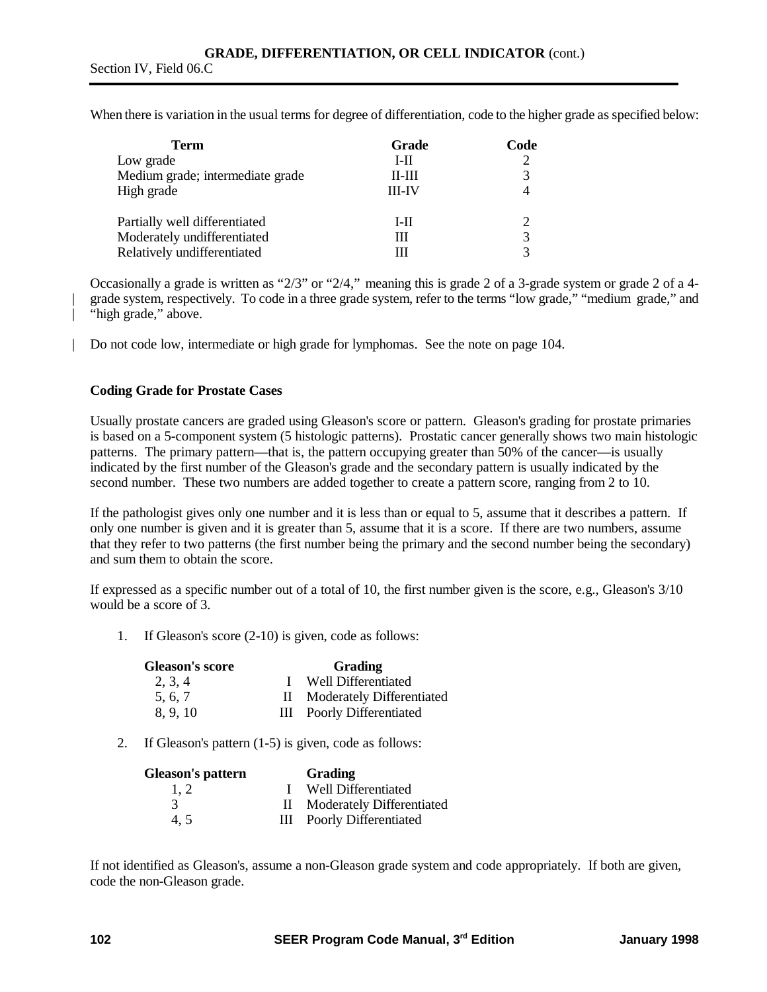When there is variation in the usual terms for degree of differentiation, code to the higher grade as specified below:

| Term                             | Grade         | Code        |
|----------------------------------|---------------|-------------|
| Low grade                        | $I-II$        | 2           |
| Medium grade; intermediate grade | $II-III$      | 3           |
| High grade                       | <b>III-IV</b> |             |
| Partially well differentiated    | I-H           |             |
| Moderately undifferentiated      | Ш             | 3           |
| Relatively undifferentiated      |               | $\mathbf 3$ |

Occasionally a grade is written as "2/3" or "2/4," meaning this is grade 2 of a 3-grade system or grade 2 of a 4- | grade system, respectively. To code in a three grade system, refer to the terms "low grade," "medium grade," and "high grade," above.

| Do not code low, intermediate or high grade for lymphomas. See the note on page 104.

#### **Coding Grade for Prostate Cases**

Usually prostate cancers are graded using Gleason's score or pattern. Gleason's grading for prostate primaries is based on a 5-component system (5 histologic patterns). Prostatic cancer generally shows two main histologic patterns. The primary pattern— that is, the pattern occupying greater than 50% of the cancer— is usually indicated by the first number of the Gleason's grade and the secondary pattern is usually indicated by the second number. These two numbers are added together to create a pattern score, ranging from 2 to 10.

If the pathologist gives only one number and it is less than or equal to 5, assume that it describes a pattern. If only one number is given and it is greater than 5, assume that it is a score. If there are two numbers, assume that they refer to two patterns (the first number being the primary and the second number being the secondary) and sum them to obtain the score.

If expressed as a specific number out of a total of 10, the first number given is the score, e.g., Gleason's 3/10 would be a score of 3.

1. If Gleason's score (2-10) is given, code as follows:

| <b>Gleason's score</b> | Grading                          |
|------------------------|----------------------------------|
| 2, 3, 4                | Well Differentiated              |
| 5, 6, 7                | II Moderately Differentiated     |
| 8, 9, 10               | <b>III</b> Poorly Differentiated |

#### 2. If Gleason's pattern (1-5) is given, code as follows:

| Gleason's pattern | Grading                          |
|-------------------|----------------------------------|
| 1.2               | Well Differentiated              |
| 3                 | <b>Moderately Differentiated</b> |
| 4.5               | <b>III</b> Poorly Differentiated |

If not identified as Gleason's, assume a non-Gleason grade system and code appropriately. If both are given, code the non-Gleason grade.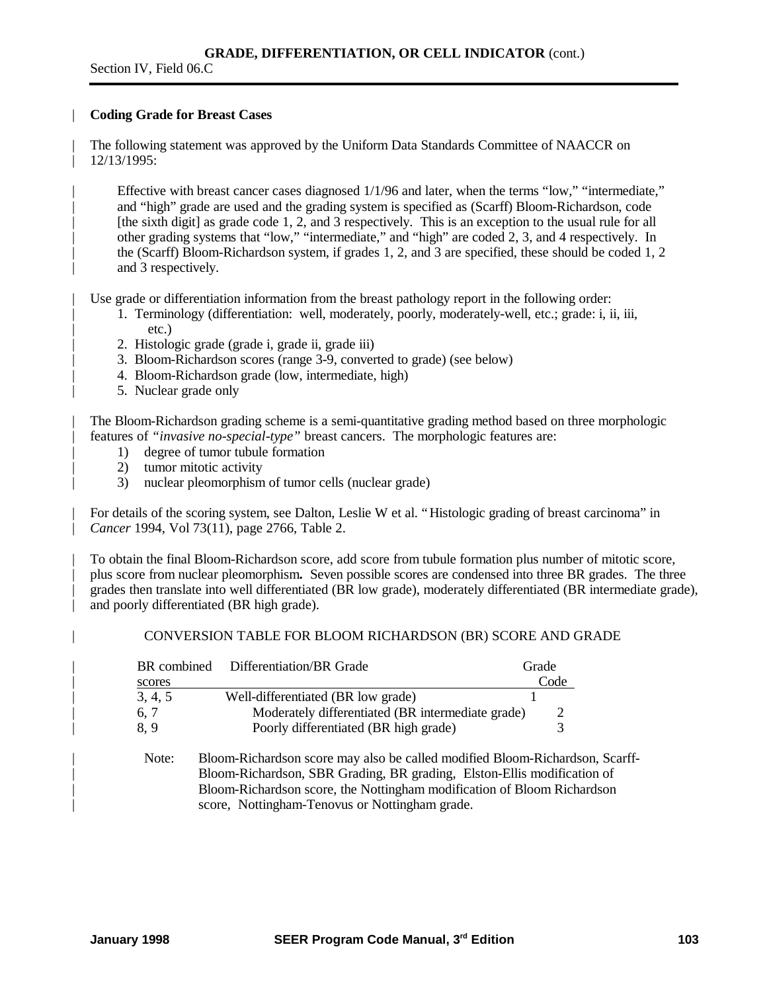Section IV, Field 06.C

#### | **Coding Grade for Breast Cases**

| The following statement was approved by the Uniform Data Standards Committee of NAACCR on | 12/13/1995:

| Effective with breast cancer cases diagnosed 1/1/96 and later, when the terms "low," "intermediate," and "high" grade are used and the grading system is specified as (Scarff) Bloom-Richardson, code | [the sixth digit] as grade code 1, 2, and 3 respectively. This is an exception to the usual rule for all other grading systems that "low," "intermediate," and "high" are coded 2, 3, and 4 respectively. In the (Scarff) Bloom-Richardson system, if grades 1, 2, and 3 are specified, these should be coded 1, 2 and 3 respectively.

| Use grade or differentiation information from the breast pathology report in the following order:

- | 1. Terminology (differentiation: well, moderately, poorly, moderately-well, etc.; grade: i, ii, iii,  $etc.$ )
- | 2. Histologic grade (grade i, grade ii, grade iii)
- | 3. Bloom-Richardson scores (range 3-9, converted to grade) (see below)
- | 4. Bloom-Richardson grade (low, intermediate, high)
- | 5. Nuclear grade only

| The Bloom-Richardson grading scheme is a semi-quantitative grading method based on three morphologic features of "*invasive no-special-type*" breast cancers. The morphologic features are:

- | 1) degree of tumor tubule formation
- | 2) tumor mitotic activity
- | 3) nuclear pleomorphism of tumor cells (nuclear grade)

| For details of the scoring system, see Dalton, Leslie W et al. "Histologic grading of breast carcinoma" in | *Cancer* 1994, Vol 73(11), page 2766, Table 2.

| To obtain the final Bloom-Richardson score, add score from tubule formation plus number of mitotic score, | plus score from nuclear pleomorphism**.** Seven possible scores are condensed into three BR grades. The three | grades then translate into well differentiated (BR low grade), moderately differentiated (BR intermediate grade), and poorly differentiated (BR high grade).

#### | CONVERSION TABLE FOR BLOOM RICHARDSON (BR) SCORE AND GRADE

|         | BR combined Differentiation/BR Grade              | Grade |
|---------|---------------------------------------------------|-------|
| scores  |                                                   | Code  |
| 3, 4, 5 | Well-differentiated (BR low grade)                |       |
| 6.7     | Moderately differentiated (BR intermediate grade) |       |
| 8.9     | Poorly differentiated (BR high grade)             |       |

| Note: Bloom-Richardson score may also be called modified Bloom-Richardson, Scarff- | Bloom-Richardson, SBR Grading, BR grading, Elston-Ellis modification of | Bloom-Richardson score, the Nottingham modification of Bloom Richardson score, Nottingham-Tenovus or Nottingham grade.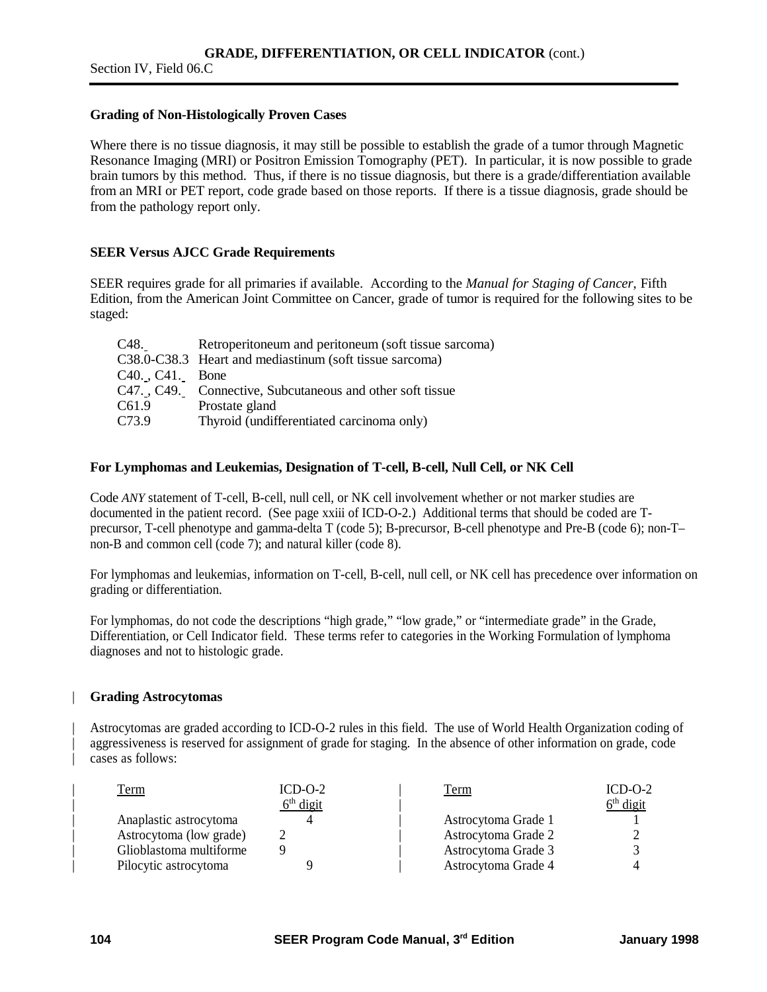Section IV, Field 06.C

# **Grading of Non-Histologically Proven Cases**

Where there is no tissue diagnosis, it may still be possible to establish the grade of a tumor through Magnetic Resonance Imaging (MRI) or Positron Emission Tomography (PET). In particular, it is now possible to grade brain tumors by this method. Thus, if there is no tissue diagnosis, but there is a grade/differentiation available from an MRI or PET report, code grade based on those reports. If there is a tissue diagnosis, grade should be from the pathology report only.

# **SEER Versus AJCC Grade Requirements**

SEER requires grade for all primaries if available. According to the *Manual for Staging of Cancer*, Fifth Edition, from the American Joint Committee on Cancer, grade of tumor is required for the following sites to be staged:

| C48.                                      | Retroperitoneum and peritoneum (soft tissue sarcoma)      |
|-------------------------------------------|-----------------------------------------------------------|
|                                           | C38.0-C38.3 Heart and mediastinum (soft tissue sarcoma)   |
| C <sub>40</sub> ., C <sub>41</sub> . Bone |                                                           |
|                                           | C47., C49. Connective, Subcutaneous and other soft tissue |
| C61.9                                     | Prostate gland                                            |
| C73.9                                     | Thyroid (undifferentiated carcinoma only)                 |

#### **For Lymphomas and Leukemias, Designation of T-cell, B-cell, Null Cell, or NK Cell**

Code *ANY* statement of T-cell, B-cell, null cell, or NK cell involvement whether or not marker studies are documented in the patient record. (See page xxiii of ICD-O-2.) Additional terms that should be coded are Tprecursor, T-cell phenotype and gamma-delta T (code 5); B-precursor, B-cell phenotype and Pre-B (code 6); non-T– non-B and common cell (code 7); and natural killer (code 8).

For lymphomas and leukemias, information on T-cell, B-cell, null cell, or NK cell has precedence over information on grading or differentiation.

For lymphomas, do not code the descriptions "high grade," "low grade," or "intermediate grade" in the Grade, Differentiation, or Cell Indicator field. These terms refer to categories in the Working Formulation of lymphoma diagnoses and not to histologic grade.

# | **Grading Astrocytomas**

| Astrocytomas are graded according to ICD-O-2 rules in this field. The use of World Health Organization coding of | aggressiveness is reserved for assignment of grade for staging. In the absence of other information on grade, code cases as follows:

| Term                    | $ICD-O-2$   | Term                | $ICD-O-2$   |
|-------------------------|-------------|---------------------|-------------|
|                         | $6th$ digit |                     | $6th$ digit |
| Anaplastic astrocytoma  |             | Astrocytoma Grade 1 |             |
| Astrocytoma (low grade) |             | Astrocytoma Grade 2 |             |
| Glioblastoma multiforme |             | Astrocytoma Grade 3 |             |
| Pilocytic astrocytoma   |             | Astrocytoma Grade 4 |             |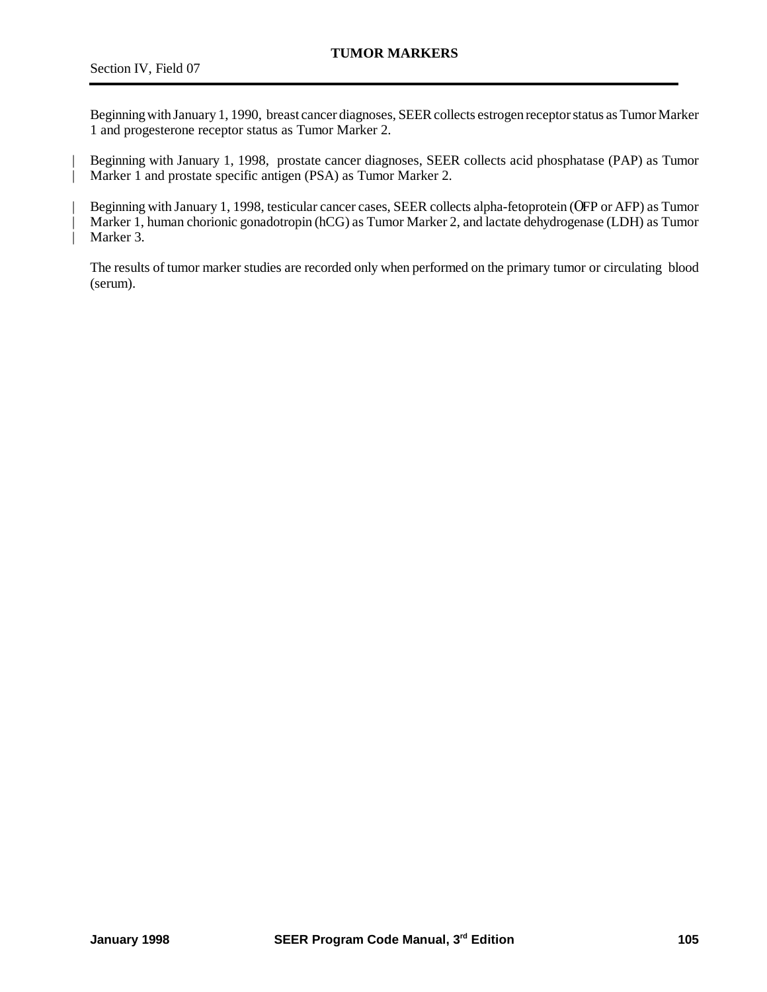Beginning with January 1, 1990, breast cancer diagnoses, SEER collects estrogen receptor status as Tumor Marker 1 and progesterone receptor status as Tumor Marker 2.

| Beginning with January 1, 1998, prostate cancer diagnoses, SEER collects acid phosphatase (PAP) as Tumor | Marker 1 and prostate specific antigen (PSA) as Tumor Marker 2.

Beginning with January 1, 1998, testicular cancer cases, SEER collects alpha-fetoprotein (OFP or AFP) as Tumor | Marker 1, human chorionic gonadotropin (hCG) as Tumor Marker 2, and lactate dehydrogenase (LDH) as Tumor Marker 3.

The results of tumor marker studies are recorded only when performed on the primary tumor or circulating blood (serum).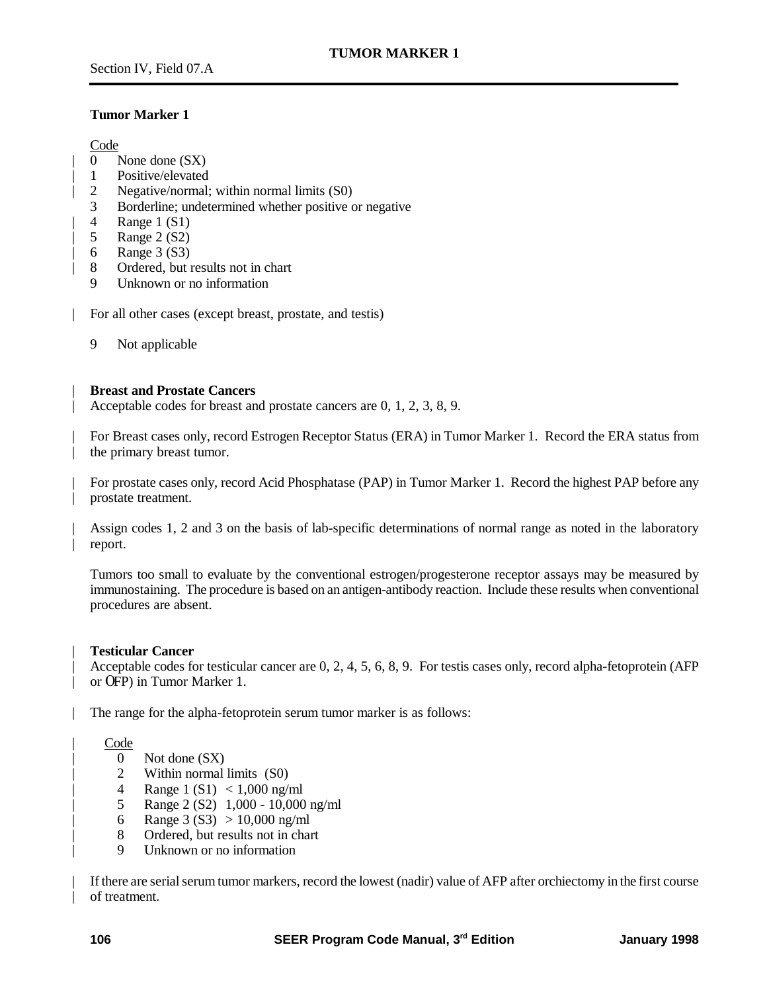# **Tumor Marker 1**

# Code

- 0 None done (SX)
- | 1 Positive/elevated
- | 2 Negative/normal; within normal limits (S0)
- 3 Borderline; undetermined whether positive or negative
- | 4 Range 1 (S1)
- | 5 Range 2 (S2)
- | 6 Range 3 (S3)
- | 8 Ordered, but results not in chart
- 9 Unknown or no information
- | For all other cases (except breast, prostate, and testis)
	- 9 Not applicable

# | **Breast and Prostate Cancers**

| Acceptable codes for breast and prostate cancers are 0, 1, 2, 3, 8, 9.

| For Breast cases only, record Estrogen Receptor Status (ERA) in Tumor Marker 1. Record the ERA status from the primary breast tumor.

| For prostate cases only, record Acid Phosphatase (PAP) in Tumor Marker 1. Record the highest PAP before any | prostate treatment.

| Assign codes 1, 2 and 3 on the basis of lab-specific determinations of normal range as noted in the laboratory report.

Tumors too small to evaluate by the conventional estrogen/progesterone receptor assays may be measured by immunostaining. The procedure is based on an antigen-antibody reaction. Include these results when conventional procedures are absent.

# | **Testicular Cancer**

Acceptable codes for testicular cancer are 0, 2, 4, 5, 6, 8, 9. For testis cases only, record alpha-fetoprotein (AFP or OFP) in Tumor Marker 1.

The range for the alpha-fetoprotein serum tumor marker is as follows:

# | Code

- 0 Not done (SX)
- 2 Within normal limits (S0)
- 4 Range 1 (S1)  $\langle 1,000 \text{ ng/ml} \rangle$
- | 5 Range 2 (S2) 1,000 10,000 ng/ml
- 6 Range 3 (S3)  $> 10,000$  ng/ml
- | 8 Ordered, but results not in chart
- | 9 Unknown or no information

If there are serial serum tumor markers, record the lowest (nadir) value of AFP after orchiectomy in the first course of treatment.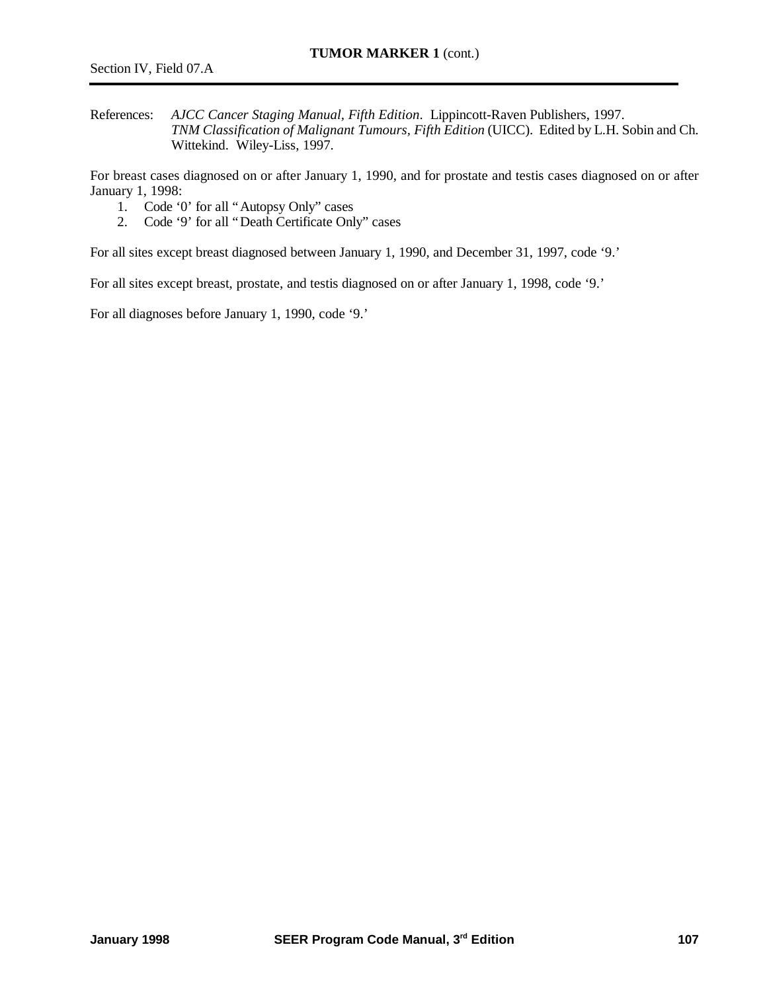References: *AJCC Cancer Staging Manual, Fifth Edition*. Lippincott-Raven Publishers, 1997. *TNM Classification of Malignant Tumours, Fifth Edition* (UICC). Edited by L.H. Sobin and Ch. Wittekind. Wiley-Liss, 1997.

For breast cases diagnosed on or after January 1, 1990, and for prostate and testis cases diagnosed on or after January 1, 1998:

- 1. Code '0' for all "Autopsy Only" cases
- 2. Code '9' for all "Death Certificate Only" cases

For all sites except breast diagnosed between January 1, 1990, and December 31, 1997, code '9.'

For all sites except breast, prostate, and testis diagnosed on or after January 1, 1998, code '9.'

For all diagnoses before January 1, 1990, code '9.'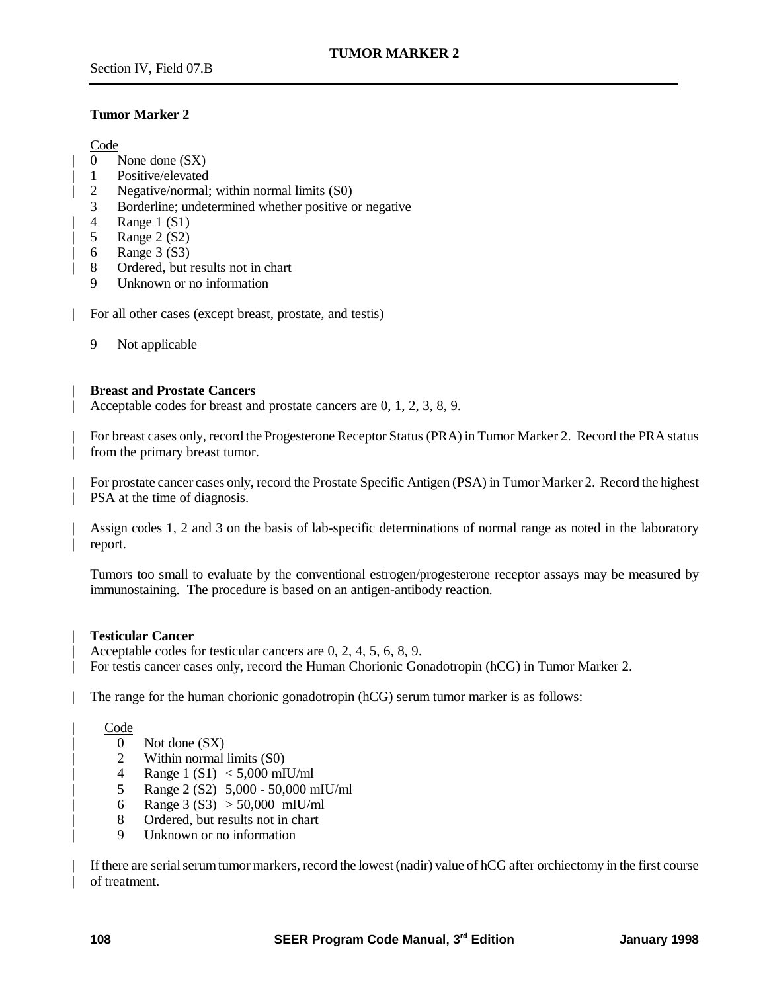# **Tumor Marker 2**

#### Code

- 0 None done (SX)
- | 1 Positive/elevated
- | 2 Negative/normal; within normal limits (S0)
- 3 Borderline; undetermined whether positive or negative
- | 4 Range 1 (S1)
- | 5 Range 2 (S2)
- | 6 Range 3 (S3)
- | 8 Ordered, but results not in chart
- 9 Unknown or no information
- | For all other cases (except breast, prostate, and testis)
	- 9 Not applicable

#### | **Breast and Prostate Cancers**

| Acceptable codes for breast and prostate cancers are 0, 1, 2, 3, 8, 9.

| For breast cases only, record the Progesterone Receptor Status (PRA) in Tumor Marker 2. Record the PRA status from the primary breast tumor.

| For prostate cancer cases only, record the Prostate Specific Antigen (PSA) in Tumor Marker 2. Record the highest | PSA at the time of diagnosis.

| Assign codes 1, 2 and 3 on the basis of lab-specific determinations of normal range as noted in the laboratory report.

Tumors too small to evaluate by the conventional estrogen/progesterone receptor assays may be measured by immunostaining. The procedure is based on an antigen-antibody reaction.

# | **Testicular Cancer**

| Acceptable codes for testicular cancers are 0, 2, 4, 5, 6, 8, 9. | For testis cancer cases only, record the Human Chorionic Gonadotropin (hCG) in Tumor Marker 2.

| The range for the human chorionic gonadotropin (hCG) serum tumor marker is as follows:

#### | Code

- 0 Not done (SX)
- | 2 Within normal limits (S0)
- 4 Range 1 (S1)  $< 5,000$  mIU/ml
- | 5 Range 2 (S2) 5,000 50,000 mIU/ml
- 6 Range 3 (S3)  $> 50,000$  mIU/ml
- 8 Ordered, but results not in chart
- | 9 Unknown or no information

| If there are serialserum tumor markers, record the lowest(nadir) value of hCG after orchiectomy in the first course of treatment.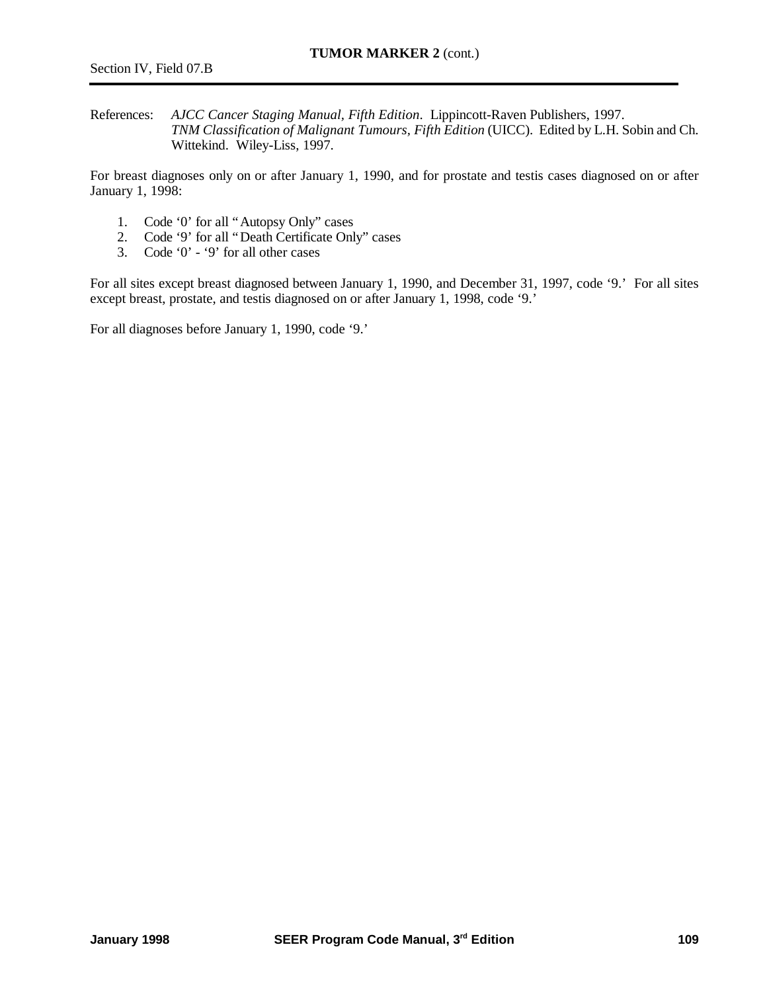References: *AJCC Cancer Staging Manual, Fifth Edition*. Lippincott-Raven Publishers, 1997. *TNM Classification of Malignant Tumours, Fifth Edition* (UICC). Edited by L.H. Sobin and Ch. Wittekind. Wiley-Liss, 1997.

For breast diagnoses only on or after January 1, 1990, and for prostate and testis cases diagnosed on or after January 1, 1998:

- 1. Code '0' for all "Autopsy Only" cases
- 2. Code '9' for all "Death Certificate Only" cases
- 3. Code '0' '9' for all other cases

For all sites except breast diagnosed between January 1, 1990, and December 31, 1997, code '9.' For all sites except breast, prostate, and testis diagnosed on or after January 1, 1998, code '9.'

For all diagnoses before January 1, 1990, code '9.'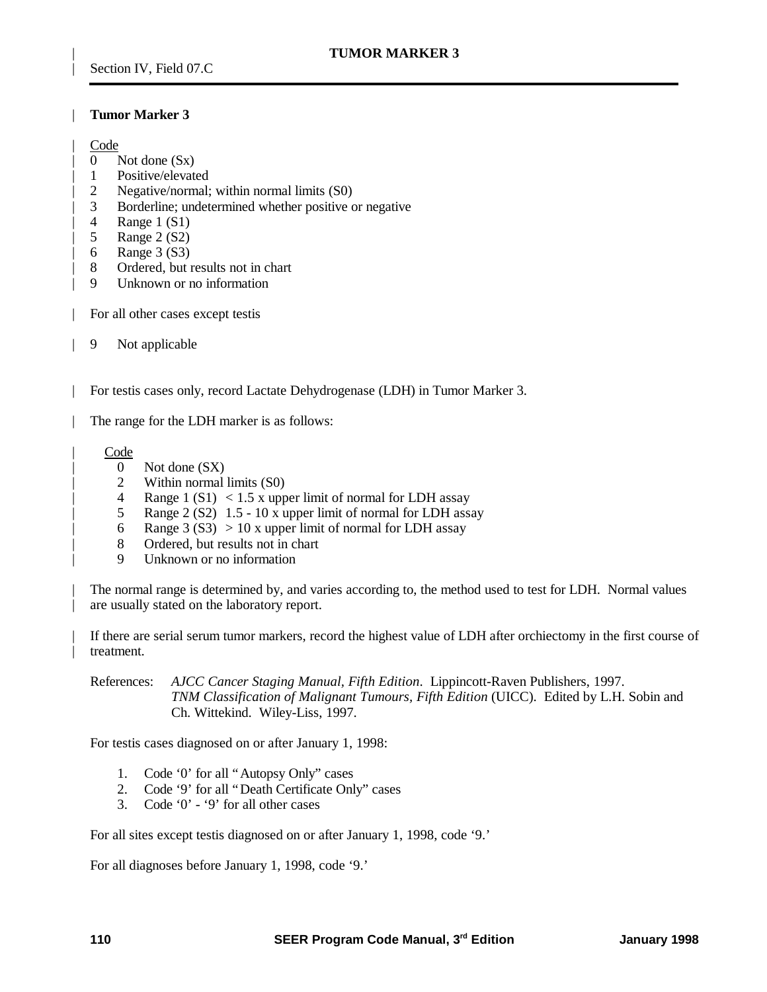# | **Tumor Marker 3**

### | Code

- $0$  Not done  $(Sx)$
- | 1 Positive/elevated
- | 2 Negative/normal; within normal limits (S0)
- | 3 Borderline; undetermined whether positive or negative
- | 4 Range 1 (S1)
- | 5 Range 2 (S2)
- | 6 Range 3 (S3)
- | 8 Ordered, but results not in chart
- | 9 Unknown or no information
- | For all other cases except testis
- | 9 Not applicable
- | For testis cases only, record Lactate Dehydrogenase (LDH) in Tumor Marker 3.
- | The range for the LDH marker is as follows:
	- | Code
		- 0 Not done (SX)
		- | 2 Within normal limits (S0)
		- 4 Range 1 (S1)  $\langle 1.5 \times 1.5 \rangle$  a upper limit of normal for LDH assay
		- 5 Range 2 (S2) 1.5 10 x upper limit of normal for LDH assay
		- 6 Range 3 (S3)  $> 10$  x upper limit of normal for LDH assay
		- | 8 Ordered, but results not in chart
		- | 9 Unknown or no information
- | The normal range is determined by, and varies according to, the method used to test for LDH. Normal values are usually stated on the laboratory report.
- | If there are serial serum tumor markers, record the highest value of LDH after orchiectomy in the first course of treatment.

References: *AJCC Cancer Staging Manual, Fifth Edition*. Lippincott-Raven Publishers, 1997. *TNM Classification of Malignant Tumours, Fifth Edition* (UICC). Edited by L.H. Sobin and Ch. Wittekind. Wiley-Liss, 1997.

For testis cases diagnosed on or after January 1, 1998:

- 1. Code '0' for all "Autopsy Only" cases
- 2. Code '9' for all "Death Certificate Only" cases
- 3. Code '0' '9' for all other cases

For all sites except testis diagnosed on or after January 1, 1998, code '9.'

For all diagnoses before January 1, 1998, code '9.'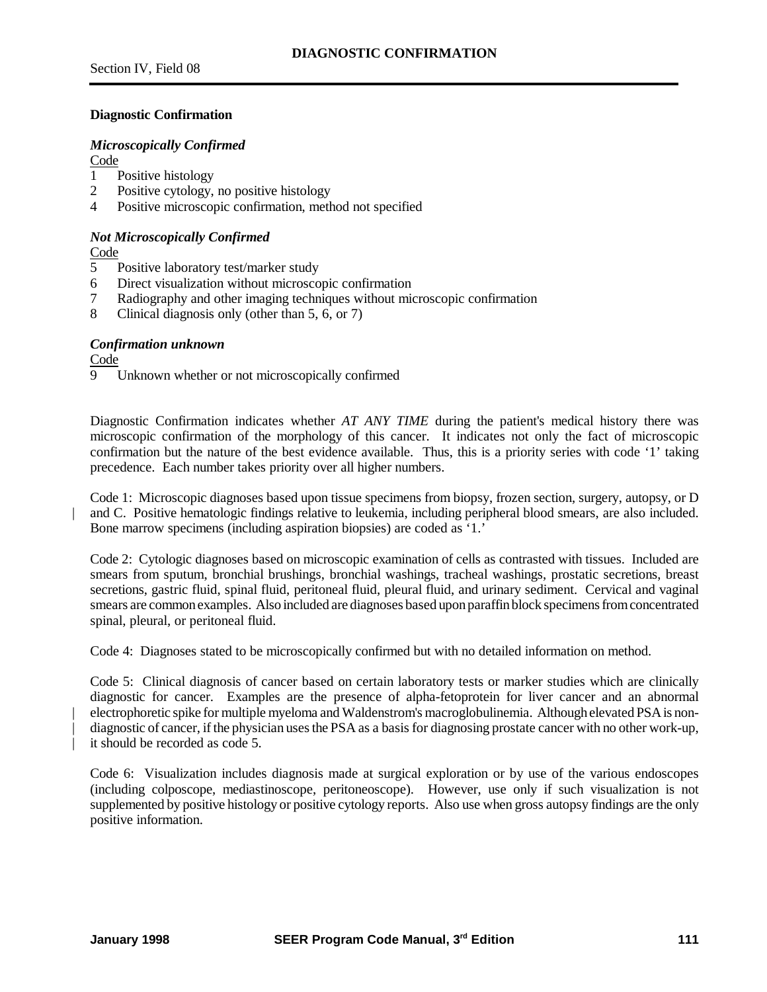# **Diagnostic Confirmation**

### *Microscopically Confirmed*

Code

- 1 Positive histology
- 2 Positive cytology, no positive histology
- 4 Positive microscopic confirmation, method not specified

### *Not Microscopically Confirmed*

Code

- 5 Positive laboratory test/marker study
- 6 Direct visualization without microscopic confirmation
- 7 Radiography and other imaging techniques without microscopic confirmation
- 8 Clinical diagnosis only (other than 5, 6, or 7)

# *Confirmation unknown*

Code

9 Unknown whether or not microscopically confirmed

Diagnostic Confirmation indicates whether *AT ANY TIME* during the patient's medical history there was microscopic confirmation of the morphology of this cancer. It indicates not only the fact of microscopic confirmation but the nature of the best evidence available. Thus, this is a priority series with code '1' taking precedence. Each number takes priority over all higher numbers.

Code 1: Microscopic diagnoses based upon tissue specimens from biopsy, frozen section, surgery, autopsy, or D | and C. Positive hematologic findings relative to leukemia, including peripheral blood smears, are also included. Bone marrow specimens (including aspiration biopsies) are coded as '1.'

Code 2: Cytologic diagnoses based on microscopic examination of cells as contrasted with tissues. Included are smears from sputum, bronchial brushings, bronchial washings, tracheal washings, prostatic secretions, breast secretions, gastric fluid, spinal fluid, peritoneal fluid, pleural fluid, and urinary sediment. Cervical and vaginal smears are common examples. Also included are diagnoses based upon paraffin block specimens from concentrated spinal, pleural, or peritoneal fluid.

Code 4: Diagnoses stated to be microscopically confirmed but with no detailed information on method.

Code 5: Clinical diagnosis of cancer based on certain laboratory tests or marker studies which are clinically diagnostic for cancer. Examples are the presence of alpha-fetoprotein for liver cancer and an abnormal | electrophoretic spike for multiple myeloma and Waldenstrom's macroglobulinemia. Although elevated PSA is non- | diagnostic of cancer, if the physician usesthe PSA as a basisfor diagnosing prostate cancer with no other work-up, it should be recorded as code 5.

Code 6: Visualization includes diagnosis made at surgical exploration or by use of the various endoscopes (including colposcope, mediastinoscope, peritoneoscope). However, use only if such visualization is not supplemented by positive histology or positive cytology reports. Also use when gross autopsy findings are the only positive information.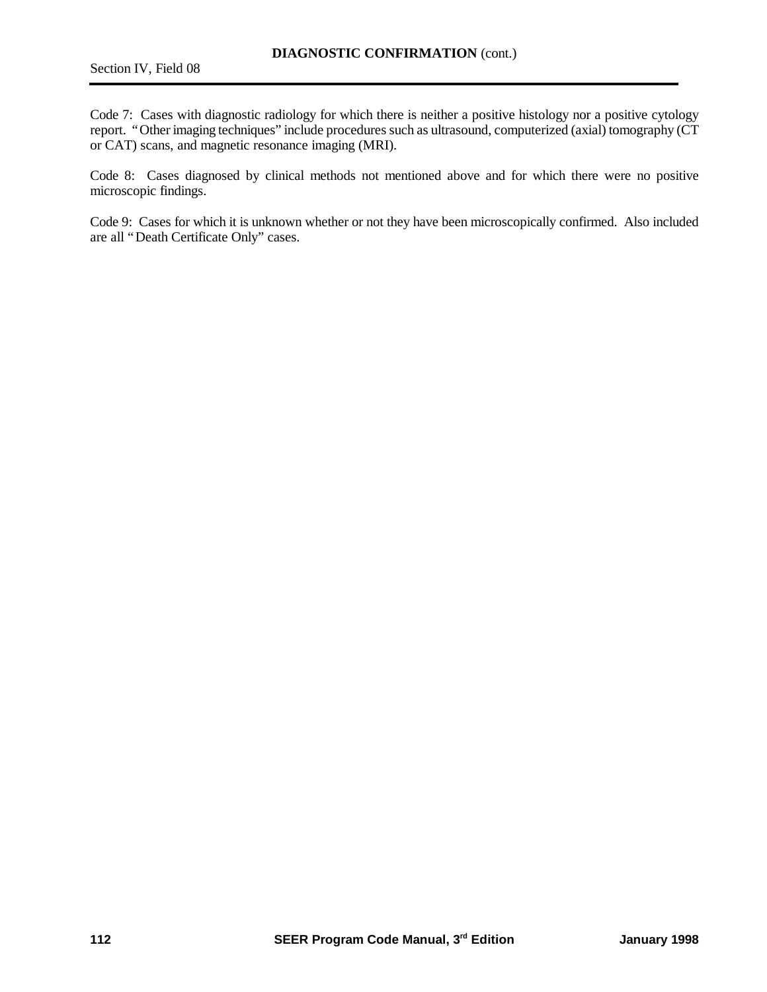Code 7: Cases with diagnostic radiology for which there is neither a positive histology nor a positive cytology report. "Other imaging techniques" include procedures such as ultrasound, computerized (axial) tomography (CT or CAT) scans, and magnetic resonance imaging (MRI).

Code 8: Cases diagnosed by clinical methods not mentioned above and for which there were no positive microscopic findings.

Code 9: Cases for which it is unknown whether or not they have been microscopically confirmed. Also included are all "Death Certificate Only" cases.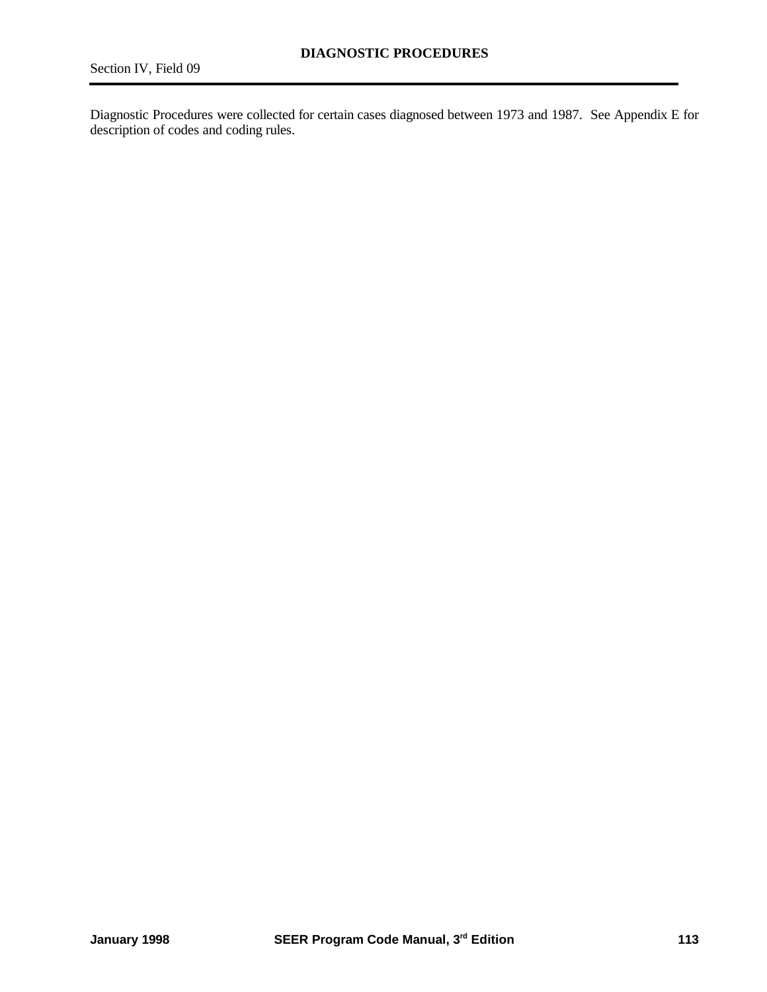Diagnostic Procedures were collected for certain cases diagnosed between 1973 and 1987. See Appendix E for description of codes and coding rules.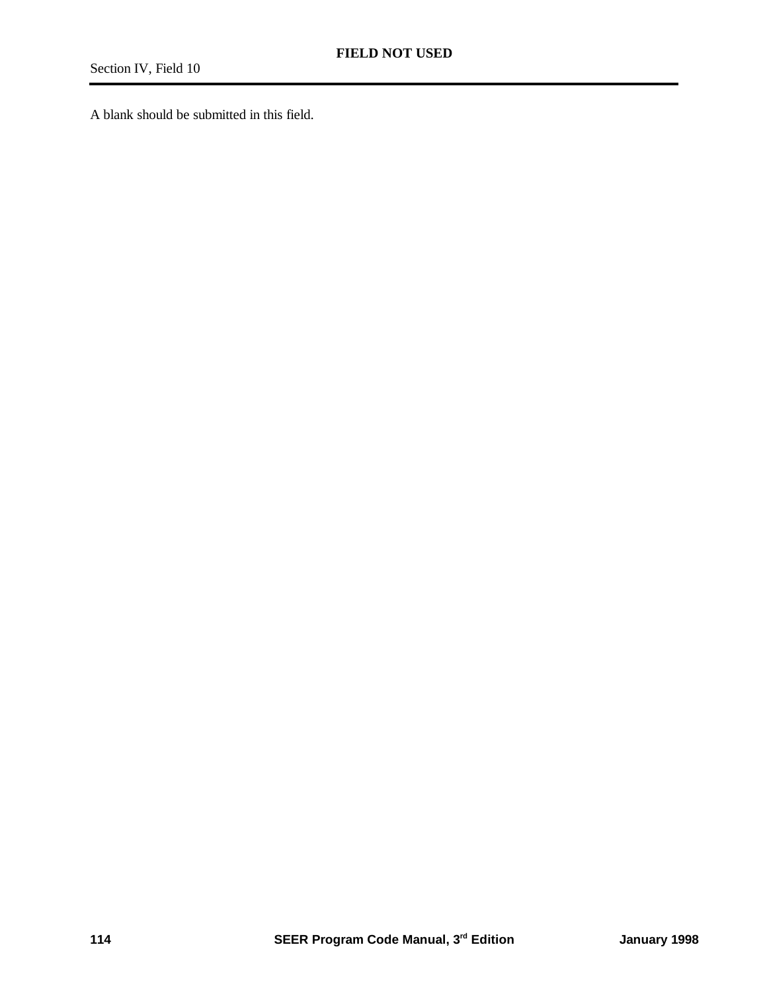A blank should be submitted in this field.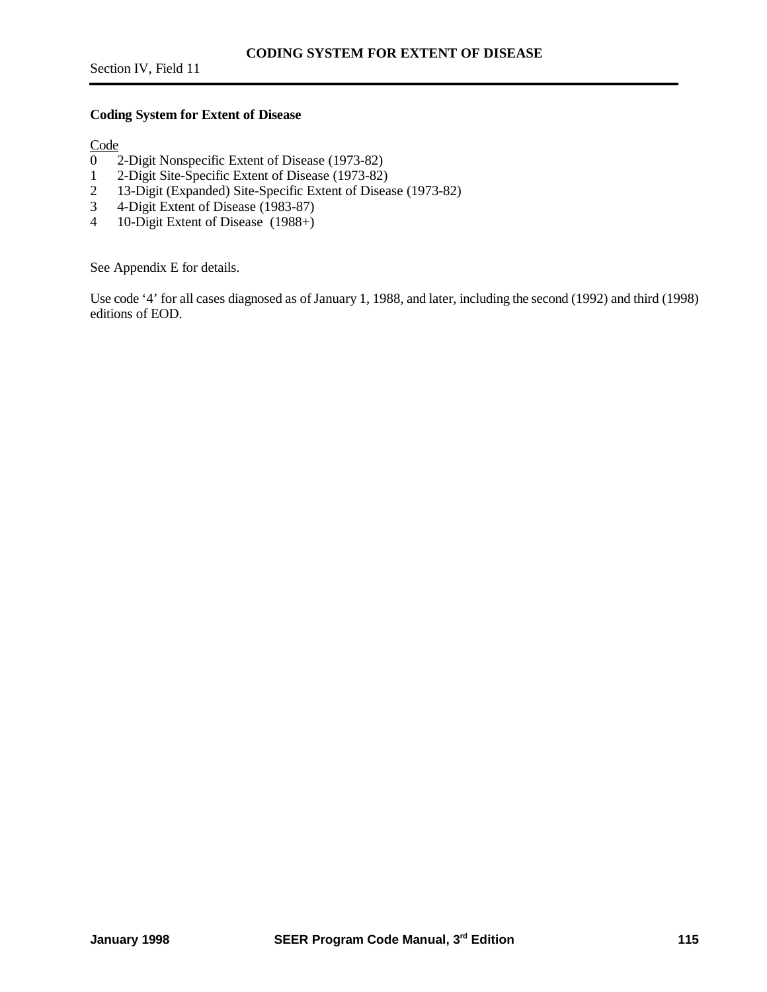# **Coding System for Extent of Disease**

# Code

- 0 2-Digit Nonspecific Extent of Disease (1973-82)
- 1 2-Digit Site-Specific Extent of Disease (1973-82)
- 2 13-Digit (Expanded) Site-Specific Extent of Disease (1973-82)<br>4-Digit Extent of Disease (1983-87)
- 4-Digit Extent of Disease (1983-87)
- 4 10-Digit Extent of Disease (1988+)

See Appendix E for details.

Use code '4' for all cases diagnosed as of January 1, 1988, and later, including the second (1992) and third (1998) editions of EOD.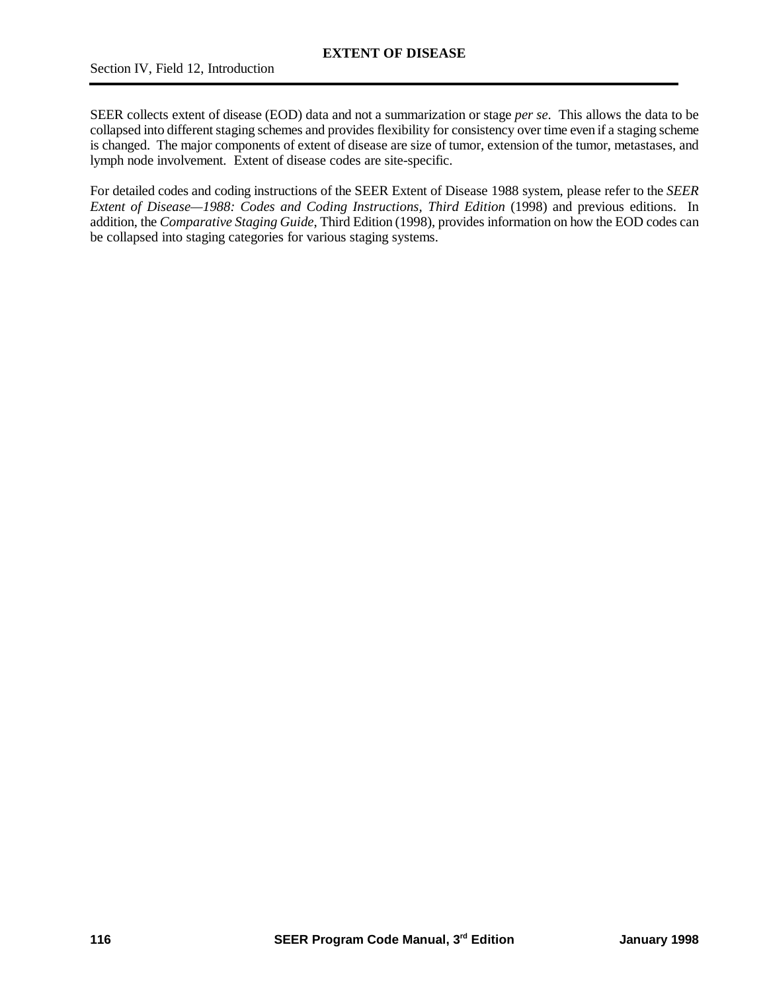SEER collects extent of disease (EOD) data and not a summarization or stage *per se*. This allows the data to be collapsed into different staging schemes and provides flexibility for consistency over time even if a staging scheme is changed. The major components of extent of disease are size of tumor, extension of the tumor, metastases, and lymph node involvement. Extent of disease codes are site-specific.

For detailed codes and coding instructions of the SEER Extent of Disease 1988 system, please refer to the *SEER Extent of Disease— 1988: Codes and Coding Instructions, Third Edition* (1998) and previous editions. In addition, the *Comparative Staging Guide*, Third Edition (1998), provides information on how the EOD codes can be collapsed into staging categories for various staging systems.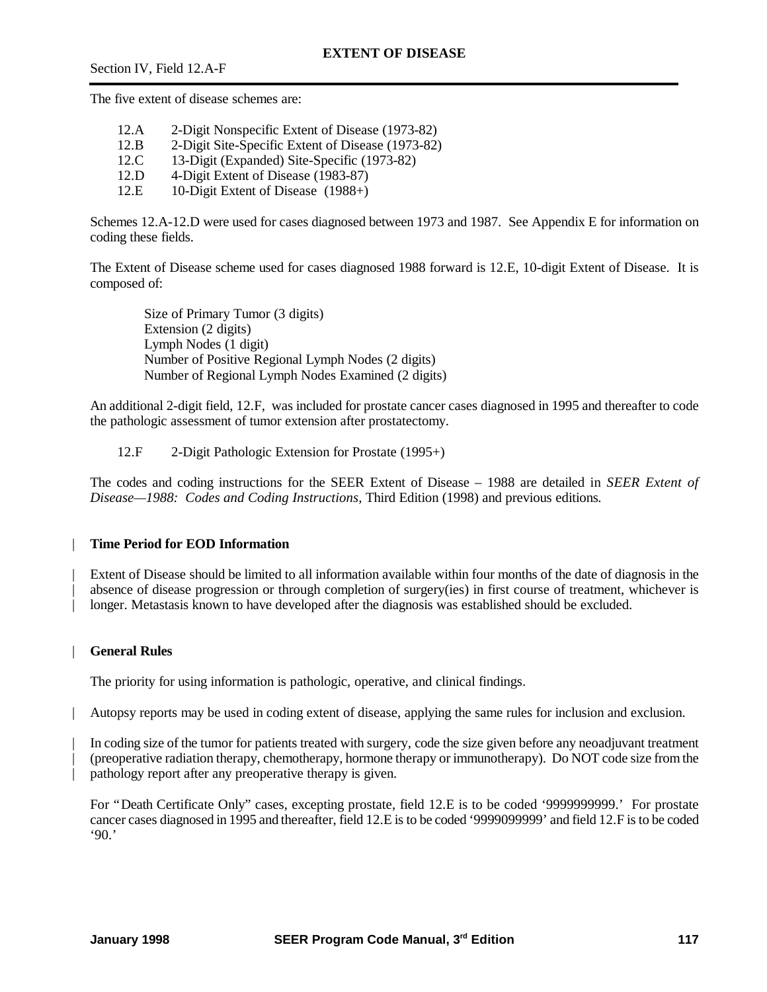The five extent of disease schemes are:

12.A 2-Digit Nonspecific Extent of Disease (1973-82) 12.B 2-Digit Site-Specific Extent of Disease (1973-82) 12.C 13-Digit (Expanded) Site-Specific (1973-82) 12.D 4-Digit Extent of Disease (1983-87) 12.E 10-Digit Extent of Disease (1988+)

Schemes 12.A-12.D were used for cases diagnosed between 1973 and 1987. See Appendix E for information on coding these fields.

The Extent of Disease scheme used for cases diagnosed 1988 forward is 12.E, 10-digit Extent of Disease. It is composed of:

Size of Primary Tumor (3 digits) Extension (2 digits) Lymph Nodes (1 digit) Number of Positive Regional Lymph Nodes (2 digits) Number of Regional Lymph Nodes Examined (2 digits)

An additional 2-digit field, 12.F, was included for prostate cancer cases diagnosed in 1995 and thereafter to code the pathologic assessment of tumor extension after prostatectomy.

12.F 2-Digit Pathologic Extension for Prostate (1995+)

The codes and coding instructions for the SEER Extent of Disease – 1988 are detailed in *SEER Extent of Disease— 1988: Codes and Coding Instructions,* Third Edition (1998) and previous editions*.*

# | **Time Period for EOD Information**

| Extent of Disease should be limited to all information available within four months of the date of diagnosis in the absence of disease progression or through completion of surgery(ies) in first course of treatment, whichever is | longer. Metastasis known to have developed after the diagnosis was established should be excluded.

#### | **General Rules**

The priority for using information is pathologic, operative, and clinical findings.

| Autopsy reports may be used in coding extent of disease, applying the same rules for inclusion and exclusion.

In coding size of the tumor for patients treated with surgery, code the size given before any neoadjuvant treatment | (preoperative radiation therapy, chemotherapy, hormone therapy or immunotherapy). Do NOT code size from the | pathology report after any preoperative therapy is given.

For "Death Certificate Only" cases, excepting prostate, field 12.E is to be coded '9999999999.' For prostate cancer cases diagnosed in 1995 and thereafter, field 12.E isto be coded '9999099999'and field 12.F isto be coded '90.'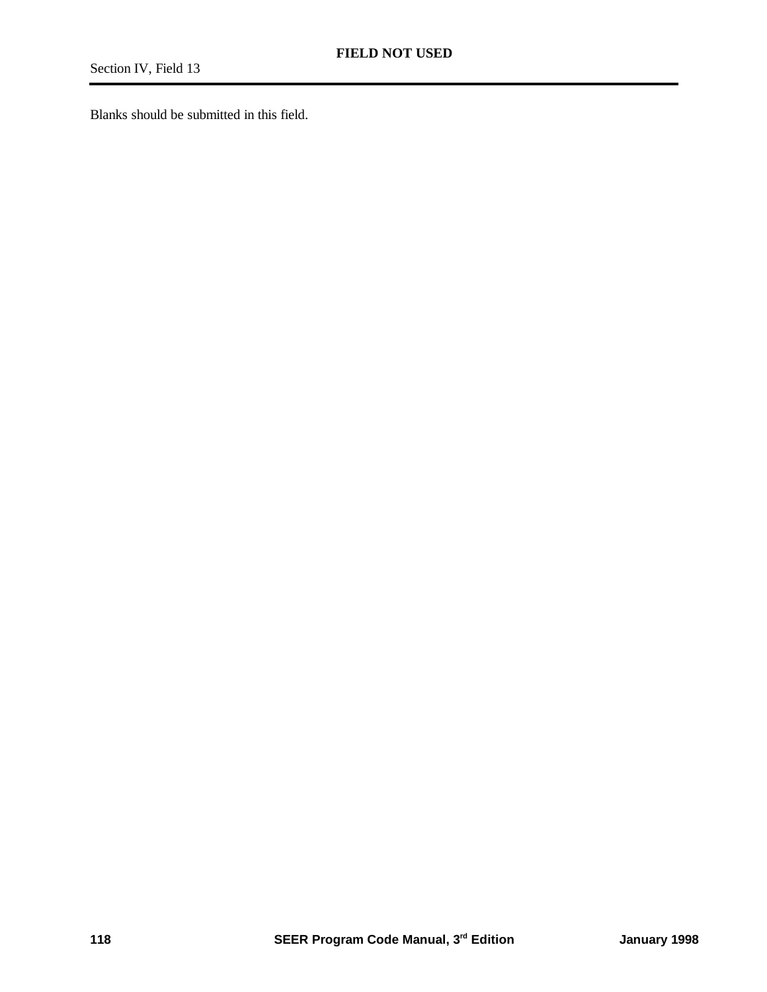Blanks should be submitted in this field.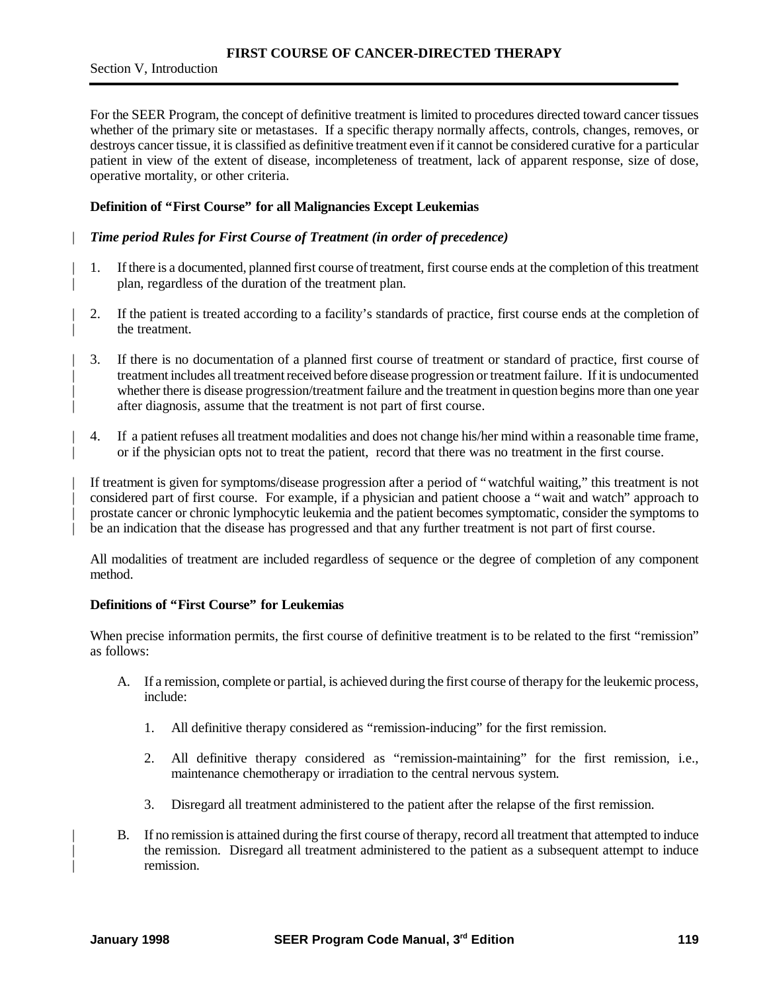For the SEER Program, the concept of definitive treatment is limited to procedures directed toward cancer tissues whether of the primary site or metastases. If a specific therapy normally affects, controls, changes, removes, or destroys cancer tissue, it is classified as definitive treatment even if it cannot be considered curative for a particular patient in view of the extent of disease, incompleteness of treatment, lack of apparent response, size of dose, operative mortality, or other criteria.

# **Definition of "First Course" for all Malignancies Except Leukemias**

# | *Time period Rules for First Course of Treatment (in order of precedence)*

- | 1. If there is a documented, planned first course of treatment, first course ends at the completion of thistreatment plan, regardless of the duration of the treatment plan.
- | 2. If the patient is treated according to a facility's standards of practice, first course ends at the completion of the treatment.
- | 3. If there is no documentation of a planned first course of treatment or standard of practice, first course of | treatment includes all treatmentreceived before disease progression or treatment failure. If it is undocumented | whether there is disease progression/treatment failure and the treatment in question begins more than one year after diagnosis, assume that the treatment is not part of first course.
- | 4. If a patient refuses all treatment modalities and does not change his/her mind within a reasonable time frame, | or if the physician opts not to treat the patient, record that there was no treatment in the first course.

| If treatment is given for symptoms/disease progression after a period of "watchful waiting," this treatment is not | considered part of first course. For example, if a physician and patient choose a "wait and watch" approach to | prostate cancer or chronic lymphocytic leukemia and the patient becomes symptomatic, consider the symptoms to | be an indication that the disease has progressed and that any further treatment is not part of first course.

All modalities of treatment are included regardless of sequence or the degree of completion of any component method.

#### **Definitions of "First Course" for Leukemias**

When precise information permits, the first course of definitive treatment is to be related to the first "remission" as follows:

- A. If a remission, complete or partial, is achieved during the first course of therapy for the leukemic process, include:
	- 1. All definitive therapy considered as "remission-inducing" for the first remission.
	- 2. All definitive therapy considered as "remission-maintaining" for the first remission, i.e., maintenance chemotherapy or irradiation to the central nervous system.
	- 3. Disregard all treatment administered to the patient after the relapse of the first remission.
- | B. If no remission is attained during the first course of therapy, record all treatment that attempted to induce | the remission. Disregard all treatment administered to the patient as a subsequent attempt to induce remission.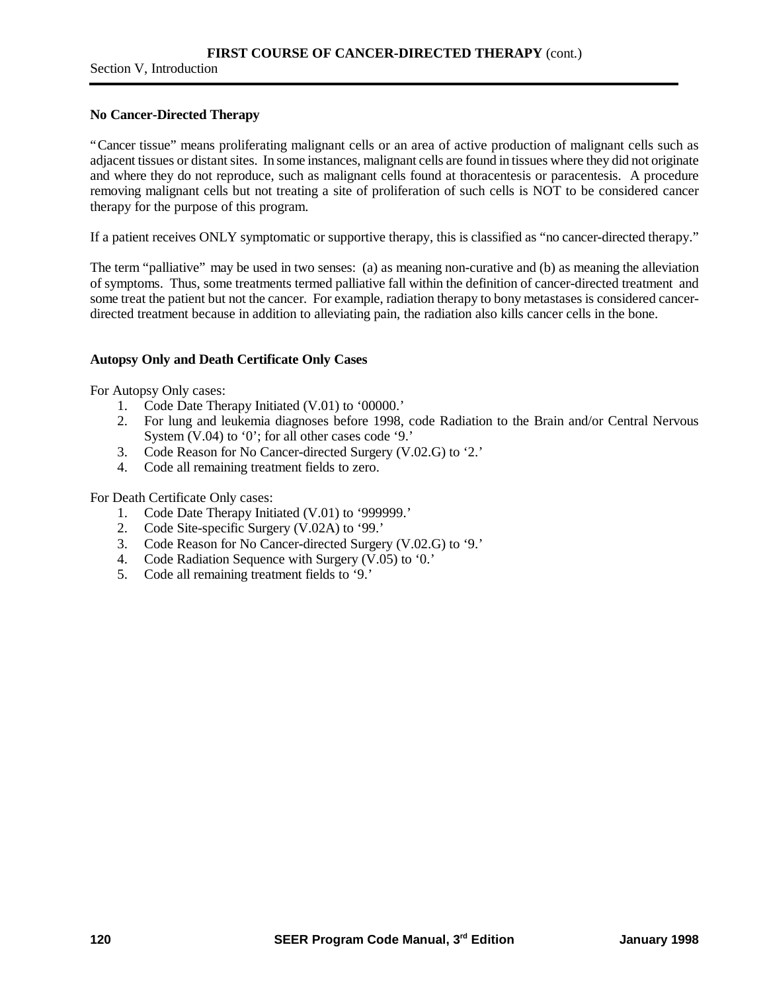Section V, Introduction

# **No Cancer-Directed Therapy**

"Cancer tissue" means proliferating malignant cells or an area of active production of malignant cells such as adjacent tissues or distantsites. In some instances, malignant cells are found in tissues where they did not originate and where they do not reproduce, such as malignant cells found at thoracentesis or paracentesis. A procedure removing malignant cells but not treating a site of proliferation of such cells is NOT to be considered cancer therapy for the purpose of this program.

If a patient receives ONLY symptomatic or supportive therapy, this is classified as "no cancer-directed therapy."

The term "palliative" may be used in two senses: (a) as meaning non-curative and (b) as meaning the alleviation of symptoms. Thus, some treatments termed palliative fall within the definition of cancer-directed treatment and some treat the patient but not the cancer. For example, radiation therapy to bony metastases is considered cancerdirected treatment because in addition to alleviating pain, the radiation also kills cancer cells in the bone.

#### **Autopsy Only and Death Certificate Only Cases**

For Autopsy Only cases:

- 1. Code Date Therapy Initiated (V.01) to '00000.'
- 2. For lung and leukemia diagnoses before 1998, code Radiation to the Brain and/or Central Nervous System (V.04) to '0'; for all other cases code '9.'
- 3. Code Reason for No Cancer-directed Surgery (V.02.G) to '2.'
- 4. Code all remaining treatment fields to zero.

For Death Certificate Only cases:

- 1. Code Date Therapy Initiated (V.01) to '999999.'
- 2. Code Site-specific Surgery (V.02A) to '99.'
- 3. Code Reason for No Cancer-directed Surgery (V.02.G) to '9.'
- 4. Code Radiation Sequence with Surgery (V.05) to '0.'
- 5. Code all remaining treatment fields to '9.'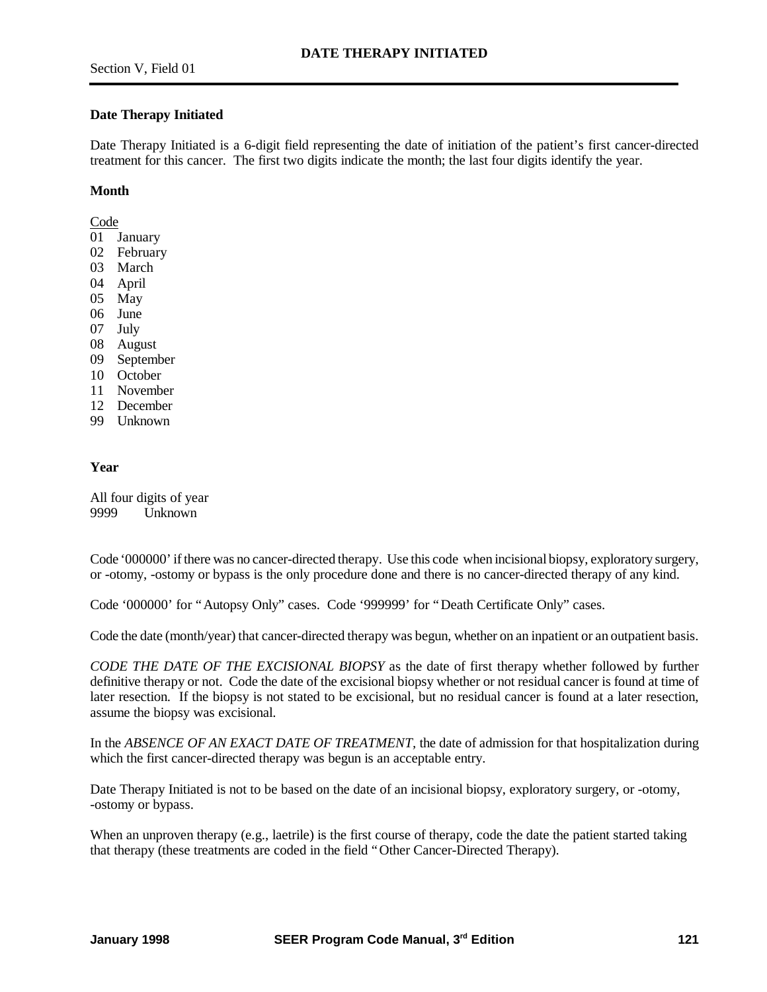#### **Date Therapy Initiated**

Date Therapy Initiated is a 6-digit field representing the date of initiation of the patient's first cancer-directed treatment for this cancer. The first two digits indicate the month; the last four digits identify the year.

#### **Month**

Code

- 01 January
- 02 February
- 03 March
- 04 April
- 05 May
- 06 June
- 07 July
- 08 August
- 09 September
- 10 October
- 11 November
- 12 December
- 99 Unknown

#### **Year**

All four digits of year 9999 Unknown

Code'000000'if there was no cancer-directed therapy. Use this code when incisional biopsy, exploratory surgery, or -otomy, -ostomy or bypass is the only procedure done and there is no cancer-directed therapy of any kind.

Code '000000' for "Autopsy Only" cases. Code '999999' for "Death Certificate Only" cases.

Code the date (month/year) that cancer-directed therapy was begun, whether on an inpatient or an outpatient basis.

*CODE THE DATE OF THE EXCISIONAL BIOPSY* as the date of first therapy whether followed by further definitive therapy or not. Code the date of the excisional biopsy whether or not residual cancer is found at time of later resection. If the biopsy is not stated to be excisional, but no residual cancer is found at a later resection, assume the biopsy was excisional.

In the *ABSENCE OF AN EXACT DATE OF TREATMENT,* the date of admission for that hospitalization during which the first cancer-directed therapy was begun is an acceptable entry.

Date Therapy Initiated is not to be based on the date of an incisional biopsy, exploratory surgery, or -otomy, -ostomy or bypass.

When an unproven therapy (e.g., laetrile) is the first course of therapy, code the date the patient started taking that therapy (these treatments are coded in the field "Other Cancer-Directed Therapy).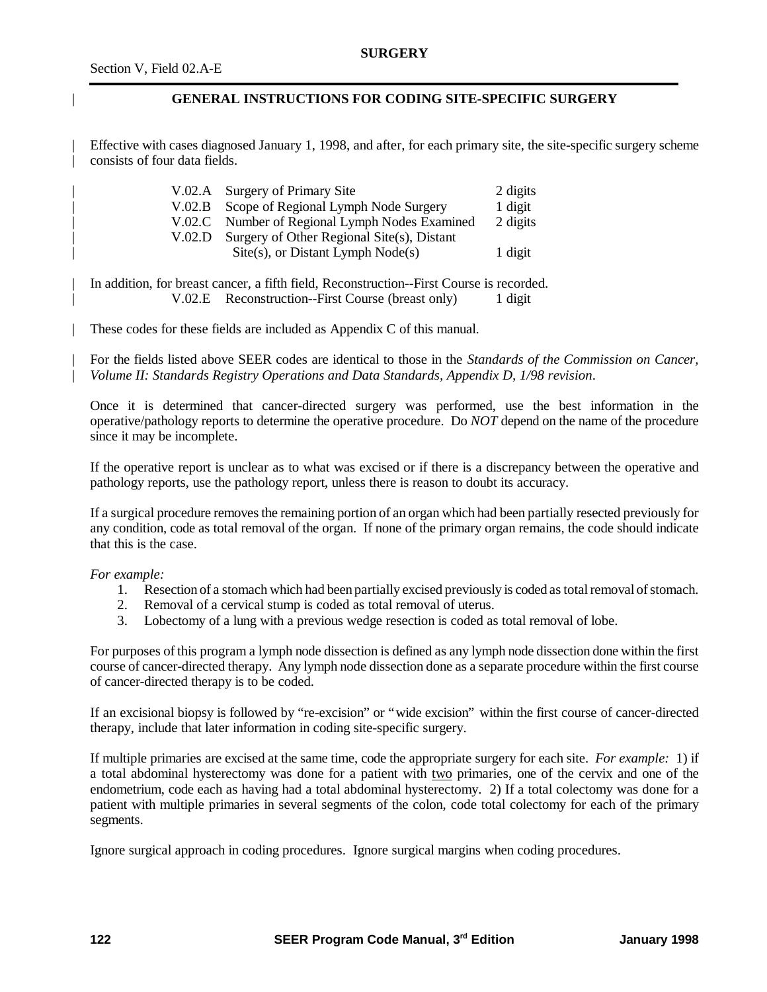#### **SURGERY**

# | **GENERAL INSTRUCTIONS FOR CODING SITE-SPECIFIC SURGERY**

Effective with cases diagnosed January 1, 1998, and after, for each primary site, the site-specific surgery scheme | consists of four data fields.

|        | V.02.A Surgery of Primary Site                       | 2 digits |
|--------|------------------------------------------------------|----------|
| V.02.B | Scope of Regional Lymph Node Surgery                 | 1 digit  |
|        | V.02.C Number of Regional Lymph Nodes Examined       | 2 digits |
| V.02.D | Surgery of Other Regional Site(s), Distant           |          |
|        | $\text{Site}(s)$ , or Distant Lymph $\text{Node}(s)$ | 1 digit  |

In addition, for breast cancer, a fifth field, Reconstruction--First Course is recorded. V.02.E Reconstruction--First Course (breast only) 1 digit

| These codes for these fields are included as Appendix C of this manual.

| For the fields listed above SEER codes are identical to those in the *Standards of the Commission on Cancer,* | *Volume II: Standards Registry Operations and Data Standards, Appendix D, 1/98 revision*.

Once it is determined that cancer-directed surgery was performed, use the best information in the operative/pathology reports to determine the operative procedure. Do *NOT* depend on the name of the procedure since it may be incomplete.

If the operative report is unclear as to what was excised or if there is a discrepancy between the operative and pathology reports, use the pathology report, unless there is reason to doubt its accuracy.

If a surgical procedure removesthe remaining portion of an organ which had been partially resected previously for any condition, code as total removal of the organ. If none of the primary organ remains, the code should indicate that this is the case.

#### *For example:*

- 1. Resection of a stomach which had been partially excised previously is coded as total removal of stomach.
- 2. Removal of a cervical stump is coded as total removal of uterus.
- 3. Lobectomy of a lung with a previous wedge resection is coded as total removal of lobe.

For purposes of this program a lymph node dissection is defined as any lymph node dissection done within the first course of cancer-directed therapy. Any lymph node dissection done as a separate procedure within the first course of cancer-directed therapy is to be coded.

If an excisional biopsy is followed by "re-excision" or "wide excision" within the first course of cancer-directed therapy, include that later information in coding site-specific surgery.

If multiple primaries are excised at the same time, code the appropriate surgery for each site. *For example:* 1) if a total abdominal hysterectomy was done for a patient with two primaries, one of the cervix and one of the endometrium, code each as having had a total abdominal hysterectomy. 2) If a total colectomy was done for a patient with multiple primaries in several segments of the colon, code total colectomy for each of the primary segments.

Ignore surgical approach in coding procedures. Ignore surgical margins when coding procedures.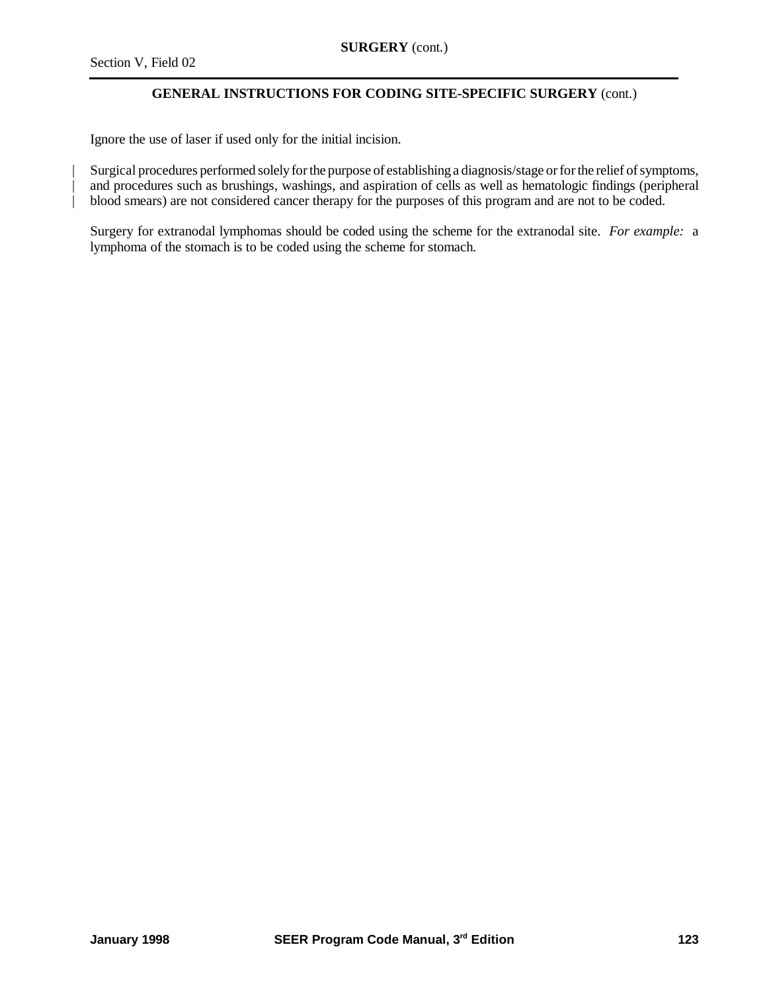# **GENERAL INSTRUCTIONS FOR CODING SITE-SPECIFIC SURGERY** (cont.)

Ignore the use of laser if used only for the initial incision.

Surgical procedures performed solely for the purpose of establishing a diagnosis/stage or for the relief of symptoms, and procedures such as brushings, washings, and aspiration of cells as well as hematologic findings (peripheral | blood smears) are not considered cancer therapy for the purposes of this program and are not to be coded.

Surgery for extranodal lymphomas should be coded using the scheme for the extranodal site. *For example:* a lymphoma of the stomach is to be coded using the scheme for stomach.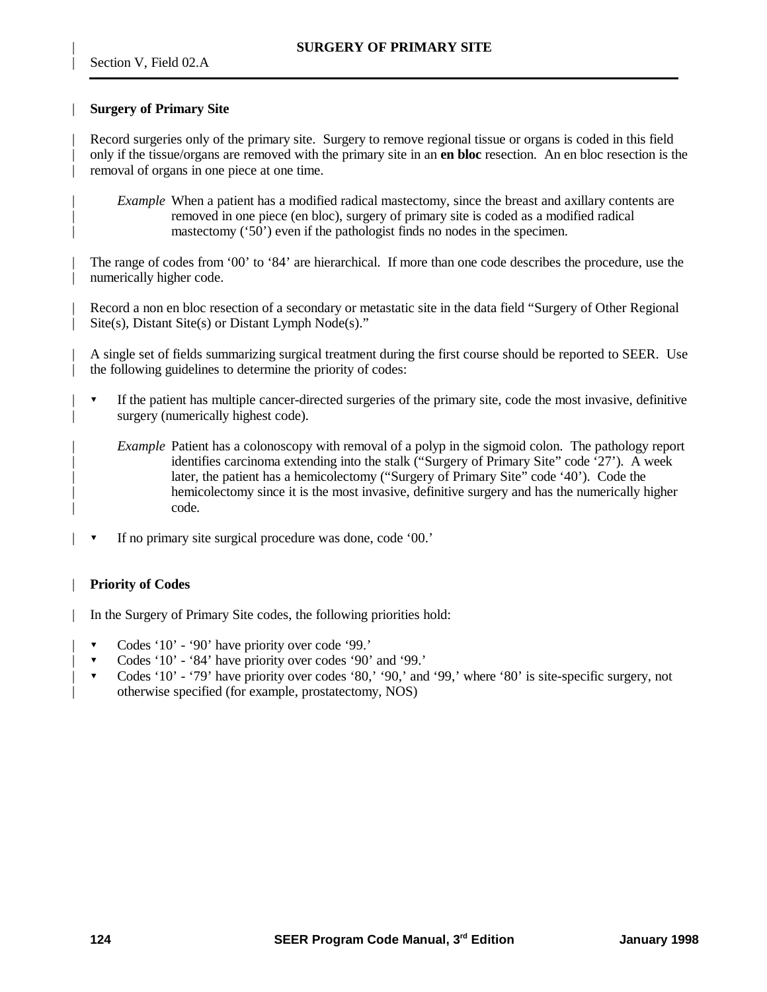#### | **Surgery of Primary Site**

Record surgeries only of the primary site. Surgery to remove regional tissue or organs is coded in this field | only if the tissue/organs are removed with the primary site in an **en bloc** resection. An en bloc resection is the | removal of organs in one piece at one time.

*Example* When a patient has a modified radical mastectomy, since the breast and axillary contents are | removed in one piece (en bloc), surgery of primary site is coded as a modified radical  $m$ astectomy ('50') even if the pathologist finds no nodes in the specimen.

| The range of codes from '00' to '84' are hierarchical. If more than one code describes the procedure, use the numerically higher code.

| Record a non en bloc resection of a secondary or metastatic site in the data field "Surgery of Other Regional  $\text{Site}(s)$ , Distant Site(s) or Distant Lymph Node(s)."

| A single set of fields summarizing surgical treatment during the first course should be reported to SEER. Use the following guidelines to determine the priority of codes:

- If the patient has multiple cancer-directed surgeries of the primary site, code the most invasive, definitive surgery (numerically highest code).
	- | *Example* Patient has a colonoscopy with removal of a polyp in the sigmoid colon. The pathology report identifies carcinoma extending into the stalk ("Surgery of Primary Site" code '27'). A week later, the patient has a hemicolectomy ("Surgery of Primary Site" code '40'). Code the hemicolectomy since it is the most invasive, definitive surgery and has the numerically higher code.
- | ? If no primary site surgical procedure was done, code '00.'

#### | **Priority of Codes**

In the Surgery of Primary Site codes, the following priorities hold:

- | ? Codes '10' '90' have priority over code '99.'
- | ? Codes '10' '84' have priority over codes '90' and '99.'
- | ? Codes '10' '79' have priority over codes '80,' '90,' and '99,' where '80' is site-specific surgery, not | otherwise specified (for example, prostatectomy, NOS)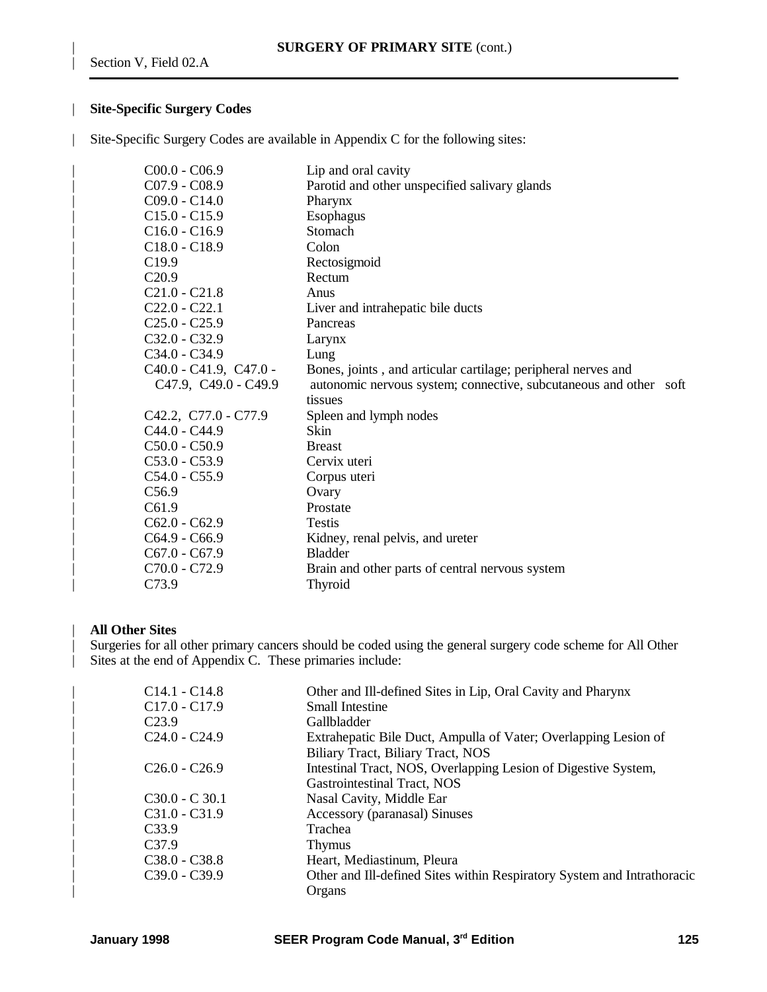# | **Site-Specific Surgery Codes**

| Site-Specific Surgery Codes are available in Appendix C for the following sites:

| $C00.0 - C06.9$          | Lip and oral cavity                                               |
|--------------------------|-------------------------------------------------------------------|
| $C07.9 - C08.9$          | Parotid and other unspecified salivary glands                     |
| $C09.0 - C14.0$          | Pharynx                                                           |
| $C15.0 - C15.9$          | Esophagus                                                         |
| $C16.0 - C16.9$          | Stomach                                                           |
| $C18.0 - C18.9$          | Colon                                                             |
| C <sub>19.9</sub>        | Rectosigmoid                                                      |
| C20.9                    | Rectum                                                            |
| $C21.0 - C21.8$          | Anus                                                              |
| $C22.0 - C22.1$          | Liver and intrahepatic bile ducts                                 |
| $C25.0 - C25.9$          | Pancreas                                                          |
| $C32.0 - C32.9$          | Larynx                                                            |
| $C34.0 - C34.9$          | Lung                                                              |
| $C40.0 - C41.9, C47.0 -$ | Bones, joints, and articular cartilage; peripheral nerves and     |
| C47.9, C49.0 - C49.9     | autonomic nervous system; connective, subcutaneous and other soft |
|                          | tissues                                                           |
| C42.2, C77.0 - C77.9     | Spleen and lymph nodes                                            |
| C44.0 - C44.9            | <b>Skin</b>                                                       |
| $C50.0 - C50.9$          | <b>Breast</b>                                                     |
| $C53.0 - C53.9$          | Cervix uteri                                                      |
| $C54.0 - C55.9$          | Corpus uteri                                                      |
| C <sub>56.9</sub>        | Ovary                                                             |
| C61.9                    | Prostate                                                          |
| $C62.0 - C62.9$          | <b>Testis</b>                                                     |
| $C64.9 - C66.9$          | Kidney, renal pelvis, and ureter                                  |
| $C67.0 - C67.9$          | <b>Bladder</b>                                                    |
| $C70.0 - C72.9$          | Brain and other parts of central nervous system                   |
| C73.9                    | Thyroid                                                           |

# | **All Other Sites**

Surgeries for all other primary cancers should be coded using the general surgery code scheme for All Other | Sites at the end of Appendix C. These primaries include:

| $C14.1 - C14.8$   | Other and Ill-defined Sites in Lip, Oral Cavity and Pharynx                                          |
|-------------------|------------------------------------------------------------------------------------------------------|
| $C17.0 - C17.9$   | Small Intestine                                                                                      |
| C <sub>23.9</sub> | Gallbladder                                                                                          |
| $C24.0 - C24.9$   | Extrahepatic Bile Duct, Ampulla of Vater; Overlapping Lesion of<br>Biliary Tract, Biliary Tract, NOS |
| $C26.0 - C26.9$   | Intestinal Tract, NOS, Overlapping Lesion of Digestive System,                                       |
|                   | Gastrointestinal Tract, NOS                                                                          |
| $C30.0 - C30.1$   | Nasal Cavity, Middle Ear                                                                             |
| $C31.0 - C31.9$   | <b>Accessory (paranasal) Sinuses</b>                                                                 |
| C <sub>33.9</sub> | Trachea                                                                                              |
| C <sub>37.9</sub> | <b>Thymus</b>                                                                                        |
| $C38.0 - C38.8$   | Heart, Mediastinum, Pleura                                                                           |
| $C39.0 - C39.9$   | Other and Ill-defined Sites within Respiratory System and Intrathoracic                              |
|                   | Organs                                                                                               |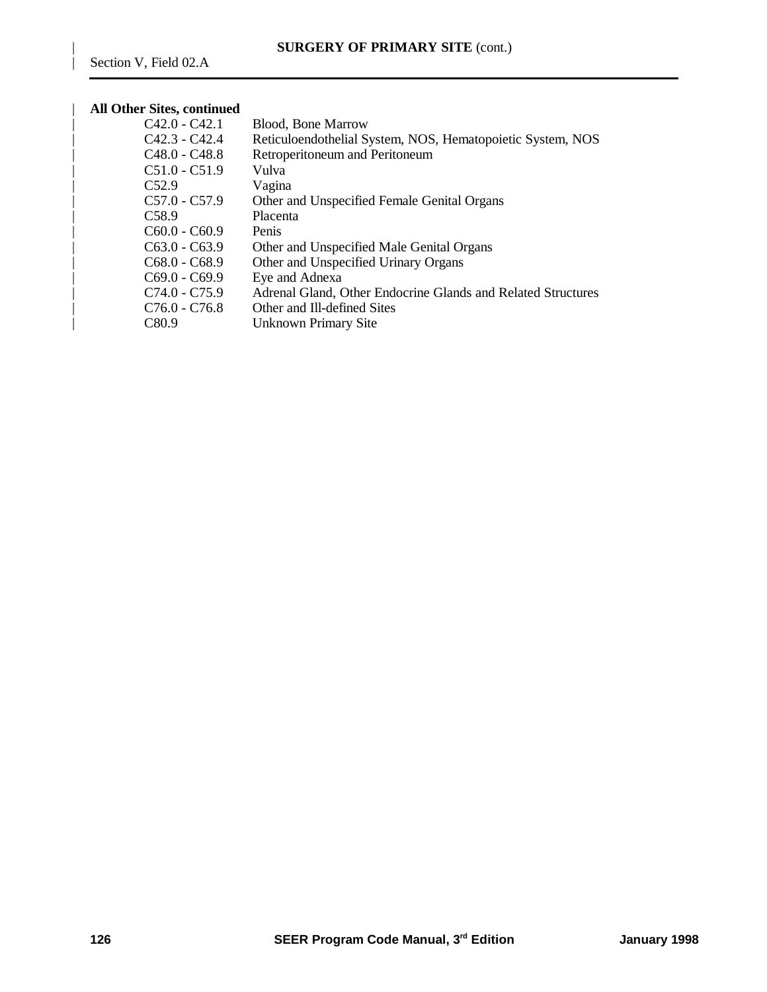# | **All Other Sites, continued**

| $C42.0 - C42.1$   | Blood, Bone Marrow                                           |
|-------------------|--------------------------------------------------------------|
| $C42.3 - C42.4$   | Reticuloendothelial System, NOS, Hematopoietic System, NOS   |
| $C48.0 - C48.8$   | Retroperitoneum and Peritoneum                               |
| $C51.0 - C51.9$   | Vulva                                                        |
| C <sub>52.9</sub> | Vagina                                                       |
| $C57.0 - C57.9$   | Other and Unspecified Female Genital Organs                  |
| C <sub>58.9</sub> | Placenta                                                     |
| $C60.0 - C60.9$   | Penis                                                        |
| $C63.0 - C63.9$   | Other and Unspecified Male Genital Organs                    |
| $C68.0 - C68.9$   | Other and Unspecified Urinary Organs                         |
| $C69.0 - C69.9$   | Eye and Adnexa                                               |
| $C74.0 - C75.9$   | Adrenal Gland, Other Endocrine Glands and Related Structures |
| $C76.0 - C76.8$   | Other and Ill-defined Sites                                  |
| C80.9             | Unknown Primary Site                                         |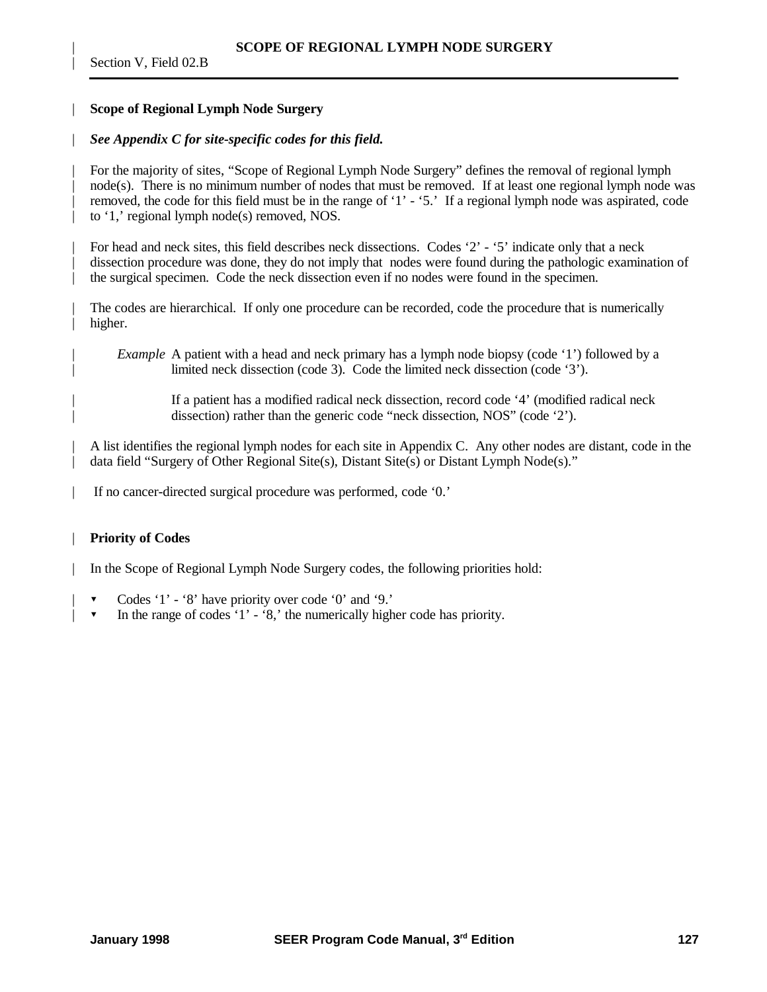# | **Scope of Regional Lymph Node Surgery**

# | *See Appendix C for site-specific codes for this field.*

| For the majority of sites, "Scope of Regional Lymph Node Surgery" defines the removal of regional lymph node(s). There is no minimum number of nodes that must be removed. If at least one regional lymph node was | removed, the code for this field must be in the range of '1' - '5.' If a regional lymph node was aspirated, code | to '1,' regional lymph node(s) removed, NOS.

| For head and neck sites, this field describes neck dissections. Codes '2' - '5' indicate only that a neck | dissection procedure was done, they do not imply that nodes were found during the pathologic examination of | the surgical specimen. Code the neck dissection even if no nodes were found in the specimen.

| The codes are hierarchical. If only one procedure can be recorded, code the procedure that is numerically higher.

*Example* A patient with a head and neck primary has a lymph node biopsy (code '1') followed by a limited neck dissection (code 3). Code the limited neck dissection (code '3').

> If a patient has a modified radical neck dissection, record code '4' (modified radical neck | dissection) rather than the generic code "neck dissection, NOS" (code '2').

| A list identifies the regional lymph nodes for each site in Appendix C. Any other nodes are distant, code in the data field "Surgery of Other Regional Site(s), Distant Site(s) or Distant Lymph Node(s)."

If no cancer-directed surgical procedure was performed, code '0.'

# | **Priority of Codes**

| In the Scope of Regional Lymph Node Surgery codes, the following priorities hold:

- Codes '1' '8' have priority over code '0' and '9.'
- $\blacksquare$  In the range of codes '1' '8,' the numerically higher code has priority.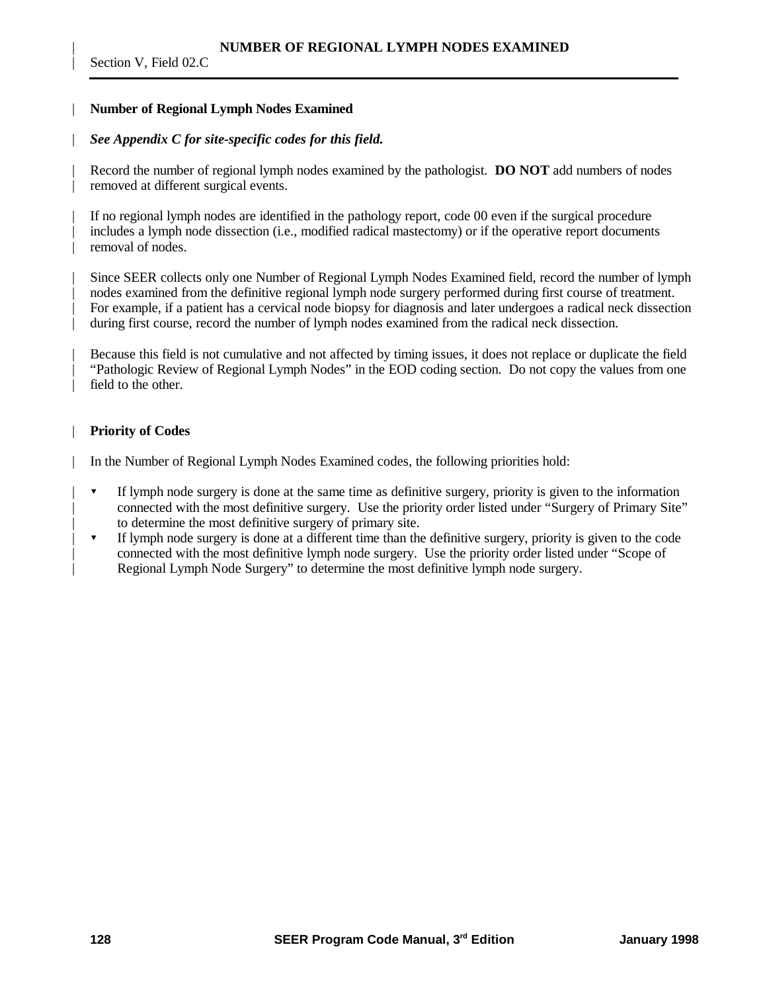### | **Number of Regional Lymph Nodes Examined**

#### | *See Appendix C for site-specific codes for this field.*

| Record the number of regional lymph nodes examined by the pathologist. **DO NOT** add numbers of nodes | removed at different surgical events.

If no regional lymph nodes are identified in the pathology report, code 00 even if the surgical procedure | includes a lymph node dissection (i.e., modified radical mastectomy) or if the operative report documents removal of nodes.

| Since SEER collects only one Number of Regional Lymph Nodes Examined field, record the number of lymph | nodes examined from the definitive regional lymph node surgery performed during first course of treatment. | For example, if a patient has a cervical node biopsy for diagnosis and later undergoes a radical neck dissection | during first course, record the number of lymph nodes examined from the radical neck dissection.

| Because this field is not cumulative and not affected by timing issues, it does not replace or duplicate the field | "Pathologic Review of Regional Lymph Nodes" in the EOD coding section. Do not copy the values from one field to the other.

#### | **Priority of Codes**

| In the Number of Regional Lymph Nodes Examined codes, the following priorities hold:

- | ? If lymph node surgery is done at the same time as definitive surgery, priority is given to the information | connected with the most definitive surgery. Use the priority order listed under "Surgery of Primary Site" | to determine the most definitive surgery of primary site.
- If lymph node surgery is done at a different time than the definitive surgery, priority is given to the code | connected with the most definitive lymph node surgery. Use the priority order listed under "Scope of Regional Lymph Node Surgery" to determine the most definitive lymph node surgery.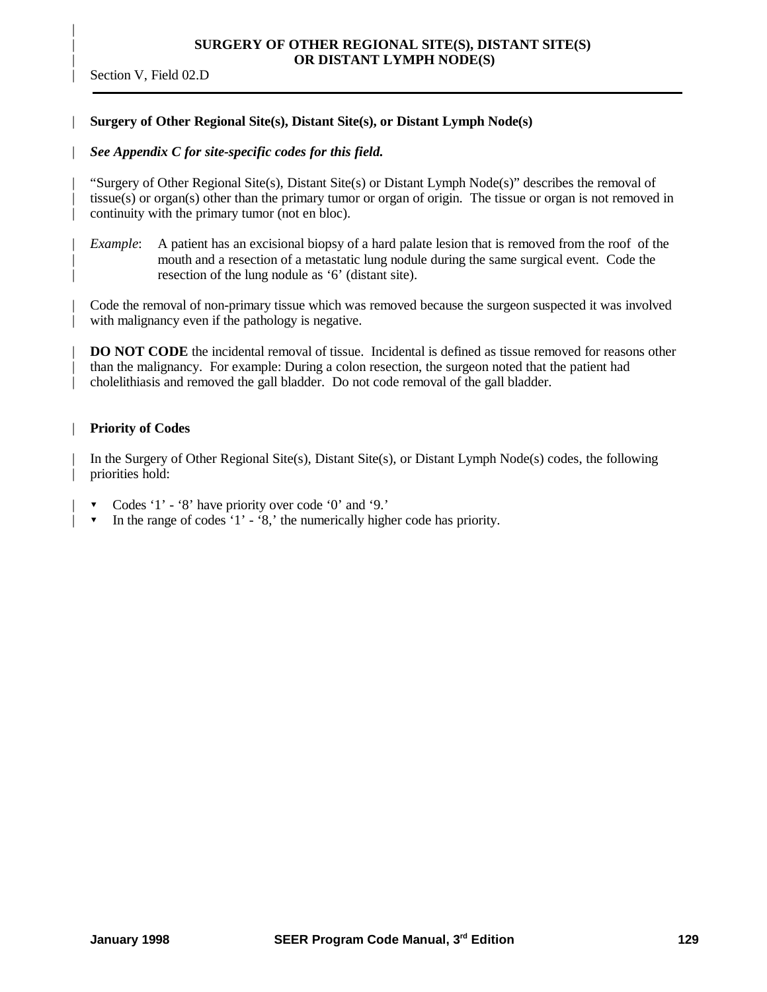# | **SURGERY OF OTHER REGIONAL SITE(S), DISTANT SITE(S)**  | **OR DISTANT LYMPH NODE(S)**

Section V, Field 02.D

|

#### | **Surgery of Other Regional Site(s), Distant Site(s), or Distant Lymph Node(s)**

### | *See Appendix C for site-specific codes for this field.*

| "Surgery of Other Regional Site(s), Distant Site(s) or Distant Lymph Node(s)" describes the removal of | tissue(s) or organ(s) other than the primary tumor or organ of origin. The tissue or organ is not removed in continuity with the primary tumor (not en bloc).

| *Example*: A patient has an excisional biopsy of a hard palate lesion that is removed from the roof of the | mouth and a resection of a metastatic lung nodule during the same surgical event. Code the resection of the lung nodule as '6' (distant site).

| Code the removal of non-primary tissue which was removed because the surgeon suspected it was involved with malignancy even if the pathology is negative.

**DO NOT CODE** the incidental removal of tissue. Incidental is defined as tissue removed for reasons other | than the malignancy. For example: During a colon resection, the surgeon noted that the patient had | cholelithiasis and removed the gall bladder. Do not code removal of the gall bladder.

### | **Priority of Codes**

| In the Surgery of Other Regional Site(s), Distant Site(s), or Distant Lymph Node(s) codes, the following priorities hold:

- Codes '1' '8' have priority over code '0' and '9.'
- $\blacksquare$  **The range of codes '1'** '8,' the numerically higher code has priority.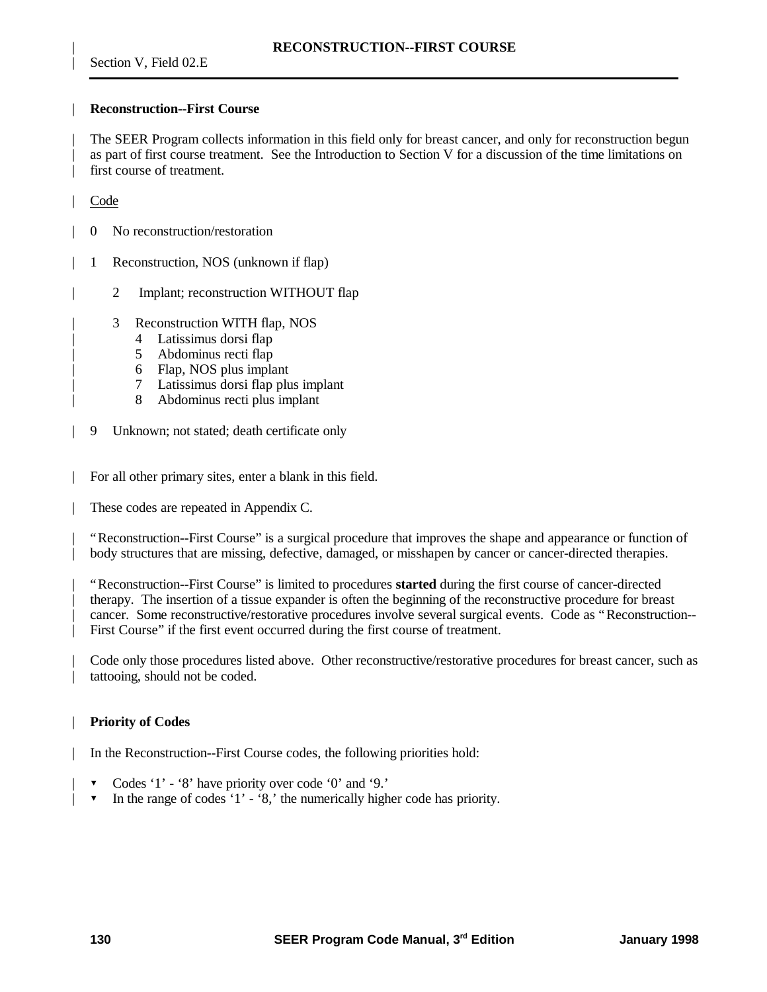#### | **Reconstruction--First Course**

| The SEER Program collects information in this field only for breast cancer, and only for reconstruction begun as part of first course treatment. See the Introduction to Section V for a discussion of the time limitations on first course of treatment.

| Code

- | 0 No reconstruction/restoration
- | 1 Reconstruction, NOS (unknown if flap)
- | 2 Implant; reconstruction WITHOUT flap
	- | 3 Reconstruction WITH flap, NOS
		- | 4 Latissimus dorsi flap
		- | 5 Abdominus recti flap
		- | 6 Flap, NOS plus implant
		- | 7 Latissimus dorsi flap plus implant
		- | 8 Abdominus recti plus implant
- | 9 Unknown; not stated; death certificate only
- | For all other primary sites, enter a blank in this field.
- These codes are repeated in Appendix C.

| "Reconstruction--First Course" is a surgical procedure that improves the shape and appearance or function of | body structures that are missing, defective, damaged, or misshapen by cancer or cancer-directed therapies.

| "Reconstruction--First Course" is limited to procedures **started** during the first course of cancer-directed therapy. The insertion of a tissue expander is often the beginning of the reconstructive procedure for breast | cancer. Some reconstructive/restorative procedures involve several surgical events. Code as "Reconstruction-- | First Course" if the first event occurred during the first course of treatment.

| Code only those procedures listed above. Other reconstructive/restorative procedures for breast cancer, such as tattooing, should not be coded.

# | **Priority of Codes**

In the Reconstruction--First Course codes, the following priorities hold:

- Codes '1' '8' have priority over code '0' and '9.'
- | ? In the range of codes '1' '8,' the numerically higher code has priority.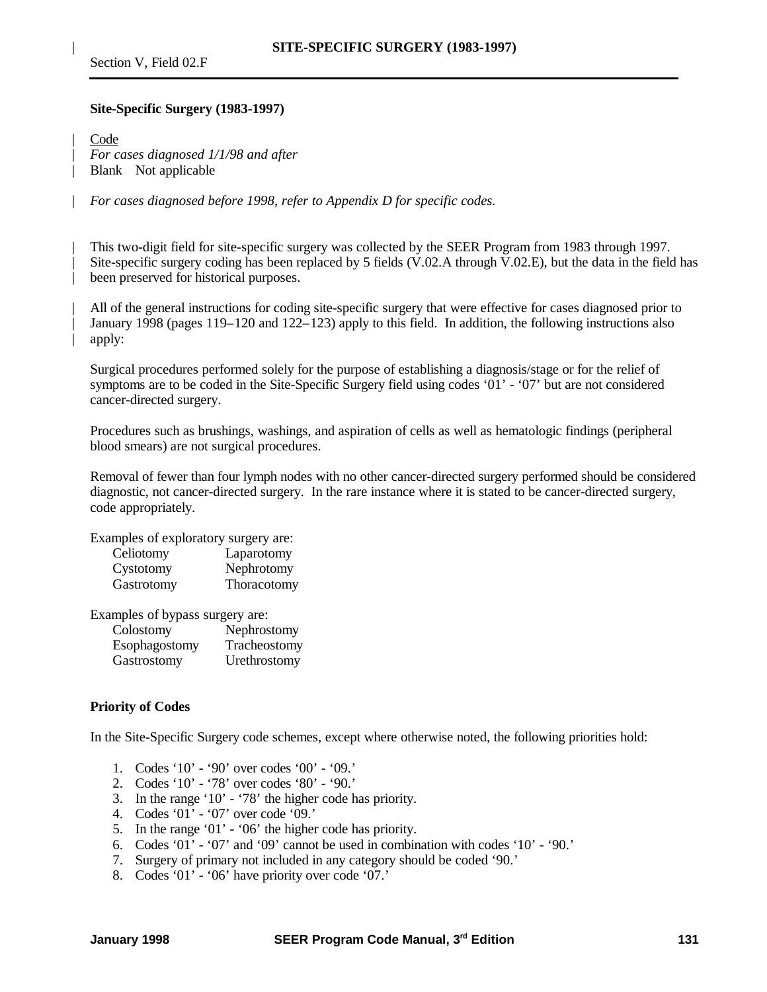# **Site-Specific Surgery (1983-1997)**

| Code

| *For cases diagnosed 1/1/98 and after* | Blank Not applicable

| *For cases diagnosed before 1998, refer to Appendix D for specific codes.*

| This two-digit field for site-specific surgery was collected by the SEER Program from 1983 through 1997. | Site-specific surgery coding has been replaced by 5 fields (V.02.A through V.02.E), but the data in the field has been preserved for historical purposes.

| All of the general instructions for coding site-specific surgery that were effective for cases diagnosed prior to | January 1998 (pages 119–120 and 122–123) apply to this field. In addition, the following instructions also apply:

Surgical procedures performed solely for the purpose of establishing a diagnosis/stage or for the relief of symptoms are to be coded in the Site-Specific Surgery field using codes '01' - '07' but are not considered cancer-directed surgery.

Procedures such as brushings, washings, and aspiration of cells as well as hematologic findings (peripheral blood smears) are not surgical procedures.

Removal of fewer than four lymph nodes with no other cancer-directed surgery performed should be considered diagnostic, not cancer-directed surgery. In the rare instance where it is stated to be cancer-directed surgery, code appropriately.

| Examples of exploratory surgery are: |             |
|--------------------------------------|-------------|
| Celiotomy                            | Laparotomy  |
| Cystotomy                            | Nephrotomy  |
| Gastrotomy                           | Thoracotomy |

Examples of bypass surgery are:

| Colostomy     | Nephrostomy  |
|---------------|--------------|
| Esophagostomy | Tracheostomy |
| Gastrostomy   | Urethrostomy |

# **Priority of Codes**

In the Site-Specific Surgery code schemes, except where otherwise noted, the following priorities hold:

- 1. Codes '10' '90' over codes '00' '09.'
- 2. Codes '10' '78' over codes '80' '90.'
- 3. In the range '10' '78' the higher code has priority.
- 4. Codes '01' '07' over code '09.'
- 5. In the range '01' '06' the higher code has priority.
- 6. Codes '01' '07' and '09' cannot be used in combination with codes '10' '90.'
- 7. Surgery of primary not included in any category should be coded '90.'
- 8. Codes '01' '06' have priority over code '07.'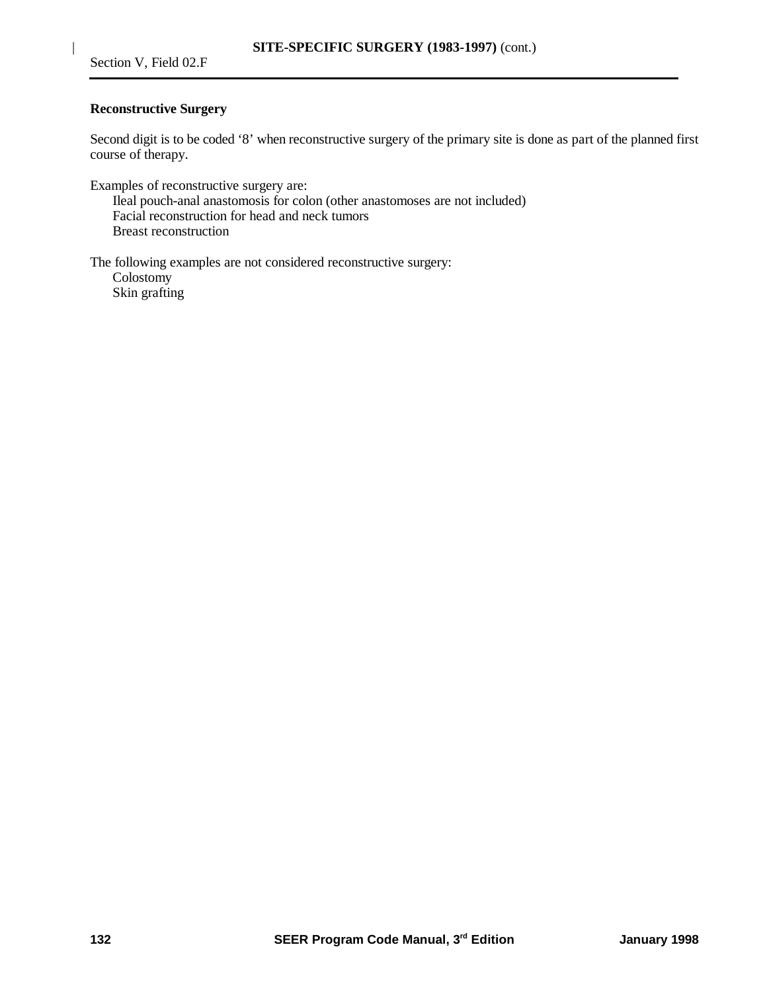#### **Reconstructive Surgery**

Second digit is to be coded '8' when reconstructive surgery of the primary site is done as part of the planned first course of therapy.

Examples of reconstructive surgery are:

Ileal pouch-anal anastomosis for colon (other anastomoses are not included) Facial reconstruction for head and neck tumors Breast reconstruction

The following examples are not considered reconstructive surgery: Colostomy Skin grafting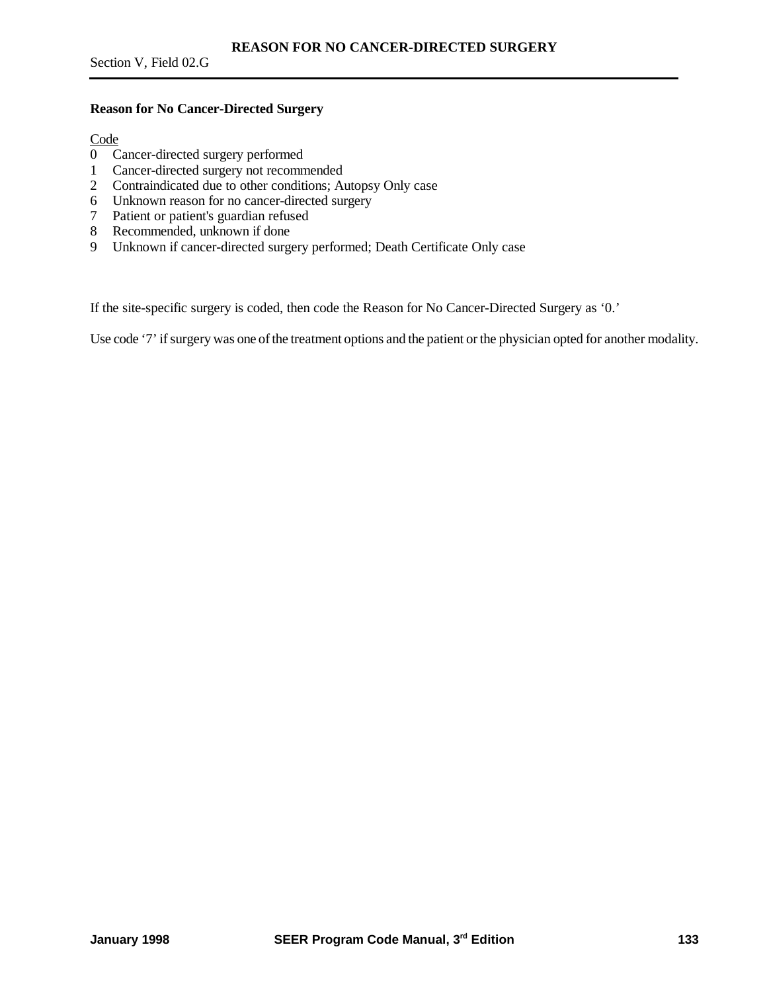# **Reason for No Cancer-Directed Surgery**

## Code

- 0 Cancer-directed surgery performed
- 1 Cancer-directed surgery not recommended
- 2 Contraindicated due to other conditions; Autopsy Only case
- 6 Unknown reason for no cancer-directed surgery
- 7 Patient or patient's guardian refused
- 8 Recommended, unknown if done
- 9 Unknown if cancer-directed surgery performed; Death Certificate Only case

If the site-specific surgery is coded, then code the Reason for No Cancer-Directed Surgery as '0.'

Use code '7' if surgery was one of the treatment options and the patient or the physician opted for another modality.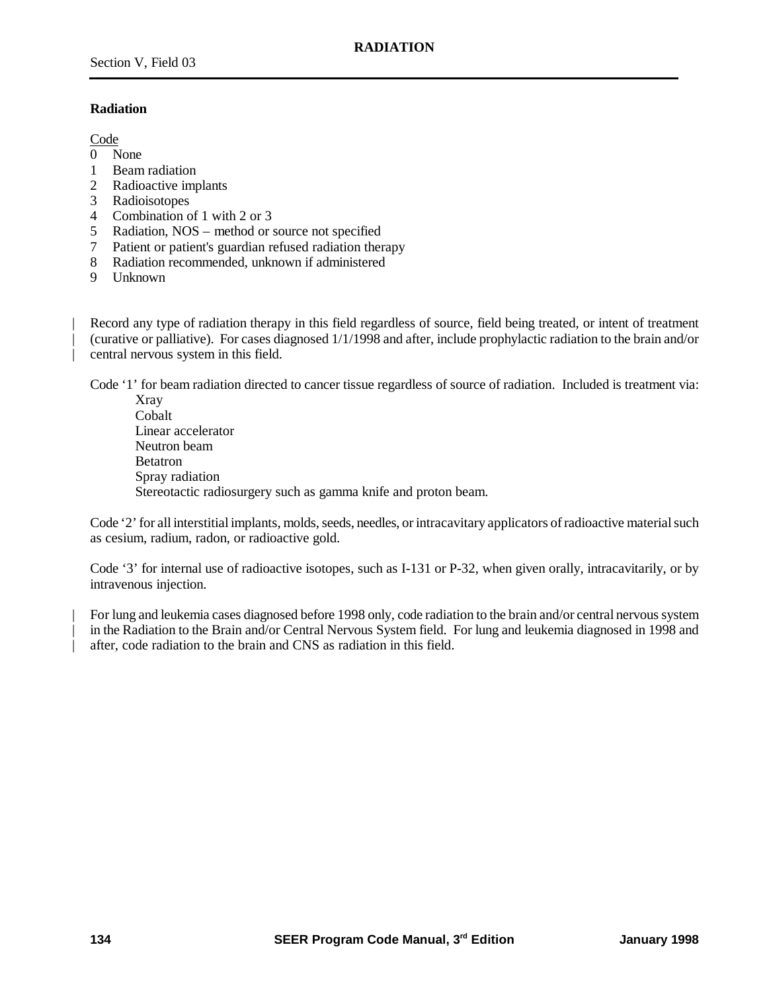# **Radiation**

## Code

0 None

- 1 Beam radiation
- 2 Radioactive implants
- 3 Radioisotopes
- 4 Combination of 1 with 2 or 3
- 5 Radiation, NOS method or source not specified
- 7 Patient or patient's guardian refused radiation therapy
- 8 Radiation recommended, unknown if administered
- 9 Unknown

Record any type of radiation therapy in this field regardless of source, field being treated, or intent of treatment | (curative or palliative). For cases diagnosed 1/1/1998 and after, include prophylactic radiation to the brain and/or | central nervous system in this field.

Code '1' for beam radiation directed to cancer tissue regardless of source of radiation. Included is treatment via:

Xray Cobalt Linear accelerator Neutron beam Betatron Spray radiation Stereotactic radiosurgery such as gamma knife and proton beam.

Code '2' for all interstitial implants, molds, seeds, needles, or intracavitary applicators of radioactive material such as cesium, radium, radon, or radioactive gold.

Code '3' for internal use of radioactive isotopes, such as I-131 or P-32, when given orally, intracavitarily, or by intravenous injection.

| For lung and leukemia cases diagnosed before 1998 only, code radiation to the brain and/or central nervoussystem in the Radiation to the Brain and/or Central Nervous System field. For lung and leukemia diagnosed in 1998 and after, code radiation to the brain and CNS as radiation in this field.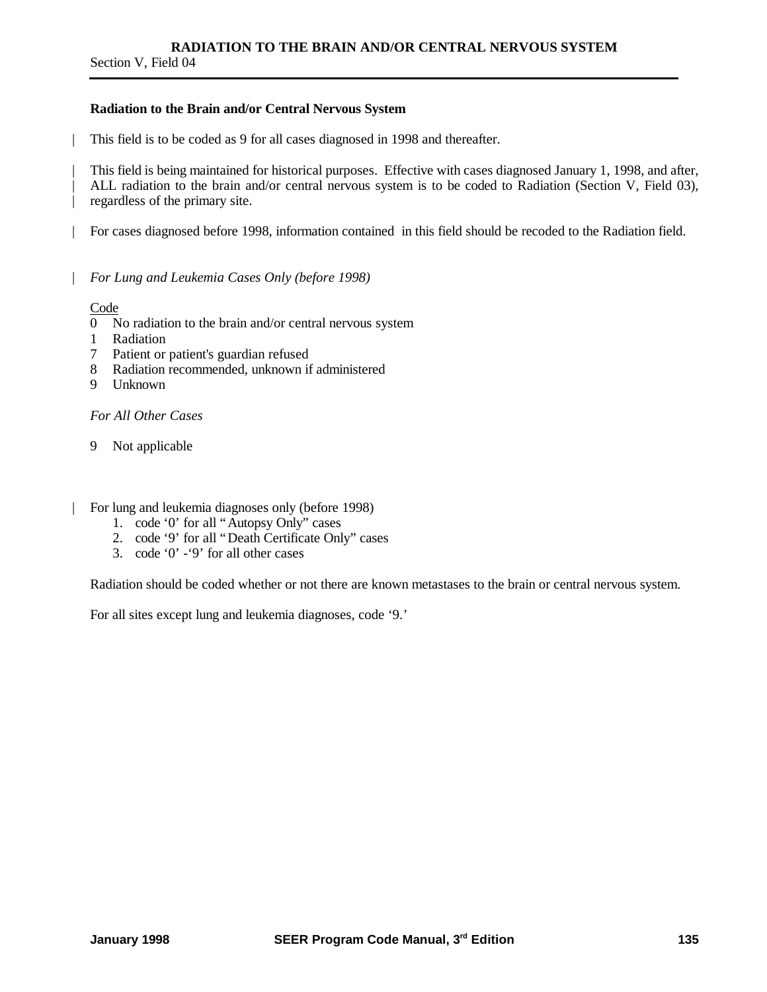# **Radiation to the Brain and/or Central Nervous System**

| This field is to be coded as 9 for all cases diagnosed in 1998 and thereafter.

| This field is being maintained for historical purposes. Effective with cases diagnosed January 1, 1998, and after, ALL radiation to the brain and/or central nervous system is to be coded to Radiation (Section V, Field 03), | regardless of the primary site.

| For cases diagnosed before 1998, information contained in this field should be recoded to the Radiation field.

| *For Lung and Leukemia Cases Only (before 1998)*

### Code

- 0 No radiation to the brain and/or central nervous system
- 1 Radiation
- 7 Patient or patient's guardian refused
- 8 Radiation recommended, unknown if administered
- 9 Unknown

*For All Other Cases*

9 Not applicable

| For lung and leukemia diagnoses only (before 1998)

- 1. code '0' for all "Autopsy Only" cases
- 2. code '9' for all "Death Certificate Only" cases
- 3. code '0' -'9' for all other cases

Radiation should be coded whether or not there are known metastases to the brain or central nervous system.

For all sites except lung and leukemia diagnoses, code '9.'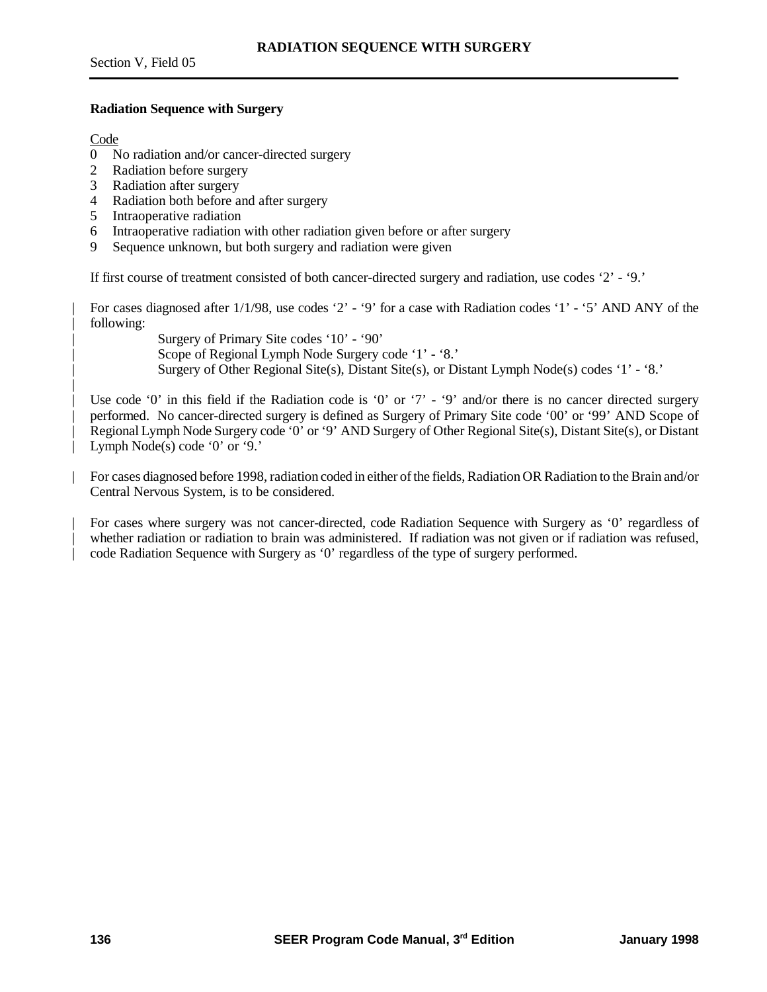# **Radiation Sequence with Surgery**

# Code

|

- 0 No radiation and/or cancer-directed surgery
- 2 Radiation before surgery
- 3 Radiation after surgery
- 4 Radiation both before and after surgery
- 5 Intraoperative radiation
- 6 Intraoperative radiation with other radiation given before or after surgery
- 9 Sequence unknown, but both surgery and radiation were given

If first course of treatment consisted of both cancer-directed surgery and radiation, use codes '2' - '9.'

For cases diagnosed after 1/1/98, use codes '2' - '9' for a case with Radiation codes '1' - '5' AND ANY of the following:

> | Surgery of Primary Site codes '10' - '90' | Scope of Regional Lymph Node Surgery code '1' - '8.' | Surgery of Other Regional Site(s), Distant Site(s), or Distant Lymph Node(s) codes '1' - '8.'

Use code '0' in this field if the Radiation code is '0' or '7' - '9' and/or there is no cancer directed surgery | performed. No cancer-directed surgery is defined as Surgery of Primary Site code '00' or '99' AND Scope of Regional Lymph Node Surgery code '0' or '9' AND Surgery of Other Regional Site(s), Distant Site(s), or Distant Lymph Node(s) code  $0'$  or  $9.'$ .

| For cases diagnosed before 1998, radiation coded in either of the fields,Radiation OR Radiation to theBrain and/or Central Nervous System, is to be considered.

For cases where surgery was not cancer-directed, code Radiation Sequence with Surgery as '0' regardless of | whether radiation or radiation to brain was administered. If radiation was not given or if radiation was refused, | code Radiation Sequence with Surgery as '0' regardless of the type of surgery performed.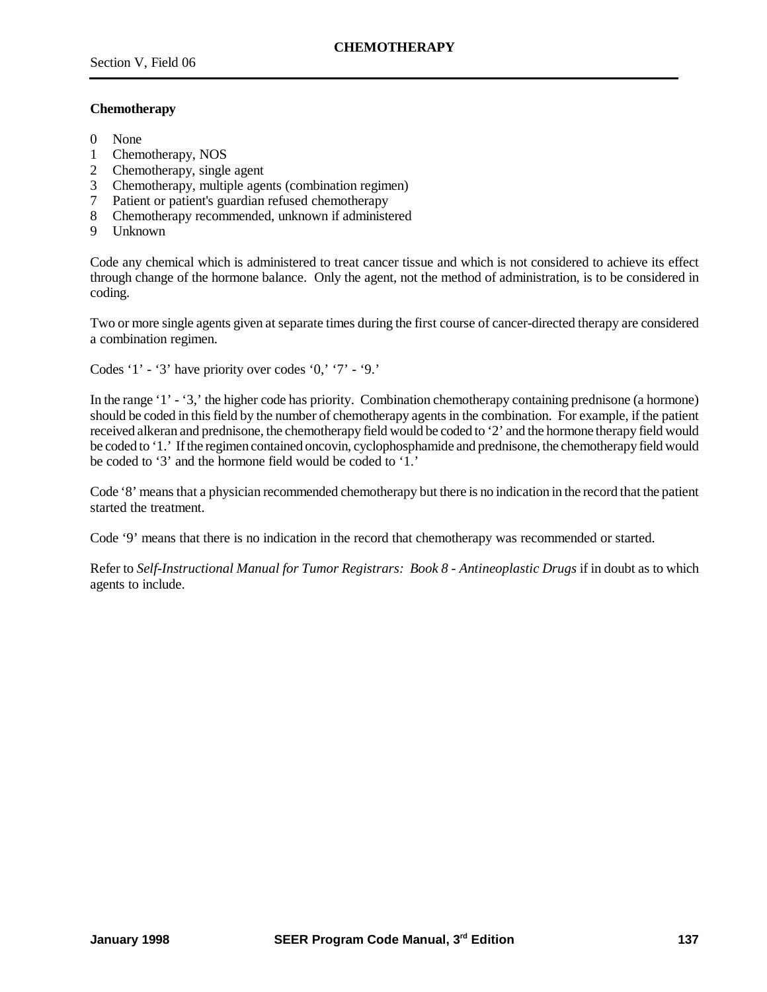# **Chemotherapy**

- 0 None
- 1 Chemotherapy, NOS
- 2 Chemotherapy, single agent
- 3 Chemotherapy, multiple agents (combination regimen)
- 7 Patient or patient's guardian refused chemotherapy
- 8 Chemotherapy recommended, unknown if administered
- 9 Unknown

Code any chemical which is administered to treat cancer tissue and which is not considered to achieve its effect through change of the hormone balance. Only the agent, not the method of administration, is to be considered in coding.

Two or more single agents given at separate times during the first course of cancer-directed therapy are considered a combination regimen.

Codes '1' - '3' have priority over codes '0,' '7' - '9.'

In the range '1'- '3,'the higher code has priority. Combination chemotherapy containing prednisone (a hormone) should be coded in thisfield by the number of chemotherapy agentsin the combination. For example, if the patient received alkeran and prednisone, the chemotherapy field would be coded to '2'and the hormone therapy field would be coded to '1.' If the regimen contained oncovin, cyclophosphamide and prednisone, the chemotherapy field would be coded to '3' and the hormone field would be coded to '1.'

Code '8' means that a physician recommended chemotherapy but there is no indication in the record that the patient started the treatment.

Code '9' means that there is no indication in the record that chemotherapy was recommended or started.

Refer to *Self-Instructional Manual for Tumor Registrars: Book 8 - Antineoplastic Drugs* if in doubt as to which agents to include.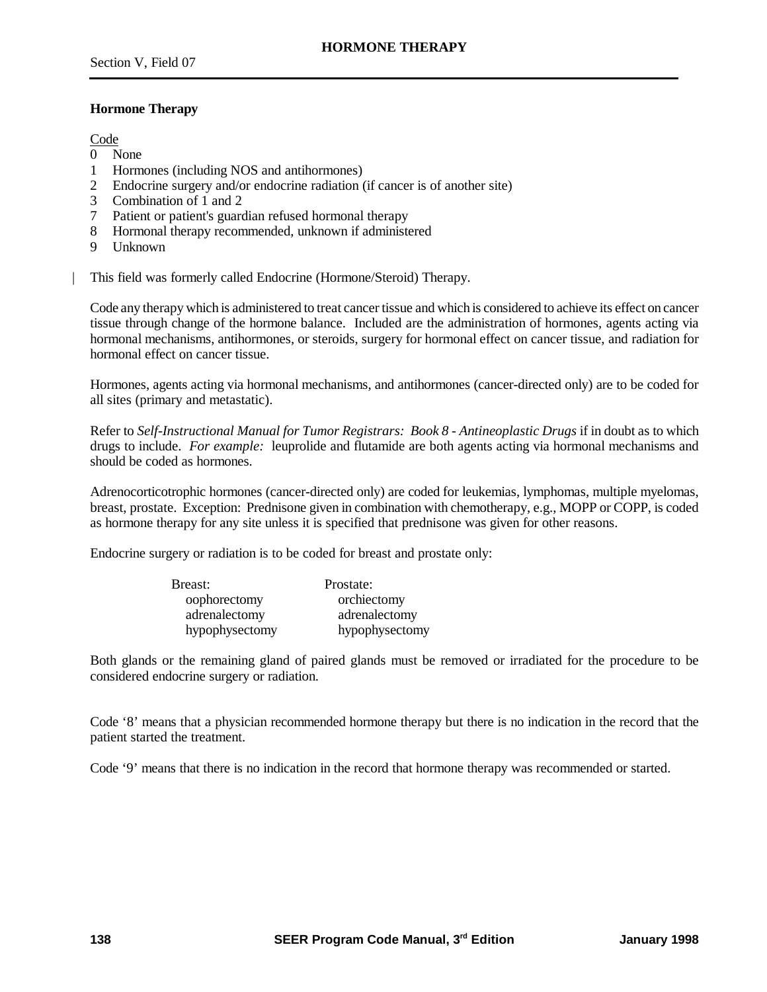# **Hormone Therapy**

# Code

- 0 None
- 1 Hormones (including NOS and antihormones)
- 2 Endocrine surgery and/or endocrine radiation (if cancer is of another site)
- 3 Combination of 1 and 2
- 7 Patient or patient's guardian refused hormonal therapy
- 8 Hormonal therapy recommended, unknown if administered
- 9 Unknown

| This field was formerly called Endocrine (Hormone/Steroid) Therapy.

Code any therapy which is administered to treat cancer tissue and which is considered to achieve its effect on cancer tissue through change of the hormone balance. Included are the administration of hormones, agents acting via hormonal mechanisms, antihormones, or steroids, surgery for hormonal effect on cancer tissue, and radiation for hormonal effect on cancer tissue.

Hormones, agents acting via hormonal mechanisms, and antihormones (cancer-directed only) are to be coded for all sites (primary and metastatic).

Refer to *Self-Instructional Manual for Tumor Registrars: Book 8 - Antineoplastic Drugs* if in doubt as to which drugs to include. *For example:* leuprolide and flutamide are both agents acting via hormonal mechanisms and should be coded as hormones.

Adrenocorticotrophic hormones (cancer-directed only) are coded for leukemias, lymphomas, multiple myelomas, breast, prostate. Exception: Prednisone given in combination with chemotherapy, e.g., MOPP or COPP, is coded as hormone therapy for any site unless it is specified that prednisone was given for other reasons.

Endocrine surgery or radiation is to be coded for breast and prostate only:

| Breast:        | Prostate:      |
|----------------|----------------|
| oophorectomy   | orchiectomy    |
| adrenalectomy  | adrenalectomy  |
| hypophysectomy | hypophysectomy |

Both glands or the remaining gland of paired glands must be removed or irradiated for the procedure to be considered endocrine surgery or radiation.

Code '8'means that a physician recommended hormone therapy but there is no indication in the record that the patient started the treatment.

Code '9' means that there is no indication in the record that hormone therapy was recommended or started.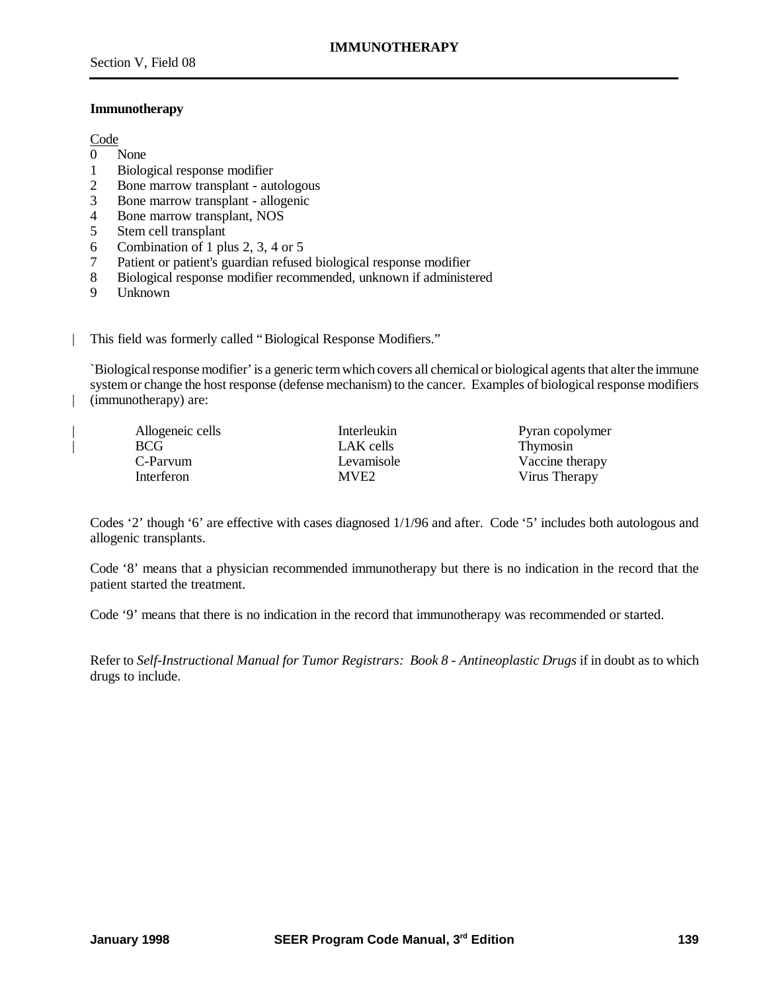# **Immunotherapy**

# Code

- 0 None
- 1 Biological response modifier
- 2 Bone marrow transplant autologous
- 3 Bone marrow transplant allogenic
- 4 Bone marrow transplant, NOS
- 5 Stem cell transplant
- 6 Combination of 1 plus 2, 3, 4 or 5
- 7 Patient or patient's guardian refused biological response modifier
- 8 Biological response modifier recommended, unknown if administered
- 9 Unknown
- | This field was formerly called "Biological Response Modifiers."

`Biological response modifier' is a generic term which covers all chemical or biological agents that alter the immune system or change the host response (defense mechanism) to the cancer. Examples of biological response modifiers (immunotherapy) are:

| Allogeneic cells | Interleukin      | Pyran copolymer |
|------------------|------------------|-----------------|
| BCG              | LAK cells        | <b>Thymosin</b> |
| C-Parvum         | Levamisole       | Vaccine therapy |
| Interferon       | MV <sub>E2</sub> | Virus Therapy   |

Codes '2' though '6'are effective with cases diagnosed 1/1/96 and after. Code '5' includes both autologous and allogenic transplants.

Code '8'means that a physician recommended immunotherapy but there is no indication in the record that the patient started the treatment.

Code '9' means that there is no indication in the record that immunotherapy was recommended or started.

Refer to *Self-Instructional Manual for Tumor Registrars: Book 8 - Antineoplastic Drugs* if in doubt as to which drugs to include.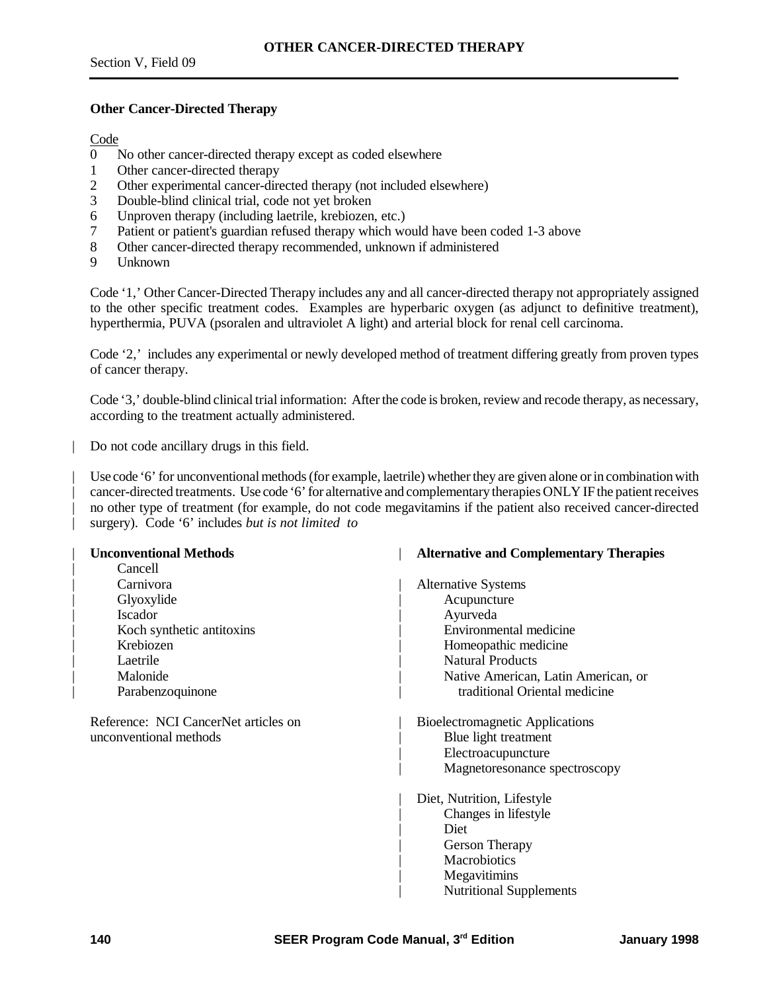# **Other Cancer-Directed Therapy**

# Code

- 0 No other cancer-directed therapy except as coded elsewhere
- 1 Other cancer-directed therapy
- 2 Other experimental cancer-directed therapy (not included elsewhere)
- 3 Double-blind clinical trial, code not yet broken
- 6 Unproven therapy (including laetrile, krebiozen, etc.)
- 7 Patient or patient's guardian refused therapy which would have been coded 1-3 above
- 8 Other cancer-directed therapy recommended, unknown if administered
- 9 Unknown

Code '1,'Other Cancer-Directed Therapy includes any and all cancer-directed therapy not appropriately assigned to the other specific treatment codes. Examples are hyperbaric oxygen (as adjunct to definitive treatment), hyperthermia, PUVA (psoralen and ultraviolet A light) and arterial block for renal cell carcinoma.

Code '2,' includes any experimental or newly developed method of treatment differing greatly from proven types of cancer therapy.

Code '3,'double-blind clinical trial information: After the code is broken, review and recode therapy, as necessary, according to the treatment actually administered.

| Do not code ancillary drugs in this field.

Use code '6' for unconventional methods (for example, laetrile) whether they are given alone or in combination with | cancer-directed treatments. Use code '6' for alternative and complementary therapies ONLY IF the patient receives | no other type of treatment (for example, do not code megavitamins if the patient also received cancer-directed | surgery). Code '6' includes *but is not limited to*

| <b>Alternative and Complementary Therapies</b> |
|------------------------------------------------|
|                                                |
| <b>Alternative Systems</b>                     |
| Acupuncture                                    |
| Ayurveda                                       |
| Environmental medicine                         |
| Homeopathic medicine                           |
| <b>Natural Products</b>                        |
| Native American, Latin American, or            |
| traditional Oriental medicine                  |
| <b>Bioelectromagnetic Applications</b>         |
| Blue light treatment                           |
| Electroacupuncture                             |
| Magnetoresonance spectroscopy                  |
| Diet, Nutrition, Lifestyle                     |
| Changes in lifestyle                           |
| Diet                                           |
| <b>Gerson Therapy</b>                          |
| Macrobiotics                                   |
| Megavitimins                                   |
| <b>Nutritional Supplements</b>                 |
|                                                |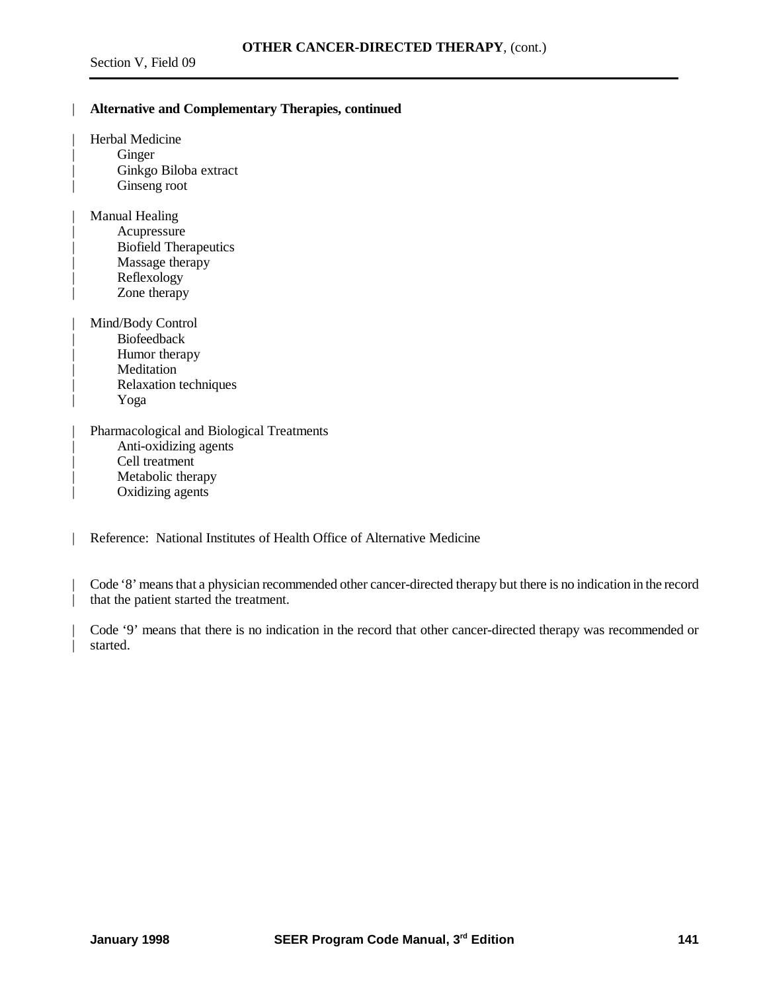- | **Alternative and Complementary Therapies, continued**
	- | Herbal Medicine | Ginger | Ginkgo Biloba extract Ginseng root
	- | Manual Healing | Acupressure
		- | Biofield Therapeutics Massage therapy Reflexology Zone therapy
	- | Mind/Body Control
		- | Biofeedback | Humor therapy **Meditation** | Relaxation techniques
- | Yoga
	- | Pharmacological and Biological Treatments
		- | Anti-oxidizing agents
		- | Cell treatment
		- Metabolic therapy
		- Oxidizing agents
- | Reference: National Institutes of Health Office of Alternative Medicine

| Code '8'meansthat a physician recommended other cancer-directed therapy but there is no indication in the record that the patient started the treatment.

| Code '9'means that there is no indication in the record that other cancer-directed therapy was recommended or started.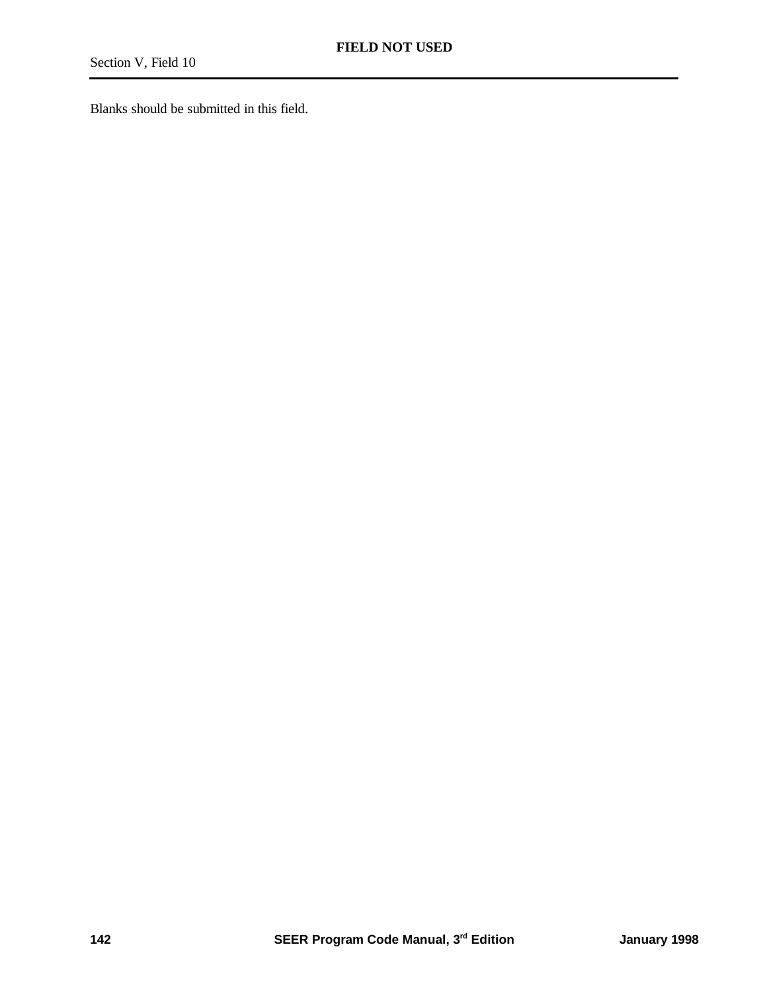Blanks should be submitted in this field.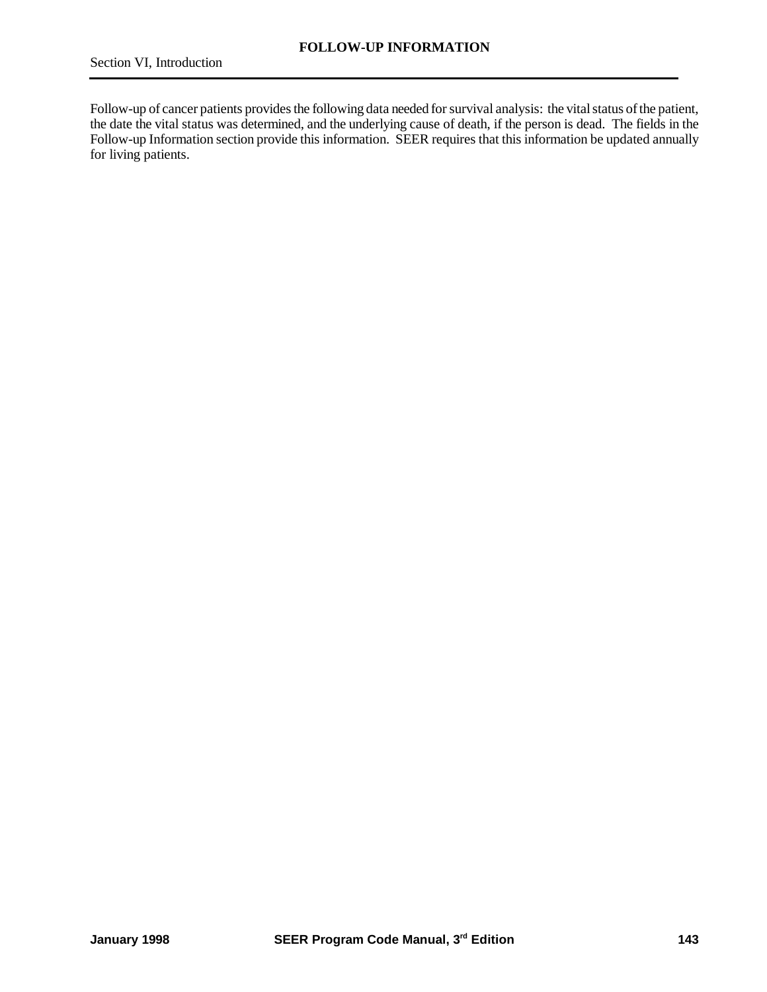Follow-up of cancer patients provides the following data needed for survival analysis: the vital status of the patient, the date the vital status was determined, and the underlying cause of death, if the person is dead. The fields in the Follow-up Information section provide this information. SEER requires that this information be updated annually for living patients.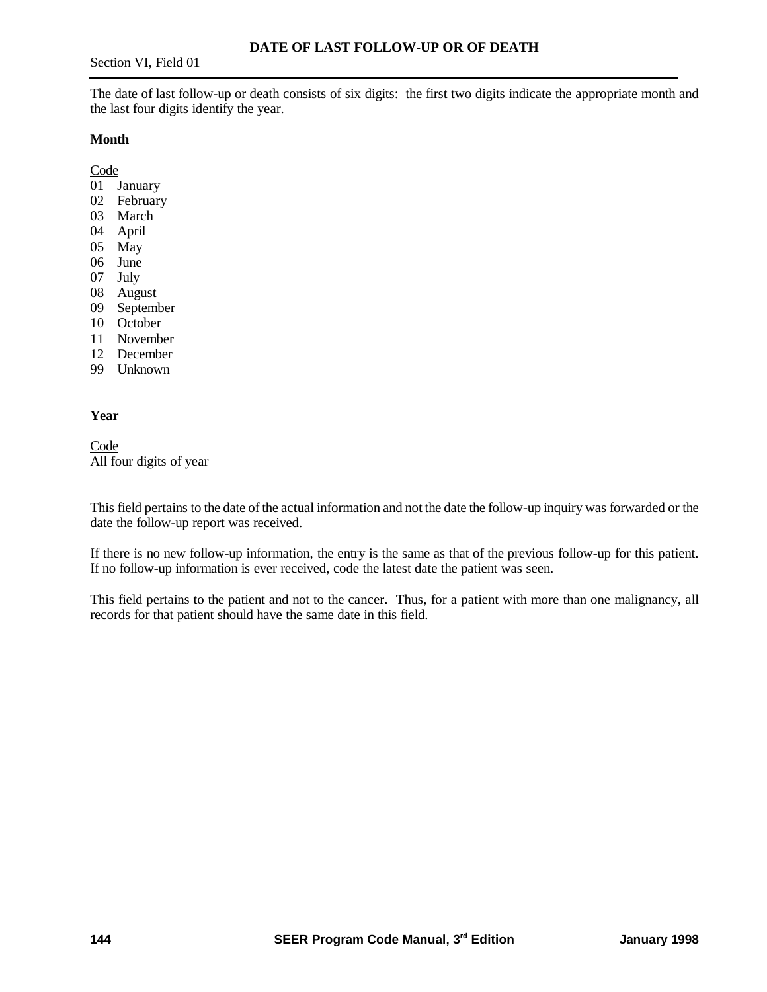The date of last follow-up or death consists of six digits: the first two digits indicate the appropriate month and the last four digits identify the year.

# **Month**

Code

- 01 January
- 02 February
- 03 March
- 04 April
- 05 May
- 06 June
- 07 July
- 08 August
- 09 September
- 10 October
- 11 November
- 12 December
- 99 Unknown

### **Year**

Code All four digits of year

This field pertains to the date of the actual information and not the date the follow-up inquiry was forwarded or the date the follow-up report was received.

If there is no new follow-up information, the entry is the same as that of the previous follow-up for this patient. If no follow-up information is ever received, code the latest date the patient was seen.

This field pertains to the patient and not to the cancer. Thus, for a patient with more than one malignancy, all records for that patient should have the same date in this field.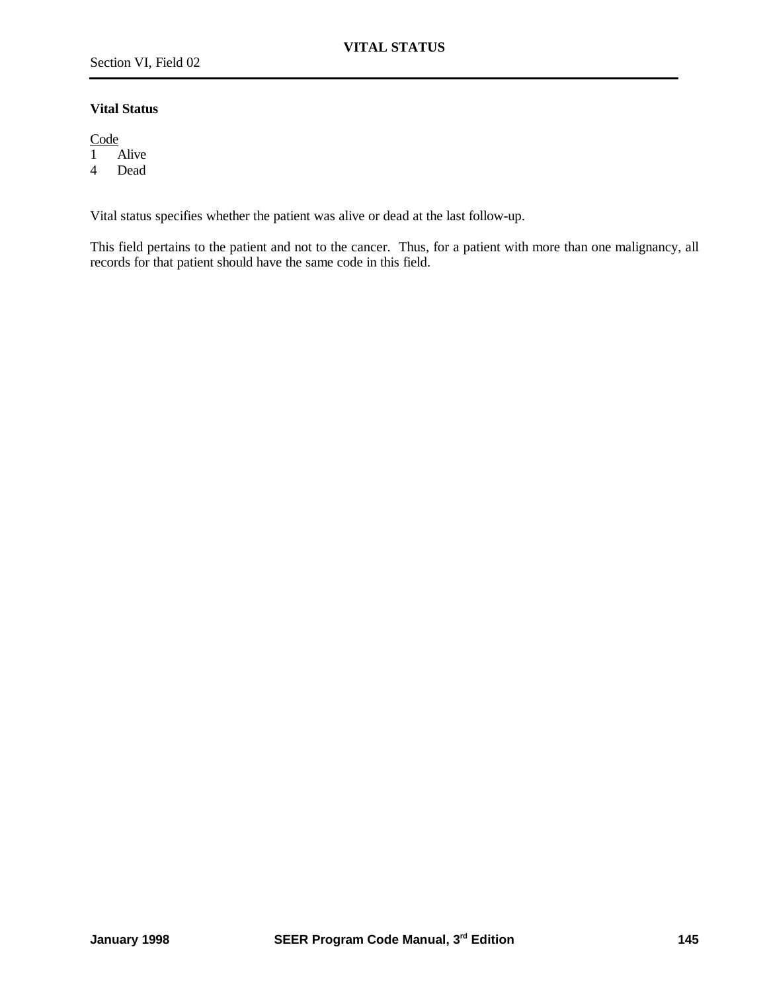# **Vital Status**

 $\frac{\text{Code}}{1}$ 

Alive 4 Dead

Vital status specifies whether the patient was alive or dead at the last follow-up.

This field pertains to the patient and not to the cancer. Thus, for a patient with more than one malignancy, all records for that patient should have the same code in this field.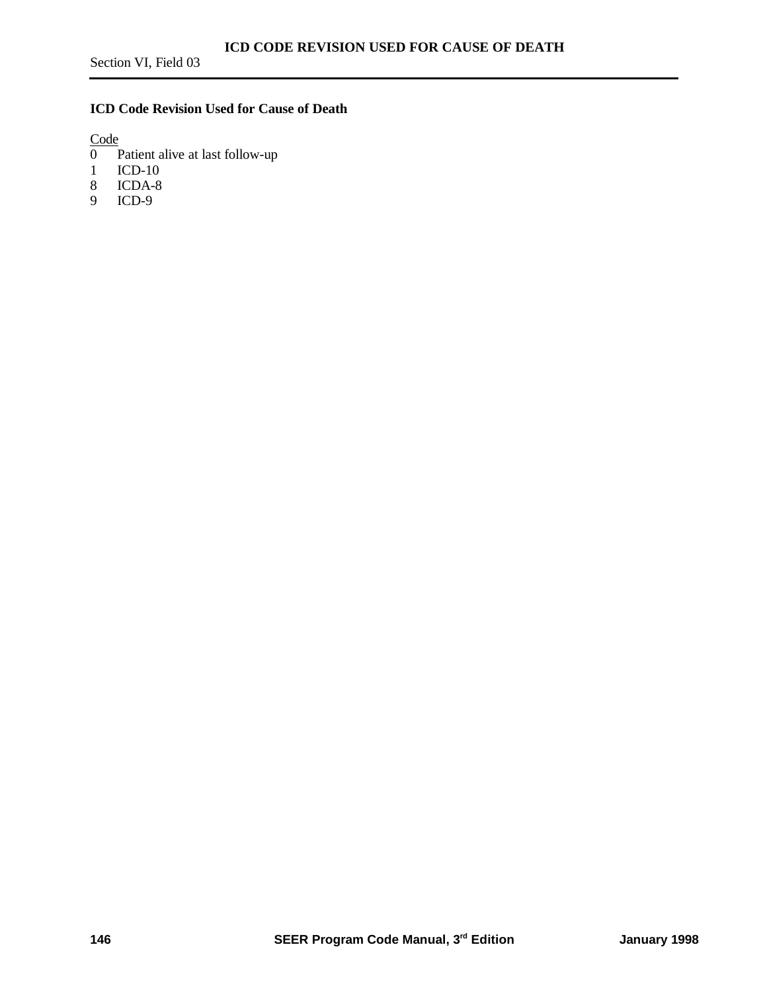# **ICD Code Revision Used for Cause of Death**

 $\frac{\text{Code}}{0}$ 

- Patient alive at last follow-up
- 1 ICD-10
- 8 ICDA-8<br>9 ICD-9
- 9 ICD-9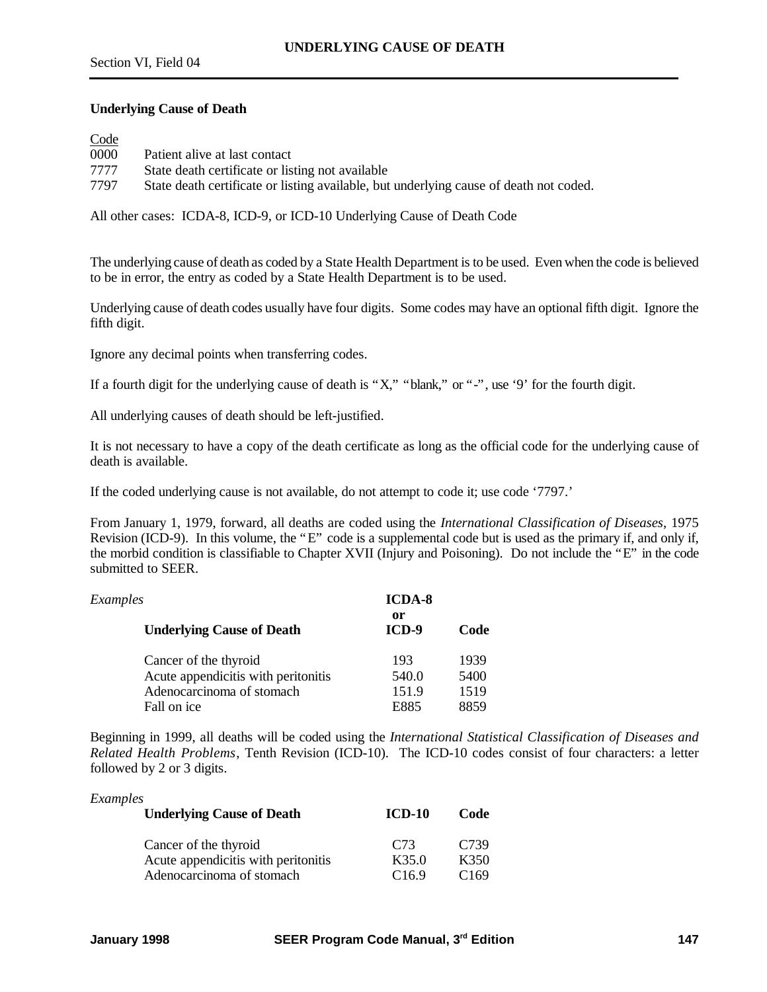## **Underlying Cause of Death**

| Code |                                                                                        |
|------|----------------------------------------------------------------------------------------|
| 0000 | Patient alive at last contact                                                          |
| 7777 | State death certificate or listing not available                                       |
| 7797 | State death certificate or listing available, but underlying cause of death not coded. |

All other cases: ICDA-8, ICD-9, or ICD-10 Underlying Cause of Death Code

The underlying cause of death as coded by a State Health Department isto be used. Even when the code is believed to be in error, the entry as coded by a State Health Department is to be used.

Underlying cause of death codes usually have four digits. Some codes may have an optional fifth digit. Ignore the fifth digit.

Ignore any decimal points when transferring codes.

If a fourth digit for the underlying cause of death is "X," "blank," or "-", use '9' for the fourth digit.

All underlying causes of death should be left-justified.

It is not necessary to have a copy of the death certificate as long as the official code for the underlying cause of death is available.

If the coded underlying cause is not available, do not attempt to code it; use code '7797.'

From January 1, 1979, forward, all deaths are coded using the *International Classification of Diseases*, 1975 Revision (ICD-9). In this volume, the "E" code is a supplemental code but is used as the primary if, and only if, the morbid condition is classifiable to Chapter XVII (Injury and Poisoning). Do not include the "E" in the code submitted to SEER.

| Examples                            | <b>ICDA-8</b><br>0r |      |
|-------------------------------------|---------------------|------|
| <b>Underlying Cause of Death</b>    | $ICD-9$             | Code |
| Cancer of the thyroid               | 193                 | 1939 |
| Acute appendicitis with peritonitis | 540.0               | 5400 |
| Adenocarcinoma of stomach           | 151.9               | 1519 |
| Fall on ice                         | E885                | 8859 |

Beginning in 1999, all deaths will be coded using the *International Statistical Classification of Diseases and Related Health Problems*, Tenth Revision (ICD-10). The ICD-10 codes consist of four characters: a letter followed by 2 or 3 digits.

*Examples*

| <b>Underlying Cause of Death</b>    | <b>ICD-10</b>   | Code             |
|-------------------------------------|-----------------|------------------|
| Cancer of the thyroid               | C <sub>73</sub> | C <sub>739</sub> |
| Acute appendicitis with peritonitis | K35.0           | K350             |
| Adenocarcinoma of stomach           | C169            | C169             |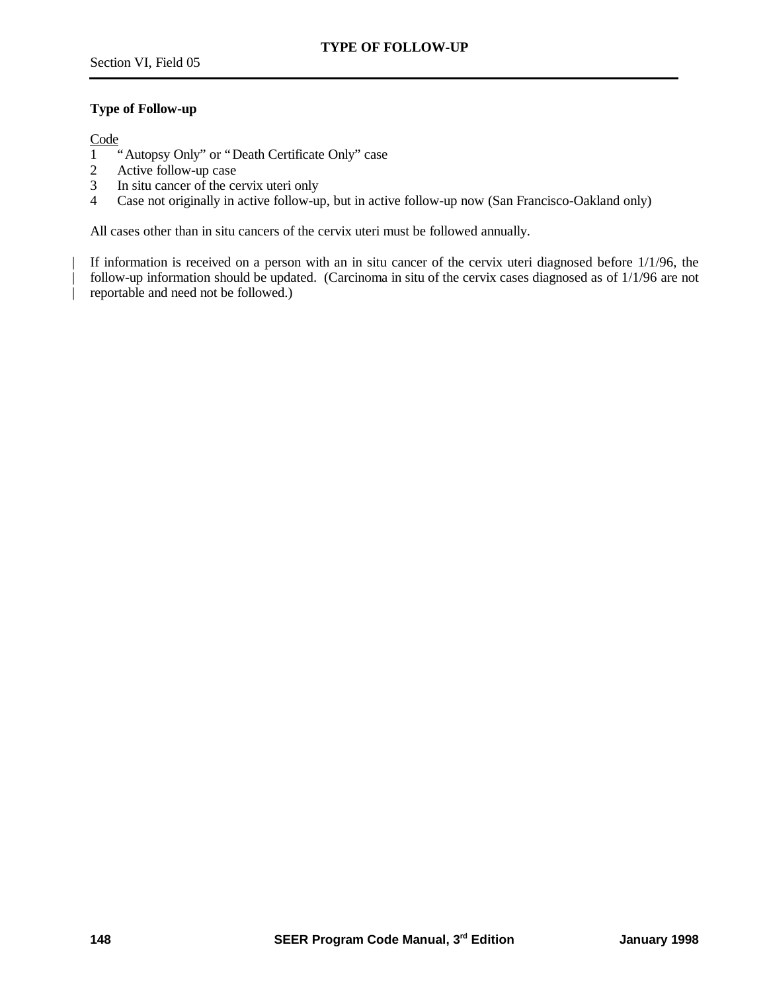# **Type of Follow-up**

# $\frac{\text{Code}}{1}$

- "Autopsy Only" or "Death Certificate Only" case
- 2 Active follow-up case
- 3 In situ cancer of the cervix uteri only<br>4 Case not originally in active follow-up
- Case not originally in active follow-up, but in active follow-up now (San Francisco-Oakland only)

All cases other than in situ cancers of the cervix uteri must be followed annually.

| If information is received on a person with an in situ cancer of the cervix uteri diagnosed before 1/1/96, the follow-up information should be updated. (Carcinoma in situ of the cervix cases diagnosed as of 1/1/96 are not | reportable and need not be followed.)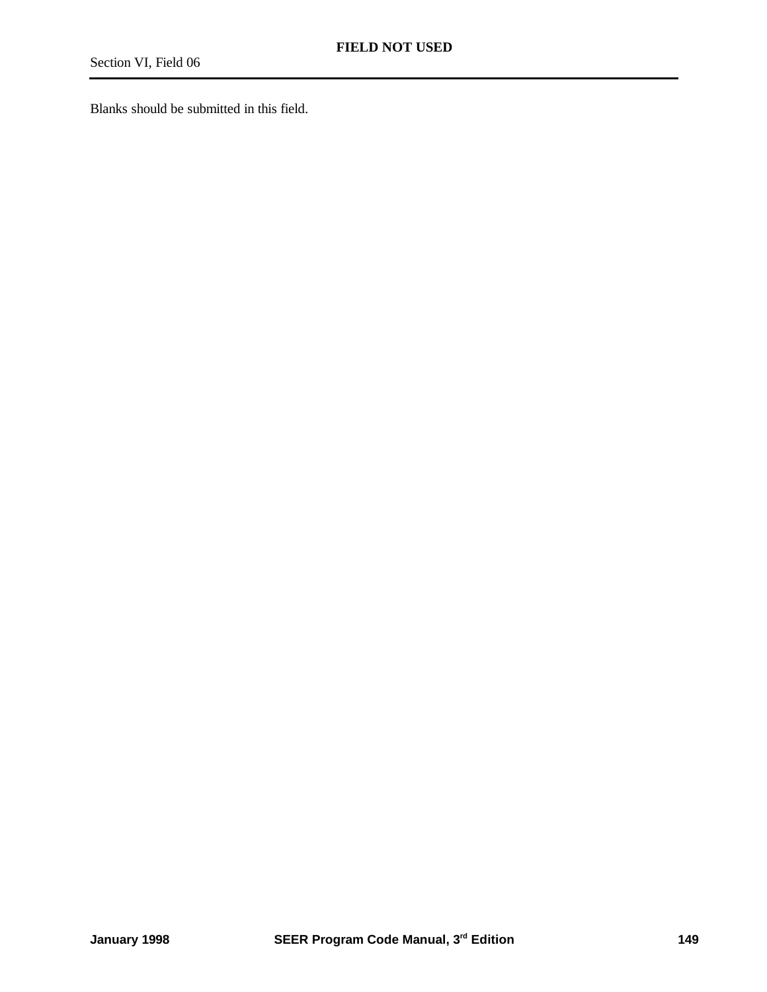Blanks should be submitted in this field.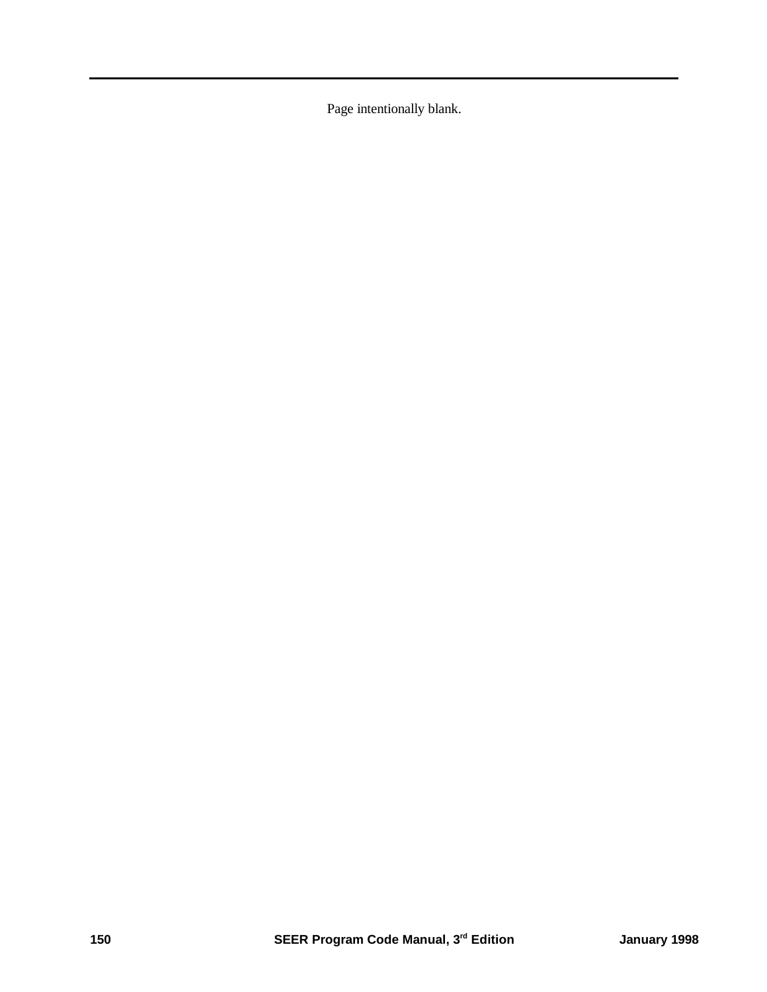Page intentionally blank.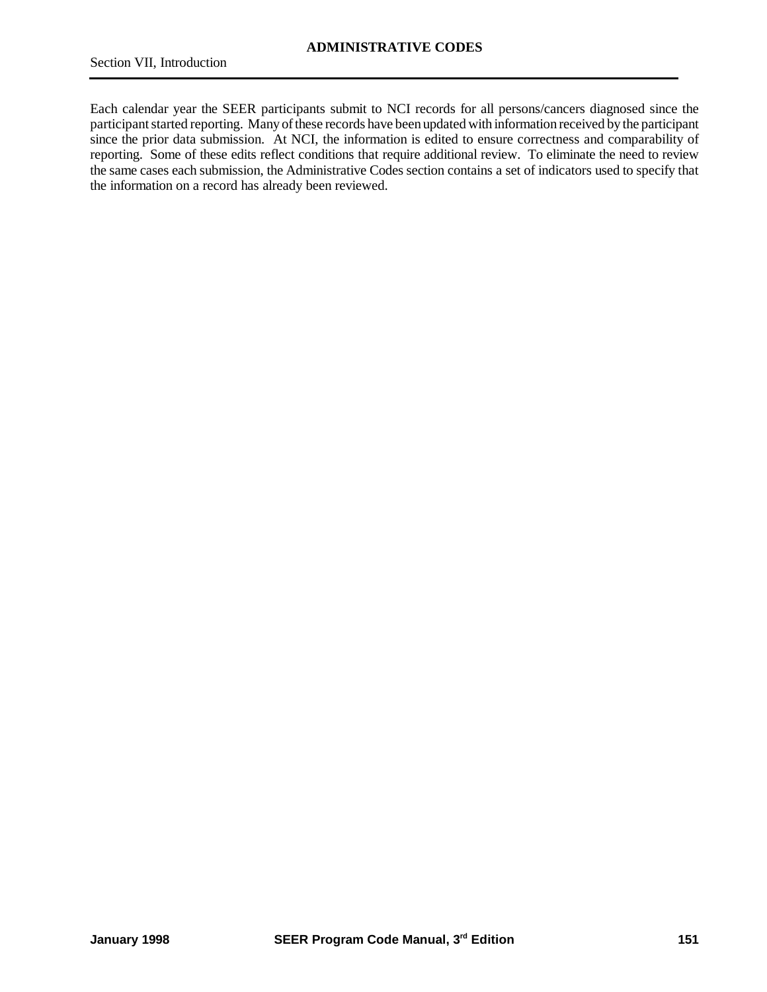Each calendar year the SEER participants submit to NCI records for all persons/cancers diagnosed since the participant started reporting. Many of these records have been updated with information received by the participant since the prior data submission. At NCI, the information is edited to ensure correctness and comparability of reporting. Some of these edits reflect conditions that require additional review. To eliminate the need to review the same cases each submission, the Administrative Codes section contains a set of indicators used to specify that the information on a record has already been reviewed.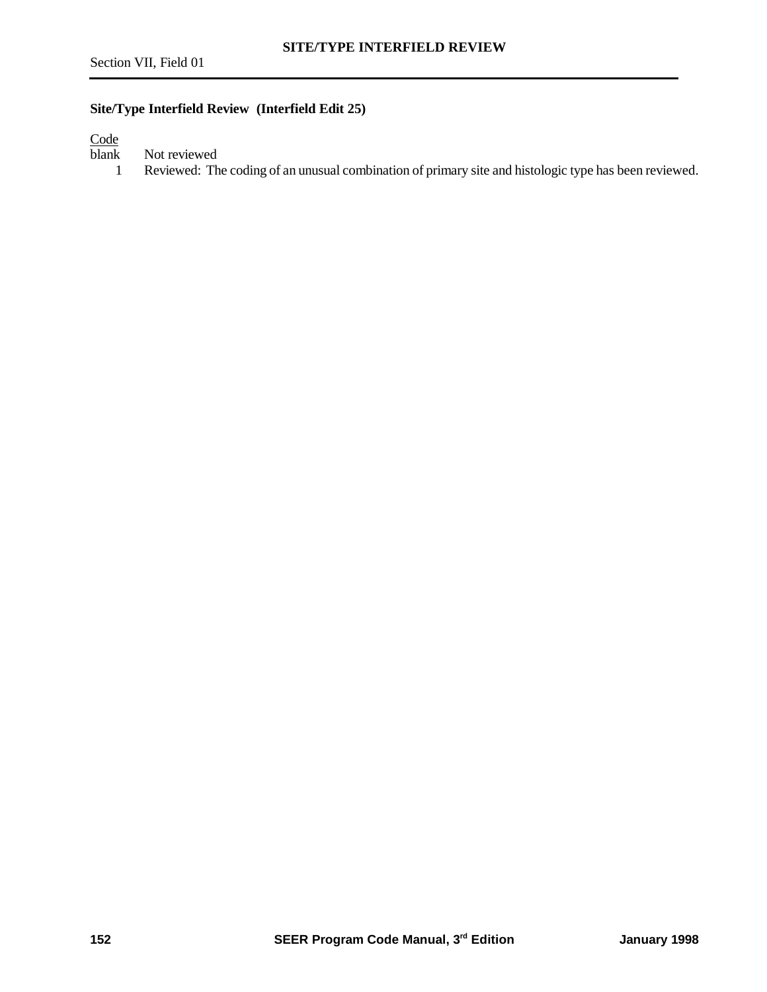# **Site/Type Interfield Review (Interfield Edit 25)**

Code<br>blank Not reviewed

1 Reviewed: The coding of an unusual combination of primary site and histologic type has been reviewed.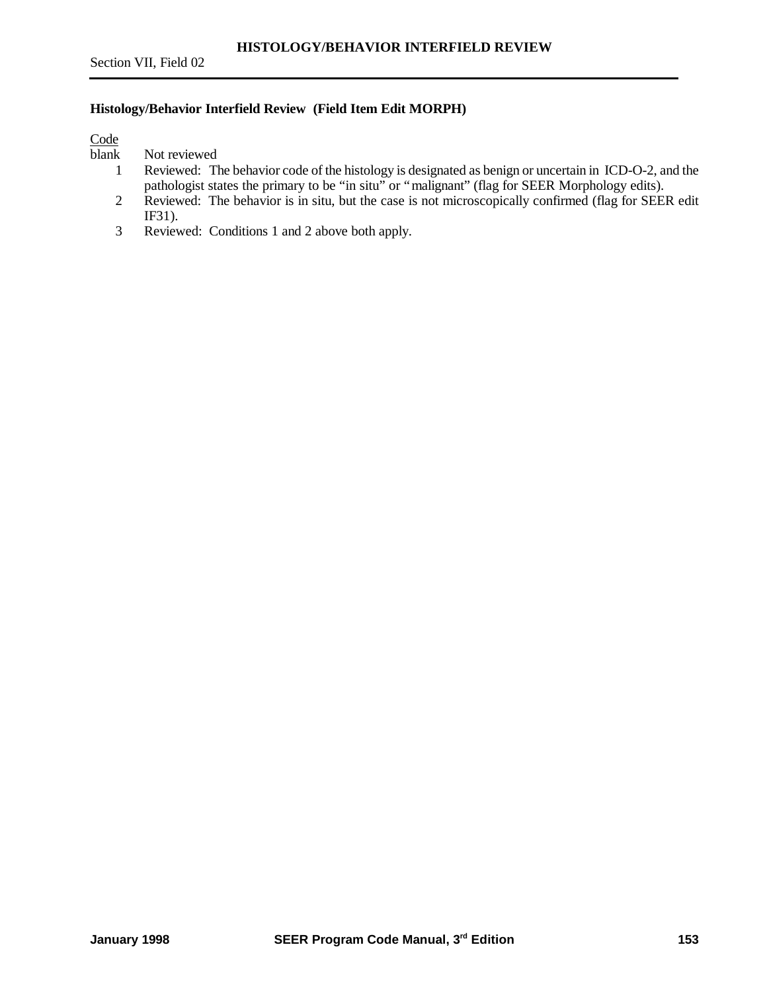# **Histology/Behavior Interfield Review (Field Item Edit MORPH)**

Code<br>blank

Not reviewed

- 1 Reviewed: The behavior code of the histology is designated as benign or uncertain in ICD-O-2, and the pathologist states the primary to be "in situ" or "malignant" (flag for SEER Morphology edits).
- 2 Reviewed: The behavior is in situ, but the case is not microscopically confirmed (flag for SEER edit IF31).
- 3 Reviewed: Conditions 1 and 2 above both apply.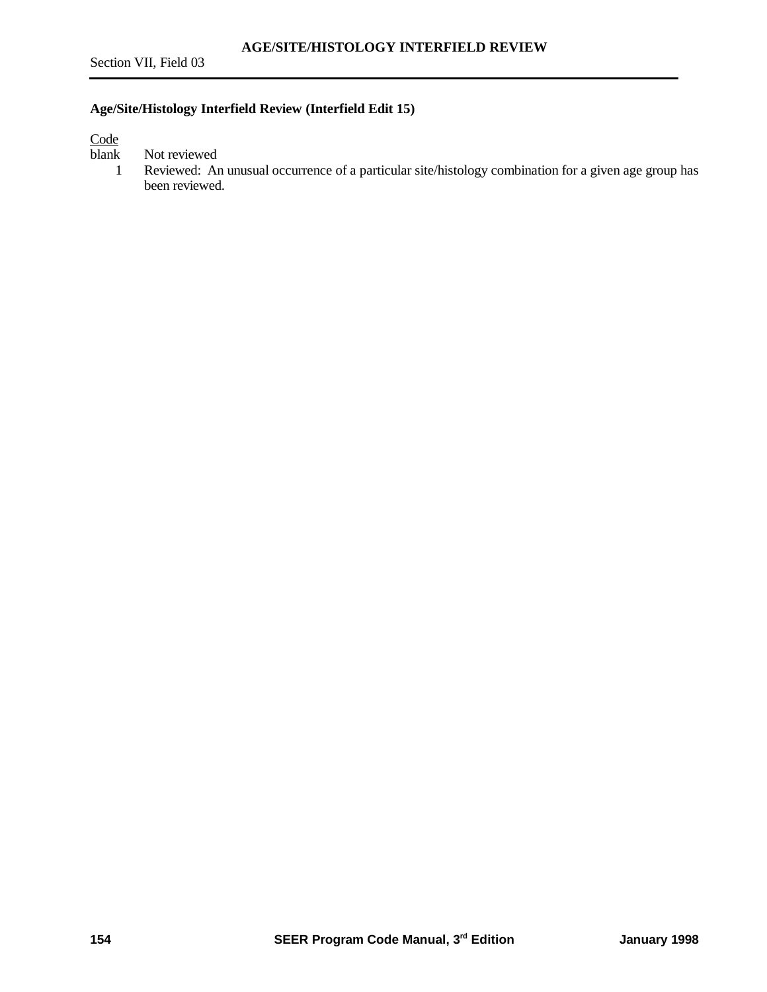# **Age/Site/Histology Interfield Review (Interfield Edit 15)**

Code<br>blank Not reviewed

1 Reviewed: An unusual occurrence of a particular site/histology combination for a given age group has been reviewed.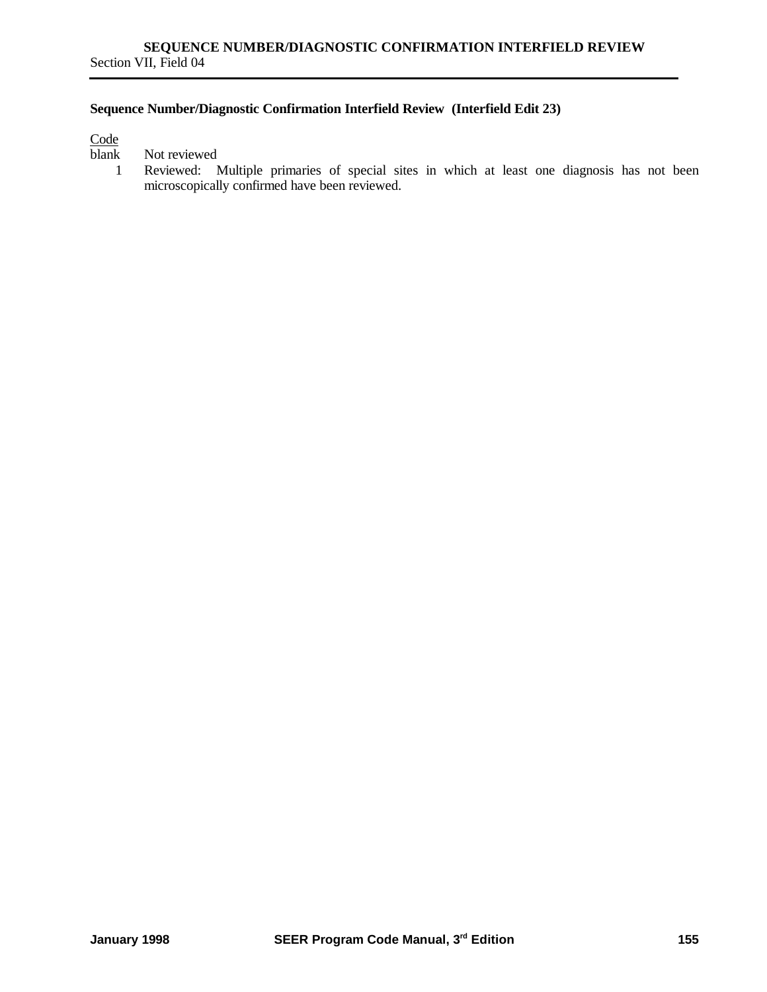# **Sequence Number/Diagnostic Confirmation Interfield Review (Interfield Edit 23)**

Code<br>blank

Not reviewed

1 Reviewed: Multiple primaries of special sites in which at least one diagnosis has not been microscopically confirmed have been reviewed.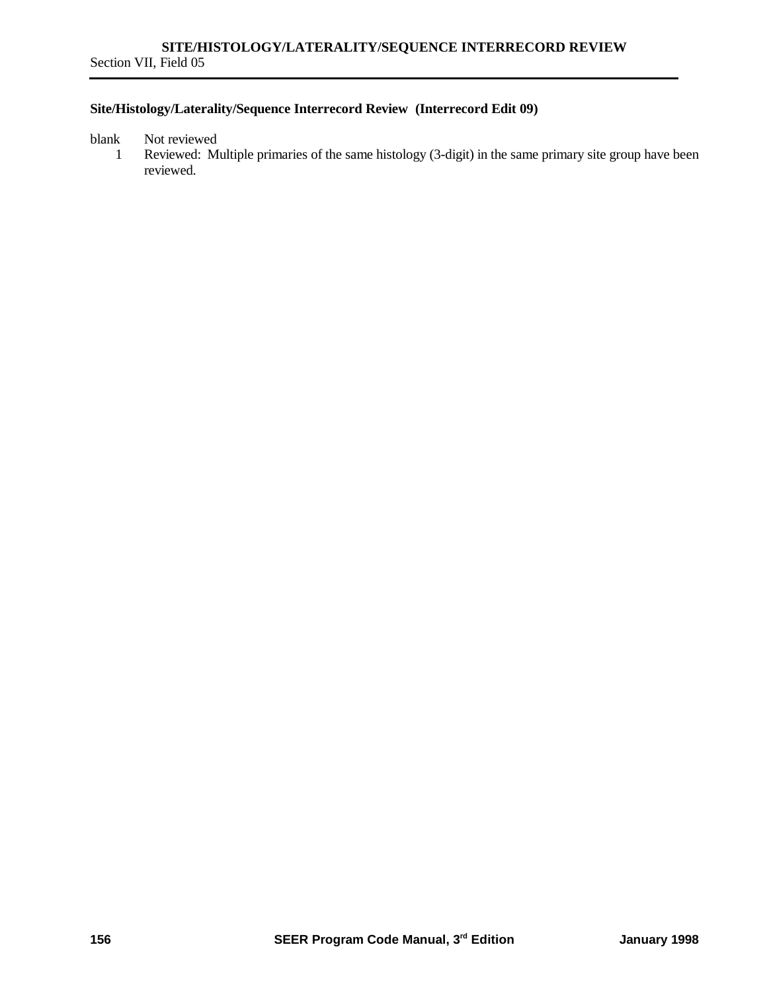# **Site/Histology/Laterality/Sequence Interrecord Review (Interrecord Edit 09)**

blank Not reviewed

1 Reviewed: Multiple primaries of the same histology (3-digit) in the same primary site group have been reviewed.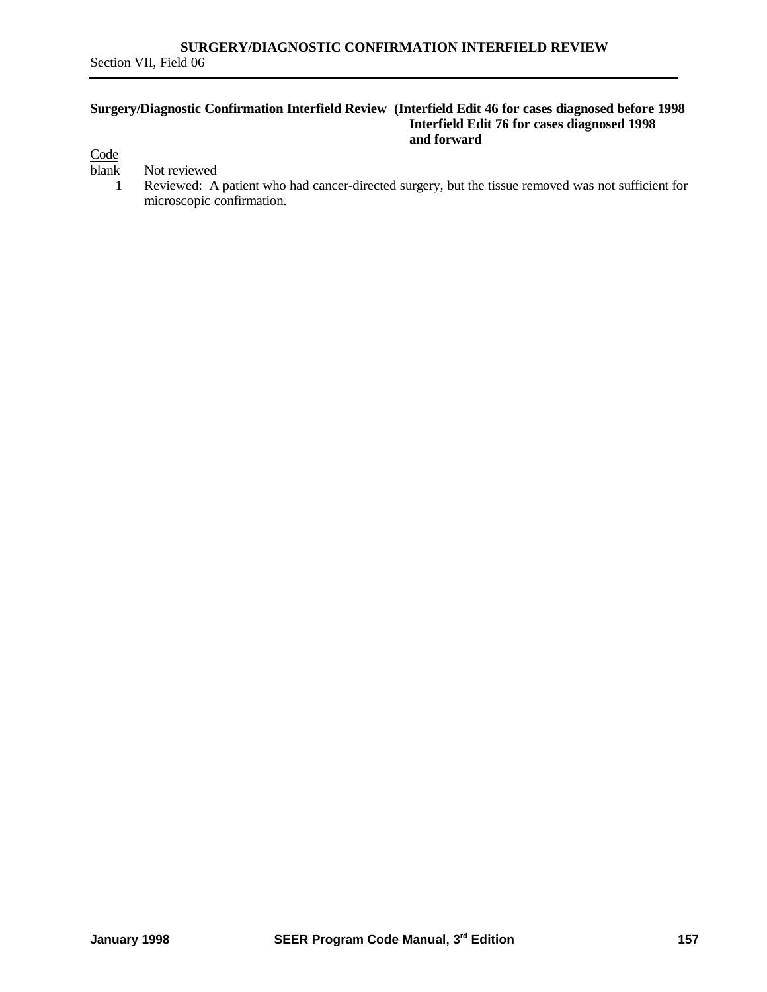# **Surgery/Diagnostic Confirmation Interfield Review (Interfield Edit 46 for cases diagnosed before 1998 Interfield Edit 76 for cases diagnosed 1998 and forward**

**Code** 

blank Not reviewed

1 Reviewed: A patient who had cancer-directed surgery, but the tissue removed was not sufficient for microscopic confirmation.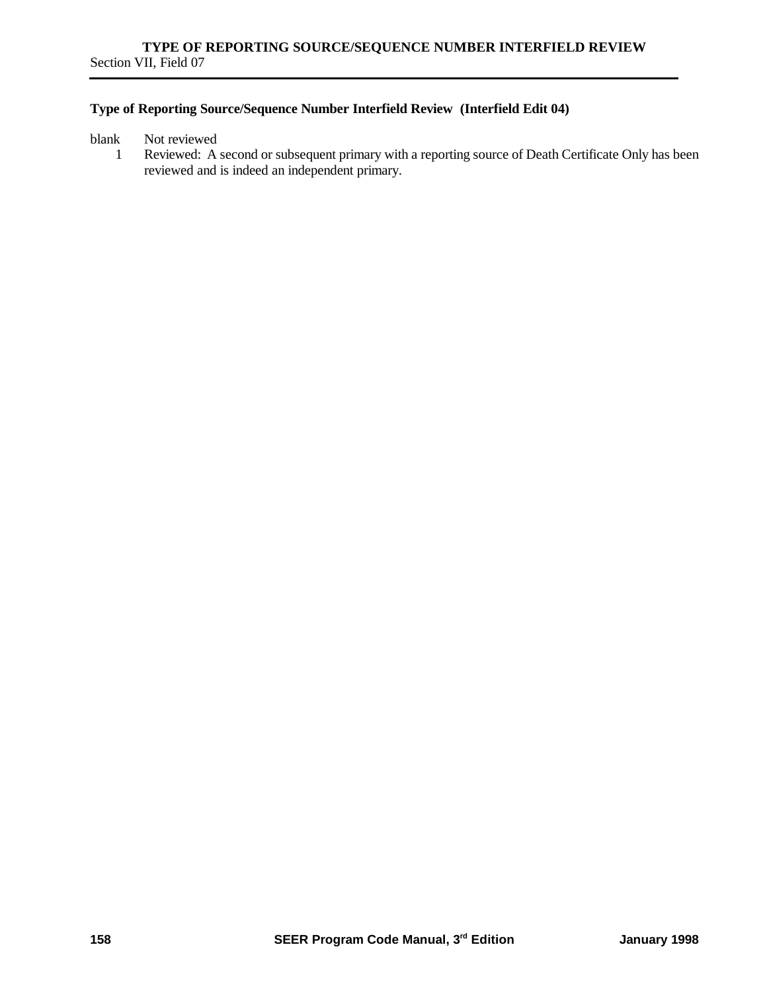# **Type of Reporting Source/Sequence Number Interfield Review (Interfield Edit 04)**

blank Not reviewed

1 Reviewed: A second or subsequent primary with a reporting source of Death Certificate Only has been reviewed and is indeed an independent primary.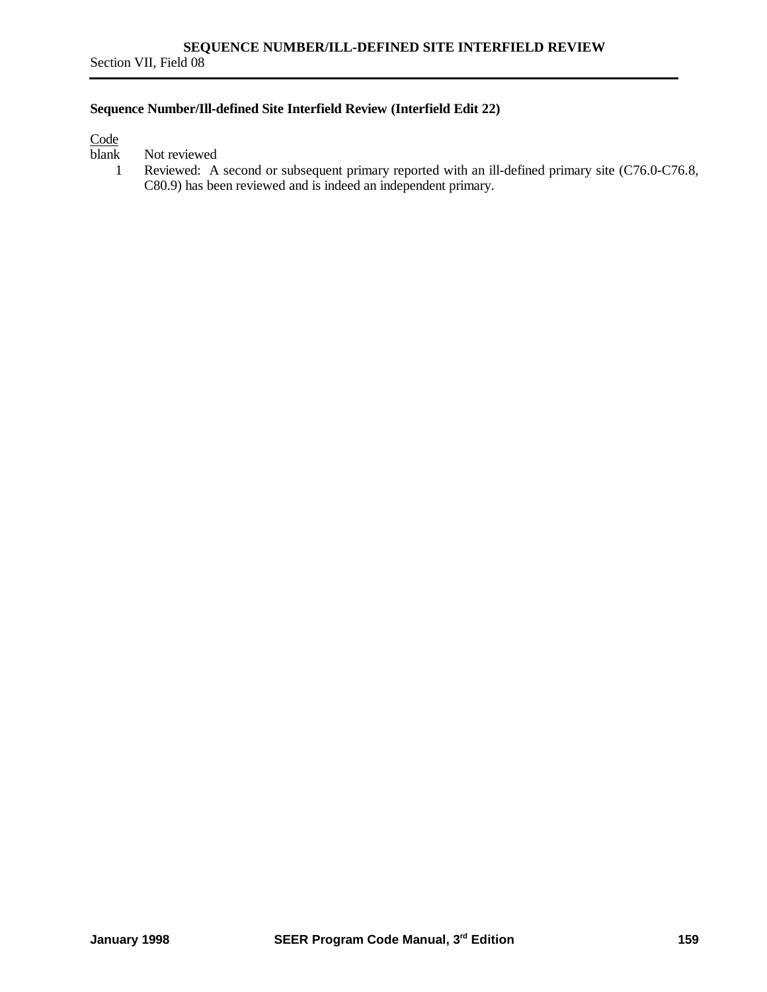# **Sequence Number/Ill-defined Site Interfield Review (Interfield Edit 22)**

Code<br>blank Not reviewed

1 Reviewed: A second or subsequent primary reported with an ill-defined primary site (C76.0-C76.8, C80.9) has been reviewed and is indeed an independent primary.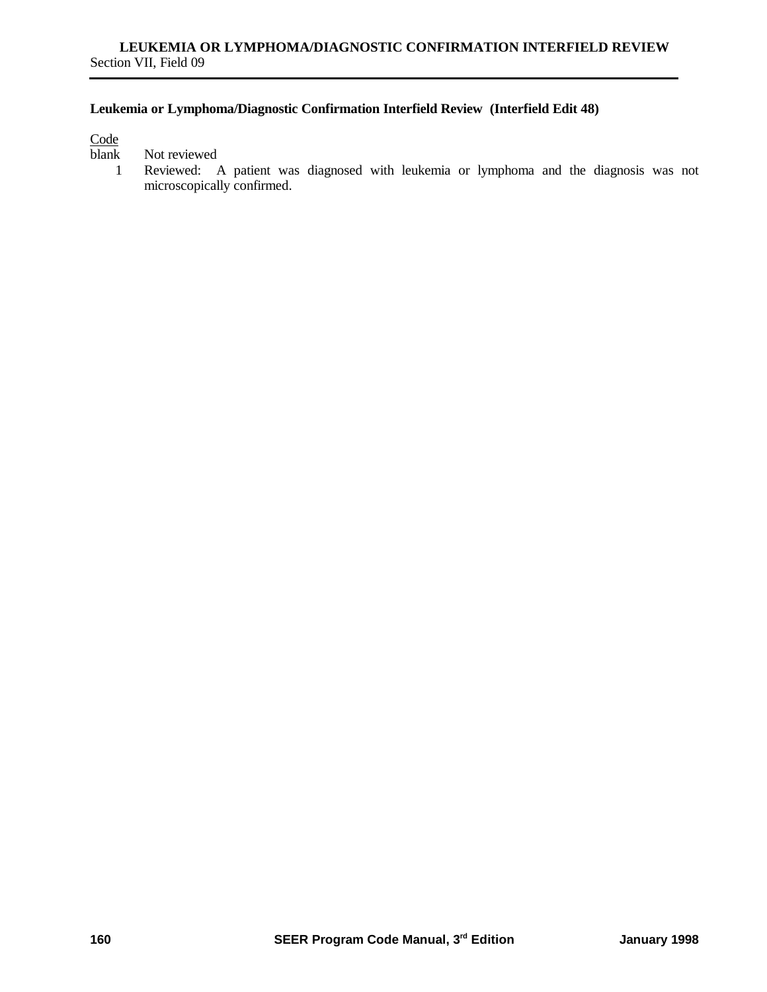# **Leukemia or Lymphoma/Diagnostic Confirmation Interfield Review (Interfield Edit 48)**

Code<br>blank Not reviewed

1 Reviewed: A patient was diagnosed with leukemia or lymphoma and the diagnosis was not microscopically confirmed.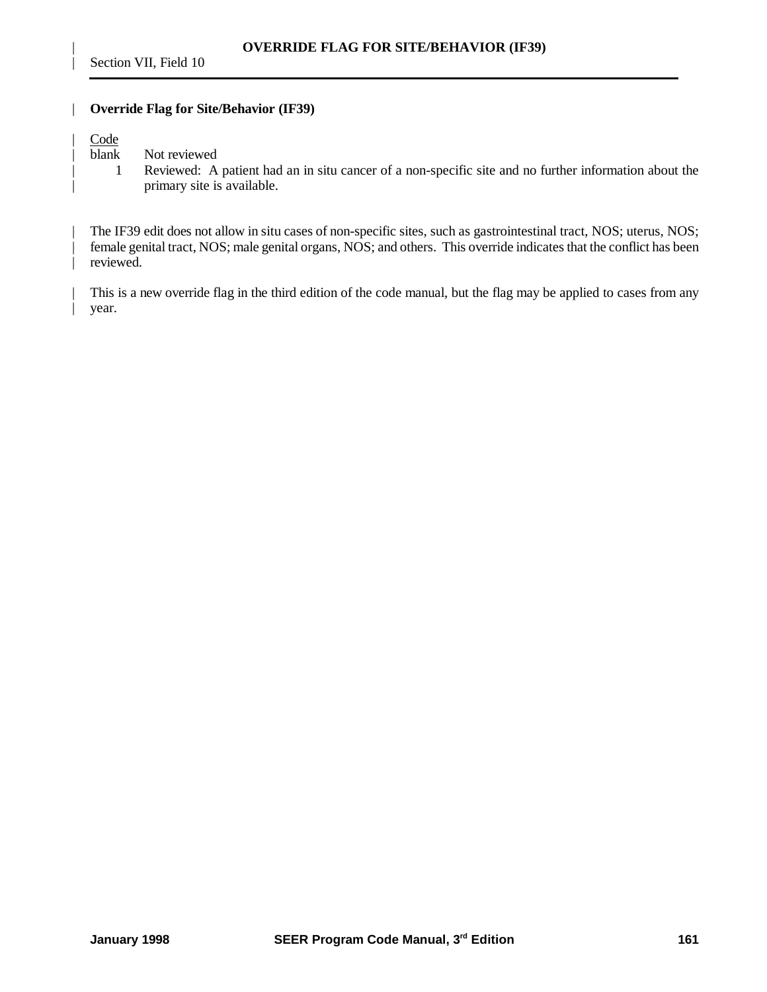# | **Override Flag for Site/Behavior (IF39)**

Code<br>blank

# Not reviewed

| 1 Reviewed: A patient had an in situ cancer of a non-specific site and no further information about the | primary site is available.

| The IF39 edit does not allow in situ cases of non-specific sites, such as gastrointestinal tract, NOS; uterus, NOS; female genital tract, NOS; male genital organs, NOS; and others. This override indicates that the conflict has been reviewed.

| This is a new override flag in the third edition of the code manual, but the flag may be applied to cases from any | year.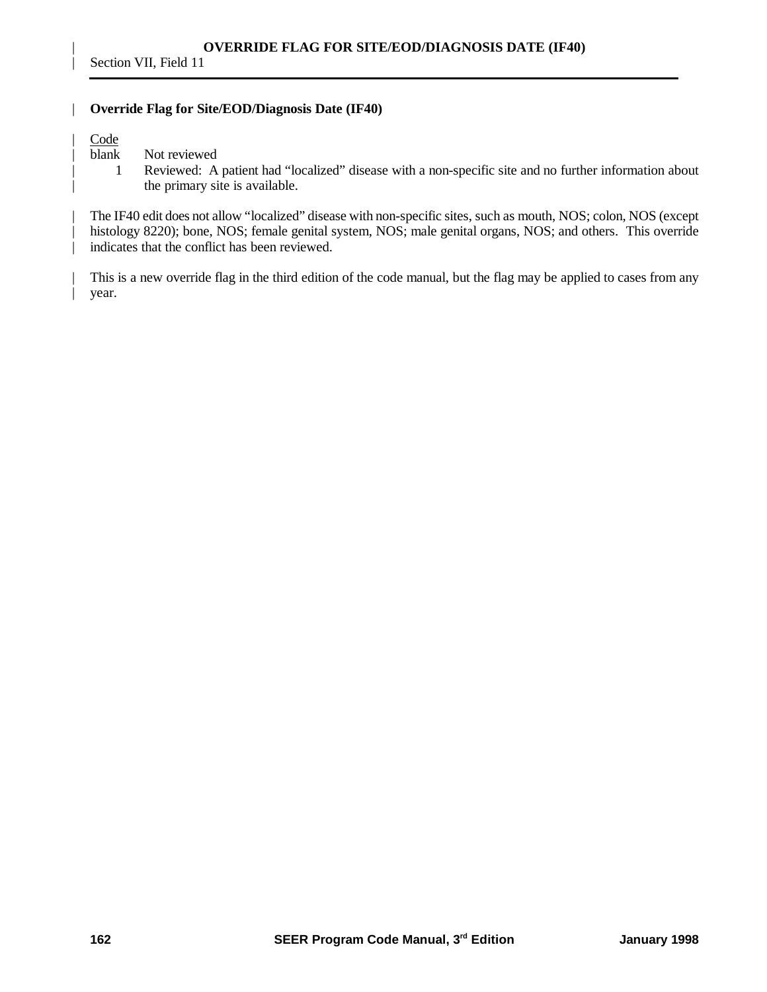# | **Override Flag for Site/EOD/Diagnosis Date (IF40)**

# | Code

| blank Not reviewed

| 1 Reviewed: A patient had "localized" disease with a non-specific site and no further information about the primary site is available.

The IF40 edit does not allow "localized" disease with non-specific sites, such as mouth, NOS; colon, NOS (except histology 8220); bone, NOS; female genital system, NOS; male genital organs, NOS; and others. This override | indicates that the conflict has been reviewed.

| This is a new override flag in the third edition of the code manual, but the flag may be applied to cases from any | year.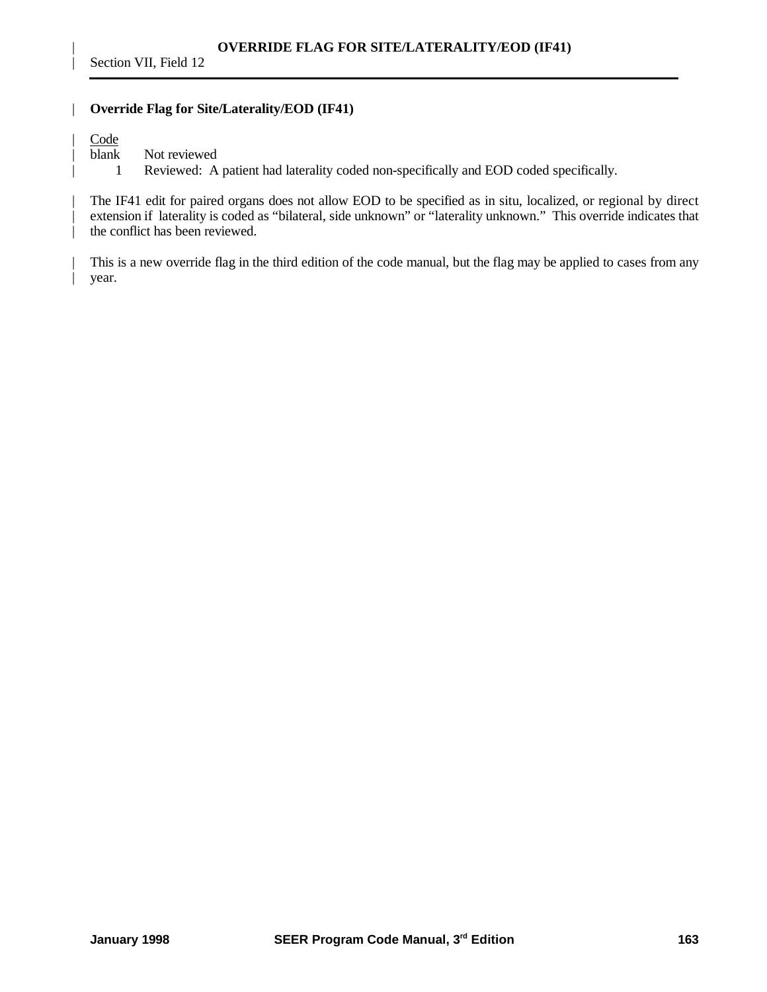# | **Override Flag for Site/Laterality/EOD (IF41)**

| Code

| blank Not reviewed

| 1 Reviewed: A patient had laterality coded non-specifically and EOD coded specifically.

| The IF41 edit for paired organs does not allow EOD to be specified as in situ, localized, or regional by direct | extension if laterality is coded as "bilateral, side unknown" or "laterality unknown." This override indicates that the conflict has been reviewed.

| This is a new override flag in the third edition of the code manual, but the flag may be applied to cases from any | year.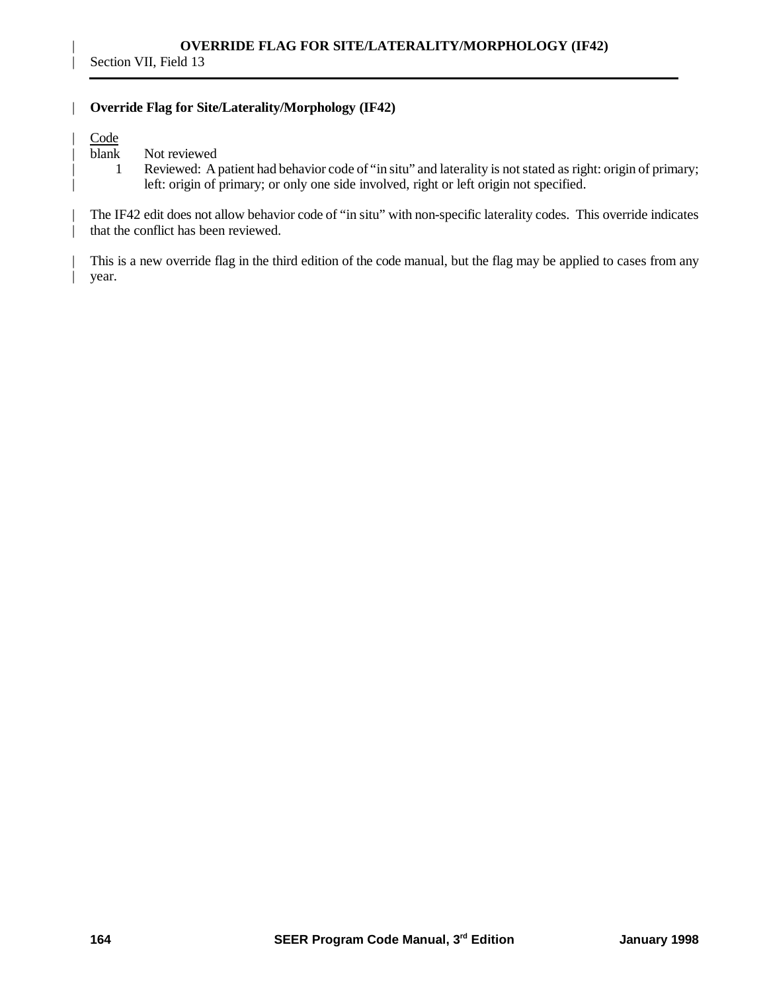# | **Override Flag for Site/Laterality/Morphology (IF42)**

| Code

| blank Not reviewed

| 1 Reviewed: A patient had behavior code of "in situ" and laterality is not stated as right: origin of primary; left: origin of primary; or only one side involved, right or left origin not specified.

The IF42 edit does not allow behavior code of "in situ" with non-specific laterality codes. This override indicates that the conflict has been reviewed.

This is a new override flag in the third edition of the code manual, but the flag may be applied to cases from any | year.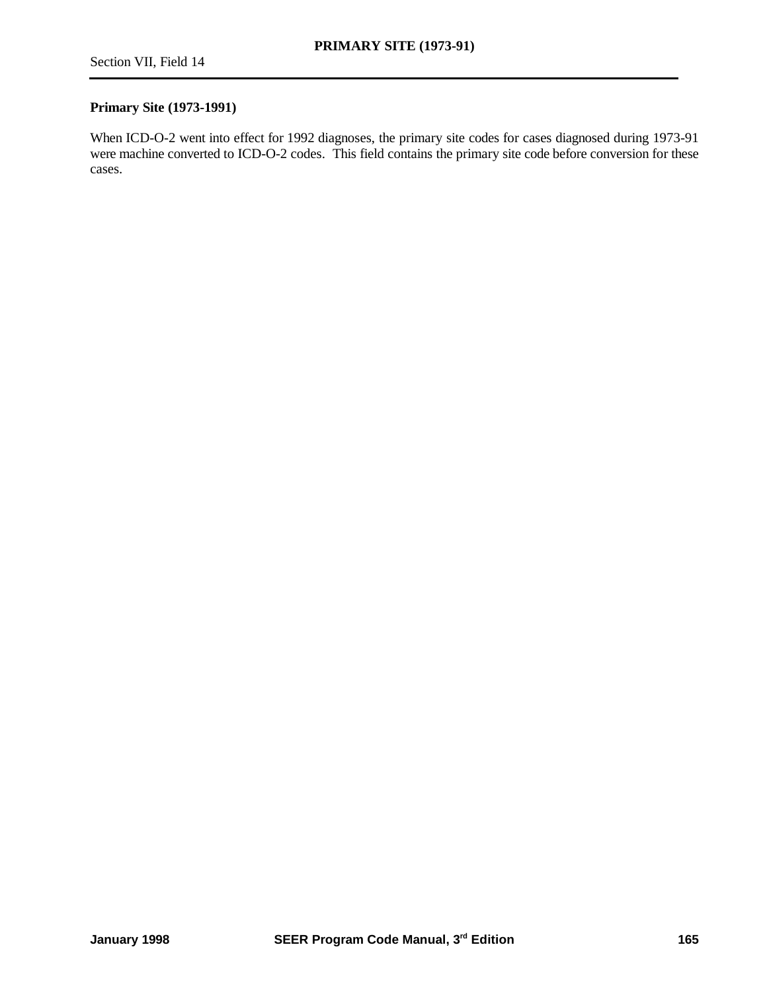# **Primary Site (1973-1991)**

When ICD-O-2 went into effect for 1992 diagnoses, the primary site codes for cases diagnosed during 1973-91 were machine converted to ICD-O-2 codes. This field contains the primary site code before conversion for these cases.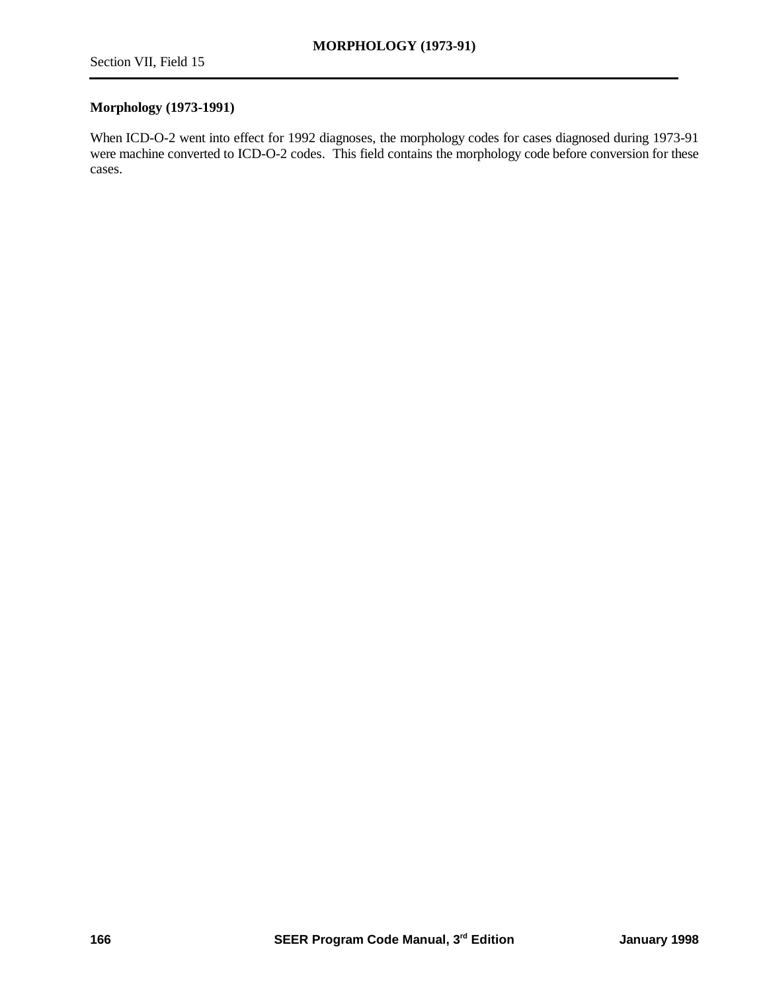# **Morphology (1973-1991)**

When ICD-O-2 went into effect for 1992 diagnoses, the morphology codes for cases diagnosed during 1973-91 were machine converted to ICD-O-2 codes. This field contains the morphology code before conversion for these cases.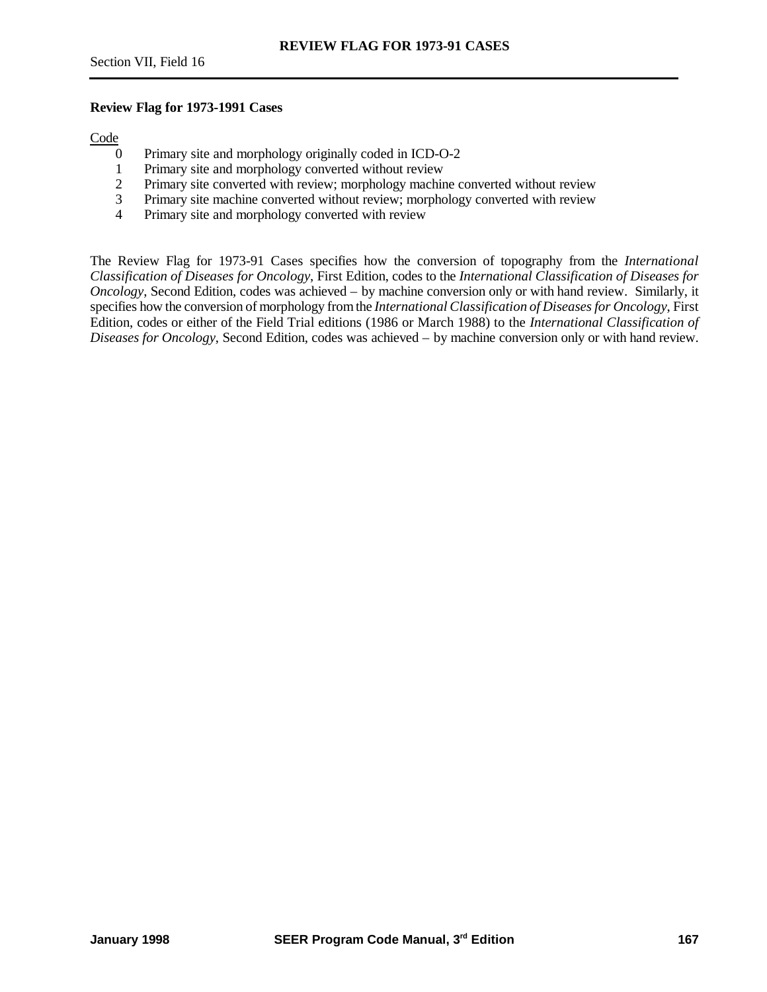# **Review Flag for 1973-1991 Cases**

Code

- 0 Primary site and morphology originally coded in ICD-O-2
- 1 Primary site and morphology converted without review
- 2 Primary site converted with review; morphology machine converted without review
- 3 Primary site machine converted without review; morphology converted with review
- 4 Primary site and morphology converted with review

The Review Flag for 1973-91 Cases specifies how the conversion of topography from the *International Classification of Diseases for Oncology*, First Edition, codes to the *International Classification of Diseases for Oncology*, Second Edition, codes was achieved – by machine conversion only or with hand review. Similarly, it specifies how the conversion of morphology from the *International Classification of Diseases for Oncology*, First Edition, codes or either of the Field Trial editions (1986 or March 1988) to the *International Classification of Diseases for Oncology*, Second Edition, codes was achieved – by machine conversion only or with hand review.